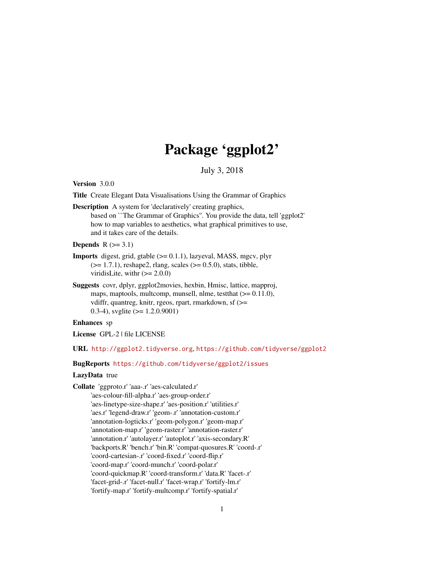# Package 'ggplot2'

July 3, 2018

<span id="page-0-0"></span>Version 3.0.0

Title Create Elegant Data Visualisations Using the Grammar of Graphics

Description A system for 'declaratively' creating graphics, based on ``The Grammar of Graphics''. You provide the data, tell 'ggplot2' how to map variables to aesthetics, what graphical primitives to use, and it takes care of the details.

Depends  $R$  ( $>=$  3.1)

- **Imports** digest, grid, gtable  $(>= 0.1.1)$ , lazyeval, MASS, mgcv, plyr  $(>= 1.7.1)$ , reshape2, rlang, scales  $(>= 0.5.0)$ , stats, tibble, viridisLite, with  $(>= 2.0.0)$
- Suggests covr, dplyr, ggplot2movies, hexbin, Hmisc, lattice, mapproj, maps, maptools, multcomp, munsell, nlme, test that ( $>= 0.11.0$ ), vdiffr, quantreg, knitr, rgeos, rpart, rmarkdown, sf (>= 0.3-4), svglite (>= 1.2.0.9001)

Enhances sp

License GPL-2 | file LICENSE

URL <http://ggplot2.tidyverse.org>, <https://github.com/tidyverse/ggplot2>

BugReports <https://github.com/tidyverse/ggplot2/issues>

# LazyData true

Collate 'ggproto.r' 'aaa-.r' 'aes-calculated.r' 'aes-colour-fill-alpha.r' 'aes-group-order.r' 'aes-linetype-size-shape.r' 'aes-position.r' 'utilities.r' 'aes.r' 'legend-draw.r' 'geom-.r' 'annotation-custom.r' 'annotation-logticks.r' 'geom-polygon.r' 'geom-map.r' 'annotation-map.r' 'geom-raster.r' 'annotation-raster.r' 'annotation.r' 'autolayer.r' 'autoplot.r' 'axis-secondary.R' 'backports.R' 'bench.r' 'bin.R' 'compat-quosures.R' 'coord-.r' 'coord-cartesian-.r' 'coord-fixed.r' 'coord-flip.r' 'coord-map.r' 'coord-munch.r' 'coord-polar.r' 'coord-quickmap.R' 'coord-transform.r' 'data.R' 'facet-.r' 'facet-grid-.r' 'facet-null.r' 'facet-wrap.r' 'fortify-lm.r' 'fortify-map.r' 'fortify-multcomp.r' 'fortify-spatial.r'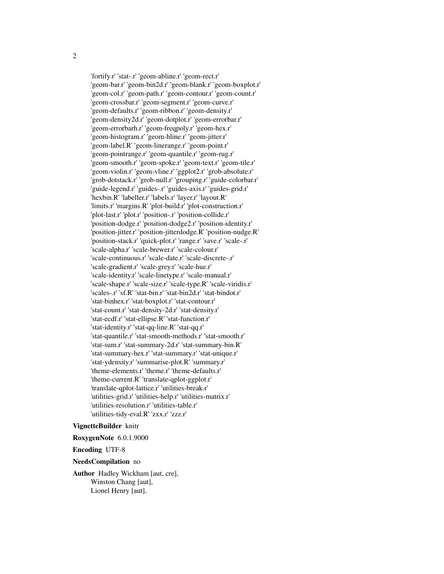'fortify.r' 'stat-.r' 'geom-abline.r' 'geom-rect.r' 'geom-bar.r' 'geom-bin2d.r' 'geom-blank.r' 'geom-boxplot.r' 'geom-col.r' 'geom-path.r' 'geom-contour.r' 'geom-count.r' 'geom-crossbar.r' 'geom-segment.r' 'geom-curve.r' 'geom-defaults.r' 'geom-ribbon.r' 'geom-density.r' 'geom-density2d.r' 'geom-dotplot.r' 'geom-errorbar.r' 'geom-errorbarh.r' 'geom-freqpoly.r' 'geom-hex.r' 'geom-histogram.r' 'geom-hline.r' 'geom-jitter.r' 'geom-label.R' 'geom-linerange.r' 'geom-point.r' 'geom-pointrange.r' 'geom-quantile.r' 'geom-rug.r' 'geom-smooth.r' 'geom-spoke.r' 'geom-text.r' 'geom-tile.r' 'geom-violin.r' 'geom-vline.r' 'ggplot2.r' 'grob-absolute.r' 'grob-dotstack.r' 'grob-null.r' 'grouping.r' 'guide-colorbar.r' 'guide-legend.r' 'guides-.r' 'guides-axis.r' 'guides-grid.r' 'hexbin.R' 'labeller.r' 'labels.r' 'layer.r' 'layout.R' 'limits.r' 'margins.R' 'plot-build.r' 'plot-construction.r' 'plot-last.r' 'plot.r' 'position-.r' 'position-collide.r' 'position-dodge.r' 'position-dodge2.r' 'position-identity.r' 'position-jitter.r' 'position-jitterdodge.R' 'position-nudge.R' 'position-stack.r' 'quick-plot.r' 'range.r' 'save.r' 'scale-.r' 'scale-alpha.r' 'scale-brewer.r' 'scale-colour.r' 'scale-continuous.r' 'scale-date.r' 'scale-discrete-.r' 'scale-gradient.r' 'scale-grey.r' 'scale-hue.r' 'scale-identity.r' 'scale-linetype.r' 'scale-manual.r' 'scale-shape.r' 'scale-size.r' 'scale-type.R' 'scale-viridis.r' 'scales-.r' 'sf.R' 'stat-bin.r' 'stat-bin2d.r' 'stat-bindot.r' 'stat-binhex.r' 'stat-boxplot.r' 'stat-contour.r' 'stat-count.r' 'stat-density-2d.r' 'stat-density.r' 'stat-ecdf.r' 'stat-ellipse.R' 'stat-function.r' 'stat-identity.r' 'stat-qq-line.R' 'stat-qq.r' 'stat-quantile.r' 'stat-smooth-methods.r' 'stat-smooth.r' 'stat-sum.r' 'stat-summary-2d.r' 'stat-summary-bin.R' 'stat-summary-hex.r' 'stat-summary.r' 'stat-unique.r' 'stat-ydensity.r' 'summarise-plot.R' 'summary.r' 'theme-elements.r' 'theme.r' 'theme-defaults.r' 'theme-current.R' 'translate-qplot-ggplot.r' 'translate-qplot-lattice.r' 'utilities-break.r' 'utilities-grid.r' 'utilities-help.r' 'utilities-matrix.r' 'utilities-resolution.r' 'utilities-table.r' 'utilities-tidy-eval.R' 'zxx.r' 'zzz.r'

#### VignetteBuilder knitr

# RoxygenNote 6.0.1.9000

Encoding UTF-8

#### NeedsCompilation no

Author Hadley Wickham [aut, cre], Winston Chang [aut], Lionel Henry [aut],

2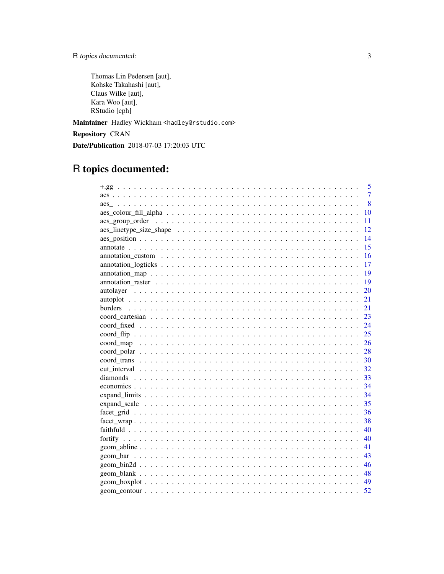R topics documented:

Thomas Lin Pedersen [aut], Kohske Takahashi [aut], Claus Wilke [aut], Kara Woo [aut], RStudio [cph]

Maintainer Hadley Wickham <hadley@rstudio.com>

Repository CRAN

Date/Publication 2018-07-03 17:20:03 UTC

# R topics documented:

| 5<br>$+.99$                                                                                                          |
|----------------------------------------------------------------------------------------------------------------------|
| $\overline{7}$                                                                                                       |
| 8                                                                                                                    |
| 10                                                                                                                   |
| 11                                                                                                                   |
| 12                                                                                                                   |
| 14                                                                                                                   |
| 15                                                                                                                   |
| 16<br>$annotation\_custom \dots \dots \dots \dots \dots \dots \dots \dots \dots \dots \dots \dots \dots \dots \dots$ |
| 17                                                                                                                   |
| 19                                                                                                                   |
| 19                                                                                                                   |
| 20                                                                                                                   |
| 21                                                                                                                   |
| 21                                                                                                                   |
| 23                                                                                                                   |
| 24                                                                                                                   |
| 25                                                                                                                   |
| 26                                                                                                                   |
| 28                                                                                                                   |
| 30                                                                                                                   |
| 32                                                                                                                   |
| 33                                                                                                                   |
| 34                                                                                                                   |
| 34                                                                                                                   |
| 35                                                                                                                   |
| 36                                                                                                                   |
| 38                                                                                                                   |
| 40                                                                                                                   |
| fortify<br>40                                                                                                        |
| 41                                                                                                                   |
| 43                                                                                                                   |
| 46                                                                                                                   |
| 48                                                                                                                   |
| 49                                                                                                                   |
| 52                                                                                                                   |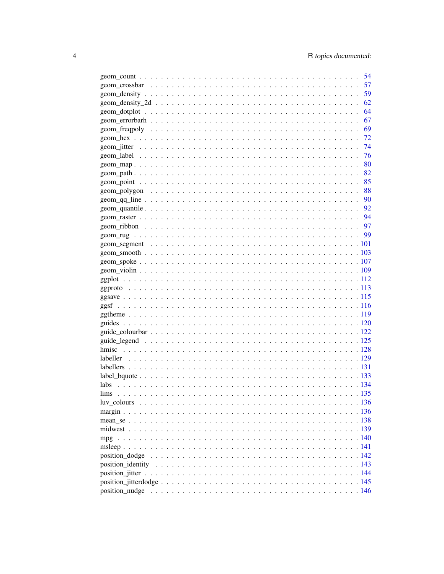| 54 |
|----|
| 57 |
| 59 |
| 62 |
| 64 |
| 67 |
| 69 |
| 72 |
| 74 |
| 76 |
| 80 |
| 82 |
| 85 |
| 88 |
| 90 |
| 92 |
|    |
|    |
| 99 |
|    |
|    |
|    |
|    |
|    |
|    |
|    |
|    |
|    |
|    |
|    |
|    |
|    |
|    |
|    |
|    |
|    |
|    |
|    |
|    |
|    |
|    |
|    |
|    |
|    |
|    |
|    |
|    |
|    |
|    |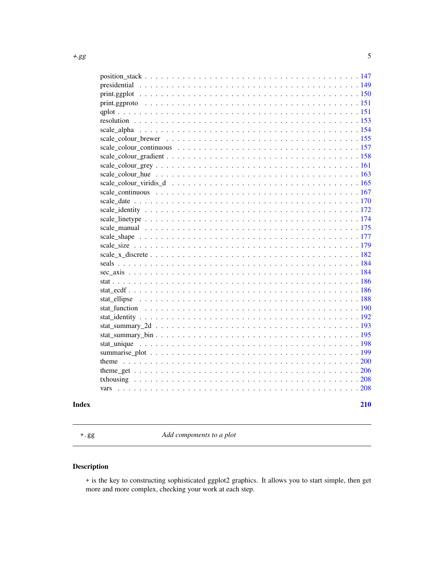<span id="page-4-0"></span>

|  | 210 |
|--|-----|

+.gg *Add components to a plot*

# Description

+ is the key to constructing sophisticated ggplot2 graphics. It allows you to start simple, then get more and more complex, checking your work at each step.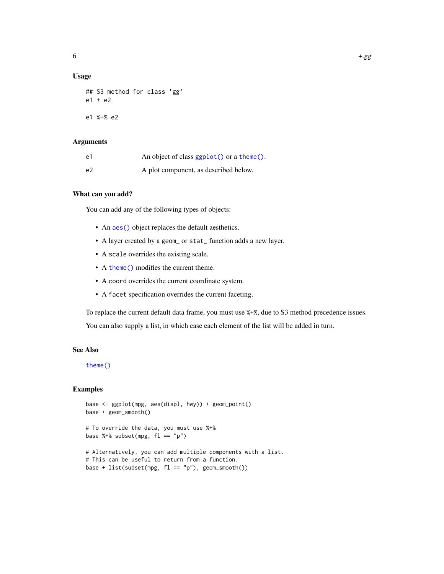# Usage

```
## S3 method for class 'gg'
e1 + e2
e1 %+% e2
```
# Arguments

| e1 | An object of class ggplot() or a theme(). |
|----|-------------------------------------------|
| e2 | A plot component, as described below.     |

# What can you add?

You can add any of the following types of objects:

- An aes () object replaces the default aesthetics.
- A layer created by a geom\_ or stat\_ function adds a new layer.
- A scale overrides the existing scale.
- A [theme\(\)](#page-199-1) modifies the current theme.
- A coord overrides the current coordinate system.
- A facet specification overrides the current faceting.

To replace the current default data frame, you must use %+%, due to S3 method precedence issues.

You can also supply a list, in which case each element of the list will be added in turn.

# See Also

[theme\(\)](#page-199-1)

```
base <- ggplot(mpg, aes(displ, hwy)) + geom_point()
base + geom_smooth()
# To override the data, you must use %+%
base %+% subset(mpg, fl == "p")
```

```
# Alternatively, you can add multiple components with a list.
# This can be useful to return from a function.
base + list(subset(mpg, fl == "p"), geom_smooth())
```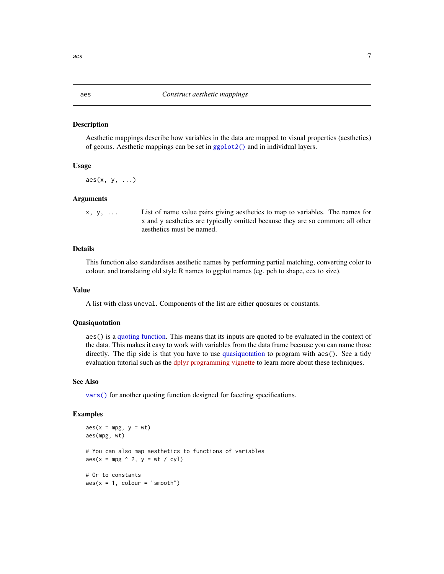#### Description

Aesthetic mappings describe how variables in the data are mapped to visual properties (aesthetics) of geoms. Aesthetic mappings can be set in [ggplot2\(\)](#page-0-0) and in individual layers.

#### Usage

 $\text{aes}(x, y, \ldots)$ 

# Arguments

x, y, ... List of name value pairs giving aesthetics to map to variables. The names for x and y aesthetics are typically omitted because they are so common; all other aesthetics must be named.

# Details

This function also standardises aesthetic names by performing partial matching, converting color to colour, and translating old style R names to ggplot names (eg. pch to shape, cex to size).

#### Value

A list with class uneval. Components of the list are either quosures or constants.

# Quasiquotation

aes() is a [quoting function.](#page-0-0) This means that its inputs are quoted to be evaluated in the context of the data. This makes it easy to work with variables from the data frame because you can name those directly. The flip side is that you have to use [quasiquotation](#page-0-0) to program with aes(). See a tidy evaluation tutorial such as the [dplyr programming vignette](http://dplyr.tidyverse.org/articles/programming.html) to learn more about these techniques.

# See Also

[vars\(\)](#page-207-1) for another quoting function designed for faceting specifications.

# Examples

```
\text{aes}(x = mpg, y = wt)aes(mpg, wt)
# You can also map aesthetics to functions of variables
\text{aes}(x = mpg \land 2, y = wt / cyl)# Or to constants
\text{aes}(x = 1, \text{ colour} = "smooth")
```
<span id="page-6-1"></span><span id="page-6-0"></span> $\alpha$ es 7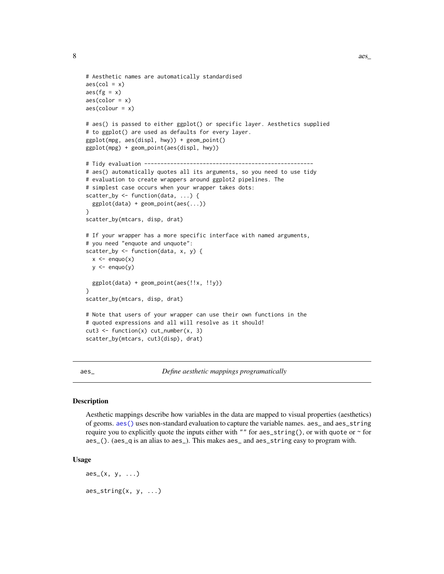```
# Aesthetic names are automatically standardised
\text{aes}(\text{col} = x)\text{aes}(fg = x)aes(color = x)
\text{aes}(\text{colour} = x)# aes() is passed to either ggplot() or specific layer. Aesthetics supplied
# to ggplot() are used as defaults for every layer.
ggplot(mpg, aes(displ, hwy)) + geom_point()
ggplot(mpg) + geom_point(aes(displ, hwy))
# Tidy evaluation ----------------------------------------------------
# aes() automatically quotes all its arguments, so you need to use tidy
# evaluation to create wrappers around ggplot2 pipelines. The
# simplest case occurs when your wrapper takes dots:
scatter_by <- function(data, ...) {
 ggplot(data) + geom_point(aes(...))
}
scatter_by(mtcars, disp, drat)
# If your wrapper has a more specific interface with named arguments,
# you need "enquote and unquote":
scatter_by <- function(data, x, y) {
 x \leq - enquo(x)y \leftarrow enquo(y)ggplot(data) + geom_point(aes(!!x, !!y))
}
scatter_by(mtcars, disp, drat)
# Note that users of your wrapper can use their own functions in the
# quoted expressions and all will resolve as it should!
cut3 \leq function(x) cut_number(x, 3)scatter_by(mtcars, cut3(disp), drat)
```
<span id="page-7-1"></span>aes\_ *Define aesthetic mappings programatically*

#### Description

Aesthetic mappings describe how variables in the data are mapped to visual properties (aesthetics) of geoms. [aes\(\)](#page-6-1) uses non-standard evaluation to capture the variable names. aes\_ and aes\_string require you to explicitly quote the inputs either with "" for aes\_string(), or with quote or  $\sim$  for aes\_(). (aes\_q is an alias to aes\_). This makes aes\_ and aes\_string easy to program with.

#### Usage

 $\text{aes}_{-}(x, y, \ldots)$  $\text{aes\_string}(x, y, \ldots)$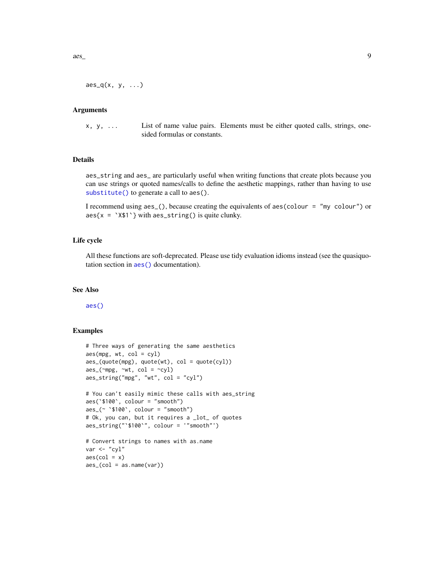# Arguments

x, y, ... List of name value pairs. Elements must be either quoted calls, strings, onesided formulas or constants.

# Details

aes\_string and aes\_ are particularly useful when writing functions that create plots because you can use strings or quoted names/calls to define the aesthetic mappings, rather than having to use [substitute\(\)](#page-0-0) to generate a call to aes().

I recommend using aes\_(), because creating the equivalents of aes(colour = "my colour") or  $aes\{x = 'X$1'\}$  with  $aes\_string()$  is quite clunky.

# Life cycle

All these functions are soft-deprecated. Please use tidy evaluation idioms instead (see the quasiquotation section in [aes\(\)](#page-6-1) documentation).

#### See Also

[aes\(\)](#page-6-1)

```
# Three ways of generating the same aesthetics
aes(mpg, wt, col = cyl)\text{aes}_{(quotency)}, quote(wt), col = quote(cyl))
\text{aes}_{-}(\text{mpg}, \text{~cut}, \text{~col} = \text{~cyl})aes_string("mpg", "wt", col = "cyl")
# You can't easily mimic these calls with aes_string
aes(`$100`, colour = "smooth")
aes_(~ `$100`, colour = "smooth")
# Ok, you can, but it requires a _lot_ of quotes
aes_string("`$100`", colour = '"smooth"')
# Convert strings to names with as.name
var <- "cyl"
\text{aes}(\text{col} = x)\text{aes\_}(col = as.name(var))
```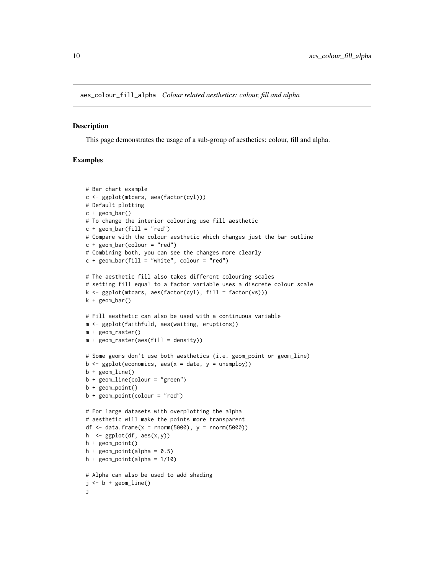<span id="page-9-0"></span>aes\_colour\_fill\_alpha *Colour related aesthetics: colour, fill and alpha*

#### Description

This page demonstrates the usage of a sub-group of aesthetics: colour, fill and alpha.

```
# Bar chart example
c <- ggplot(mtcars, aes(factor(cyl)))
# Default plotting
c + geom_bar()
# To change the interior colouring use fill aesthetic
c + geom\_bar(fill = "red")# Compare with the colour aesthetic which changes just the bar outline
c + geom\_bar(colour = "red")# Combining both, you can see the changes more clearly
c + geom\_bar(fill = "white", colour = "red")# The aesthetic fill also takes different colouring scales
# setting fill equal to a factor variable uses a discrete colour scale
k \le ggplot(mtcars, aes(factor(cyl), fill = factor(vs)))
k + geom_bar()
# Fill aesthetic can also be used with a continuous variable
m <- ggplot(faithfuld, aes(waiting, eruptions))
m + geom_raster()
m + geometry = density))
# Some geoms don't use both aesthetics (i.e. geom_point or geom_line)
b \leq ggplot(economics, aes(x = date, y = unemploy))
b + geom_line()
b + geom_line(colour = "green")
b + geom_point()
b + geom\_point(colour = "red")# For large datasets with overplotting the alpha
# aesthetic will make the points more transparent
df <- data.frame(x = rnorm(5000), y = rnorm(5000))
h \leq ggplot(df, \text{aes}(x,y))
h + geom_point()
h + geom\_point(alpha = 0.5)h + geom_point(alpha = 1/10)
# Alpha can also be used to add shading
j \le -b + geom\_line()j
```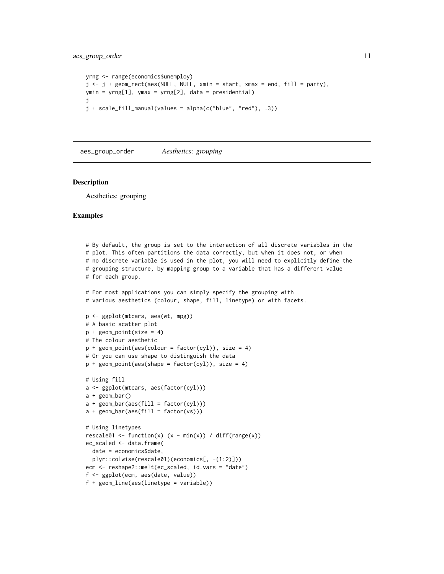```
yrng <- range(economics$unemploy)
j \leq j + \text{geom\_rect}(\text{aes}(\text{NULL}, \text{NULL}, \text{xmin} = \text{start}, \text{xmax} = \text{end}, \text{fill} = \text{party}),ymin = yrng[1], ymax = yrng[2], data = presidential)
j
j + scale_fill_manual(values = alpha(c("blue", "red"), .3))
```
aes\_group\_order *Aesthetics: grouping*

#### Description

Aesthetics: grouping

```
# By default, the group is set to the interaction of all discrete variables in the
# plot. This often partitions the data correctly, but when it does not, or when
# no discrete variable is used in the plot, you will need to explicitly define the
# grouping structure, by mapping group to a variable that has a different value
# for each group.
# For most applications you can simply specify the grouping with
# various aesthetics (colour, shape, fill, linetype) or with facets.
p <- ggplot(mtcars, aes(wt, mpg))
# A basic scatter plot
p + geom\_point(size = 4)# The colour aesthetic
p + geom\_point(aes(colour = factor(cyl)), size = 4)# Or you can use shape to distinguish the data
p + geom\_point(aes(shape = factor(cyl)), size = 4)# Using fill
a <- ggplot(mtcars, aes(factor(cyl)))
a + geom\_bar()a + geom\_bar(aes(fill = factor(cyl)))a + geom\_bar(aes(fill = factor(vs)))# Using linetypes
rescale01 <- function(x) (x - min(x)) / diff(range(x))
ec_scaled <- data.frame(
  date = economics$date,
  plyr::colwise(rescale01)(economics[, -(1:2)]))
ecm <- reshape2::melt(ec_scaled, id.vars = "date")
f <- ggplot(ecm, aes(date, value))
f + geom_line(aes(linetype = variable))
```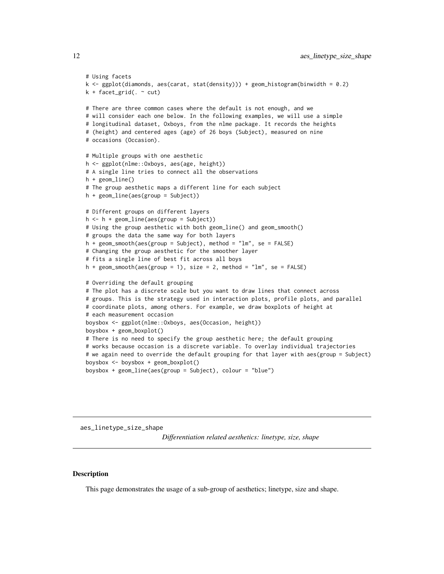```
# Using facets
k <- ggplot(diamonds, aes(carat, stat(density))) + geom_histogram(binwidth = 0.2)
k + facet_grid(. \sim cut)
# There are three common cases where the default is not enough, and we
# will consider each one below. In the following examples, we will use a simple
# longitudinal dataset, Oxboys, from the nlme package. It records the heights
# (height) and centered ages (age) of 26 boys (Subject), measured on nine
# occasions (Occasion).
# Multiple groups with one aesthetic
h <- ggplot(nlme::Oxboys, aes(age, height))
# A single line tries to connect all the observations
h + geom_line()
# The group aesthetic maps a different line for each subject
h + geom_line(aes(group = Subject))
# Different groups on different layers
h \le - h + \text{geom\_line}(aes(\text{group} = \text{Subject}))# Using the group aesthetic with both geom_line() and geom_smooth()
# groups the data the same way for both layers
h + geom\_smooth(aes(group = Subject), method = "lm", se = FALSE)# Changing the group aesthetic for the smoother layer
# fits a single line of best fit across all boys
h + geom\_smooth(aes(group = 1), size = 2, method = "lm", se = FALSE)# Overriding the default grouping
# The plot has a discrete scale but you want to draw lines that connect across
# groups. This is the strategy used in interaction plots, profile plots, and parallel
# coordinate plots, among others. For example, we draw boxplots of height at
# each measurement occasion
boysbox <- ggplot(nlme::Oxboys, aes(Occasion, height))
boysbox + geom_boxplot()
# There is no need to specify the group aesthetic here; the default grouping
# works because occasion is a discrete variable. To overlay individual trajectories
# we again need to override the default grouping for that layer with aes(group = Subject)
boysbox <- boysbox + geom_boxplot()
```

```
boysbox + geom_line(aes(group = Subject), colour = "blue")
```
aes\_linetype\_size\_shape

*Differentiation related aesthetics: linetype, size, shape*

# Description

This page demonstrates the usage of a sub-group of aesthetics; linetype, size and shape.

<span id="page-11-0"></span>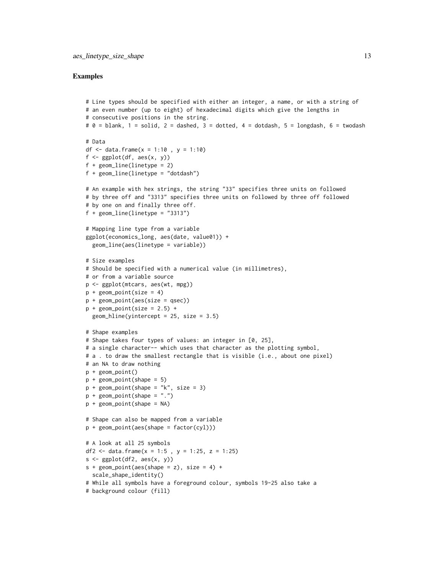```
# Line types should be specified with either an integer, a name, or with a string of
# an even number (up to eight) of hexadecimal digits which give the lengths in
# consecutive positions in the string.
# \theta = blank, 1 = solid, 2 = dashed, 3 = dotted, 4 = dotdash, 5 = longdash, 6 = twodash
# Data
df <- data.frame(x = 1:10, y = 1:10)
f \leftarrow \text{ggplot}(df, \text{aes}(x, y))f + geom_line(linetype = 2)
f + geom_line(linetype = "dotdash")
# An example with hex strings, the string "33" specifies three units on followed
# by three off and "3313" specifies three units on followed by three off followed
# by one on and finally three off.
f + geom\_line(linetype = "3313")# Mapping line type from a variable
ggplot(economics_long, aes(date, value01)) +
  geom_line(aes(linetype = variable))
# Size examples
# Should be specified with a numerical value (in millimetres),
# or from a variable source
p <- ggplot(mtcars, aes(wt, mpg))
p + geom\_point(size = 4)p + geom_point(aes(size = qsec))
p + geom\_point(size = 2.5) +geom_hline(yintercept = 25, size = 3.5)
# Shape examples
# Shape takes four types of values: an integer in [0, 25],
# a single character-- which uses that character as the plotting symbol,
# a . to draw the smallest rectangle that is visible (i.e., about one pixel)
# an NA to draw nothing
p + geom_point()
p + geom\_point(shape = 5)p + geom\_point(shape = "k", size = 3)p + geom\_point(shape = "."p + geom_point(shape = NA)
# Shape can also be mapped from a variable
p + geom_point(aes(shape = factor(cyl)))
# A look at all 25 symbols
df2 <- data.frame(x = 1:5, y = 1:25, z = 1:25)
s \leftarrow \text{ggplot}(df2, \text{aes}(x, y))s + geom\_point(aes(shape = z), size = 4) +scale_shape_identity()
# While all symbols have a foreground colour, symbols 19-25 also take a
# background colour (fill)
```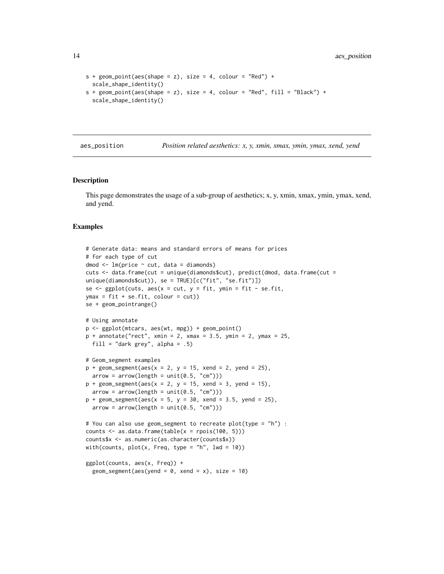```
s + geom\_point(aes(shape = z), size = 4, colour = "Red") +scale_shape_identity()
s + geom\_point(aes(shape = z), size = 4, colour = "Red", fill = "Black") +scale_shape_identity()
```
aes\_position *Position related aesthetics: x, y, xmin, xmax, ymin, ymax, xend, yend*

# **Description**

This page demonstrates the usage of a sub-group of aesthetics; x, y, xmin, xmax, ymin, ymax, xend, and yend.

```
# Generate data: means and standard errors of means for prices
# for each type of cut
dmod \leq lm(price \sim cut, data = diamonds)
cuts <- data.frame(cut = unique(diamonds$cut), predict(dmod, data.frame(cut =
unique(diamonds$cut)), se = TRUE)[c("fit", "se.fit")])
se \leq ggplot(cuts, aes(x = cut, y = fit, ymin = fit - se.fit,
ymax = fit + se.fit, colour = cut)se + geom_pointrange()
# Using annotate
p <- ggplot(mtcars, aes(wt, mpg)) + geom_point()
p + annotate("rect", xmin = 2, xmax = 3.5, ymin = 2, ymax = 25,
 fill = "dark grey", alpha = .5)
# Geom_segment examples
p + geom\_segment(aes(x = 2, y = 15, xend = 2, yend = 25),arrow = arrow(length = unit(0.5, "cm")))p + geom\_segment(aes(x = 2, y = 15, xend = 3, yend = 15),arrow = arrow(length = unit(0.5, "cm")))p + geom_segment(aes(x = 5, y = 30, xend = 3.5, yend = 25),
  arrow = arrow(length = unit(0.5, "cm")))# You can also use geom_segment to recreate plot(type = "h") :
counts \leq as.data.frame(table(x = rpois(100, 5)))
counts$x <- as.numeric(as.character(counts$x))
with(counts, plot(x, Freq, type = "h", lwd = 10))
ggplot(counts, aes(x, Freq)) +
  geom_segment(aes(yend = 0, xend = x), size = 10)
```
<span id="page-13-0"></span>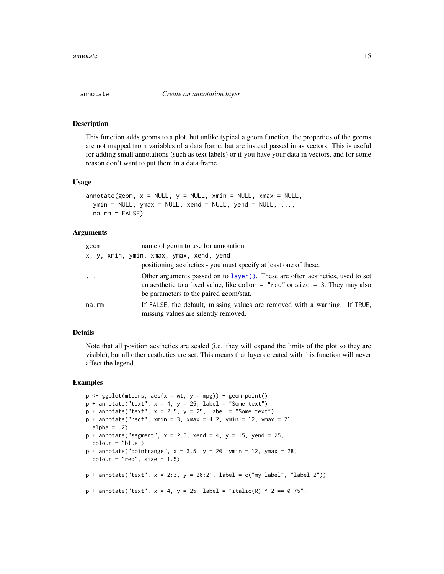<span id="page-14-0"></span>

# Description

This function adds geoms to a plot, but unlike typical a geom function, the properties of the geoms are not mapped from variables of a data frame, but are instead passed in as vectors. This is useful for adding small annotations (such as text labels) or if you have your data in vectors, and for some reason don't want to put them in a data frame.

# Usage

```
\text{annotate}(\text{geom}, x = \text{NULL}, y = \text{NULL}, x\text{min} = \text{NULL}, x\text{max} = \text{NULL},ymin = NULL, ymax = NULL, xend = NULL, yend = NULL, ...na.rm = FALSE)
```
#### Arguments

| geom     | name of geom to use for annotation                                                                                                                                                                      |
|----------|---------------------------------------------------------------------------------------------------------------------------------------------------------------------------------------------------------|
|          | x, y, xmin, ymin, xmax, ymax, xend, yend<br>positioning aesthetics - you must specify at least one of these.                                                                                            |
| $\ddots$ | Other arguments passed on to layer(). These are often aesthetics, used to set<br>an aesthetic to a fixed value, like color = "red" or size = 3. They may also<br>be parameters to the paired geom/stat. |
| na.rm    | If FALSE, the default, missing values are removed with a warning. If TRUE,<br>missing values are silently removed.                                                                                      |

#### Details

Note that all position aesthetics are scaled (i.e. they will expand the limits of the plot so they are visible), but all other aesthetics are set. This means that layers created with this function will never affect the legend.

```
p \leq - ggplot(mtcars, \text{aes}(x = wt, y = mpg)) + geom_point()
p + annotate("text", x = 4, y = 25, label = "Some text")
p + annotate("text", x = 2:5, y = 25, label = "Some text")
p + annotate("rect", xmin = 3, xmax = 4.2, ymin = 12, ymax = 21,
  alpha = .2)
p + annotate("segment", x = 2.5, xend = 4, y = 15, yend = 25,
  colour = "blue")
p + annotate("pointrange", x = 3.5, y = 20, ymin = 12, ymax = 28,
  colour = "red", size = 1.5)
p + annotate("text", x = 2:3, y = 20:21, label = c("my label", "label 2"))
p + annotate("text", x = 4, y = 25, label = "italic(R) ^ 2 == 0.75",
```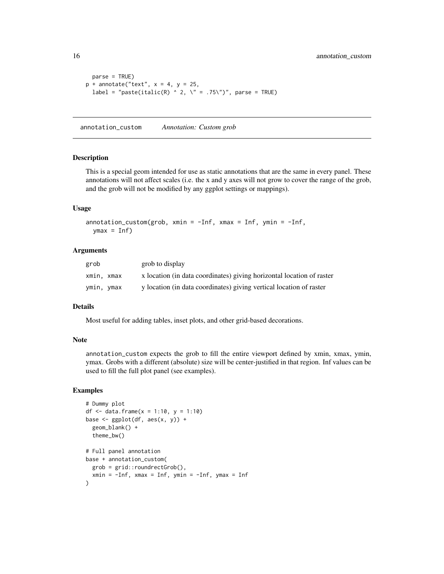```
parse = TRUE)
p + annotate("text", x = 4, y = 25,
  label = "paste(italic(R) ^ 2, \" = .75\")", parse = TRUE)
```
annotation\_custom *Annotation: Custom grob*

# Description

This is a special geom intended for use as static annotations that are the same in every panel. These annotations will not affect scales (i.e. the x and y axes will not grow to cover the range of the grob, and the grob will not be modified by any ggplot settings or mappings).

# Usage

```
\text{annotation\_custom(grob, xmin = -Inf, xmax = Inf, ymin = -Inf},ymax = Inf)
```
# Arguments

| grob       | grob to display                                                       |
|------------|-----------------------------------------------------------------------|
| xmin, xmax | x location (in data coordinates) giving horizontal location of raster |
| ymin, ymax | y location (in data coordinates) giving vertical location of raster   |

# Details

Most useful for adding tables, inset plots, and other grid-based decorations.

#### Note

annotation\_custom expects the grob to fill the entire viewport defined by xmin, xmax, ymin, ymax. Grobs with a different (absolute) size will be center-justified in that region. Inf values can be used to fill the full plot panel (see examples).

```
# Dummy plot
df \le- data.frame(x = 1:10, y = 1:10)
base <- ggplot(df, aes(x, y)) +
  geom_blank() +
  theme_bw()
# Full panel annotation
base + annotation_custom(
  grob = grid::roundrectGrob(),
  xmin = -Inf, xmax = Inf, ymin = -Inf, ymax = Inf)
```
<span id="page-15-0"></span>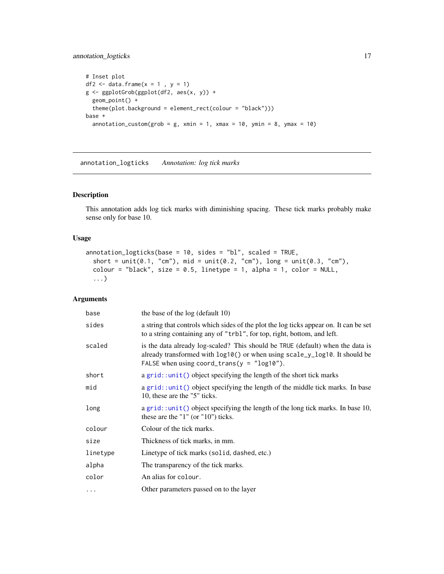# <span id="page-16-0"></span>annotation\_logticks 17

```
# Inset plot
df2 \leftarrow data.frame(x = 1, y = 1)
g <- ggplotGrob(ggplot(df2, aes(x, y)) +
 geom_point() +
  theme(plot.background = element_rect(colour = "black")))
base +
  annotation_custom(grob = g, xmin = 1, xmax = 10, ymin = 8, ymax = 10)
```
annotation\_logticks *Annotation: log tick marks*

# Description

This annotation adds log tick marks with diminishing spacing. These tick marks probably make sense only for base 10.

# Usage

```
annotation_logticks(base = 10, sides = "bl", scaled = TRUE,
  short = unit(0.1, "cm"), mid = unit(0.2, "cm"), long = unit(0.3, "cm"),
 colour = "black", size = 0.5, linetype = 1, alpha = 1, color = NULL,
  ...)
```
# Arguments

| base     | the base of the log (default 10)                                                                                                                                                                               |
|----------|----------------------------------------------------------------------------------------------------------------------------------------------------------------------------------------------------------------|
| sides    | a string that controls which sides of the plot the log ticks appear on. It can be set<br>to a string containing any of "trbl", for top, right, bottom, and left.                                               |
| scaled   | is the data already log-scaled? This should be TRUE (default) when the data is<br>already transformed with log10() or when using scale_y_log10. It should be<br>FALSE when using coord_trans( $y = "log10"$ ). |
| short    | a grid::unit() object specifying the length of the short tick marks                                                                                                                                            |
| mid      | a grid::unit() object specifying the length of the middle tick marks. In base<br>10, these are the "5" ticks.                                                                                                  |
| long     | a grid: : unit() object specifying the length of the long tick marks. In base 10,<br>these are the " $1$ " (or " $10$ ") ticks.                                                                                |
| colour   | Colour of the tick marks.                                                                                                                                                                                      |
| size     | Thickness of tick marks, in mm.                                                                                                                                                                                |
| linetype | Linetype of tick marks (solid, dashed, etc.)                                                                                                                                                                   |
| alpha    | The transparency of the tick marks.                                                                                                                                                                            |
| color    | An alias for colour.                                                                                                                                                                                           |
| $\cdots$ | Other parameters passed on to the layer                                                                                                                                                                        |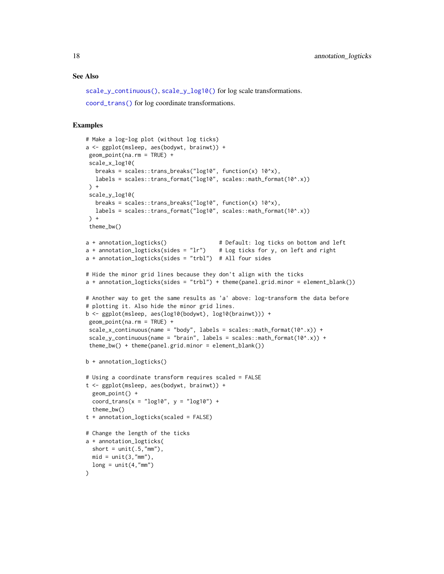#### See Also

[scale\\_y\\_continuous\(\)](#page-166-1), [scale\\_y\\_log10\(\)](#page-166-1) for log scale transformations.

```
coord_trans() for log coordinate transformations.
```

```
# Make a log-log plot (without log ticks)
a <- ggplot(msleep, aes(bodywt, brainwt)) +
geom_point(na.rm = TRUE) +
scale_x_log10(
  breaks = scales::trans_breaks("log10", function(x) 10^x),
  labels = scales::trans_format("log10", scales::math_format(10^.x))
) +
 scale_y_log10(
  breaks = scales::trans_breaks("log10", function(x) 10^x),
  labels = scales::trans_format("log10", scales::math_format(10^.x))
) +theme_bw()
a + annotation_logticks() # Default: log ticks on bottom and left
a + annotation_logticks(sides = "lr") # Log ticks for y, on left and right
a + annotation_logticks(sides = "trbl") # All four sides
# Hide the minor grid lines because they don't align with the ticks
a + annotation_logticks(sides = "trbl") + theme(panel.grid.minor = element_blank())
# Another way to get the same results as 'a' above: log-transform the data before
# plotting it. Also hide the minor grid lines.
b <- ggplot(msleep, aes(log10(bodywt), log10(brainwt))) +
geom_point(na.rm = TRUE) +
scale_x_continuous(name = "body", labels = scales::math_format(10^.x)) +
scale_y_continuous(name = "brain", labels = scales::math_format(10^.x)) +
theme_bw() + theme(panel.grid.minor = element_blank())
b + annotation_logticks()
# Using a coordinate transform requires scaled = FALSE
t <- ggplot(msleep, aes(bodywt, brainwt)) +
 geom_point() +
 coord_trans(x = "log10", y = "log10") +
  theme_bw()
t + annotation_logticks(scaled = FALSE)
# Change the length of the ticks
a + annotation_logticks(
 short = unit(.5, "mm"),
 mid = unit(3, "mm"),
 long = unit(4, "mm"))
```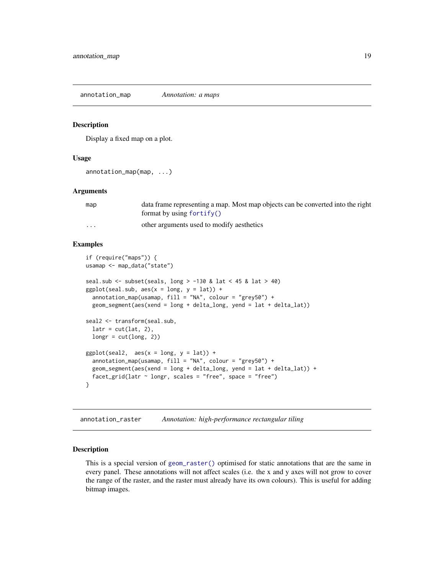<span id="page-18-0"></span>annotation\_map *Annotation: a maps*

#### Description

Display a fixed map on a plot.

#### Usage

```
annotation_map(map, ...)
```
# Arguments

| map      | data frame representing a map. Most map objects can be converted into the right |
|----------|---------------------------------------------------------------------------------|
|          | format by using $fortify()$                                                     |
| $\cdots$ | other arguments used to modify aesthetics                                       |

# Examples

```
if (require("maps")) {
usamap <- map_data("state")
seal.sub \le subset(seals, long > -130 & lat \le 45 & lat > 40)
ggplot(seal.sub, aes(x = long, y = lat)) +annotation_map(usamap, fill = "NA", colour = "grey50") +
  geom_segment(aes(xend = long + delta_long, yend = lat + delta_lat))
seal2 <- transform(seal.sub,
  latr = cut(lat, 2),
  longr = cut(long, 2))
ggplot(seal2, aes(x = long, y = lat)) +annotation_map(usamap, fill = "NA", colour = "grey50") +
  geom_segment(aes(xend = long + delta_long, yend = lat + delta_lat)) +
  facet_grid(latr \sim longr, scales = "free", space = "free")
}
```
annotation\_raster *Annotation: high-performance rectangular tiling*

# Description

This is a special version of [geom\\_raster\(\)](#page-93-1) optimised for static annotations that are the same in every panel. These annotations will not affect scales (i.e. the x and y axes will not grow to cover the range of the raster, and the raster must already have its own colours). This is useful for adding bitmap images.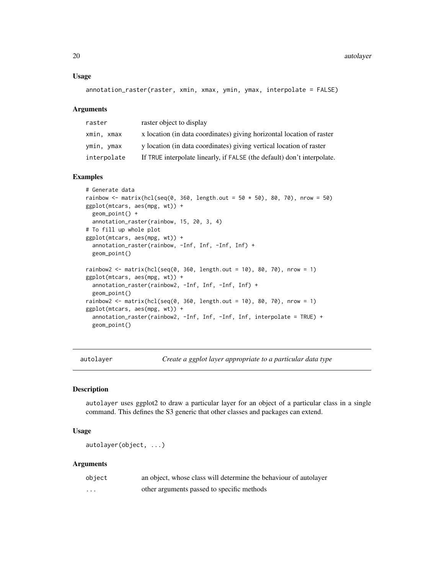#### <span id="page-19-0"></span>Usage

annotation\_raster(raster, xmin, xmax, ymin, ymax, interpolate = FALSE)

#### Arguments

| raster      | raster object to display                                                |
|-------------|-------------------------------------------------------------------------|
| xmin. xmax  | x location (in data coordinates) giving horizontal location of raster   |
| ymin, ymax  | y location (in data coordinates) giving vertical location of raster     |
| interpolate | If TRUE interpolate linearly, if FALSE (the default) don't interpolate. |

# Examples

```
# Generate data
rainbow <- matrix(hcl(seq(0, 360, length.out = 50 \times 50), 80, 70), nrow = 50)
ggplot(mtcars, aes(mpg, wt)) +
 geom_point() +
 annotation_raster(rainbow, 15, 20, 3, 4)
# To fill up whole plot
ggplot(mtcars, aes(mpg, wt)) +
 annotation_raster(rainbow, -Inf, Inf, -Inf, Inf) +
 geom_point()
rainbow2 <- matrix(hcl(seq(0, 360, length.out = 10), 80, 70), nrow = 1)
ggplot(mtcars, aes(mpg, wt)) +
 annotation_raster(rainbow2, -Inf, Inf, -Inf, Inf) +
 geom_point()
rainbow2 <- matrix(hcl(seq(0, 360, length.out = 10), 80, 70), nrow = 1)
ggplot(mtcars, aes(mpg, wt)) +
 annotation_raster(rainbow2, -Inf, Inf, -Inf, Inf, interpolate = TRUE) +
 geom_point()
```
<span id="page-19-1"></span>autolayer *Create a ggplot layer appropriate to a particular data type*

# Description

autolayer uses ggplot2 to draw a particular layer for an object of a particular class in a single command. This defines the S3 generic that other classes and packages can extend.

# Usage

autolayer(object, ...)

#### Arguments

| object   | an object, whose class will determine the behaviour of autolayer |
|----------|------------------------------------------------------------------|
| $\cdots$ | other arguments passed to specific methods                       |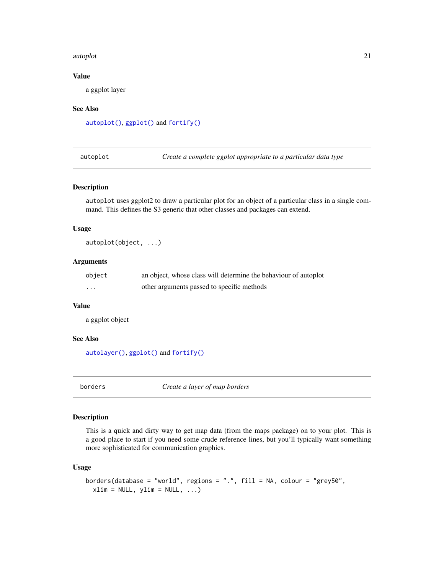#### <span id="page-20-0"></span>autoplot 21

# Value

a ggplot layer

# See Also

[autoplot\(\)](#page-20-1), [ggplot\(\)](#page-111-1) and [fortify\(\)](#page-39-1)

<span id="page-20-1"></span>autoplot *Create a complete ggplot appropriate to a particular data type*

# Description

autoplot uses ggplot2 to draw a particular plot for an object of a particular class in a single command. This defines the S3 generic that other classes and packages can extend.

# Usage

autoplot(object, ...)

#### Arguments

| object                  | an object, whose class will determine the behaviour of autoplot |
|-------------------------|-----------------------------------------------------------------|
| $\cdot$ $\cdot$ $\cdot$ | other arguments passed to specific methods                      |

# Value

a ggplot object

# See Also

[autolayer\(\)](#page-19-1), [ggplot\(\)](#page-111-1) and [fortify\(\)](#page-39-1)

<span id="page-20-2"></span>borders *Create a layer of map borders*

# Description

This is a quick and dirty way to get map data (from the maps package) on to your plot. This is a good place to start if you need some crude reference lines, but you'll typically want something more sophisticated for communication graphics.

# Usage

```
borders(database = "world", regions = ".", fill = NA, colour = "grey50",
 xlim = NULL, ylim = NULL, ...
```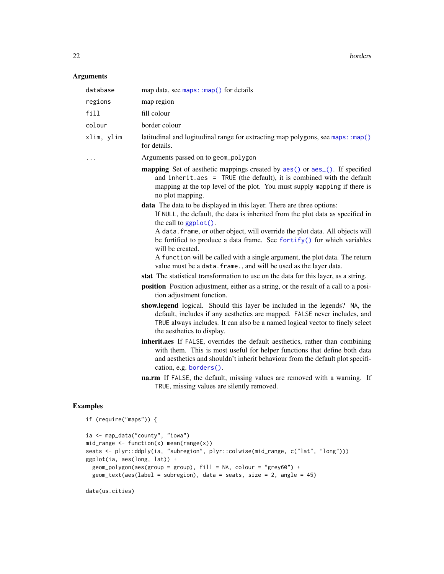22 borders and the contract of the contract of the contract of the contract of the contract of the contract of the contract of the contract of the contract of the contract of the contract of the contract of the contract of

# Arguments

| database   | map data, see maps::map() for details                                                                                                                                                                                                                                                                                                                                                              |
|------------|----------------------------------------------------------------------------------------------------------------------------------------------------------------------------------------------------------------------------------------------------------------------------------------------------------------------------------------------------------------------------------------------------|
| regions    | map region                                                                                                                                                                                                                                                                                                                                                                                         |
| fill       | fill colour                                                                                                                                                                                                                                                                                                                                                                                        |
| colour     | border colour                                                                                                                                                                                                                                                                                                                                                                                      |
| xlim, ylim | latitudinal and logitudinal range for extracting map polygons, see maps: : map()<br>for details.                                                                                                                                                                                                                                                                                                   |
|            | Arguments passed on to geom_polygon                                                                                                                                                                                                                                                                                                                                                                |
|            | <b>mapping</b> Set of aesthetic mappings created by aes() or aes <sub>(a)</sub> . If specified<br>and inherit.aes = $TRUE$ (the default), it is combined with the default<br>mapping at the top level of the plot. You must supply mapping if there is<br>no plot mapping.                                                                                                                         |
|            | data The data to be displayed in this layer. There are three options:<br>If NULL, the default, the data is inherited from the plot data as specified in<br>the call to $ggplot()$ .                                                                                                                                                                                                                |
|            | A data. frame, or other object, will override the plot data. All objects will<br>be fortified to produce a data frame. See fortify() for which variables<br>will be created.                                                                                                                                                                                                                       |
|            | A function will be called with a single argument, the plot data. The return<br>value must be a data. frame., and will be used as the layer data.                                                                                                                                                                                                                                                   |
|            | stat The statistical transformation to use on the data for this layer, as a string.                                                                                                                                                                                                                                                                                                                |
|            | position Position adjustment, either as a string, or the result of a call to a posi-<br>tion adjustment function.                                                                                                                                                                                                                                                                                  |
|            | show.legend logical. Should this layer be included in the legends? NA, the<br>default, includes if any aesthetics are mapped. FALSE never includes, and<br>TRUE always includes. It can also be a named logical vector to finely select<br>the aesthetics to display.                                                                                                                              |
|            | inherit.aes If FALSE, overrides the default aesthetics, rather than combining<br>with them. This is most useful for helper functions that define both data<br>and aesthetics and shouldn't inherit behaviour from the default plot specifi-<br>cation, e.g. borders().<br>na.rm If FALSE, the default, missing values are removed with a warning. If<br>TRUE, missing values are silently removed. |
|            |                                                                                                                                                                                                                                                                                                                                                                                                    |

```
if (require("maps")) {
ia <- map_data("county", "iowa")
mid\_range \leftarrow function(x) mean(range(x))
seats <- plyr::ddply(ia, "subregion", plyr::colwise(mid_range, c("lat", "long")))
ggplot(ia, aes(long, lat)) +
 geom_polygon(aes(group = group), fill = NA, colour = "grey60") +
 geom_text(aes(label = subregion), data = seats, size = 2, angle = 45)
```

```
data(us.cities)
```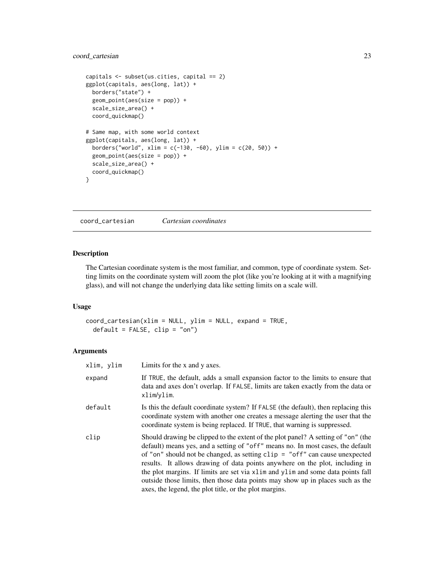# <span id="page-22-0"></span>coord\_cartesian 23

```
capitals <- subset(us.cities, capital == 2)
ggplot(capitals, aes(long, lat)) +
 borders("state") +
 geom_point(aes(size = pop)) +
  scale_size_area() +
  coord_quickmap()
# Same map, with some world context
ggplot(capitals, aes(long, lat)) +
  borders("world", xlim = c(-130, -60), ylim = c(20, 50)) +
  geom_point(aes(size = pop)) +
  scale_size_area() +
  coord_quickmap()
}
```
<span id="page-22-1"></span>coord\_cartesian *Cartesian coordinates*

# Description

The Cartesian coordinate system is the most familiar, and common, type of coordinate system. Setting limits on the coordinate system will zoom the plot (like you're looking at it with a magnifying glass), and will not change the underlying data like setting limits on a scale will.

# Usage

```
coord_cartesian(xlim = NULL, ylim = NULL, expand = TRUE,
  default = FALSE, clip = "on")
```
# Arguments

| xlim, ylim | Limits for the x and y axes.                                                                                                                                                                                                                                                                                                                                                                                                                                                                                                                                                           |
|------------|----------------------------------------------------------------------------------------------------------------------------------------------------------------------------------------------------------------------------------------------------------------------------------------------------------------------------------------------------------------------------------------------------------------------------------------------------------------------------------------------------------------------------------------------------------------------------------------|
| expand     | If TRUE, the default, adds a small expansion factor to the limits to ensure that<br>data and axes don't overlap. If FALSE, limits are taken exactly from the data or<br>xlim/ylim.                                                                                                                                                                                                                                                                                                                                                                                                     |
| default    | Is this the default coordinate system? If FALSE (the default), then replacing this<br>coordinate system with another one creates a message alerting the user that the<br>coordinate system is being replaced. If TRUE, that warning is suppressed.                                                                                                                                                                                                                                                                                                                                     |
| clip       | Should drawing be clipped to the extent of the plot panel? A setting of "on" (the<br>default) means yes, and a setting of "off" means no. In most cases, the default<br>of "on" should not be changed, as setting $\text{clip} = \text{"off"}$ can cause unexpected<br>results. It allows drawing of data points anywhere on the plot, including in<br>the plot margins. If limits are set via x l im and y l im and some data points fall<br>outside those limits, then those data points may show up in places such as the<br>axes, the legend, the plot title, or the plot margins. |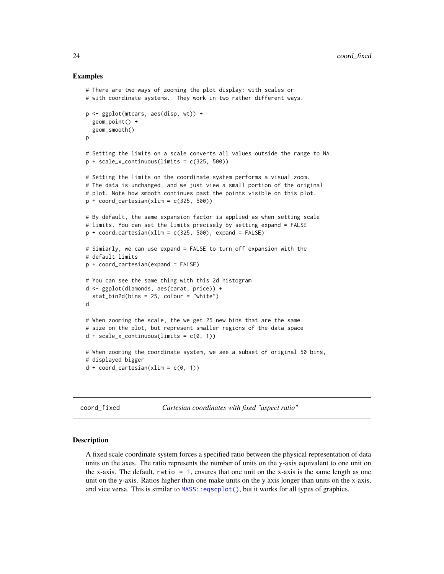#### Examples

```
# There are two ways of zooming the plot display: with scales or
# with coordinate systems. They work in two rather different ways.
p <- ggplot(mtcars, aes(disp, wt)) +
 geom_point() +
 geom_smooth()
p
# Setting the limits on a scale converts all values outside the range to NA.
p + scale_x_{continuous(limits = c(325, 500))# Setting the limits on the coordinate system performs a visual zoom.
# The data is unchanged, and we just view a small portion of the original
# plot. Note how smooth continues past the points visible on this plot.
p + coord_cartesian(xlim = c(325, 500))# By default, the same expansion factor is applied as when setting scale
# limits. You can set the limits precisely by setting expand = FALSE
p + \text{coord\_cartesian}(\text{xlim} = c(325, 500), \text{expand} = \text{FALSE})# Simiarly, we can use expand = FALSE to turn off expansion with the
# default limits
p + coord_cartesian(expand = FALSE)
# You can see the same thing with this 2d histogram
d <- ggplot(diamonds, aes(carat, price)) +
 stat_bin2d(bins = 25, colour = "white")
d
# When zooming the scale, the we get 25 new bins that are the same
# size on the plot, but represent smaller regions of the data space
d + scale_x_{continuous(limits = c(0, 1))# When zooming the coordinate system, we see a subset of original 50 bins,
# displayed bigger
d + coord_{cartesian(xlim = c(0, 1))}
```
coord\_fixed *Cartesian coordinates with fixed "aspect ratio"*

#### **Description**

A fixed scale coordinate system forces a specified ratio between the physical representation of data units on the axes. The ratio represents the number of units on the y-axis equivalent to one unit on the x-axis. The default, ratio = 1, ensures that one unit on the x-axis is the same length as one unit on the y-axis. Ratios higher than one make units on the y axis longer than units on the x-axis, and vice versa. This is similar to MASS: : eqscplot(), but it works for all types of graphics.

<span id="page-23-0"></span>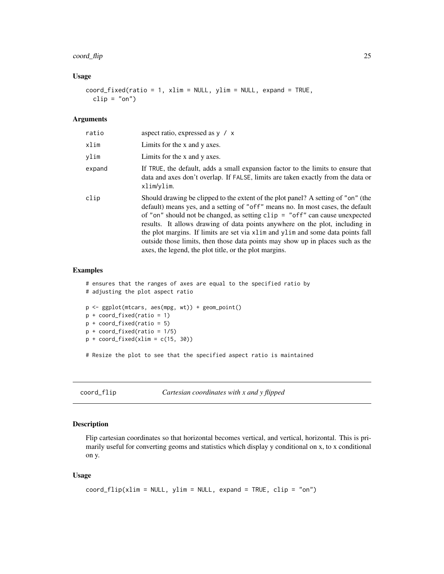# <span id="page-24-0"></span>coord\_flip 25

### Usage

```
coord_fixed(ratio = 1, xlim = NULL, ylim = NULL, expand = TRUE,
  clip = "on")
```
# Arguments

| ratio  | aspect ratio, expressed as $y / x$                                                                                                                                                                                                                                                                                                                                                                                                                                                                                                                                                     |
|--------|----------------------------------------------------------------------------------------------------------------------------------------------------------------------------------------------------------------------------------------------------------------------------------------------------------------------------------------------------------------------------------------------------------------------------------------------------------------------------------------------------------------------------------------------------------------------------------------|
| xlim   | Limits for the x and y axes.                                                                                                                                                                                                                                                                                                                                                                                                                                                                                                                                                           |
| vlim   | Limits for the x and y axes.                                                                                                                                                                                                                                                                                                                                                                                                                                                                                                                                                           |
| expand | If TRUE, the default, adds a small expansion factor to the limits to ensure that<br>data and axes don't overlap. If FALSE, limits are taken exactly from the data or<br>xlim/ylim.                                                                                                                                                                                                                                                                                                                                                                                                     |
| clip   | Should drawing be clipped to the extent of the plot panel? A setting of "on" (the<br>default) means yes, and a setting of "off" means no. In most cases, the default<br>of "on" should not be changed, as setting $\text{clip} = \text{"off"}$ can cause unexpected<br>results. It allows drawing of data points anywhere on the plot, including in<br>the plot margins. If limits are set via x l im and y l im and some data points fall<br>outside those limits, then those data points may show up in places such as the<br>axes, the legend, the plot title, or the plot margins. |

#### Examples

```
# ensures that the ranges of axes are equal to the specified ratio by
# adjusting the plot aspect ratio
p <- ggplot(mtcars, aes(mpg, wt)) + geom_point()
p + coord_fixed(ratio = 1)
p + coord_fixed(ratio = 5)
p + coord_fixed(ratio = 1/5)p + coord_fixed(xlim = c(15, 30))
```
# Resize the plot to see that the specified aspect ratio is maintained

coord\_flip *Cartesian coordinates with x and y flipped*

# Description

Flip cartesian coordinates so that horizontal becomes vertical, and vertical, horizontal. This is primarily useful for converting geoms and statistics which display y conditional on x, to x conditional on y.

# Usage

```
coord_flip(xlim = NULL, ylim = NULL, expand = TRUE, clip = "on")
```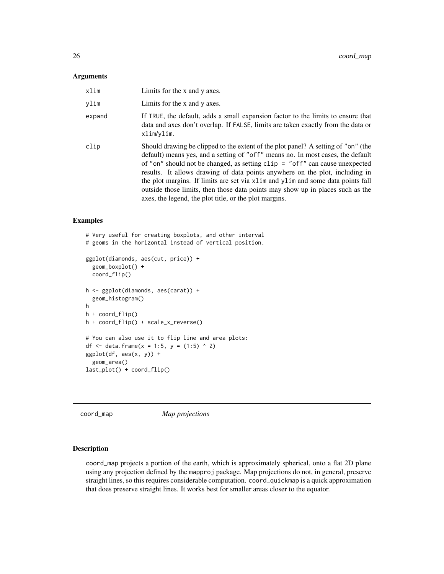#### <span id="page-25-0"></span>Arguments

| xlim   | Limits for the x and y axes.                                                                                                                                                                                                                                                                                                                                                                                                                                                                                                                                                       |
|--------|------------------------------------------------------------------------------------------------------------------------------------------------------------------------------------------------------------------------------------------------------------------------------------------------------------------------------------------------------------------------------------------------------------------------------------------------------------------------------------------------------------------------------------------------------------------------------------|
| vlim   | Limits for the x and y axes.                                                                                                                                                                                                                                                                                                                                                                                                                                                                                                                                                       |
| expand | If TRUE, the default, adds a small expansion factor to the limits to ensure that<br>data and axes don't overlap. If FALSE, limits are taken exactly from the data or<br>xlim/ylim.                                                                                                                                                                                                                                                                                                                                                                                                 |
| clip   | Should drawing be clipped to the extent of the plot panel? A setting of "on" (the<br>default) means yes, and a setting of "off" means no. In most cases, the default<br>of "on" should not be changed, as setting $\text{clip} = \text{"off"}$ can cause unexpected<br>results. It allows drawing of data points anywhere on the plot, including in<br>the plot margins. If limits are set via xlim and ylim and some data points fall<br>outside those limits, then those data points may show up in places such as the<br>axes, the legend, the plot title, or the plot margins. |

# Examples

```
# Very useful for creating boxplots, and other interval
# geoms in the horizontal instead of vertical position.
ggplot(diamonds, aes(cut, price)) +
  geom_boxplot() +
  coord_flip()
h <- ggplot(diamonds, aes(carat)) +
  geom_histogram()
h
h + coord_flip()
h + coord_flip() + scale_x_reverse()
# You can also use it to flip line and area plots:
df <- data.frame(x = 1:5, y = (1:5) ^ 2)
ggplot(df, aes(x, y)) +geom_area()
last_plot() + coord_flip()
```
coord\_map *Map projections*

# Description

coord\_map projects a portion of the earth, which is approximately spherical, onto a flat 2D plane using any projection defined by the mapproj package. Map projections do not, in general, preserve straight lines, so this requires considerable computation. coord\_quickmap is a quick approximation that does preserve straight lines. It works best for smaller areas closer to the equator.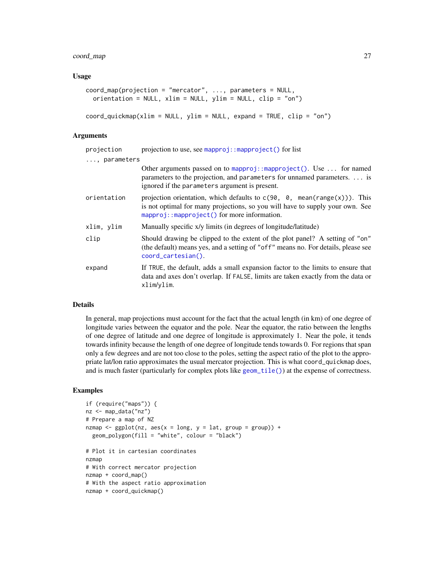# coord\_map 27

# Usage

```
coord_map(projection = "mercator", ..., parameters = NULL,
 orientation = NULL, xlim = NULL, ylim = NULL, clip = "on")
```

```
coord_quickmap(xlim = NULL, ylim = NULL, expand = TRUE, clip = "on")
```
# Arguments

| projection   | projection to use, see mapproj:: $mapproject()$ for list                                                                                                                                                                      |
|--------------|-------------------------------------------------------------------------------------------------------------------------------------------------------------------------------------------------------------------------------|
| , parameters |                                                                                                                                                                                                                               |
|              | Other arguments passed on to mapproj::mapproject(). Use $\dots$ for named<br>parameters to the projection, and parameters for unnamed parameters.  is<br>ignored if the parameters argument is present.                       |
| orientation  | projection orientation, which defaults to $c(90, 0, \text{mean}(\text{range}(x)))$ . This<br>is not optimal for many projections, so you will have to supply your own. See<br>$mapproj:$ : mapproject() for more information. |
| xlim, ylim   | Manually specific x/y limits (in degrees of longitude/latitude)                                                                                                                                                               |
| clip         | Should drawing be clipped to the extent of the plot panel? A setting of "on"<br>(the default) means yes, and a setting of "off" means no. For details, please see<br>coord_cartesian().                                       |
| expand       | If TRUE, the default, adds a small expansion factor to the limits to ensure that<br>data and axes don't overlap. If FALSE, limits are taken exactly from the data or<br>xlim/ylim.                                            |

# Details

In general, map projections must account for the fact that the actual length (in km) of one degree of longitude varies between the equator and the pole. Near the equator, the ratio between the lengths of one degree of latitude and one degree of longitude is approximately 1. Near the pole, it tends towards infinity because the length of one degree of longitude tends towards 0. For regions that span only a few degrees and are not too close to the poles, setting the aspect ratio of the plot to the appropriate lat/lon ratio approximates the usual mercator projection. This is what coord\_quickmap does, and is much faster (particularly for complex plots like [geom\\_tile\(\)](#page-93-2)) at the expense of correctness.

```
if (require("maps")) {
nz <- map_data("nz")
# Prepare a map of NZ
nzmap \leq ggplot(nz, aes(x = long, y = lat, group = group)) +
  geom_polygon(fill = "white", colour = "black")
# Plot it in cartesian coordinates
nzmap
# With correct mercator projection
nzmap + coord_map()
# With the aspect ratio approximation
nzmap + coord_quickmap()
```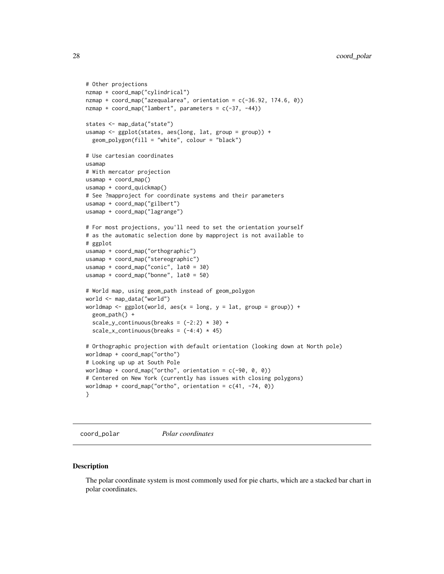```
# Other projections
nzmap + coord_map("cylindrical")
nzmap + coord_map("azequalarea", orientation = c(-36.92, 174.6, 0))
nzmap + coord_map("lambert", parameters = c(-37, -44))
states <- map_data("state")
usamap <- ggplot(states, aes(long, lat, group = group)) +
  geom_polygon(fill = "white", colour = "black")
# Use cartesian coordinates
usamap
# With mercator projection
usamap + coord_map()
usamap + coord_quickmap()
# See ?mapproject for coordinate systems and their parameters
usamap + coord_map("gilbert")
usamap + coord_map("lagrange")
# For most projections, you'll need to set the orientation yourself
# as the automatic selection done by mapproject is not available to
# ggplot
usamap + coord_map("orthographic")
usamap + coord_map("stereographic")
usamap + coord_map("conic", lat0 = 30)
usamap + coord_map("bonne", lat0 = 50)# World map, using geom_path instead of geom_polygon
world <- map_data("world")
worldmap <- gplot(word, aes(x = long, y = lat, group = group)) +geom_path() +
  scale_y_continuous(breaks = (-2:2) * 30) +
  scale_x_continuous(breaks = (-4:4) * 45)
# Orthographic projection with default orientation (looking down at North pole)
worldmap + coord_map("ortho")
# Looking up up at South Pole
worldmap + coord_map("ortho", orientation = c(-90, 0, 0))
# Centered on New York (currently has issues with closing polygons)
worldmap + coord_map("ortho", orientation = c(41, -74, 0))
}
```
coord\_polar *Polar coordinates*

# Description

The polar coordinate system is most commonly used for pie charts, which are a stacked bar chart in polar coordinates.

<span id="page-27-0"></span>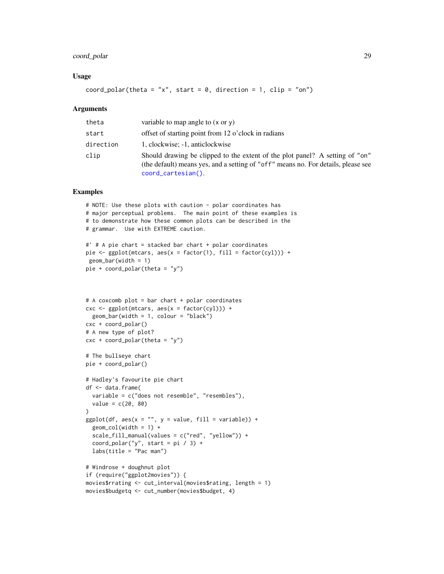# coord\_polar 29

# Usage

```
coord_polar(theta = "x", start = 0, direction = 1, clip = "on")
```
# **Arguments**

| theta     | variable to map angle to $(x \text{ or } y)$                                                                                                                                            |
|-----------|-----------------------------------------------------------------------------------------------------------------------------------------------------------------------------------------|
| start     | offset of starting point from 12 o'clock in radians                                                                                                                                     |
| direction | 1, clockwise; -1, anticlockwise                                                                                                                                                         |
| clip      | Should drawing be clipped to the extent of the plot panel? A setting of "on"<br>(the default) means yes, and a setting of "off" means no. For details, please see<br>coord_cartesian(). |

```
# NOTE: Use these plots with caution - polar coordinates has
# major perceptual problems. The main point of these examples is
# to demonstrate how these common plots can be described in the
# grammar. Use with EXTREME caution.
#' # A pie chart = stacked bar chart + polar coordinates
pie <- ggplot(mtcars, aes(x = factor(1), fill = factor(cyl))) +
geom_bar(width = 1)
pie + coord_polar(theta = "y")
# A coxcomb plot = bar chart + polar coordinates
\csc \leq ggplot(mtcars, \csc x = \csc(x))) +
  geom_bar(width = 1, colour = "black")
cxc + coord_polar()
# A new type of plot?
cx + c coord_polar(theta = "y")
# The bullseye chart
pie + coord_polar()
# Hadley's favourite pie chart
df <- data.frame(
  variable = c("does not resemble", "resembles"),
  value = c(20, 80))
ggplot(df, aes(x = "", y = value, fill = variable)) +geom\_col(width = 1) +scale_fill_manual(values = c("red", "yellow")) +
  coord_polar("y", start = pi / 3) +
  labs(title = "Pac man")
# Windrose + doughnut plot
if (require("ggplot2movies")) {
movies$rrating <- cut_interval(movies$rating, length = 1)
movies$budgetq <- cut_number(movies$budget, 4)
```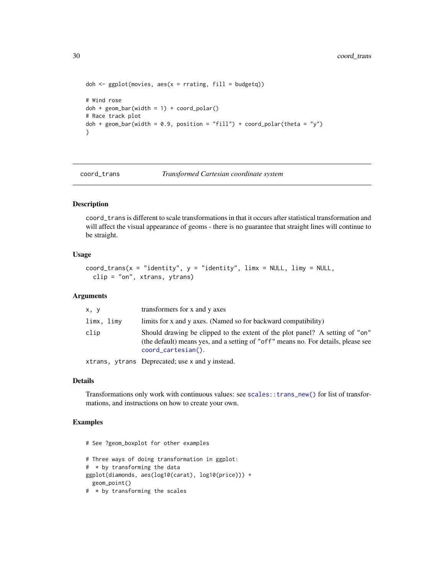```
doh \leq ggplot(movies, aes(x = rrating, fill = budgetq))
# Wind rose
doh + geom_bar(width = 1) + coord_polar()
# Race track plot
doh + geom_bar(width = 0.9, position = "fill") + coord_polar(theta = "y")
}
```
<span id="page-29-1"></span>coord\_trans *Transformed Cartesian coordinate system*

# Description

coord\_trans is different to scale transformations in that it occurs after statistical transformation and will affect the visual appearance of geoms - there is no guarantee that straight lines will continue to be straight.

# Usage

```
coord\_trans(x = "identity", y = "identity", Iimx = NULL, limy = NULL,clip = "on", xtrans, ytrans)
```
# Arguments

| clip       | Should drawing be clipped to the extent of the plot panel? A setting of "on"<br>(the default) means yes, and a setting of "off" means no. For details, please see<br>coord_cartesian(). |
|------------|-----------------------------------------------------------------------------------------------------------------------------------------------------------------------------------------|
| limx, limy | limits for x and y axes. (Named so for backward compatibility)                                                                                                                          |
| x, y       | transformers for x and y axes                                                                                                                                                           |

xtrans, ytrans Deprecated; use x and y instead.

#### Details

Transformations only work with continuous values: see [scales::trans\\_new\(\)](#page-0-0) for list of transformations, and instructions on how to create your own.

# Examples

# See ?geom\_boxplot for other examples

```
# Three ways of doing transformation in ggplot:
# * by transforming the data
ggplot(diamonds, aes(log10(carat), log10(price))) +
  geom_point()
```
# \* by transforming the scales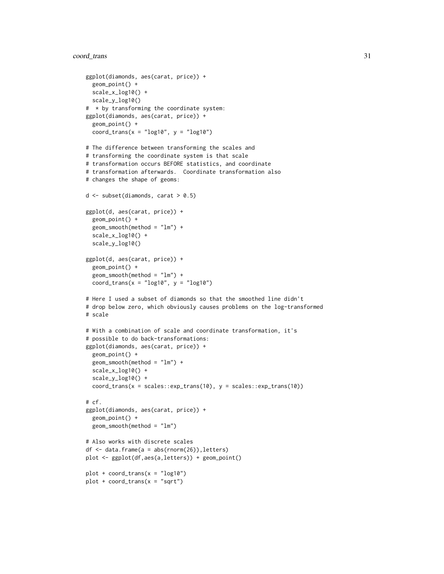# coord\_trans 31

```
ggplot(diamonds, aes(carat, price)) +
 geom_point() +
 scale_x_log10() +
 scale_y_log10()
# * by transforming the coordinate system:
ggplot(diamonds, aes(carat, price)) +
 geom_point() +
 coord_trans(x = "log10", y = "log10")
# The difference between transforming the scales and
# transforming the coordinate system is that scale
# transformation occurs BEFORE statistics, and coordinate
# transformation afterwards. Coordinate transformation also
# changes the shape of geoms:
d <- subset(diamonds, carat > 0.5)
ggplot(d, aes(carat, price)) +
 geom_point() +
 geom_smooth(method = "lm") +
 scale_x_log10() +
 scale_y_log10()
ggplot(d, aes(carat, price)) +
 geom_point() +
 geom_smooth(method = "lm") +
 coord_trans(x = "log10", y = "log10")
# Here I used a subset of diamonds so that the smoothed line didn't
# drop below zero, which obviously causes problems on the log-transformed
# scale
# With a combination of scale and coordinate transformation, it's
# possible to do back-transformations:
ggplot(diamonds, aes(carat, price)) +
 geom_point() +
 geom_smooth(method = "lm") +
 scale_x_log10() +
 scale_y_log10() +
 coord_transform(x = scales::exp_transform(10), y = scales::exp_transform(10))# cf.
ggplot(diamonds, aes(carat, price)) +
 geom_point() +
 geom_smooth(method = "lm")
# Also works with discrete scales
df \leq data.frame(a = abs(rnorm(26)), letters)
plot <- ggplot(df,aes(a,letters)) + geom_point()
plot + coord_{trans}(x = "log10")plot + coord_trans(x = "sqrt")
```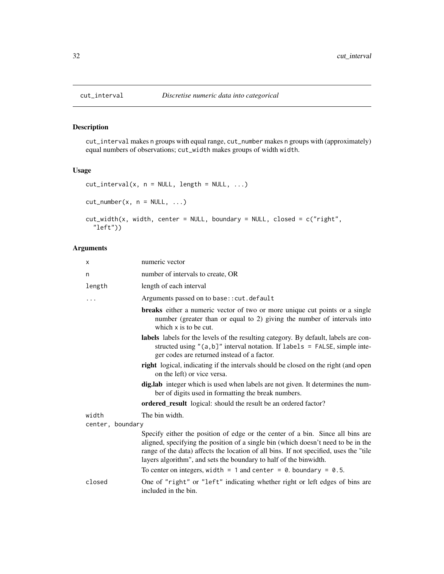# Description

cut\_interval makes n groups with equal range, cut\_number makes n groups with (approximately) equal numbers of observations; cut\_width makes groups of width width.

# Usage

```
cut\_interval(x, n = NULL, length = NULL, ...)cut_number(x, n = NULL, ...)cut_width(x, width, center = NULL, boundary = NULL, closed = c("right",
  "left"))
```
# Arguments

| x                | numeric vector                                                                                                                                                                                                                                                                                                                                                                                                         |
|------------------|------------------------------------------------------------------------------------------------------------------------------------------------------------------------------------------------------------------------------------------------------------------------------------------------------------------------------------------------------------------------------------------------------------------------|
| n                | number of intervals to create, OR                                                                                                                                                                                                                                                                                                                                                                                      |
| length           | length of each interval                                                                                                                                                                                                                                                                                                                                                                                                |
| $\ddots$         | Arguments passed on to base:: cut.default                                                                                                                                                                                                                                                                                                                                                                              |
|                  | <b>breaks</b> either a numeric vector of two or more unique cut points or a single<br>number (greater than or equal to 2) giving the number of intervals into<br>which x is to be cut.                                                                                                                                                                                                                                 |
|                  | labels labels for the levels of the resulting category. By default, labels are con-<br>structed using " $(a, b]$ " interval notation. If labels = FALSE, simple inte-<br>ger codes are returned instead of a factor.                                                                                                                                                                                                   |
|                  | right logical, indicating if the intervals should be closed on the right (and open<br>on the left) or vice versa.                                                                                                                                                                                                                                                                                                      |
|                  | dig.lab integer which is used when labels are not given. It determines the num-<br>ber of digits used in formatting the break numbers.                                                                                                                                                                                                                                                                                 |
|                  | ordered_result logical: should the result be an ordered factor?                                                                                                                                                                                                                                                                                                                                                        |
| width            | The bin width.                                                                                                                                                                                                                                                                                                                                                                                                         |
| center, boundary |                                                                                                                                                                                                                                                                                                                                                                                                                        |
|                  | Specify either the position of edge or the center of a bin. Since all bins are<br>aligned, specifying the position of a single bin (which doesn't need to be in the<br>range of the data) affects the location of all bins. If not specified, uses the "tile"<br>layers algorithm", and sets the boundary to half of the binwidth.<br>To center on integers, width = 1 and center = $\theta$ . boundary = $\theta$ .5. |
| closed           | One of "right" or "left" indicating whether right or left edges of bins are<br>included in the bin.                                                                                                                                                                                                                                                                                                                    |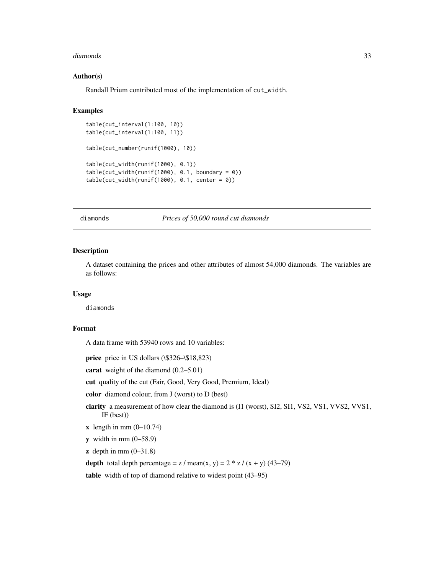#### <span id="page-32-0"></span>diamonds 33

# Author(s)

Randall Prium contributed most of the implementation of cut\_width.

#### Examples

```
table(cut_interval(1:100, 10))
table(cut_interval(1:100, 11))
table(cut_number(runif(1000), 10))
table(cut_width(runif(1000), 0.1))
table(cut\_width(runif(1000), 0.1, boundary = 0))table(cut\_width(runif(1000), 0.1, center = 0))
```
diamonds *Prices of 50,000 round cut diamonds*

# Description

A dataset containing the prices and other attributes of almost 54,000 diamonds. The variables are as follows:

#### Usage

diamonds

#### Format

A data frame with 53940 rows and 10 variables:

```
price price in US dollars (\$326-\$18,823)
```
carat weight of the diamond (0.2–5.01)

cut quality of the cut (Fair, Good, Very Good, Premium, Ideal)

color diamond colour, from J (worst) to D (best)

- clarity a measurement of how clear the diamond is (I1 (worst), SI2, SI1, VS2, VS1, VVS2, VVS1, IF (best))
- $x$  length in mm  $(0-10.74)$
- $y$  width in mm  $(0-58.9)$
- $\mathbf{z}$  depth in mm  $(0-31.8)$

depth total depth percentage =  $z /$  mean(x, y) =  $2 * z / (x + y) (43-79)$ 

table width of top of diamond relative to widest point (43–95)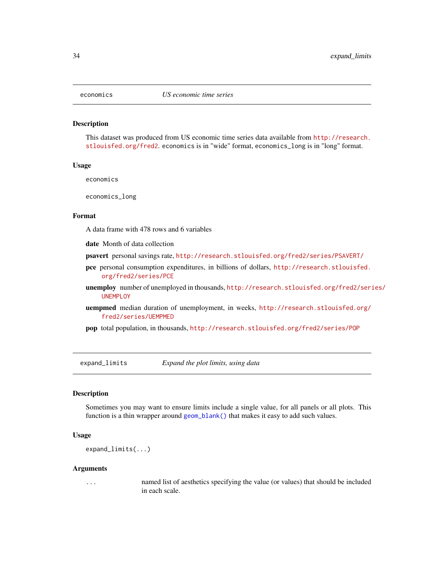<span id="page-33-0"></span>

#### Description

This dataset was produced from US economic time series data available from [http://research.](http://research.stlouisfed.org/fred2) [stlouisfed.org/fred2](http://research.stlouisfed.org/fred2). economics is in "wide" format, economics\_long is in "long" format.

#### Usage

economics

economics\_long

#### Format

A data frame with 478 rows and 6 variables

date Month of data collection

- psavert personal savings rate, <http://research.stlouisfed.org/fred2/series/PSAVERT/>
- pce personal consumption expenditures, in billions of dollars, [http://research.stlouisfed.](http://research.stlouisfed.org/fred2/series/PCE) [org/fred2/series/PCE](http://research.stlouisfed.org/fred2/series/PCE)
- unemploy number of unemployed in thousands, [http://research.stlouisfed.org/fred2/seri](http://research.stlouisfed.org/fred2/series/UNEMPLOY)es/ [UNEMPLOY](http://research.stlouisfed.org/fred2/series/UNEMPLOY)
- uempmed median duration of unemployment, in weeks, [http://research.stlouisfed.org/](http://research.stlouisfed.org/fred2/series/UEMPMED) [fred2/series/UEMPMED](http://research.stlouisfed.org/fred2/series/UEMPMED)
- pop total population, in thousands, <http://research.stlouisfed.org/fred2/series/POP>

expand\_limits *Expand the plot limits, using data*

# Description

Sometimes you may want to ensure limits include a single value, for all panels or all plots. This function is a thin wrapper around [geom\\_blank\(\)](#page-47-1) that makes it easy to add such values.

# Usage

```
expand_limits(...)
```
#### Arguments

... named list of aesthetics specifying the value (or values) that should be included in each scale.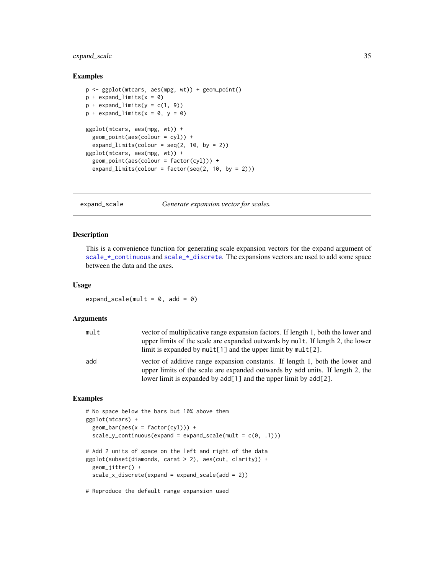# <span id="page-34-0"></span>expand\_scale 35

# Examples

```
p <- ggplot(mtcars, aes(mpg, wt)) + geom_point()
p + expand\_limits(x = 0)p + expand\_limits(y = c(1, 9))p + expand\_limits(x = 0, y = 0)ggplot(mtcars, aes(mpg, wt)) +
  geom_point(aes(colour = cyl)) +
  expand_limits(colour = seq(2, 10, by = 2))
ggplot(mtcars, aes(mpg, wt)) +
  geom_point(aes(colour = factor(cyl))) +
  expand_limits(colour = factor(seq(2, 10, by = 2)))
```
expand\_scale *Generate expansion vector for scales.*

# Description

This is a convenience function for generating scale expansion vectors for the expand argument of scale\_ $\star$ \_continuous and scale\_ $\star$ \_discrete. The expansions vectors are used to add some space between the data and the axes.

# Usage

expand\_scale(mult =  $0$ , add =  $0$ )

#### Arguments

| mult | vector of multiplicative range expansion factors. If length 1, both the lower and<br>upper limits of the scale are expanded outwards by mult. If length 2, the lower<br>limit is expanded by $mult[1]$ and the upper limit by $mult[2]$ . |
|------|-------------------------------------------------------------------------------------------------------------------------------------------------------------------------------------------------------------------------------------------|
| add  | vector of additive range expansion constants. If length 1, both the lower and<br>upper limits of the scale are expanded outwards by add units. If length 2, the<br>lower limit is expanded by $add[1]$ and the upper limit by $add[2]$ .  |

# Examples

```
# No space below the bars but 10% above them
ggplot(mtcars) +
 geom\_bar(aes(x = factor(cyl))) +scale_y_{continuous(expand = expand\_scale(mult = c(0, .1)))# Add 2 units of space on the left and right of the data
ggplot(subset(diamonds, carat > 2), aes(cut, clarity)) +
 geom_jitter() +
 scale_x_discrete(expand = expand_scale(add = 2))
```
# Reproduce the default range expansion used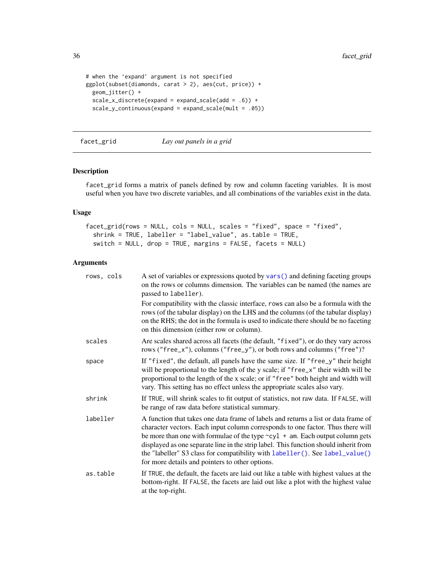```
# when the 'expand' argument is not specified
ggplot(subset(diamonds, carat > 2), aes(cut, price)) +
  geom_jitter() +
  scale_x_discrete(expand = expand_scale(add = .6)) +scale_y_continuous(expand = expand_scale(mult = .05))
```
# facet\_grid *Lay out panels in a grid*

# Description

facet\_grid forms a matrix of panels defined by row and column faceting variables. It is most useful when you have two discrete variables, and all combinations of the variables exist in the data.

# Usage

```
facet_grid(rows = NULL, cols = NULL, scales = "fixed", space = "fixed",
  shrink = TRUE, labeller = "label_value", as.table = TRUE,
  switch = NULL, drop = TRUE, margins = FALSE, facets = NULL)
```
# Arguments

| rows, cols | A set of variables or expressions quoted by vars() and defining faceting groups<br>on the rows or columns dimension. The variables can be named (the names are<br>passed to labeller).                                                                                                                                                                                                                                                                                                  |
|------------|-----------------------------------------------------------------------------------------------------------------------------------------------------------------------------------------------------------------------------------------------------------------------------------------------------------------------------------------------------------------------------------------------------------------------------------------------------------------------------------------|
|            | For compatibility with the classic interface, rows can also be a formula with the<br>rows (of the tabular display) on the LHS and the columns (of the tabular display)<br>on the RHS; the dot in the formula is used to indicate there should be no faceting<br>on this dimension (either row or column).                                                                                                                                                                               |
| scales     | Are scales shared across all facets (the default, "fixed"), or do they vary across<br>rows ("free_x"), columns ("free_y"), or both rows and columns ("free")?                                                                                                                                                                                                                                                                                                                           |
| space      | If "fixed", the default, all panels have the same size. If "free_y" their height<br>will be proportional to the length of the y scale; if "free_x" their width will be<br>proportional to the length of the x scale; or if "free" both height and width will<br>vary. This setting has no effect unless the appropriate scales also vary.                                                                                                                                               |
| shrink     | If TRUE, will shrink scales to fit output of statistics, not raw data. If FALSE, will<br>be range of raw data before statistical summary.                                                                                                                                                                                                                                                                                                                                               |
| labeller   | A function that takes one data frame of labels and returns a list or data frame of<br>character vectors. Each input column corresponds to one factor. Thus there will<br>be more than one with formulae of the type $\sim$ cyl + am. Each output column gets<br>displayed as one separate line in the strip label. This function should inherit from<br>the "labeller" S3 class for compatibility with labeller(). See label_value()<br>for more details and pointers to other options. |
| as.table   | If TRUE, the default, the facets are laid out like a table with highest values at the<br>bottom-right. If FALSE, the facets are laid out like a plot with the highest value<br>at the top-right.                                                                                                                                                                                                                                                                                        |

<span id="page-35-0"></span>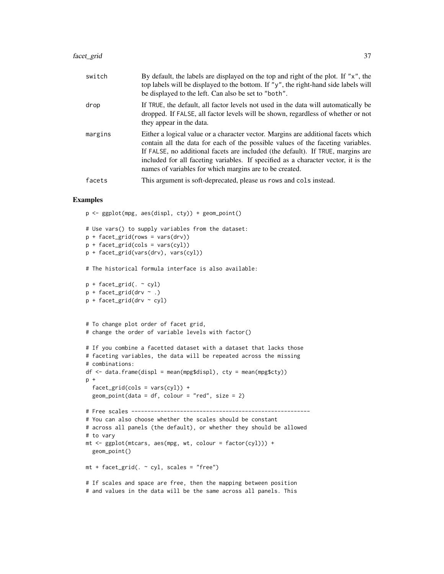#### facet\_grid 37

| switch  | By default, the labels are displayed on the top and right of the plot. If "x", the<br>top labels will be displayed to the bottom. If "y", the right-hand side labels will<br>be displayed to the left. Can also be set to "both".                                                                                                                                                                        |
|---------|----------------------------------------------------------------------------------------------------------------------------------------------------------------------------------------------------------------------------------------------------------------------------------------------------------------------------------------------------------------------------------------------------------|
| drop    | If TRUE, the default, all factor levels not used in the data will automatically be<br>dropped. If FALSE, all factor levels will be shown, regardless of whether or not<br>they appear in the data.                                                                                                                                                                                                       |
| margins | Either a logical value or a character vector. Margins are additional facets which<br>contain all the data for each of the possible values of the faceting variables.<br>If FALSE, no additional facets are included (the default). If TRUE, margins are<br>included for all faceting variables. If specified as a character vector, it is the<br>names of variables for which margins are to be created. |
| facets  | This argument is soft-deprecated, please us rows and cols instead.                                                                                                                                                                                                                                                                                                                                       |

```
p <- ggplot(mpg, aes(displ, cty)) + geom_point()
# Use vars() to supply variables from the dataset:
p + facet_grid(rows = vars(drv))
p + facet\_grid(cols = vars(cyl))p + facet_grid(vars(drv), vars(cyl))
# The historical formula interface is also available:
p + facet_grid(. \sim cyl)
p + facet_grid(drv \sim.)
p + facet_grid(drv ~ cyl)
# To change plot order of facet grid,
# change the order of variable levels with factor()
# If you combine a facetted dataset with a dataset that lacks those
# faceting variables, the data will be repeated across the missing
# combinations:
df \leq -\text{data-frame(displ = mean(mpg$display), cty = mean(mpg$cty))p +
 facet\_grid(cols = vars(cyl)) +geom\_point(data = df, colour = "red", size = 2)# Free scales -------------------------------------------------------
# You can also choose whether the scales should be constant
# across all panels (the default), or whether they should be allowed
# to vary
mt <- ggplot(mtcars, aes(mpg, wt, colour = factor(cyl))) +geom_point()
mt + facet\_grid( . ~ cyl, scales = "free")# If scales and space are free, then the mapping between position
# and values in the data will be the same across all panels. This
```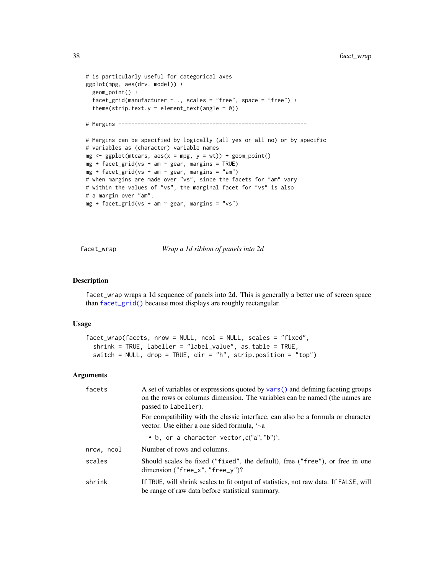```
# is particularly useful for categorical axes
ggplot(mpg, aes(drv, model)) +
  geom_point() +
  facet_grid(manufacturer \sim ., scales = "free", space = "free") +
  theme(strip.text.y = element_text(angle = 0))
# Margins ----------------------------------------------------------
# Margins can be specified by logically (all yes or all no) or by specific
# variables as (character) variable names
mg \leq-ggplot(mtcars, aes(x = mpg, y = wt)) + geom\_point()mg + facet_grid(vs + am \sim gear, margins = TRUE)
mg + facet_grid(vs + am \sim gear, margins = "am")
# when margins are made over "vs", since the facets for "am" vary
# within the values of "vs", the marginal facet for "vs" is also
# a margin over "am".
mg + facet\_grid(vs + am ~ ċgear, margins = "vs")
```
facet\_wrap *Wrap a 1d ribbon of panels into 2d*

#### Description

facet\_wrap wraps a 1d sequence of panels into 2d. This is generally a better use of screen space than [facet\\_grid\(\)](#page-35-0) because most displays are roughly rectangular.

#### Usage

```
facet_wrap(facets, nrow = NULL, ncol = NULL, scales = "fixed",
  shrink = TRUE, labeller = "label_value", as.table = TRUE,
  switch = NULL, drop = TRUE, dir = rh'', strip.position = 'top')
```

| facets     | A set of variables or expressions quoted by vars () and defining faceting groups<br>on the rows or columns dimension. The variables can be named (the names are<br>passed to labeller). |
|------------|-----------------------------------------------------------------------------------------------------------------------------------------------------------------------------------------|
|            | For compatibility with the classic interface, can also be a formula or character<br>vector. Use either a one sided formula, '~a                                                         |
|            | • b, or a character vector, $c("a", "b")'.$                                                                                                                                             |
| nrow, ncol | Number of rows and columns.                                                                                                                                                             |
| scales     | Should scales be fixed ("fixed", the default), free ("free"), or free in one<br>dimension ("free_x", "free_y")?                                                                         |
| shrink     | If TRUE, will shrink scales to fit output of statistics, not raw data. If FALSE, will<br>be range of raw data before statistical summary.                                               |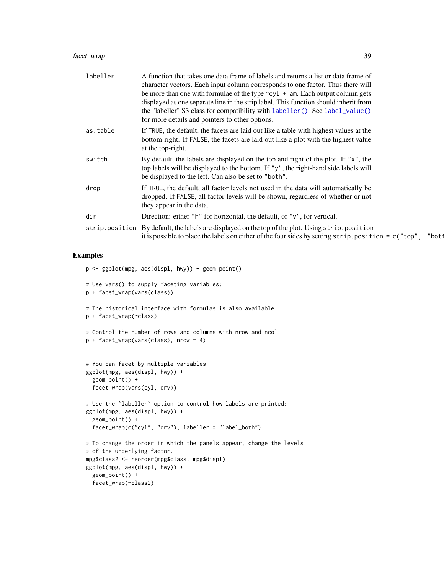| labeller | A function that takes one data frame of labels and returns a list or data frame of<br>character vectors. Each input column corresponds to one factor. Thus there will<br>be more than one with formulae of the type $\sim$ cyl + am. Each output column gets<br>displayed as one separate line in the strip label. This function should inherit from<br>the "labeller" S3 class for compatibility with labeller(). See label_value()<br>for more details and pointers to other options. |       |
|----------|-----------------------------------------------------------------------------------------------------------------------------------------------------------------------------------------------------------------------------------------------------------------------------------------------------------------------------------------------------------------------------------------------------------------------------------------------------------------------------------------|-------|
| as.table | If TRUE, the default, the facets are laid out like a table with highest values at the<br>bottom-right. If FALSE, the facets are laid out like a plot with the highest value<br>at the top-right.                                                                                                                                                                                                                                                                                        |       |
| switch   | By default, the labels are displayed on the top and right of the plot. If " $x$ ", the<br>top labels will be displayed to the bottom. If "y", the right-hand side labels will<br>be displayed to the left. Can also be set to "both".                                                                                                                                                                                                                                                   |       |
| drop     | If TRUE, the default, all factor levels not used in the data will automatically be<br>dropped. If FALSE, all factor levels will be shown, regardless of whether or not<br>they appear in the data.                                                                                                                                                                                                                                                                                      |       |
| dir      | Direction: either "h" for horizontal, the default, or " $v$ ", for vertical.                                                                                                                                                                                                                                                                                                                                                                                                            |       |
|          | strip.position By default, the labels are displayed on the top of the plot. Using strip.position<br>it is possible to place the labels on either of the four sides by setting $strip.position = c("top",$                                                                                                                                                                                                                                                                               | "bott |

```
p <- ggplot(mpg, aes(displ, hwy)) + geom_point()
# Use vars() to supply faceting variables:
p + facet_wrap(vars(class))
# The historical interface with formulas is also available:
p + facet_wrap(~class)
# Control the number of rows and columns with nrow and ncol
p + facet_wrap(vars(class), nrow = 4)
# You can facet by multiple variables
ggplot(mpg, aes(displ, hwy)) +
  geom_point() +
  facet_wrap(vars(cyl, drv))
# Use the `labeller` option to control how labels are printed:
ggplot(mpg, aes(displ, hwy)) +
  geom_point() +
  facet_wrap(c("cyl", "drv"), labeller = "label_both")
# To change the order in which the panels appear, change the levels
# of the underlying factor.
mpg$class2 <- reorder(mpg$class, mpg$displ)
ggplot(mpg, aes(displ, hwy)) +
 geom_point() +
  facet_wrap(~class2)
```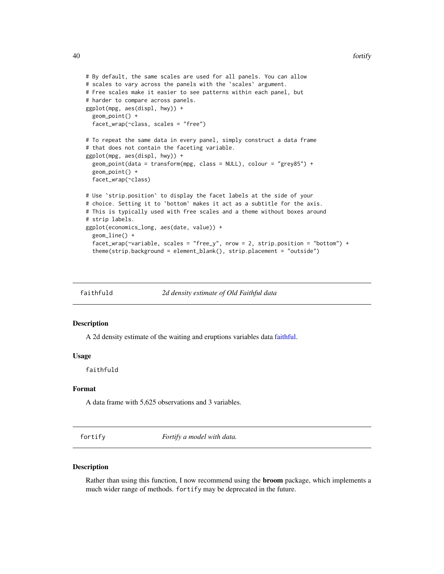```
# By default, the same scales are used for all panels. You can allow
# scales to vary across the panels with the `scales` argument.
# Free scales make it easier to see patterns within each panel, but
# harder to compare across panels.
ggplot(mpg, aes(displ, hwy)) +
 geom_point() +
 facet_wrap(~class, scales = "free")
# To repeat the same data in every panel, simply construct a data frame
# that does not contain the faceting variable.
ggplot(mpg, aes(displ, hwy)) +
 geom_point(data = transform(mpg, class = NULL), colour = "grey85") +
 geom_point() +
 facet_wrap(~class)
# Use `strip.position` to display the facet labels at the side of your
# choice. Setting it to `bottom` makes it act as a subtitle for the axis.
# This is typically used with free scales and a theme without boxes around
# strip labels.
ggplot(economics_long, aes(date, value)) +
 geom_line() +
 facet_wrap(~variable, scales = "free_y", nrow = 2, strip.position = "bottom") +
 theme(strip.background = element_blank(), strip.placement = "outside")
```
faithfuld *2d density estimate of Old Faithful data*

#### Description

A 2d density estimate of the waiting and eruptions variables data [faithful.](#page-0-0)

### Usage

faithfuld

## Format

A data frame with 5,625 observations and 3 variables.

<span id="page-39-0"></span>fortify *Fortify a model with data.*

#### Description

Rather than using this function, I now recommend using the broom package, which implements a much wider range of methods. fortify may be deprecated in the future.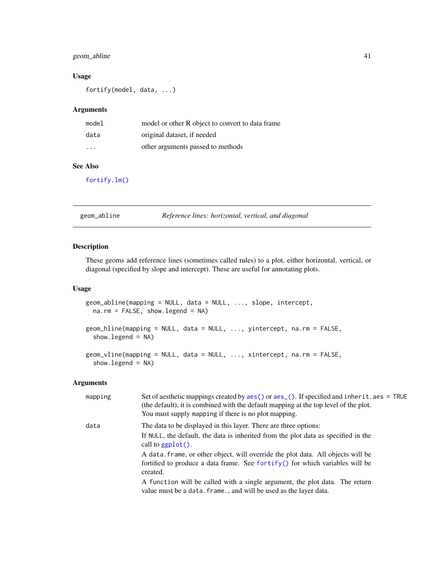# geom\_abline 41

## Usage

fortify(model, data, ...)

#### Arguments

| model                   | model or other R object to convert to data frame |
|-------------------------|--------------------------------------------------|
| data                    | original dataset, if needed                      |
| $\cdot$ $\cdot$ $\cdot$ | other arguments passed to methods                |

# See Also

[fortify.lm\(\)](#page-0-0)

geom\_abline *Reference lines: horizontal, vertical, and diagonal*

# Description

These geoms add reference lines (sometimes called rules) to a plot, either horizontal, vertical, or diagonal (specified by slope and intercept). These are useful for annotating plots.

#### Usage

```
geom_abline(mapping = NULL, data = NULL, ..., slope, intercept,
 na.rm = FALSE, show.legend = NA)
geom_hline(mapping = NULL, data = NULL, ..., yintercept, na.rm = FALSE,
  show.legend = NA)
geom_vline(mapping = NULL, data = NULL, ..., xintercept, na.rm = FALSE,
  show.legend = NA)
```

| mapping | Set of aesthetic mappings created by $aes()$ or $aes_()$ . If specified and inherit. $aes = TRUE$<br>(the default), it is combined with the default mapping at the top level of the plot.<br>You must supply mapping if there is no plot mapping. |
|---------|---------------------------------------------------------------------------------------------------------------------------------------------------------------------------------------------------------------------------------------------------|
| data    | The data to be displayed in this layer. There are three options:                                                                                                                                                                                  |
|         | If NULL, the default, the data is inherited from the plot data as specified in the<br>call to $ggplot()$ .                                                                                                                                        |
|         | A data frame, or other object, will override the plot data. All objects will be                                                                                                                                                                   |
|         | fortified to produce a data frame. See for $\text{tr}(y)$ for which variables will be<br>created.                                                                                                                                                 |
|         | A function will be called with a single argument, the plot data. The return<br>value must be a data. frame., and will be used as the layer data.                                                                                                  |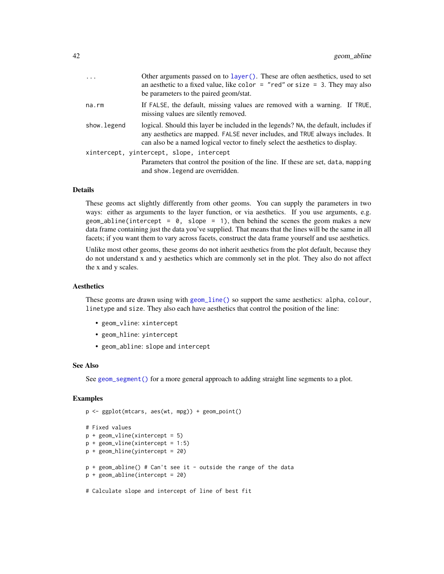| $\cdots$    | Other arguments passed on to layer (). These are often aesthetics, used to set<br>an aesthetic to a fixed value, like color $=$ "red" or size $=$ 3. They may also<br>be parameters to the paired geom/stat.                                           |
|-------------|--------------------------------------------------------------------------------------------------------------------------------------------------------------------------------------------------------------------------------------------------------|
| na.rm       | If FALSE, the default, missing values are removed with a warning. If TRUE,<br>missing values are silently removed.                                                                                                                                     |
| show.legend | logical. Should this layer be included in the legends? NA, the default, includes if<br>any aesthetics are mapped. FALSE never includes, and TRUE always includes. It<br>can also be a named logical vector to finely select the aesthetics to display. |
|             | xintercept, yintercept, slope, intercept<br>Parameters that control the position of the line. If these are set, data, mapping<br>and show. Legend are overridden.                                                                                      |

### **Details**

These geoms act slightly differently from other geoms. You can supply the parameters in two ways: either as arguments to the layer function, or via aesthetics. If you use arguments, e.g. geom\_abline(intercept =  $\theta$ , slope = 1), then behind the scenes the geom makes a new data frame containing just the data you've supplied. That means that the lines will be the same in all facets; if you want them to vary across facets, construct the data frame yourself and use aesthetics.

Unlike most other geoms, these geoms do not inherit aesthetics from the plot default, because they do not understand x and y aesthetics which are commonly set in the plot. They also do not affect the x and y scales.

#### Aesthetics

These geoms are drawn using with [geom\\_line\(\)](#page-81-0) so support the same aesthetics: alpha, colour, linetype and size. They also each have aesthetics that control the position of the line:

- geom\_vline: xintercept
- geom\_hline: yintercept
- geom\_abline: slope and intercept

#### See Also

See [geom\\_segment\(\)](#page-100-0) for a more general approach to adding straight line segments to a plot.

```
p <- ggplot(mtcars, aes(wt, mpg)) + geom_point()
# Fixed values
p + geom\_vline(xintercept = 5)p + geom\_vline(xintercept = 1:5)p + geom_hline(yintercept = 20)
p + geom_abline() # Can't see it - outside the range of the data
p + geom_abline(intercept = 20)
# Calculate slope and intercept of line of best fit
```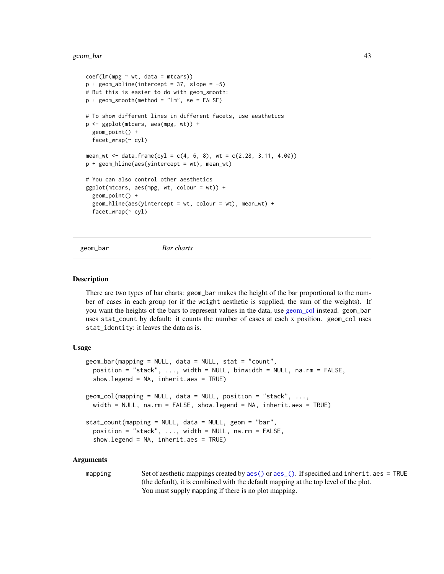#### geom\_bar 43

```
coef(lm(mpg \sim wt, data = mtcars))p + geom\_abline(intexcept = 37, slope = -5)# But this is easier to do with geom_smooth:
p + geom\_smooth(method = "lm", se = FALSE)# To show different lines in different facets, use aesthetics
p <- ggplot(mtcars, aes(mpg, wt)) +
 geom_point() +
 facet_wrap(~ cyl)
mean_wt <- data.frame(cyl = c(4, 6, 8), wt = c(2.28, 3.11, 4.00))
p + geom_hline(aes(yintercept = wt), mean_wt)
# You can also control other aesthetics
ggplot(mtcars, aes(mpg, wt, colour = wt)) +geom_point() +
 geom_hline(aes(yintercept = wt, colour = wt), mean_wt) +
 facet_wrap(~ cyl)
```
<span id="page-42-1"></span>

geom\_bar *Bar charts*

#### <span id="page-42-0"></span>Description

There are two types of bar charts: geom\_bar makes the height of the bar proportional to the number of cases in each group (or if the weight aesthetic is supplied, the sum of the weights). If you want the heights of the bars to represent values in the data, use [geom\\_col](#page-42-0) instead. geom\_bar uses stat\_count by default: it counts the number of cases at each x position. geom\_col uses stat\_identity: it leaves the data as is.

#### Usage

```
geom_bar(mapping = NULL, data = NULL, stat = "count",position = "stack", ..., width = NULL, binwidth = NULL, na.rm = FALSE,
  show.legend = NA, inherit.aes = TRUE)
geom\_col(mapping = NULL, data = NULL, position = "stack", ...,
 width = NULL, na.rm = FALSE, show.legend = NA, inherit.aes = TRUE)
stat_count(mapping = NULL, data = NULL, geom = "bar",
 position = "stack", ..., width = NULL, na.rm = FALSE,show.legend = NA, inherit.aes = TRUE)
```
#### Arguments

mapping Set of aesthetic mappings created by [aes\(\)](#page-6-0) or [aes\\_\(\)](#page-7-0). If specified and inherit.aes = TRUE (the default), it is combined with the default mapping at the top level of the plot. You must supply mapping if there is no plot mapping.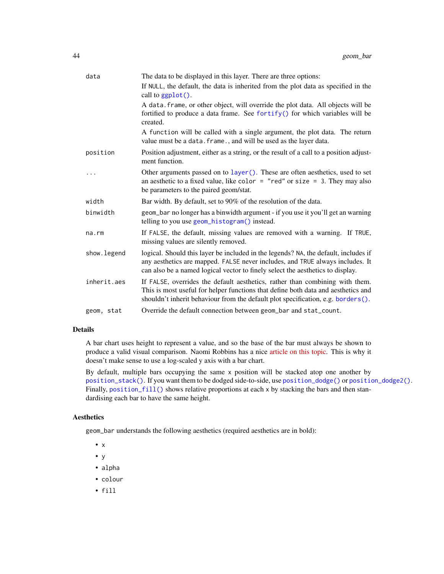| data         | The data to be displayed in this layer. There are three options:                                                                                                                                                                                       |
|--------------|--------------------------------------------------------------------------------------------------------------------------------------------------------------------------------------------------------------------------------------------------------|
|              | If NULL, the default, the data is inherited from the plot data as specified in the<br>call to ggplot().                                                                                                                                                |
|              | A data. frame, or other object, will override the plot data. All objects will be<br>fortified to produce a data frame. See fortify() for which variables will be<br>created.                                                                           |
|              | A function will be called with a single argument, the plot data. The return<br>value must be a data. frame., and will be used as the layer data.                                                                                                       |
| position     | Position adjustment, either as a string, or the result of a call to a position adjust-<br>ment function.                                                                                                                                               |
| .            | Other arguments passed on to layer (). These are often aesthetics, used to set<br>an aesthetic to a fixed value, like color = "red" or size = 3. They may also<br>be parameters to the paired geom/stat.                                               |
| width        | Bar width. By default, set to 90% of the resolution of the data.                                                                                                                                                                                       |
| binwidth     | geom_bar no longer has a binwidth argument - if you use it you'll get an warning<br>telling to you use geom_histogram() instead.                                                                                                                       |
| $na$ . $rm$  | If FALSE, the default, missing values are removed with a warning. If TRUE,<br>missing values are silently removed.                                                                                                                                     |
| show. legend | logical. Should this layer be included in the legends? NA, the default, includes if<br>any aesthetics are mapped. FALSE never includes, and TRUE always includes. It<br>can also be a named logical vector to finely select the aesthetics to display. |
| inherit.aes  | If FALSE, overrides the default aesthetics, rather than combining with them.<br>This is most useful for helper functions that define both data and aesthetics and<br>shouldn't inherit behaviour from the default plot specification, e.g. borders().  |
| geom, stat   | Override the default connection between geom_bar and stat_count.                                                                                                                                                                                       |

### Details

A bar chart uses height to represent a value, and so the base of the bar must always be shown to produce a valid visual comparison. Naomi Robbins has a nice [article on this topic.](http://www.b-eye-network.com/view/index.php?cid=2468) This is why it doesn't make sense to use a log-scaled y axis with a bar chart.

By default, multiple bars occupying the same x position will be stacked atop one another by [position\\_stack\(\)](#page-146-0). If you want them to be dodged side-to-side, use [position\\_dodge\(\)](#page-141-0) or [position\\_dodge2\(\)](#page-141-1). Finally, [position\\_fill\(\)](#page-146-1) shows relative proportions at each x by stacking the bars and then standardising each bar to have the same height.

### Aesthetics

geom\_bar understands the following aesthetics (required aesthetics are in bold):

- x
- y
- alpha
- colour
- fill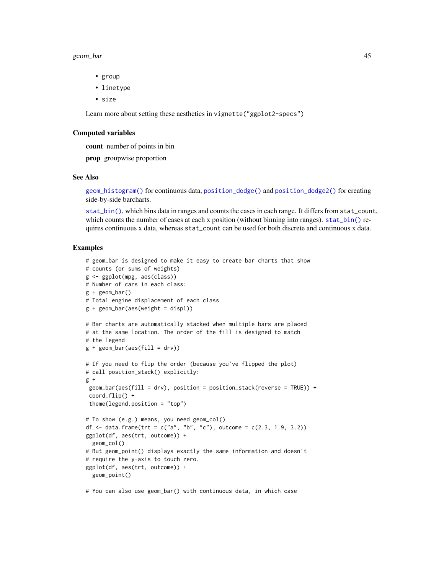#### geom\_bar 45

- group
- linetype
- size

Learn more about setting these aesthetics in vignette("ggplot2-specs")

#### Computed variables

count number of points in bin

prop groupwise proportion

### See Also

[geom\\_histogram\(\)](#page-68-0) for continuous data, [position\\_dodge\(\)](#page-141-0) and [position\\_dodge2\(\)](#page-141-1) for creating side-by-side barcharts.

[stat\\_bin\(\)](#page-68-0), which bins data in ranges and counts the cases in each range. It differs from stat\_count, which counts the number of cases at each x position (without binning into ranges). [stat\\_bin\(\)](#page-68-0) requires continuous x data, whereas stat\_count can be used for both discrete and continuous x data.

#### Examples

```
# geom_bar is designed to make it easy to create bar charts that show
# counts (or sums of weights)
g <- ggplot(mpg, aes(class))
# Number of cars in each class:
g + geom\_bar()# Total engine displacement of each class
g + geom\_bar(aes(weight = disp1))# Bar charts are automatically stacked when multiple bars are placed
# at the same location. The order of the fill is designed to match
# the legend
g + geom\_bar(aes(fill = dry))# If you need to flip the order (because you've flipped the plot)
# call position_stack() explicitly:
g +geom\_bar(aes(fill = dry), position = position\_stack(reverse = TRUE)) +coord_flip() +
 theme(legend.position = "top")
# To show (e.g.) means, you need geom_col()
df <- data.frame(trt = c("a", "b", "c"), outcome = c(2.3, 1.9, 3.2))
ggplot(df, aes(trt, outcome)) +
  geom_col()
# But geom_point() displays exactly the same information and doesn't
# require the y-axis to touch zero.
ggplot(df, aes(trt, outcome)) +
  geom_point()
```
# You can also use geom\_bar() with continuous data, in which case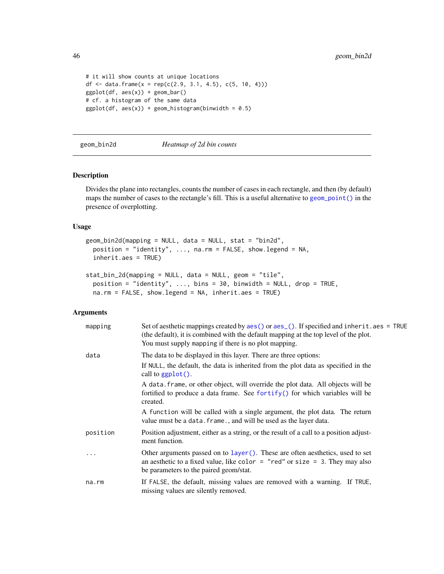```
# it will show counts at unique locations
df <- data.frame(x = rep(c(2.9, 3.1, 4.5), c(5, 10, 4)))
ggplot(df, aes(x)) + geom-bar()# cf. a histogram of the same data
ggplot(df, aes(x)) + geom\_histogram(binwidth = 0.5)
```
<span id="page-45-0"></span>geom\_bin2d *Heatmap of 2d bin counts*

### Description

Divides the plane into rectangles, counts the number of cases in each rectangle, and then (by default) maps the number of cases to the rectangle's fill. This is a useful alternative to [geom\\_point\(\)](#page-84-0) in the presence of overplotting.

### Usage

```
geom_bin2d(mapping = NULL, data = NULL, stat = "bin2d",
 position = "identity", ..., na.rm = FALSE, show.legend = NA,
  inherit.aes = TRUE)
stat_bin_2d(mapping = NULL, data = NULL, geom = "tile",
```

```
position = "identity", \ldots, bins = 30, binwidth = NULL, drop = TRUE,
na.rm = FALSE, show.legend = NA, inherit.aes = TRUE)
```

| mapping  | Set of aesthetic mappings created by aes() or aes_(). If specified and inherit.aes = TRUE<br>(the default), it is combined with the default mapping at the top level of the plot.<br>You must supply mapping if there is no plot mapping. |
|----------|-------------------------------------------------------------------------------------------------------------------------------------------------------------------------------------------------------------------------------------------|
| data     | The data to be displayed in this layer. There are three options:                                                                                                                                                                          |
|          | If NULL, the default, the data is inherited from the plot data as specified in the<br>call to $ggplot()$ .                                                                                                                                |
|          | A data. frame, or other object, will override the plot data. All objects will be<br>fortified to produce a data frame. See for $\text{trify}()$ for which variables will be<br>created.                                                   |
|          | A function will be called with a single argument, the plot data. The return<br>value must be a data. frame., and will be used as the layer data.                                                                                          |
| position | Position adjustment, either as a string, or the result of a call to a position adjust-<br>ment function.                                                                                                                                  |
| .        | Other arguments passed on to layer (). These are often aesthetics, used to set<br>an aesthetic to a fixed value, like color $=$ "red" or size $=$ 3. They may also<br>be parameters to the paired geom/stat.                              |
| na.rm    | If FALSE, the default, missing values are removed with a warning. If TRUE,<br>missing values are silently removed.                                                                                                                        |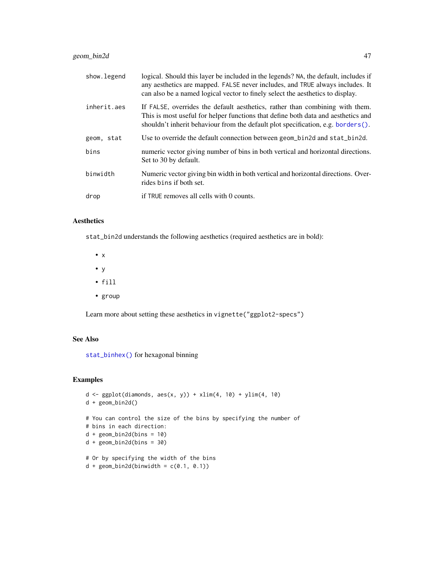| show.legend | logical. Should this layer be included in the legends? NA, the default, includes if<br>any aesthetics are mapped. FALSE never includes, and TRUE always includes. It<br>can also be a named logical vector to finely select the aesthetics to display.    |
|-------------|-----------------------------------------------------------------------------------------------------------------------------------------------------------------------------------------------------------------------------------------------------------|
| inherit.aes | If FALSE, overrides the default aesthetics, rather than combining with them.<br>This is most useful for helper functions that define both data and aesthetics and<br>shouldn't inherit behaviour from the default plot specification, e.g. borders $()$ . |
| geom, stat  | Use to override the default connection between geom_bin2d and stat_bin2d.                                                                                                                                                                                 |
| bins        | numeric vector giving number of bins in both vertical and horizontal directions.<br>Set to 30 by default.                                                                                                                                                 |
| binwidth    | Numeric vector giving bin width in both vertical and horizontal directions. Over-<br>rides bins if both set.                                                                                                                                              |
| drop        | if TRUE removes all cells with 0 counts.                                                                                                                                                                                                                  |

# Aesthetics

stat\_bin2d understands the following aesthetics (required aesthetics are in bold):

- x
- y
- fill
- group

Learn more about setting these aesthetics in vignette("ggplot2-specs")

### See Also

[stat\\_binhex\(\)](#page-71-0) for hexagonal binning

```
d \le ggplot(diamonds, aes(x, y)) + xlim(4, 10) + ylim(4, 10)
d + geom_bin2d()
# You can control the size of the bins by specifying the number of
# bins in each direction:
d + geom\_bin2d(bins = 10)d + geom\_bin2d(bins = 30)# Or by specifying the width of the bins
d + geom\_bin2d(binwidth = c(0.1, 0.1))
```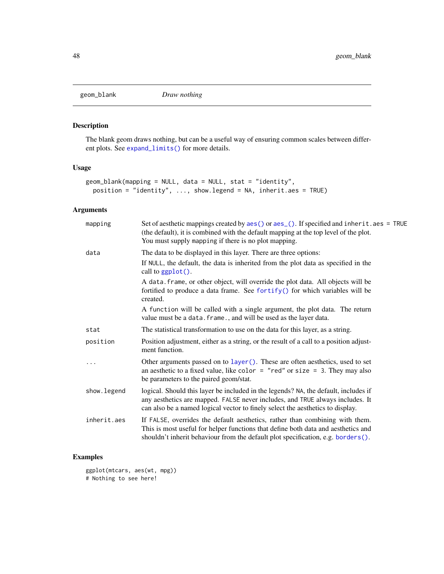# Description

The blank geom draws nothing, but can be a useful way of ensuring common scales between different plots. See [expand\\_limits\(\)](#page-33-0) for more details.

### Usage

```
geom_blank(mapping = NULL, data = NULL, stat = "identity",
 position = "identity", ..., show.legend = NA, inherit.aes = TRUE)
```
# Arguments

| mapping     | Set of aesthetic mappings created by $aes()$ or $aes_()$ . If specified and inherit. $aes = TRUE$<br>(the default), it is combined with the default mapping at the top level of the plot.<br>You must supply mapping if there is no plot mapping.      |
|-------------|--------------------------------------------------------------------------------------------------------------------------------------------------------------------------------------------------------------------------------------------------------|
| data        | The data to be displayed in this layer. There are three options:                                                                                                                                                                                       |
|             | If NULL, the default, the data is inherited from the plot data as specified in the<br>call to ggplot().                                                                                                                                                |
|             | A data. frame, or other object, will override the plot data. All objects will be<br>fortified to produce a data frame. See fortify() for which variables will be<br>created.                                                                           |
|             | A function will be called with a single argument, the plot data. The return<br>value must be a data. frame., and will be used as the layer data.                                                                                                       |
| stat        | The statistical transformation to use on the data for this layer, as a string.                                                                                                                                                                         |
| position    | Position adjustment, either as a string, or the result of a call to a position adjust-<br>ment function.                                                                                                                                               |
|             | Other arguments passed on to layer (). These are often aesthetics, used to set<br>an aesthetic to a fixed value, like color = "red" or size = 3. They may also<br>be parameters to the paired geom/stat.                                               |
| show.legend | logical. Should this layer be included in the legends? NA, the default, includes if<br>any aesthetics are mapped. FALSE never includes, and TRUE always includes. It<br>can also be a named logical vector to finely select the aesthetics to display. |
| inherit.aes | If FALSE, overrides the default aesthetics, rather than combining with them.<br>This is most useful for helper functions that define both data and aesthetics and<br>shouldn't inherit behaviour from the default plot specification, e.g. borders().  |

# Examples

ggplot(mtcars, aes(wt, mpg)) # Nothing to see here!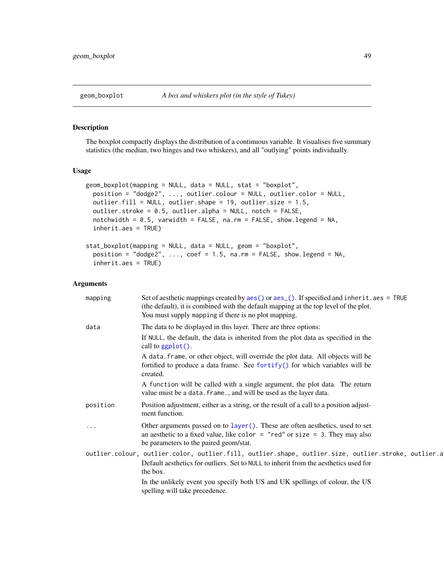# Description

The boxplot compactly displays the distribution of a continuous variable. It visualises five summary statistics (the median, two hinges and two whiskers), and all "outlying" points individually.

# Usage

```
geom_boxplot(mapping = NULL, data = NULL, stat = "boxplot",
 position = "dodge2", ..., outlier.colour = NULL, outlier.color = NULL,
 outlier.fill = NULL, outlier.shape = 19, outlier.size = 1.5,
  outlier.stroke = 0.5, outlier.alpha = NULL, notch = FALSE,
  notchwidth = 0.5, varwidth = FALSE, na.rm = FALSE, show.legend = NA,
  inherit.aes = TRUE)
stat_boxplot(mapping = NULL, data = NULL, geom = "boxplot",
 position = "dodge2", ..., coeff = 1.5, na.rm = FALSE, show. legend = NA,inherit.aes = TRUE)
```

| mapping  | Set of aesthetic mappings created by $aes()$ or $aes()$ . If specified and inherit. $aes = TRUE$<br>(the default), it is combined with the default mapping at the top level of the plot.<br>You must supply mapping if there is no plot mapping. |
|----------|--------------------------------------------------------------------------------------------------------------------------------------------------------------------------------------------------------------------------------------------------|
| data     | The data to be displayed in this layer. There are three options:                                                                                                                                                                                 |
|          | If NULL, the default, the data is inherited from the plot data as specified in the<br>call to $ggplot()$ .                                                                                                                                       |
|          | A data. frame, or other object, will override the plot data. All objects will be<br>fortified to produce a data frame. See fortify() for which variables will be<br>created.                                                                     |
|          | A function will be called with a single argument, the plot data. The return<br>value must be a data. frame., and will be used as the layer data.                                                                                                 |
| position | Position adjustment, either as a string, or the result of a call to a position adjust-<br>ment function.                                                                                                                                         |
| $\cdots$ | Other arguments passed on to layer (). These are often aesthetics, used to set<br>an aesthetic to a fixed value, like color = "red" or size = $3$ . They may also<br>be parameters to the paired geom/stat.                                      |
|          | outlier.colour, outlier.color, outlier.fill, outlier.shape, outlier.size, outlier.stroke, outlier.a<br>Default aesthetics for outliers. Set to NULL to inherit from the aesthetics used for<br>the box.                                          |
|          | In the unlikely event you specify both US and UK spellings of colour, the US<br>spelling will take precedence.                                                                                                                                   |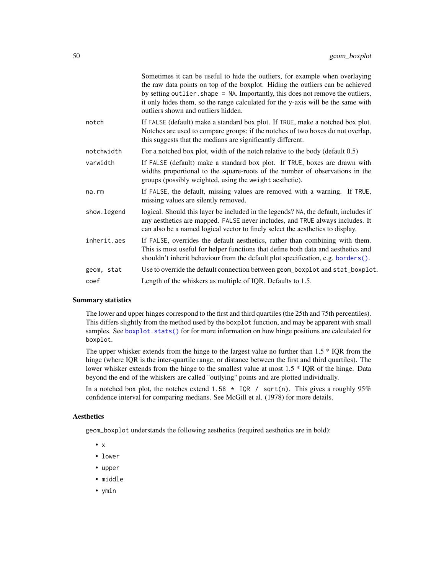|             | Sometimes it can be useful to hide the outliers, for example when overlaying<br>the raw data points on top of the boxplot. Hiding the outliers can be achieved<br>by setting outlier. shape = NA. Importantly, this does not remove the outliers,<br>it only hides them, so the range calculated for the y-axis will be the same with<br>outliers shown and outliers hidden. |
|-------------|------------------------------------------------------------------------------------------------------------------------------------------------------------------------------------------------------------------------------------------------------------------------------------------------------------------------------------------------------------------------------|
| notch       | If FALSE (default) make a standard box plot. If TRUE, make a notched box plot.<br>Notches are used to compare groups; if the notches of two boxes do not overlap,<br>this suggests that the medians are significantly different.                                                                                                                                             |
| notchwidth  | For a notched box plot, width of the notch relative to the body (default $0.5$ )                                                                                                                                                                                                                                                                                             |
| varwidth    | If FALSE (default) make a standard box plot. If TRUE, boxes are drawn with<br>widths proportional to the square-roots of the number of observations in the<br>groups (possibly weighted, using the weight aesthetic).                                                                                                                                                        |
| na.rm       | If FALSE, the default, missing values are removed with a warning. If TRUE,<br>missing values are silently removed.                                                                                                                                                                                                                                                           |
| show.legend | logical. Should this layer be included in the legends? NA, the default, includes if<br>any aesthetics are mapped. FALSE never includes, and TRUE always includes. It<br>can also be a named logical vector to finely select the aesthetics to display.                                                                                                                       |
| inherit.aes | If FALSE, overrides the default aesthetics, rather than combining with them.<br>This is most useful for helper functions that define both data and aesthetics and<br>shouldn't inherit behaviour from the default plot specification, e.g. borders().                                                                                                                        |
| geom, stat  | Use to override the default connection between geom_boxplot and stat_boxplot.                                                                                                                                                                                                                                                                                                |
| coef        | Length of the whiskers as multiple of IQR. Defaults to 1.5.                                                                                                                                                                                                                                                                                                                  |
|             |                                                                                                                                                                                                                                                                                                                                                                              |

#### Summary statistics

The lower and upper hinges correspond to the first and third quartiles (the 25th and 75th percentiles). This differs slightly from the method used by the boxplot function, and may be apparent with small samples. See boxplot. stats() for for more information on how hinge positions are calculated for boxplot.

The upper whisker extends from the hinge to the largest value no further than 1.5 \* IQR from the hinge (where IQR is the inter-quartile range, or distance between the first and third quartiles). The lower whisker extends from the hinge to the smallest value at most 1.5 \* IQR of the hinge. Data beyond the end of the whiskers are called "outlying" points and are plotted individually.

In a notched box plot, the notches extend 1.58  $\star$  IQR / sqrt(n). This gives a roughly 95% confidence interval for comparing medians. See McGill et al. (1978) for more details.

#### Aesthetics

geom\_boxplot understands the following aesthetics (required aesthetics are in bold):

- $\bullet$  x
- lower
- upper
- middle
- ymin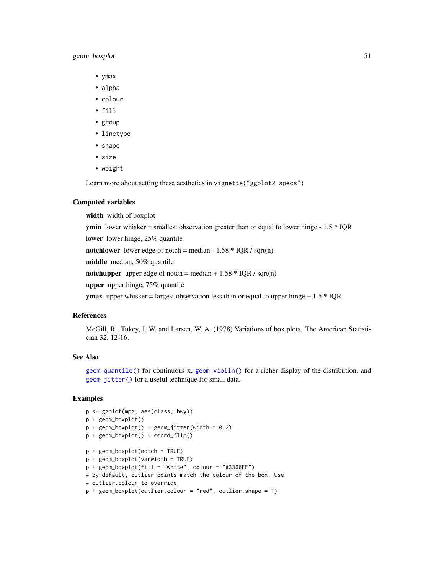# geom\_boxplot 51

- ymax
- alpha
- colour
- fill
- group
- linetype
- shape
- size
- weight

Learn more about setting these aesthetics in vignette("ggplot2-specs")

#### Computed variables

width width of boxplot

**ymin** lower whisker = smallest observation greater than or equal to lower hinge -  $1.5 * IQR$ 

lower lower hinge, 25% quantile

notchlower lower edge of notch = median -  $1.58 * IQR / sqrt(n)$ 

middle median, 50% quantile

notchupper upper edge of notch = median +  $1.58 * IQR / sqrt(n)$ 

upper upper hinge, 75% quantile

**ymax** upper whisker = largest observation less than or equal to upper hinge  $+ 1.5 * IQR$ 

#### References

McGill, R., Tukey, J. W. and Larsen, W. A. (1978) Variations of box plots. The American Statistician 32, 12-16.

### See Also

[geom\\_quantile\(\)](#page-91-0) for continuous x, [geom\\_violin\(\)](#page-108-0) for a richer display of the distribution, and [geom\\_jitter\(\)](#page-73-0) for a useful technique for small data.

```
p <- ggplot(mpg, aes(class, hwy))
p + geom_boxplot()
p + geom\_boxplot() + geom\_jitter(width = 0.2)p + geom_boxplot() + coord_flip()
p + geom_boxplot(notch = TRUE)
p + geom_boxplot(varwidth = TRUE)
p + geom\_boxplot(fill = "white", colour = "#3366FF")# By default, outlier points match the colour of the box. Use
# outlier.colour to override
p + geom_boxplot(outlier.colour = "red", outlier.shape = 1)
```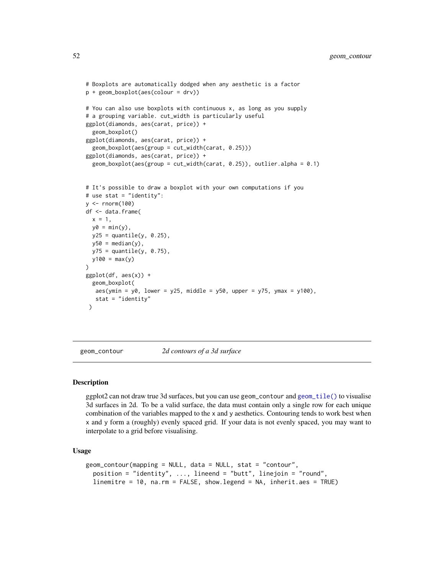```
# Boxplots are automatically dodged when any aesthetic is a factor
p + geom_boxplot(aes(colour = drv))
# You can also use boxplots with continuous x, as long as you supply
# a grouping variable. cut_width is particularly useful
ggplot(diamonds, aes(carat, price)) +
 geom_boxplot()
ggplot(diamonds, aes(carat, price)) +
 geom_boxplot(aes(group = cut_width(carat, 0.25)))
ggplot(diamonds, aes(carat, price)) +
 geom_boxplot(aes(group = cut_width(carat, 0.25)), outlier.alpha = 0.1)
# It's possible to draw a boxplot with your own computations if you
# use stat = "identity":
y <- rnorm(100)
df <- data.frame(
 x = 1,
 y0 = min(y),
 y25 = quantile(y, 0.25),
 y50 = median(y),
 y75 =quantile(y, 0.75),
 y100 = max(y))
ggplot(df, aes(x)) +geom_boxplot(
  aes(ymin = y0, \text{ lower} = y25, \text{ middle} = y50, \text{ upper} = y75, \text{ ymax} = y100),stat = "identity"
)
```
<span id="page-51-1"></span>geom\_contour *2d contours of a 3d surface*

### <span id="page-51-0"></span>Description

ggplot2 can not draw true 3d surfaces, but you can use geom\_contour and [geom\\_tile\(\)](#page-93-0) to visualise 3d surfaces in 2d. To be a valid surface, the data must contain only a single row for each unique combination of the variables mapped to the x and y aesthetics. Contouring tends to work best when x and y form a (roughly) evenly spaced grid. If your data is not evenly spaced, you may want to interpolate to a grid before visualising.

#### Usage

```
geom_contour(mapping = NULL, data = NULL, stat = "contour",
 position = "identity", ..., lineend = "butt", linejoin = "round",
  linemitre = 10, na.rm = FALSE, show.legend = NA, inherit.aes = TRUE)
```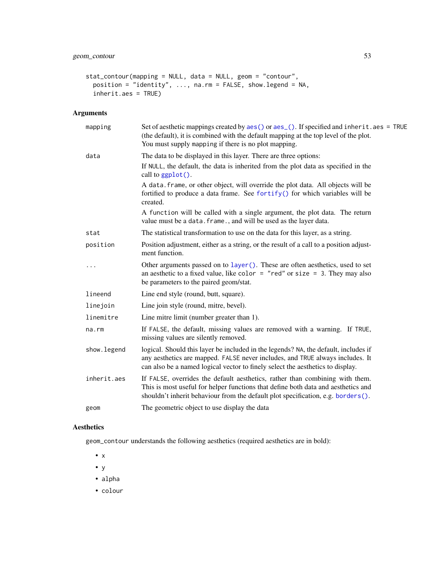```
stat_contour(mapping = NULL, data = NULL, geom = "contour",
 position = "identity", ..., na.rm = FALSE, show.legend = NA,
 inherit.aes = TRUE)
```
# Arguments

| mapping      | Set of aesthetic mappings created by $aes()$ or $aes()$ . If specified and inherit. $aes = TRUE$<br>(the default), it is combined with the default mapping at the top level of the plot.<br>You must supply mapping if there is no plot mapping.       |
|--------------|--------------------------------------------------------------------------------------------------------------------------------------------------------------------------------------------------------------------------------------------------------|
| data         | The data to be displayed in this layer. There are three options:                                                                                                                                                                                       |
|              | If NULL, the default, the data is inherited from the plot data as specified in the<br>call to ggplot().                                                                                                                                                |
|              | A data. frame, or other object, will override the plot data. All objects will be<br>fortified to produce a data frame. See fortify() for which variables will be<br>created.                                                                           |
|              | A function will be called with a single argument, the plot data. The return<br>value must be a data. frame., and will be used as the layer data.                                                                                                       |
| stat         | The statistical transformation to use on the data for this layer, as a string.                                                                                                                                                                         |
| position     | Position adjustment, either as a string, or the result of a call to a position adjust-<br>ment function.                                                                                                                                               |
|              | Other arguments passed on to layer (). These are often aesthetics, used to set<br>an aesthetic to a fixed value, like color = "red" or size = 3. They may also<br>be parameters to the paired geom/stat.                                               |
| lineend      | Line end style (round, butt, square).                                                                                                                                                                                                                  |
| linejoin     | Line join style (round, mitre, bevel).                                                                                                                                                                                                                 |
| linemitre    | Line mitre limit (number greater than 1).                                                                                                                                                                                                              |
| na.rm        | If FALSE, the default, missing values are removed with a warning. If TRUE,<br>missing values are silently removed.                                                                                                                                     |
| show. legend | logical. Should this layer be included in the legends? NA, the default, includes if<br>any aesthetics are mapped. FALSE never includes, and TRUE always includes. It<br>can also be a named logical vector to finely select the aesthetics to display. |
| inherit.aes  | If FALSE, overrides the default aesthetics, rather than combining with them.<br>This is most useful for helper functions that define both data and aesthetics and<br>shouldn't inherit behaviour from the default plot specification, e.g. borders().  |
| geom         | The geometric object to use display the data                                                                                                                                                                                                           |

# Aesthetics

geom\_contour understands the following aesthetics (required aesthetics are in bold):

- x
- y
- alpha
- colour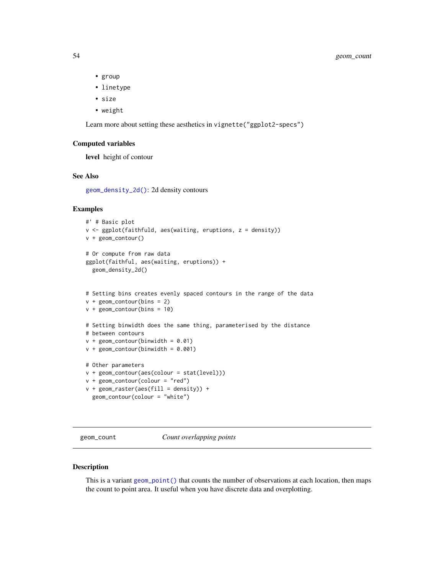- group
- linetype
- size
- weight

Learn more about setting these aesthetics in vignette("ggplot2-specs")

### Computed variables

level height of contour

### See Also

[geom\\_density\\_2d\(\)](#page-61-0): 2d density contours

geom\_contour(colour = "white")

### Examples

```
#' # Basic plot
v <- ggplot(faithfuld, aes(waiting, eruptions, z = density))
v + geom_contour()
# Or compute from raw data
ggplot(faithful, aes(waiting, eruptions)) +
  geom_density_2d()
# Setting bins creates evenly spaced contours in the range of the data
v + geom_{contour(bins = 2)}v + geom\_contour(bins = 10)# Setting binwidth does the same thing, parameterised by the distance
# between contours
v + geom_{\text{contour}}(binwidth = 0.01)v + geom\_contour(binwidth = 0.001)# Other parameters
v + geom_contour(aes(colour = stat(level)))
v + geom\_contour(colour = "red")v + geometry = v + geometry = v + \frac{1}{2} = v + \frac{1}{2} = v + \frac{1}{2} = v + \frac{1}{2} +
```
geom\_count *Count overlapping points*

#### Description

This is a variant geom\_point () that counts the number of observations at each location, then maps the count to point area. It useful when you have discrete data and overplotting.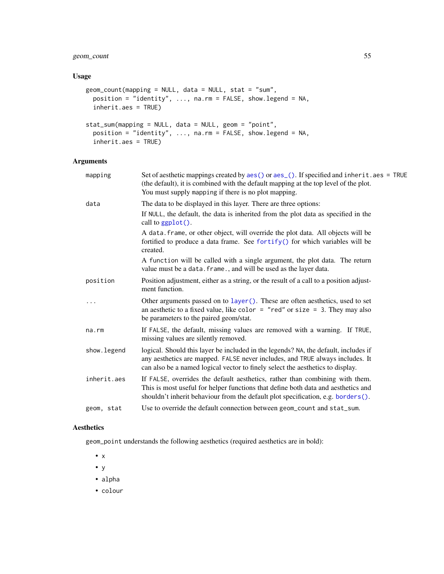# geom\_count 55

### Usage

```
geom_count(mapping = NULL, data = NULL, stat = "sum",
 position = "identity", ..., na.rm = FALSE, show.legend = NA,
 inherit.aes = TRUE)
stat_sum(mapping = NULL, data = NULL, geom = "point",
 position = "identity", ..., na.rm = FALSE, show.legend = NA,
  inherit.aes = TRUE)
```
# Arguments

| mapping      | Set of aesthetic mappings created by $aes()$ or $aes_()$ . If specified and inherit. $aes = TRUE$<br>(the default), it is combined with the default mapping at the top level of the plot.<br>You must supply mapping if there is no plot mapping.      |
|--------------|--------------------------------------------------------------------------------------------------------------------------------------------------------------------------------------------------------------------------------------------------------|
| data         | The data to be displayed in this layer. There are three options:                                                                                                                                                                                       |
|              | If NULL, the default, the data is inherited from the plot data as specified in the<br>call to $ggplot()$ .                                                                                                                                             |
|              | A data. frame, or other object, will override the plot data. All objects will be<br>fortified to produce a data frame. See fortify() for which variables will be<br>created.                                                                           |
|              | A function will be called with a single argument, the plot data. The return<br>value must be a data. frame., and will be used as the layer data.                                                                                                       |
| position     | Position adjustment, either as a string, or the result of a call to a position adjust-<br>ment function.                                                                                                                                               |
|              | Other arguments passed on to layer (). These are often aesthetics, used to set<br>an aesthetic to a fixed value, like color = "red" or size = 3. They may also<br>be parameters to the paired geom/stat.                                               |
| na.rm        | If FALSE, the default, missing values are removed with a warning. If TRUE,<br>missing values are silently removed.                                                                                                                                     |
| show. legend | logical. Should this layer be included in the legends? NA, the default, includes if<br>any aesthetics are mapped. FALSE never includes, and TRUE always includes. It<br>can also be a named logical vector to finely select the aesthetics to display. |
| inherit.aes  | If FALSE, overrides the default aesthetics, rather than combining with them.<br>This is most useful for helper functions that define both data and aesthetics and<br>shouldn't inherit behaviour from the default plot specification, e.g. borders().  |
| geom, stat   | Use to override the default connection between geom_count and stat_sum.                                                                                                                                                                                |

# Aesthetics

geom\_point understands the following aesthetics (required aesthetics are in bold):

- x
- y
- alpha
- colour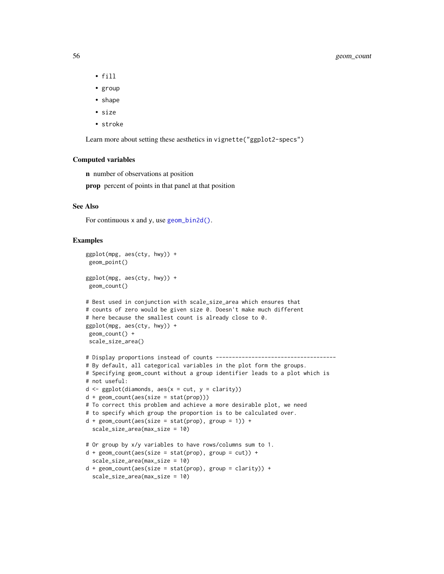- fill
- group
- shape
- size
- stroke

Learn more about setting these aesthetics in vignette("ggplot2-specs")

# Computed variables

n number of observations at position

prop percent of points in that panel at that position

### See Also

For continuous  $x$  and  $y$ , use geom bin2d().

```
ggplot(mpg, aes(cty, hwy)) +
 geom_point()
ggplot(mpg, aes(cty, hwy)) +
 geom_count()
# Best used in conjunction with scale_size_area which ensures that
# counts of zero would be given size 0. Doesn't make much different
# here because the smallest count is already close to 0.
ggplot(mpg, aes(cty, hwy)) +
geom_count() +
 scale_size_area()
# Display proportions instead of counts -------------------------------------
# By default, all categorical variables in the plot form the groups.
# Specifying geom_count without a group identifier leads to a plot which is
# not useful:
d \leq ggplot(diamonds, aes(x = cut, y = clarity))
d + geom\_count(aes(size = stat(prop)))# To correct this problem and achieve a more desirable plot, we need
# to specify which group the proportion is to be calculated over.
d + geom\_count(aes(size = stat(prop), group = 1)) +scale_size_area(max_size = 10)
# Or group by x/y variables to have rows/columns sum to 1.
d + geom\_count(aes(size = stat(prop), group = cut)) +scale_size_area(max_size = 10)
d + geom\_count(aes(size = stat(prop), group = clarity)) +scale_size_area(max_size = 10)
```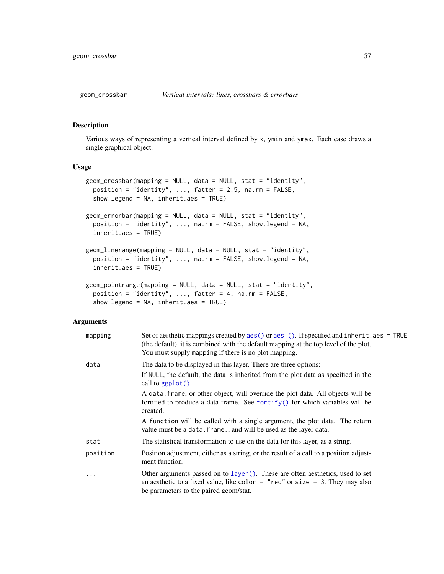#### <span id="page-56-0"></span>Description

Various ways of representing a vertical interval defined by x, ymin and ymax. Each case draws a single graphical object.

# Usage

```
geom_crossbar(mapping = NULL, data = NULL, stat = "identity",
 position = "identity", \dots, fatten = 2.5, na.rm = FALSE,
  show.legend = NA, inherit.aes = TRUE)
geom_errorbar(mapping = NULL, data = NULL, stat = "identity",
 position = "identity", ..., na.rm = FALSE, show.legend = NA,
  inherit.aes = TRUE)
geom_linerange(mapping = NULL, data = NULL, stat = "identity",
 position = "identity", ..., na.rm = FALSE, show.legend = NA,
  inherit.aes = TRUE)
geom_pointrange(mapping = NULL, data = NULL, stat = "identity",
 position = "identity", ..., fatten = 4, na.rm = FALSE,
  show.legend = NA, inherit.aes = TRUE)
```

| mapping  | Set of aesthetic mappings created by $aes()$ or $aes()$ . If specified and inherit. $aes = TRUE$<br>(the default), it is combined with the default mapping at the top level of the plot.<br>You must supply mapping if there is no plot mapping. |
|----------|--------------------------------------------------------------------------------------------------------------------------------------------------------------------------------------------------------------------------------------------------|
| data     | The data to be displayed in this layer. There are three options:<br>If NULL, the default, the data is inherited from the plot data as specified in the<br>call to $ggplot()$ .                                                                   |
|          | A data. frame, or other object, will override the plot data. All objects will be<br>fortified to produce a data frame. See for $\text{trify}()$ for which variables will be<br>created.                                                          |
|          | A function will be called with a single argument, the plot data. The return<br>value must be a data. frame., and will be used as the layer data.                                                                                                 |
| stat     | The statistical transformation to use on the data for this layer, as a string.                                                                                                                                                                   |
| position | Position adjustment, either as a string, or the result of a call to a position adjust-<br>ment function.                                                                                                                                         |
| .        | Other arguments passed on to layer(). These are often aesthetics, used to set<br>an aesthetic to a fixed value, like color $=$ "red" or size $=$ 3. They may also<br>be parameters to the paired geom/stat.                                      |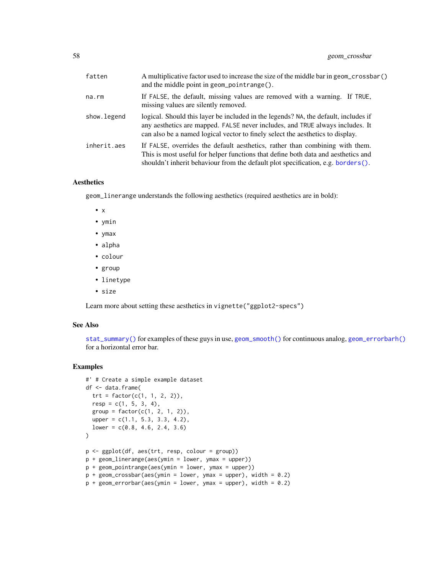| fatten      | A multiplicative factor used to increase the size of the middle bar in geom_crossbar()<br>and the middle point in geom_pointrange().                                                                                                                   |
|-------------|--------------------------------------------------------------------------------------------------------------------------------------------------------------------------------------------------------------------------------------------------------|
| na.rm       | If FALSE, the default, missing values are removed with a warning. If TRUE,<br>missing values are silently removed.                                                                                                                                     |
| show.legend | logical. Should this layer be included in the legends? NA, the default, includes if<br>any aesthetics are mapped. FALSE never includes, and TRUE always includes. It<br>can also be a named logical vector to finely select the aesthetics to display. |
| inherit.aes | If FALSE, overrides the default aesthetics, rather than combining with them.<br>This is most useful for helper functions that define both data and aesthetics and<br>shouldn't inherit behaviour from the default plot specification, e.g. borders().  |

# Aesthetics

geom\_linerange understands the following aesthetics (required aesthetics are in bold):

- x
- ymin
- ymax
- alpha
- colour
- group
- linetype
- size

Learn more about setting these aesthetics in vignette("ggplot2-specs")

#### See Also

[stat\\_summary\(\)](#page-194-0) for examples of these guys in use, [geom\\_smooth\(\)](#page-102-0) for continuous analog, [geom\\_errorbarh\(\)](#page-66-0) for a horizontal error bar.

```
#' # Create a simple example dataset
df <- data.frame(
  trt = factor(c(1, 1, 2, 2)),resp = c(1, 5, 3, 4),group = factor(c(1, 2, 1, 2)),upper = c(1.1, 5.3, 3.3, 4.2),
  lower = c(0.8, 4.6, 2.4, 3.6)\mathcal{L}p <- ggplot(df, aes(trt, resp, colour = group))
p + geom_linerange(aes(ymin = lower, ymax = upper))
p + geom_pointrange(aes(ymin = lower, ymax = upper))
p + geom\_crossbar(aes(ymin = lower, ymax = upper), width = 0.2)p + geom_errorbar(aes(ymin = lower, ymax = upper), width = 0.2)
```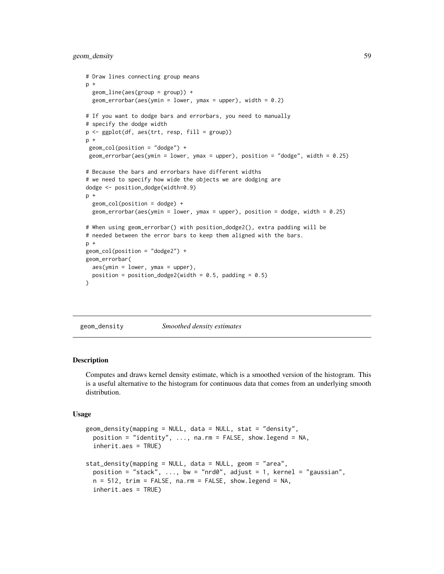geom\_density 59

```
# Draw lines connecting group means
p +geom_line(aes(group = group)) +
  geom_errorbar(aes(ymin = lower, ymax = upper), width = 0.2)
# If you want to dodge bars and errorbars, you need to manually
# specify the dodge width
p <- ggplot(df, aes(trt, resp, fill = group))
p +geom_col(position = "dodge") +
 geom_errorbar(aes(ymin = lower, ymax = upper), position = "dodge", width = 0.25)
# Because the bars and errorbars have different widths
# we need to specify how wide the objects we are dodging are
dodge <- position_dodge(width=0.9)
p +
  geom_col(position = dodge) +
  geom_errorbar(aes(ymin = lower, ymax = upper), position = dodge, width = 0.25)
# When using geom_errorbar() with position_dodge2(), extra padding will be
# needed between the error bars to keep them aligned with the bars.
p +geom_col(position = "dodge2") +
geom_errorbar(
  aes(ymin = lower, ymax = upper),
  position = position_dodge2(width = 0.5, padding = 0.5)
)
```
<span id="page-58-0"></span>geom\_density *Smoothed density estimates*

#### **Description**

Computes and draws kernel density estimate, which is a smoothed version of the histogram. This is a useful alternative to the histogram for continuous data that comes from an underlying smooth distribution.

### Usage

```
geom_density(mapping = NULL, data = NULL, stat = "density",
  position = "identity", \ldots, na.rm = FALSE, show.legend = NA,
  inherit.aes = TRUE)
stat_density(mapping = NULL, data = NULL, geom = "area",
  position = "stack", \ldots, bw = "nrd0", adjust = 1, kernel = "gaussian",
  n = 512, trim = FALSE, na.rm = FALSE, show.legend = NA,
  inherit.aes = TRUE)
```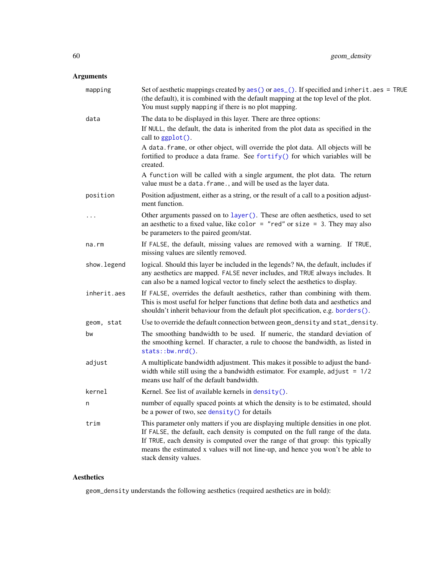# Arguments

| mapping     | Set of aesthetic mappings created by aes() or aes_(). If specified and inherit.aes = TRUE<br>(the default), it is combined with the default mapping at the top level of the plot.<br>You must supply mapping if there is no plot mapping.                                                                                                                       |
|-------------|-----------------------------------------------------------------------------------------------------------------------------------------------------------------------------------------------------------------------------------------------------------------------------------------------------------------------------------------------------------------|
| data        | The data to be displayed in this layer. There are three options:                                                                                                                                                                                                                                                                                                |
|             | If NULL, the default, the data is inherited from the plot data as specified in the<br>call to ggplot().                                                                                                                                                                                                                                                         |
|             | A data. frame, or other object, will override the plot data. All objects will be<br>fortified to produce a data frame. See fortify() for which variables will be<br>created.                                                                                                                                                                                    |
|             | A function will be called with a single argument, the plot data. The return<br>value must be a data. frame., and will be used as the layer data.                                                                                                                                                                                                                |
| position    | Position adjustment, either as a string, or the result of a call to a position adjust-<br>ment function.                                                                                                                                                                                                                                                        |
| .           | Other arguments passed on to layer (). These are often aesthetics, used to set<br>an aesthetic to a fixed value, like color = "red" or size = 3. They may also<br>be parameters to the paired geom/stat.                                                                                                                                                        |
| na.rm       | If FALSE, the default, missing values are removed with a warning. If TRUE,<br>missing values are silently removed.                                                                                                                                                                                                                                              |
| show.legend | logical. Should this layer be included in the legends? NA, the default, includes if<br>any aesthetics are mapped. FALSE never includes, and TRUE always includes. It<br>can also be a named logical vector to finely select the aesthetics to display.                                                                                                          |
| inherit.aes | If FALSE, overrides the default aesthetics, rather than combining with them.<br>This is most useful for helper functions that define both data and aesthetics and<br>shouldn't inherit behaviour from the default plot specification, e.g. borders().                                                                                                           |
| geom, stat  | Use to override the default connection between geom_density and stat_density.                                                                                                                                                                                                                                                                                   |
| bw          | The smoothing bandwidth to be used. If numeric, the standard deviation of<br>the smoothing kernel. If character, a rule to choose the bandwidth, as listed in<br>stats::bw.nrd().                                                                                                                                                                               |
| adjust      | A multiplicate bandwidth adjustment. This makes it possible to adjust the band-<br>width while still using the a bandwidth estimator. For example, adjust $= 1/2$<br>means use half of the default bandwidth.                                                                                                                                                   |
| kernel      | Kernel. See list of available kernels in density().                                                                                                                                                                                                                                                                                                             |
| n           | number of equally spaced points at which the density is to be estimated, should<br>be a power of two, see density () for details                                                                                                                                                                                                                                |
| trim        | This parameter only matters if you are displaying multiple densities in one plot.<br>If FALSE, the default, each density is computed on the full range of the data.<br>If TRUE, each density is computed over the range of that group: this typically<br>means the estimated x values will not line-up, and hence you won't be able to<br>stack density values. |

# Aesthetics

geom\_density understands the following aesthetics (required aesthetics are in bold):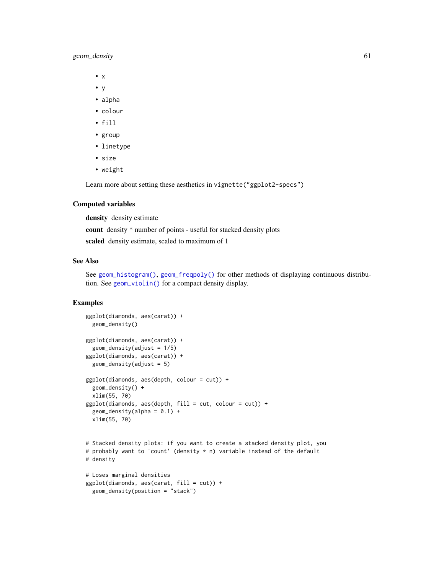# geom\_density 61

- x
- y
- alpha
- colour
- fill
- group
- linetype
- size
- weight

Learn more about setting these aesthetics in vignette("ggplot2-specs")

#### Computed variables

density density estimate

count density \* number of points - useful for stacked density plots

scaled density estimate, scaled to maximum of 1

### See Also

See [geom\\_histogram\(\)](#page-68-0), [geom\\_freqpoly\(\)](#page-68-1) for other methods of displaying continuous distribution. See [geom\\_violin\(\)](#page-108-0) for a compact density display.

```
ggplot(diamonds, aes(carat)) +
  geom_density()
ggplot(diamonds, aes(carat)) +
  geom\_density(adjust = 1/5)
ggplot(diamonds, aes(carat)) +
  geom\_density(adjust = 5)ggplot(diamonds, aes(depth, colour = cut)) +
  geom_density() +
  xlim(55, 70)
ggplot(diamonds, aes(depth, fill = cut, colour = cut)) +geom\_density(alpha = 0.1) +xlim(55, 70)
# Stacked density plots: if you want to create a stacked density plot, you
# probably want to 'count' (density * n) variable instead of the default
# density
# Loses marginal densities
ggplot(diamonds, aes(carat, fill = cut)) +geom_density(position = "stack")
```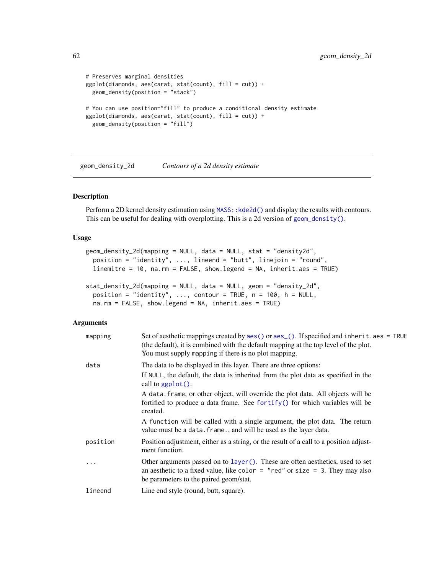```
# Preserves marginal densities
ggplot(diamonds, aes(carat, stat(count), fill = cut)) +
 geom_density(position = "stack")
# You can use position="fill" to produce a conditional density estimate
ggplot(diamonds, aes(carat, stat(count), fill = cut)) +
 geom_density(position = "fill")
```
<span id="page-61-0"></span>geom\_density\_2d *Contours of a 2d density estimate*

## Description

Perform a 2D kernel density estimation using MASS: : kde2d() and display the results with contours. This can be useful for dealing with overplotting. This is a 2d version of [geom\\_density\(\)](#page-58-0).

#### Usage

```
geom_density_2d(mapping = NULL, data = NULL, stat = "density2d",
 position = "identity", ..., lineend = "butt", linejoin = "round",
  linemitre = 10, na.rm = FALSE, show.legend = NA, inherit.aes = TRUE)
stat_density_2d(mapping = NULL, data = NULL, geom = "density_2d",
 position = "identity", \ldots, contour = TRUE, n = 100, h = NULL,
 na.rm = FALSE, show.legend = NA, inherit.aes = TRUE)
```

| mapping   | Set of aesthetic mappings created by $aes()$ or $aes()$ . If specified and inherit. $aes = TRUE$<br>(the default), it is combined with the default mapping at the top level of the plot.<br>You must supply mapping if there is no plot mapping. |
|-----------|--------------------------------------------------------------------------------------------------------------------------------------------------------------------------------------------------------------------------------------------------|
| data      | The data to be displayed in this layer. There are three options:<br>If NULL, the default, the data is inherited from the plot data as specified in the<br>call to $ggplot()$ .                                                                   |
|           | A data frame, or other object, will override the plot data. All objects will be<br>fortified to produce a data frame. See for $\text{trify}()$ for which variables will be<br>created.                                                           |
|           | A function will be called with a single argument, the plot data. The return<br>value must be a data. frame., and will be used as the layer data.                                                                                                 |
| position  | Position adjustment, either as a string, or the result of a call to a position adjust-<br>ment function.                                                                                                                                         |
| $\ddotsc$ | Other arguments passed on to layer (). These are often aesthetics, used to set<br>an aesthetic to a fixed value, like color = "red" or size = 3. They may also<br>be parameters to the paired geom/stat.                                         |
| lineend   | Line end style (round, butt, square).                                                                                                                                                                                                            |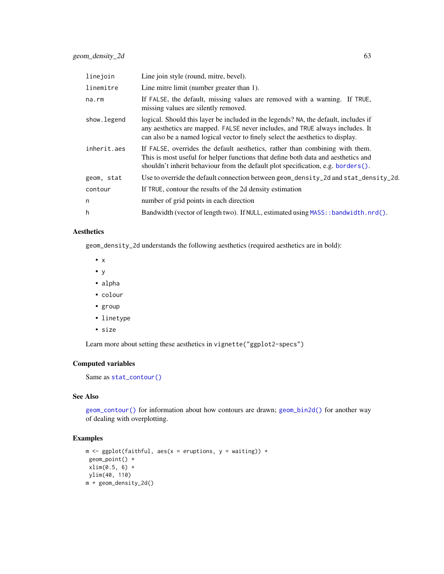| linejoin    | Line join style (round, mitre, bevel).                                                                                                                                                                                                                    |
|-------------|-----------------------------------------------------------------------------------------------------------------------------------------------------------------------------------------------------------------------------------------------------------|
| linemitre   | Line mitre limit (number greater than 1).                                                                                                                                                                                                                 |
| na.rm       | If FALSE, the default, missing values are removed with a warning. If TRUE,<br>missing values are silently removed.                                                                                                                                        |
| show.legend | logical. Should this layer be included in the legends? NA, the default, includes if<br>any aesthetics are mapped. FALSE never includes, and TRUE always includes. It<br>can also be a named logical vector to finely select the aesthetics to display.    |
| inherit.aes | If FALSE, overrides the default aesthetics, rather than combining with them.<br>This is most useful for helper functions that define both data and aesthetics and<br>shouldn't inherit behaviour from the default plot specification, e.g. borders $()$ . |
| geom, stat  | Use to override the default connection between geom_density_2d and stat_density_2d.                                                                                                                                                                       |
| contour     | If TRUE, contour the results of the 2d density estimation                                                                                                                                                                                                 |
| n           | number of grid points in each direction                                                                                                                                                                                                                   |
| h           | Bandwidth (vector of length two). If NULL, estimated using MASS: : bandwidth.nrd().                                                                                                                                                                       |

# Aesthetics

geom\_density\_2d understands the following aesthetics (required aesthetics are in bold):

- x
- y
- alpha
- colour
- group
- linetype
- size

Learn more about setting these aesthetics in vignette("ggplot2-specs")

# Computed variables

Same as [stat\\_contour\(\)](#page-51-0)

### See Also

[geom\\_contour\(\)](#page-51-1) for information about how contours are drawn; [geom\\_bin2d\(\)](#page-45-0) for another way of dealing with overplotting.

```
m \leq ggplot(faithful, aes(x = eruptions, y = waiting)) +
 geom_point() +
xlim(0.5, 6) +ylim(40, 110)
m + geom_density_2d()
```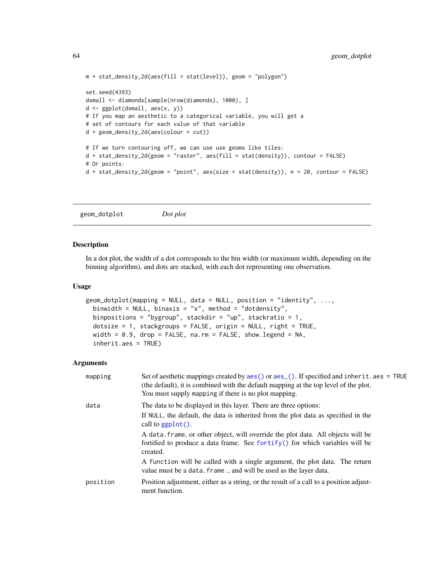```
m + stat\_density_2d(aes(fill = stat(level)), geom = "polygon")set.seed(4393)
dsmall <- diamonds[sample(nrow(diamonds), 1000), ]
d <- ggplot(dsmall, aes(x, y))
# If you map an aesthetic to a categorical variable, you will get a
# set of contours for each value of that variable
d + geom_density_2d(aes(colour = cut))
# If we turn contouring off, we can use use geoms like tiles:
d + stat_density_2d(geom = "raster", aes(fill = stat(density)), contour = FALSE)
# Or points:
d + stat_density_2d(geom = "point", aes(size = stat(density)), n = 20, contour = FALSE)
```
geom\_dotplot *Dot plot*

### Description

In a dot plot, the width of a dot corresponds to the bin width (or maximum width, depending on the binning algorithm), and dots are stacked, with each dot representing one observation.

#### Usage

```
geom_dotplot(mapping = NULL, data = NULL, position = "identity", \dots,
 binwidth = NULL, binaxis = "x", method = "dotdensity",
 binpositions = "bygroup", stackdir = "up", stackratio = 1,
 dotsize = 1, stackgroups = FALSE, origin = NULL, right = TRUE,
 width = 0.9, drop = FALSE, na.rm = FALSE, show.legend = NA,
  inherit.aes = TRUE)
```

| mapping  | Set of aesthetic mappings created by $\text{aes}()$ or $\text{aes}()$ . If specified and inherit . aes = TRUE<br>(the default), it is combined with the default mapping at the top level of the plot.<br>You must supply mapping if there is no plot mapping. |
|----------|---------------------------------------------------------------------------------------------------------------------------------------------------------------------------------------------------------------------------------------------------------------|
| data     | The data to be displayed in this layer. There are three options:                                                                                                                                                                                              |
|          | If NULL, the default, the data is inherited from the plot data as specified in the<br>call to $ggplot()$ .                                                                                                                                                    |
|          | A data frame, or other object, will override the plot data. All objects will be<br>fortified to produce a data frame. See for $\text{trify}()$ for which variables will be<br>created.                                                                        |
|          | A function will be called with a single argument, the plot data. The return<br>value must be a data. frame., and will be used as the layer data.                                                                                                              |
| position | Position adjustment, either as a string, or the result of a call to a position adjust-<br>ment function.                                                                                                                                                      |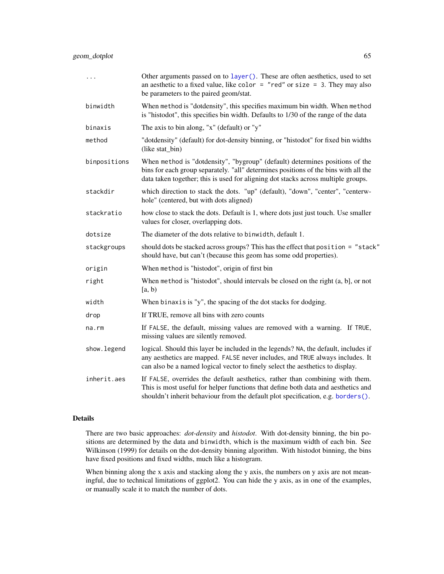| $\ddots$ .   | Other arguments passed on to layer (). These are often aesthetics, used to set<br>an aesthetic to a fixed value, like color = "red" or size = 3. They may also<br>be parameters to the paired geom/stat.                                                 |
|--------------|----------------------------------------------------------------------------------------------------------------------------------------------------------------------------------------------------------------------------------------------------------|
| binwidth     | When method is "dotdensity", this specifies maximum bin width. When method<br>is "histodot", this specifies bin width. Defaults to 1/30 of the range of the data                                                                                         |
| binaxis      | The axis to bin along, "x" (default) or "y"                                                                                                                                                                                                              |
| method       | "dotdensity" (default) for dot-density binning, or "histodot" for fixed bin widths<br>(like stat_bin)                                                                                                                                                    |
| binpositions | When method is "dotdensity", "bygroup" (default) determines positions of the<br>bins for each group separately. "all" determines positions of the bins with all the<br>data taken together; this is used for aligning dot stacks across multiple groups. |
| stackdir     | which direction to stack the dots. "up" (default), "down", "center", "centerw-<br>hole" (centered, but with dots aligned)                                                                                                                                |
| stackratio   | how close to stack the dots. Default is 1, where dots just just touch. Use smaller<br>values for closer, overlapping dots.                                                                                                                               |
| dotsize      | The diameter of the dots relative to binwidth, default 1.                                                                                                                                                                                                |
| stackgroups  | should dots be stacked across groups? This has the effect that position = "stack"<br>should have, but can't (because this geom has some odd properties).                                                                                                 |
| origin       | When method is "histodot", origin of first bin                                                                                                                                                                                                           |
| right        | When method is "histodot", should intervals be closed on the right $(a, b]$ , or not<br>[a, b)                                                                                                                                                           |
| width        | When binaxis is "y", the spacing of the dot stacks for dodging.                                                                                                                                                                                          |
| drop         | If TRUE, remove all bins with zero counts                                                                                                                                                                                                                |
| $na$ . $rm$  | If FALSE, the default, missing values are removed with a warning. If TRUE,<br>missing values are silently removed.                                                                                                                                       |
| show.legend  | logical. Should this layer be included in the legends? NA, the default, includes if<br>any aesthetics are mapped. FALSE never includes, and TRUE always includes. It<br>can also be a named logical vector to finely select the aesthetics to display.   |
| inherit.aes  | If FALSE, overrides the default aesthetics, rather than combining with them.<br>This is most useful for helper functions that define both data and aesthetics and<br>shouldn't inherit behaviour from the default plot specification, e.g. borders().    |

# Details

There are two basic approaches: *dot-density* and *histodot*. With dot-density binning, the bin positions are determined by the data and binwidth, which is the maximum width of each bin. See Wilkinson (1999) for details on the dot-density binning algorithm. With histodot binning, the bins have fixed positions and fixed widths, much like a histogram.

When binning along the x axis and stacking along the y axis, the numbers on y axis are not meaningful, due to technical limitations of ggplot2. You can hide the y axis, as in one of the examples, or manually scale it to match the number of dots.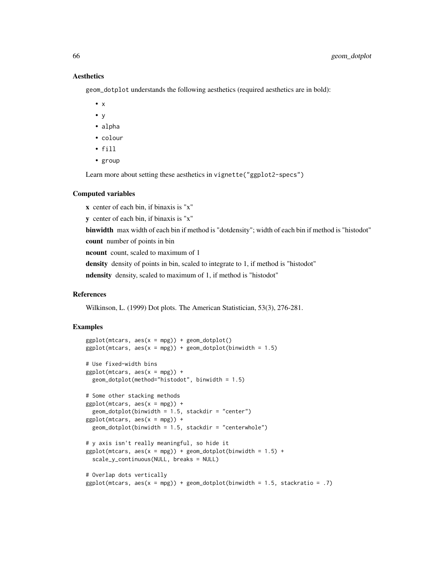### Aesthetics

geom\_dotplot understands the following aesthetics (required aesthetics are in bold):

- $\bullet$  x
- y
- alpha
- colour
- fill
- group

Learn more about setting these aesthetics in vignette("ggplot2-specs")

#### Computed variables

x center of each bin, if binaxis is "x" y center of each bin, if binaxis is "x" binwidth max width of each bin if method is "dotdensity"; width of each bin if method is "histodot" count number of points in bin ncount count, scaled to maximum of 1 density density of points in bin, scaled to integrate to 1, if method is "histodot" ndensity density, scaled to maximum of 1, if method is "histodot"

#### References

Wilkinson, L. (1999) Dot plots. The American Statistician, 53(3), 276-281.

```
ggplot(mtcars, aes(x = mpg)) + geom_dotplot()ggplot(mtcars, aes(x = mpg)) + geom_dotplot(binwidth = 1.5)# Use fixed-width bins
ggplot(mtcars, aes(x = mpg)) +geom_dotplot(method="histodot", binwidth = 1.5)
# Some other stacking methods
ggplot(mtcars, aes(x = mpg)) +geom\_dotplot(binwidth = 1.5, stackdir = "center")ggplot(mtcars, aes(x = mpg)) +geom_dotplot(binwidth = 1.5, stackdir = "centerwhole")
# y axis isn't really meaningful, so hide it
ggplot(mtcars, aes(x = mpg)) + geom_dotplot(binwidth = 1.5) +scale_y_continuous(NULL, breaks = NULL)
# Overlap dots vertically
ggplot(mtcars, aes(x = mpg)) + geom_dotplot(binwidth = 1.5, stackratio = .7)
```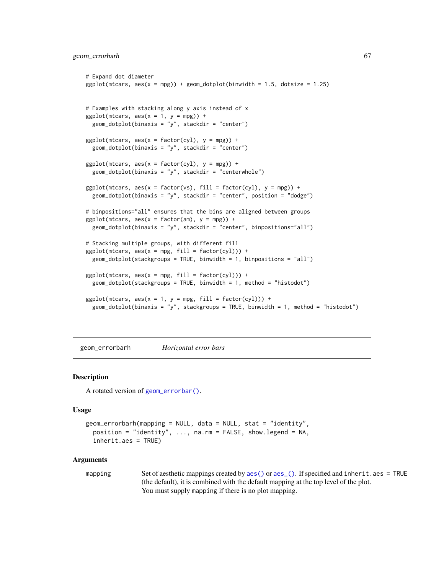### geom\_errorbarh 67

```
# Expand dot diameter
ggplot(mtcars, aes(x = mpg)) + geom_dotplot(binwidth = 1.5, dotsize = 1.25)# Examples with stacking along y axis instead of x
ggplot(mtcars, aes(x = 1, y = mpg)) +geom_dofplot(binaxis = "y", stackdir = "center")ggplot(mtcars, aes(x = factor(cyl), y = mpg)) +geom\_dot(binaxis = "y", stackdir = "center")ggplot(mtcars, aes(x = factor(cyl), y = mpg)) +geom\_dotplot(binaxis = "y", stackdir = "centerwhole")ggplot(mtcars, aes(x = factor(vs), fill = factor(cyl), y = mpg)) +geom_dotplot(binaxis = "y", stackdir = "center", position = "dodge")
# binpositions="all" ensures that the bins are aligned between groups
ggplot(mtcars, aes(x = factor(am), y = mpg)) +geom_dotplot(binaxis = "y", stackdir = "center", binpositions="all")
# Stacking multiple groups, with different fill
ggplot(mtcars, aes(x = mpg, fill = factor(cyl))) +geom_dotplot(stackgroups = TRUE, binwidth = 1, binpositions = "all")
ggplot(mtcars, aes(x = mpg, fill = factor(cyl))) +geom\_dotplot(statgroups = TRUE, binwidth = 1, method = "histodot")ggplot(mtcars, aes(x = 1, y = mpg, fill = factor(cyl))) +geom_dotplot(binaxis = "y", stackgroups = TRUE, binwidth = 1, method = "histodot")
```
<span id="page-66-0"></span>geom\_errorbarh *Horizontal error bars*

#### **Description**

A rotated version of [geom\\_errorbar\(\)](#page-56-0).

#### Usage

```
geom_errorbarh(mapping = NULL, data = NULL, stat = "identity",
 position = "identity", ..., na.rm = FALSE, show.legend = NA,
  inherit.aes = TRUE)
```

```
aes()aes_(). If specified and inherit.aes = TRUE
              (the default), it is combined with the default mapping at the top level of the plot.
              You must supply mapping if there is no plot mapping.
```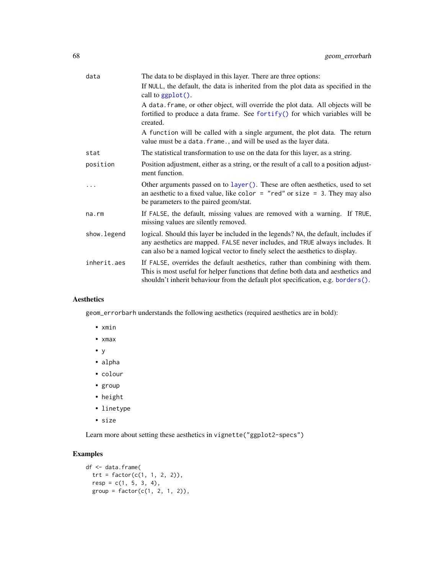| data        | The data to be displayed in this layer. There are three options:                                                                                                                                                                                       |
|-------------|--------------------------------------------------------------------------------------------------------------------------------------------------------------------------------------------------------------------------------------------------------|
|             | If NULL, the default, the data is inherited from the plot data as specified in the<br>call to $ggplot()$ .                                                                                                                                             |
|             | A data. frame, or other object, will override the plot data. All objects will be<br>fortified to produce a data frame. See fortify() for which variables will be<br>created.                                                                           |
|             | A function will be called with a single argument, the plot data. The return<br>value must be a data. frame., and will be used as the layer data.                                                                                                       |
| stat        | The statistical transformation to use on the data for this layer, as a string.                                                                                                                                                                         |
| position    | Position adjustment, either as a string, or the result of a call to a position adjust-<br>ment function.                                                                                                                                               |
|             | Other arguments passed on to layer (). These are often aesthetics, used to set<br>an aesthetic to a fixed value, like color = "red" or size = 3. They may also<br>be parameters to the paired geom/stat.                                               |
| na.rm       | If FALSE, the default, missing values are removed with a warning. If TRUE,<br>missing values are silently removed.                                                                                                                                     |
| show.legend | logical. Should this layer be included in the legends? NA, the default, includes if<br>any aesthetics are mapped. FALSE never includes, and TRUE always includes. It<br>can also be a named logical vector to finely select the aesthetics to display. |
| inherit.aes | If FALSE, overrides the default aesthetics, rather than combining with them.<br>This is most useful for helper functions that define both data and aesthetics and<br>shouldn't inherit behaviour from the default plot specification, e.g. borders().  |

# Aesthetics

geom\_errorbarh understands the following aesthetics (required aesthetics are in bold):

- xmin
- xmax
- y
- alpha
- colour
- group
- height
- linetype
- size

Learn more about setting these aesthetics in vignette("ggplot2-specs")

```
df <- data.frame(
 trt = factor(c(1, 1, 2, 2)),resp = c(1, 5, 3, 4),group = factor(c(1, 2, 1, 2)),
```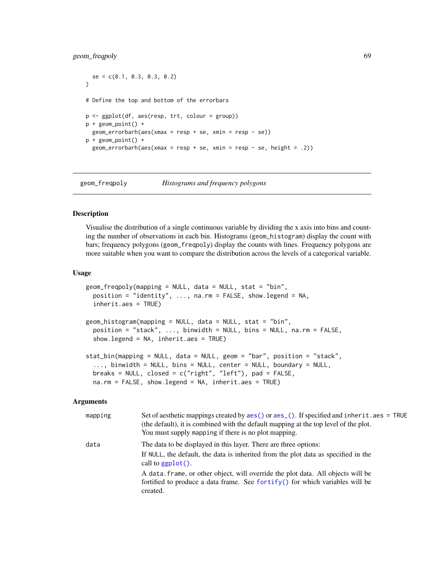# geom\_freqpoly 69

```
se = c(0.1, 0.3, 0.3, 0.2))
# Define the top and bottom of the errorbars
p <- ggplot(df, aes(resp, trt, colour = group))
p + geom_point() +
 geom_errorbarh(aes(xmax = resp + se, xmin = resp - se))
p + geom\_point() +geom_errorbarh(aes(xmax = resp + se, xmin = resp - se, height = .2))
```
<span id="page-68-1"></span>geom\_freqpoly *Histograms and frequency polygons*

#### <span id="page-68-0"></span>Description

Visualise the distribution of a single continuous variable by dividing the x axis into bins and counting the number of observations in each bin. Histograms (geom\_histogram) display the count with bars; frequency polygons (geom\_freqpoly) display the counts with lines. Frequency polygons are more suitable when you want to compare the distribution across the levels of a categorical variable.

#### Usage

```
geom_freqpoly(mapping = NULL, data = NULL, stat = "bin",
 position = "identity", \ldots, na.rm = FALSE, show.legend = NA,
  inherit.aes = TRUE)
geom_histogram(mapping = NULL, data = NULL, stat = "bin",
 position = "stack", ..., binwidth = NULL, bins = NULL, na.rm = FALSE,
  show.legend = NA, inherit.aes = TRUE)
stat_bin(mapping = NULL, data = NULL, geom = "bar", position = "stack",
  ..., binwidth = NULL, bins = NULL, center = NULL, boundary = NULL,
 breaks = NULL, closed = c("right", "left"), pad = FALSE,na.rm = FALSE, show.legend = NA, inherit.aes = TRUE)
```

| mapping | Set of aesthetic mappings created by $\text{aes}()$ or $\text{aes}()$ . If specified and inherit . aes = TRUE<br>(the default), it is combined with the default mapping at the top level of the plot.<br>You must supply mapping if there is no plot mapping. |
|---------|---------------------------------------------------------------------------------------------------------------------------------------------------------------------------------------------------------------------------------------------------------------|
| data    | The data to be displayed in this layer. There are three options:<br>If NULL, the default, the data is inherited from the plot data as specified in the<br>call to $\text{gplot}()$ .                                                                          |
|         | A data frame, or other object, will override the plot data. All objects will be<br>fortified to produce a data frame. See fortify() for which variables will be<br>created.                                                                                   |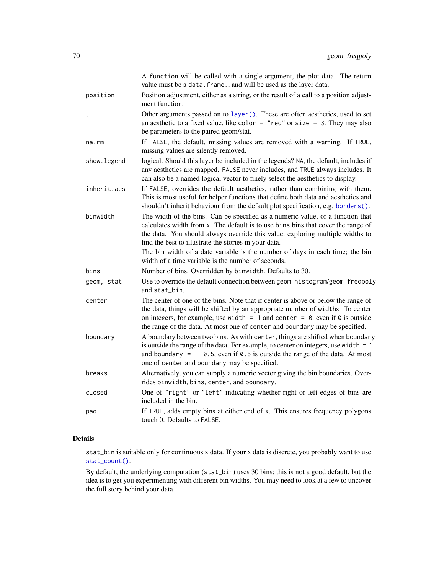|             | A function will be called with a single argument, the plot data. The return<br>value must be a data. frame., and will be used as the layer data.                                                                                                                                                                                                                                             |
|-------------|----------------------------------------------------------------------------------------------------------------------------------------------------------------------------------------------------------------------------------------------------------------------------------------------------------------------------------------------------------------------------------------------|
| position    | Position adjustment, either as a string, or the result of a call to a position adjust-<br>ment function.                                                                                                                                                                                                                                                                                     |
| .           | Other arguments passed on to layer (). These are often aesthetics, used to set<br>an aesthetic to a fixed value, like color = "red" or size = $3$ . They may also<br>be parameters to the paired geom/stat.                                                                                                                                                                                  |
| na.rm       | If FALSE, the default, missing values are removed with a warning. If TRUE,<br>missing values are silently removed.                                                                                                                                                                                                                                                                           |
| show.legend | logical. Should this layer be included in the legends? NA, the default, includes if<br>any aesthetics are mapped. FALSE never includes, and TRUE always includes. It<br>can also be a named logical vector to finely select the aesthetics to display.                                                                                                                                       |
| inherit.aes | If FALSE, overrides the default aesthetics, rather than combining with them.<br>This is most useful for helper functions that define both data and aesthetics and<br>shouldn't inherit behaviour from the default plot specification, e.g. borders().                                                                                                                                        |
| binwidth    | The width of the bins. Can be specified as a numeric value, or a function that<br>calculates width from x. The default is to use bins bins that cover the range of<br>the data. You should always override this value, exploring multiple widths to<br>find the best to illustrate the stories in your data.<br>The bin width of a date variable is the number of days in each time; the bin |
|             | width of a time variable is the number of seconds.                                                                                                                                                                                                                                                                                                                                           |
| bins        | Number of bins. Overridden by binwidth. Defaults to 30.                                                                                                                                                                                                                                                                                                                                      |
| geom, stat  | Use to override the default connection between geom_histogram/geom_freqpoly<br>and stat bin.                                                                                                                                                                                                                                                                                                 |
| center      | The center of one of the bins. Note that if center is above or below the range of<br>the data, things will be shifted by an appropriate number of widths. To center<br>on integers, for example, use width = $1$ and center = $0$ , even if $0$ is outside<br>the range of the data. At most one of center and boundary may be specified.                                                    |
| boundary    | A boundary between two bins. As with center, things are shifted when boundary<br>is outside the range of the data. For example, to center on integers, use width $= 1$<br>0.5, even if 0.5 is outside the range of the data. At most<br>and boundary $=$<br>one of center and boundary may be specified.                                                                                     |
| breaks      | Alternatively, you can supply a numeric vector giving the bin boundaries. Over-<br>rides binwidth, bins, center, and boundary.                                                                                                                                                                                                                                                               |
| closed      | One of "right" or "left" indicating whether right or left edges of bins are<br>included in the bin.                                                                                                                                                                                                                                                                                          |
| pad         | If TRUE, adds empty bins at either end of x. This ensures frequency polygons<br>touch 0. Defaults to FALSE.                                                                                                                                                                                                                                                                                  |

# Details

stat\_bin is suitable only for continuous x data. If your x data is discrete, you probably want to use [stat\\_count\(\)](#page-42-0).

By default, the underlying computation (stat\_bin) uses 30 bins; this is not a good default, but the idea is to get you experimenting with different bin widths. You may need to look at a few to uncover the full story behind your data.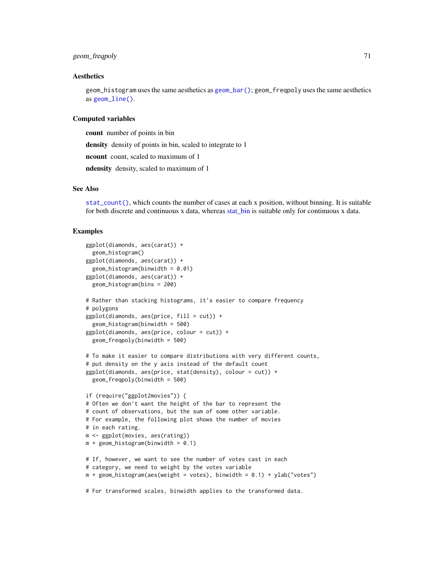# geom\_freqpoly 71

#### Aesthetics

geom\_histogram uses the same aesthetics as [geom\\_bar\(\)](#page-42-1); geom\_freqpoly uses the same aesthetics as [geom\\_line\(\)](#page-81-0).

### Computed variables

count number of points in bin density density of points in bin, scaled to integrate to 1 ncount count, scaled to maximum of 1 ndensity density, scaled to maximum of 1

# See Also

[stat\\_count\(\)](#page-42-0), which counts the number of cases at each x position, without binning. It is suitable for both discrete and continuous x data, whereas [stat\\_bin](#page-68-0) is suitable only for continuous x data.

### Examples

```
ggplot(diamonds, aes(carat)) +
  geom_histogram()
ggplot(diamonds, aes(carat)) +
  geom_histogram(binwidth = 0.01)
ggplot(diamonds, aes(carat)) +
  geom_histogram(bins = 200)
# Rather than stacking histograms, it's easier to compare frequency
# polygons
ggplot(diamonds, aes(price, fill = cut)) +
  geom_histogram(binwidth = 500)
ggplot(diamonds, aes(price, colour = cut)) +
  geom_freqpoly(binwidth = 500)
# To make it easier to compare distributions with very different counts,
# put density on the y axis instead of the default count
ggplot(diamonds, aes(price, stat(density), colour = cut)) +
  geom_freqpoly(binwidth = 500)
if (require("ggplot2movies")) {
# Often we don't want the height of the bar to represent the
# count of observations, but the sum of some other variable.
# For example, the following plot shows the number of movies
# in each rating.
m <- ggplot(movies, aes(rating))
m + geom\_histogram(binwidth = 0.1)# If, however, we want to see the number of votes cast in each
# category, we need to weight by the votes variable
m + geom\_histogram(aes(weight = votes), binwidth = 0.1) + ylab("votes")
```
# For transformed scales, binwidth applies to the transformed data.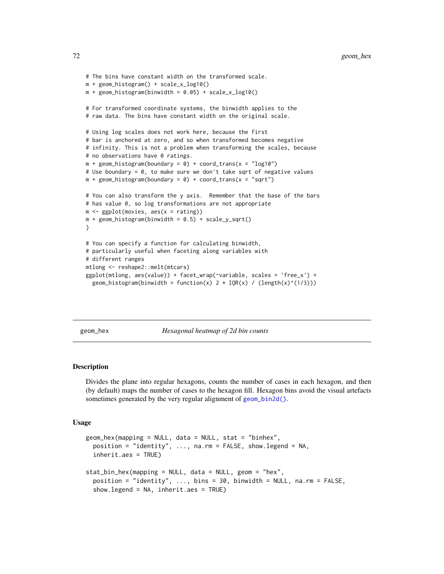```
# The bins have constant width on the transformed scale.
m + geom_histogram() + scale_x_log10()
m + geom\_histogram(binwidth = 0.05) + scale_x_log10()# For transformed coordinate systems, the binwidth applies to the
# raw data. The bins have constant width on the original scale.
# Using log scales does not work here, because the first
# bar is anchored at zero, and so when transformed becomes negative
# infinity. This is not a problem when transforming the scales, because
# no observations have 0 ratings.
m + geom\_histogram(boundary = 0) + coord\_trans(x = "log10")# Use boundary = 0, to make sure we don't take sqrt of negative values
m + geom\_histogram(boundary = 0) + coord\_trans(x = "sqrt")# You can also transform the y axis. Remember that the base of the bars
# has value 0, so log transformations are not appropriate
m \leftarrow ggplot(movies, aes(x = rating))
m + geom\_histogram(binwidth = 0.5) + scale_y_sqrt()}
# You can specify a function for calculating binwidth,
# particularly useful when faceting along variables with
# different ranges
mtlong <- reshape2::melt(mtcars)
ggplot(mtlong, aes(value)) + facet_wrap(~variable, scales = 'free_x') +
  geom_histogram(binwidth = function(x) 2 * IQR(x) / (length(x)^{(1/3)}))
```
geom\_hex *Hexagonal heatmap of 2d bin counts*

### <span id="page-71-0"></span>Description

Divides the plane into regular hexagons, counts the number of cases in each hexagon, and then (by default) maps the number of cases to the hexagon fill. Hexagon bins avoid the visual artefacts sometimes generated by the very regular alignment of [geom\\_bin2d\(\)](#page-45-0).

#### Usage

```
geom_hex(mapping = NULL, data = NULL, stat = "binhex",
 position = "identity", \ldots, na.rm = FALSE, show.legend = NA,
  inherit.aes = TRUE)
stat_bin_hex(mapping = NULL, data = NULL, geom = "hex",
  position = "identity", \ldots, bins = 30, binwidth = NULL, na.rm = FALSE,
  show.legend = NA, inherit.aes = TRUE)
```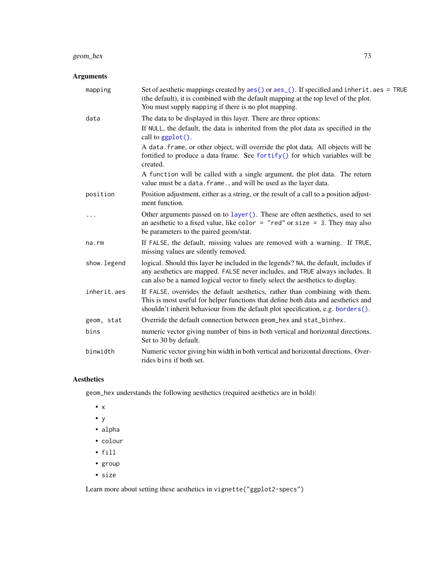# geom\_hex 73

# Arguments

| mapping     | Set of aesthetic mappings created by $\text{aes}()$ or $\text{aes}()$ . If specified and inherit. aes = TRUE<br>(the default), it is combined with the default mapping at the top level of the plot.<br>You must supply mapping if there is no plot mapping. |
|-------------|--------------------------------------------------------------------------------------------------------------------------------------------------------------------------------------------------------------------------------------------------------------|
| data        | The data to be displayed in this layer. There are three options:                                                                                                                                                                                             |
|             | If NULL, the default, the data is inherited from the plot data as specified in the<br>call to ggplot().                                                                                                                                                      |
|             | A data. frame, or other object, will override the plot data. All objects will be<br>fortified to produce a data frame. See fortify() for which variables will be<br>created.                                                                                 |
|             | A function will be called with a single argument, the plot data. The return<br>value must be a data. frame., and will be used as the layer data.                                                                                                             |
| position    | Position adjustment, either as a string, or the result of a call to a position adjust-<br>ment function.                                                                                                                                                     |
| .           | Other arguments passed on to layer (). These are often aesthetics, used to set<br>an aesthetic to a fixed value, like color = "red" or size = 3. They may also<br>be parameters to the paired geom/stat.                                                     |
| na.rm       | If FALSE, the default, missing values are removed with a warning. If TRUE,<br>missing values are silently removed.                                                                                                                                           |
| show.legend | logical. Should this layer be included in the legends? NA, the default, includes if<br>any aesthetics are mapped. FALSE never includes, and TRUE always includes. It<br>can also be a named logical vector to finely select the aesthetics to display.       |
| inherit.aes | If FALSE, overrides the default aesthetics, rather than combining with them.<br>This is most useful for helper functions that define both data and aesthetics and<br>shouldn't inherit behaviour from the default plot specification, e.g. borders().        |
| geom, stat  | Override the default connection between geom_hex and stat_binhex.                                                                                                                                                                                            |
| bins        | numeric vector giving number of bins in both vertical and horizontal directions.<br>Set to 30 by default.                                                                                                                                                    |
| binwidth    | Numeric vector giving bin width in both vertical and horizontal directions. Over-<br>rides bins if both set.                                                                                                                                                 |

## Aesthetics

geom\_hex understands the following aesthetics (required aesthetics are in bold):

- x
- y
- alpha
- colour
- fill
- group
- size

Learn more about setting these aesthetics in vignette("ggplot2-specs")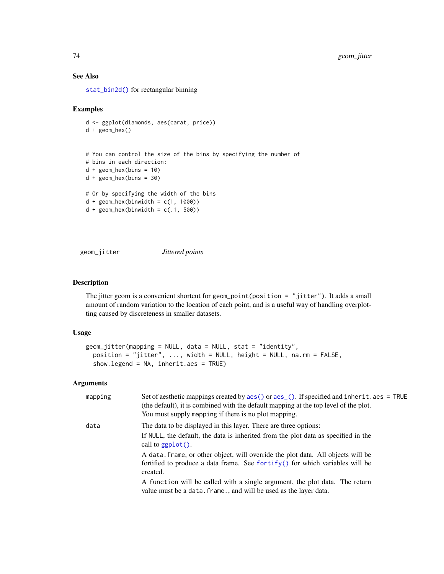## See Also

[stat\\_bin2d\(\)](#page-45-0) for rectangular binning

#### Examples

```
d <- ggplot(diamonds, aes(carat, price))
d + geom_hex()
# You can control the size of the bins by specifying the number of
# bins in each direction:
d + geom\_hex(bins = 10)d + geom\_hex(bins = 30)# Or by specifying the width of the bins
d + geom\_hex(binwidth = c(1, 1000))d + geom\_hex(binwidth = c(.1, 500))
```
<span id="page-73-0"></span>geom\_jitter *Jittered points*

#### Description

The jitter geom is a convenient shortcut for geom\_point(position = "jitter"). It adds a small amount of random variation to the location of each point, and is a useful way of handling overplotting caused by discreteness in smaller datasets.

#### Usage

```
geom_jitter(mapping = NULL, data = NULL, stat = "identity",
 position = "jitter", ..., width = NULL, height = NULL, na.rm = FALSE,
  show.legend = NA, inherit.aes = TRUE)
```

| mapping | Set of aesthetic mappings created by aes () or aes_(). If specified and inherit.aes = TRUE<br>(the default), it is combined with the default mapping at the top level of the plot.<br>You must supply mapping if there is no plot mapping. |
|---------|--------------------------------------------------------------------------------------------------------------------------------------------------------------------------------------------------------------------------------------------|
| data    | The data to be displayed in this layer. There are three options:                                                                                                                                                                           |
|         | If NULL, the default, the data is inherited from the plot data as specified in the<br>call to $ggplot()$ .                                                                                                                                 |
|         | A data frame, or other object, will override the plot data. All objects will be<br>fortified to produce a data frame. See for $\text{tr}(y)$ for which variables will be                                                                   |
|         | created.                                                                                                                                                                                                                                   |
|         | A function will be called with a single argument, the plot data. The return<br>value must be a data. frame., and will be used as the layer data.                                                                                           |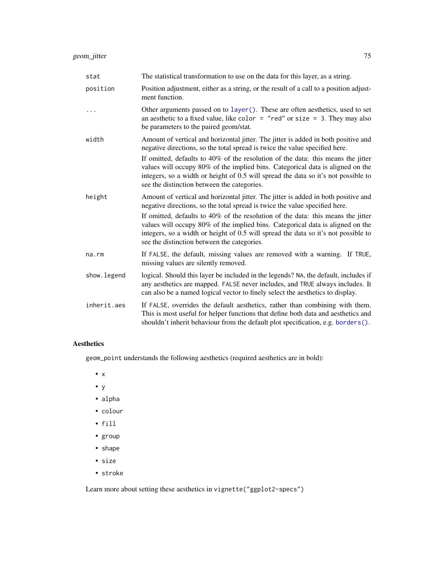| stat        | The statistical transformation to use on the data for this layer, as a string.                                                                                                                                                                                                                          |
|-------------|---------------------------------------------------------------------------------------------------------------------------------------------------------------------------------------------------------------------------------------------------------------------------------------------------------|
| position    | Position adjustment, either as a string, or the result of a call to a position adjust-<br>ment function.                                                                                                                                                                                                |
|             | Other arguments passed on to layer (). These are often aesthetics, used to set<br>an aesthetic to a fixed value, like color = "red" or size = 3. They may also<br>be parameters to the paired geom/stat.                                                                                                |
| width       | Amount of vertical and horizontal jitter. The jitter is added in both positive and<br>negative directions, so the total spread is twice the value specified here.                                                                                                                                       |
|             | If omitted, defaults to 40% of the resolution of the data: this means the jitter<br>values will occupy 80% of the implied bins. Categorical data is aligned on the<br>integers, so a width or height of 0.5 will spread the data so it's not possible to<br>see the distinction between the categories. |
| height      | Amount of vertical and horizontal jitter. The jitter is added in both positive and<br>negative directions, so the total spread is twice the value specified here.                                                                                                                                       |
|             | If omitted, defaults to 40% of the resolution of the data: this means the jitter<br>values will occupy 80% of the implied bins. Categorical data is aligned on the<br>integers, so a width or height of 0.5 will spread the data so it's not possible to<br>see the distinction between the categories. |
| na.rm       | If FALSE, the default, missing values are removed with a warning. If TRUE,<br>missing values are silently removed.                                                                                                                                                                                      |
| show.legend | logical. Should this layer be included in the legends? NA, the default, includes if<br>any aesthetics are mapped. FALSE never includes, and TRUE always includes. It<br>can also be a named logical vector to finely select the aesthetics to display.                                                  |
| inherit.aes | If FALSE, overrides the default aesthetics, rather than combining with them.<br>This is most useful for helper functions that define both data and aesthetics and<br>shouldn't inherit behaviour from the default plot specification, e.g. borders().                                                   |

geom\_point understands the following aesthetics (required aesthetics are in bold):

- x
- y
- alpha
- colour
- fill
- group
- shape
- size
- stroke

Learn more about setting these aesthetics in vignette("ggplot2-specs")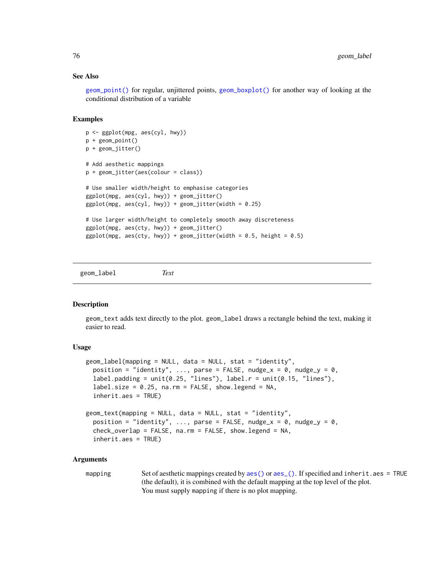#### See Also

[geom\\_point\(\)](#page-84-0) for regular, unjittered points, [geom\\_boxplot\(\)](#page-48-0) for another way of looking at the conditional distribution of a variable

# Examples

```
p <- ggplot(mpg, aes(cyl, hwy))
p + geom_point()
p + geom_jitter()
# Add aesthetic mappings
p + geom_jitter(aes(colour = class))
# Use smaller width/height to emphasise categories
ggplot(mpg, aes(cyl, hwy)) + geom_jitter()
ggplot(mpg, aes(cyl, hwy)) + geom_Jitter(width = 0.25)# Use larger width/height to completely smooth away discreteness
ggplot(mpg, aes(cty, hwy)) + geom_jitter()
ggplot(mpg, aes(cty, hwy)) + geom_Jitter(width = 0.5, height = 0.5)
```
geom\_label *Text*

### **Description**

geom\_text adds text directly to the plot. geom\_label draws a rectangle behind the text, making it easier to read.

### Usage

```
geom_label(mapping = NULL, data = NULL, stat = "identity",
 position = "identity", ..., parse = FALSE, nudge_x = 0, nudge_y = 0,
 label.padding = unit(0.25, "lines"), label.r = unit(0.15, "lines"),
  label.size = 0.25, na.rm = FALSE, show.legend = NA,
  inherit.aes = TRUE)
geom_text(mapping = NULL, data = NULL, stat = "identity",
 position = "identity", ..., parse = FALSE, nudge_x = 0, nudge_y = 0,
  check_overlap = FALSE, na.rm = FALSE, show. legend = NA,inherit.aes = TRUE)
```
#### Arguments

mapping Set of aesthetic mappings created by [aes\(\)](#page-6-0) or [aes\\_\(\)](#page-7-0). If specified and inherit.aes = TRUE (the default), it is combined with the default mapping at the top level of the plot. You must supply mapping if there is no plot mapping.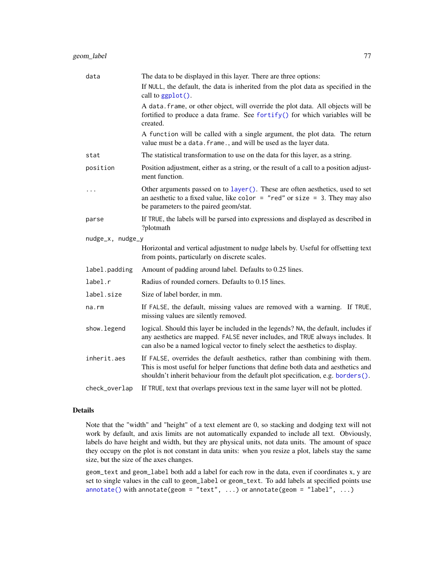| data             | The data to be displayed in this layer. There are three options:                                                                                                                                                                                       |
|------------------|--------------------------------------------------------------------------------------------------------------------------------------------------------------------------------------------------------------------------------------------------------|
|                  | If NULL, the default, the data is inherited from the plot data as specified in the<br>call to ggplot().                                                                                                                                                |
|                  | A data. frame, or other object, will override the plot data. All objects will be<br>fortified to produce a data frame. See fortify() for which variables will be<br>created.                                                                           |
|                  | A function will be called with a single argument, the plot data. The return<br>value must be a data. frame., and will be used as the layer data.                                                                                                       |
| stat             | The statistical transformation to use on the data for this layer, as a string.                                                                                                                                                                         |
| position         | Position adjustment, either as a string, or the result of a call to a position adjust-<br>ment function.                                                                                                                                               |
| .                | Other arguments passed on to layer (). These are often aesthetics, used to set<br>an aesthetic to a fixed value, like color = "red" or size = 3. They may also<br>be parameters to the paired geom/stat.                                               |
| parse            | If TRUE, the labels will be parsed into expressions and displayed as described in<br>?plotmath                                                                                                                                                         |
| nudge_x, nudge_y |                                                                                                                                                                                                                                                        |
|                  | Horizontal and vertical adjustment to nudge labels by. Useful for offsetting text<br>from points, particularly on discrete scales.                                                                                                                     |
| label.padding    | Amount of padding around label. Defaults to 0.25 lines.                                                                                                                                                                                                |
| label.r          | Radius of rounded corners. Defaults to 0.15 lines.                                                                                                                                                                                                     |
| label.size       | Size of label border, in mm.                                                                                                                                                                                                                           |
| $na$ . $rm$      | If FALSE, the default, missing values are removed with a warning. If TRUE,<br>missing values are silently removed.                                                                                                                                     |
| show.legend      | logical. Should this layer be included in the legends? NA, the default, includes if<br>any aesthetics are mapped. FALSE never includes, and TRUE always includes. It<br>can also be a named logical vector to finely select the aesthetics to display. |
| inherit.aes      | If FALSE, overrides the default aesthetics, rather than combining with them.<br>This is most useful for helper functions that define both data and aesthetics and<br>shouldn't inherit behaviour from the default plot specification, e.g. borders().  |
| check_overlap    | If TRUE, text that overlaps previous text in the same layer will not be plotted.                                                                                                                                                                       |

#### Details

Note that the "width" and "height" of a text element are 0, so stacking and dodging text will not work by default, and axis limits are not automatically expanded to include all text. Obviously, labels do have height and width, but they are physical units, not data units. The amount of space they occupy on the plot is not constant in data units: when you resize a plot, labels stay the same size, but the size of the axes changes.

geom\_text and geom\_label both add a label for each row in the data, even if coordinates x, y are set to single values in the call to geom\_label or geom\_text. To add labels at specified points use  $\mathsf{annotate}()$  with annotate(geom = "text", ...) or annotate(geom = "label", ...)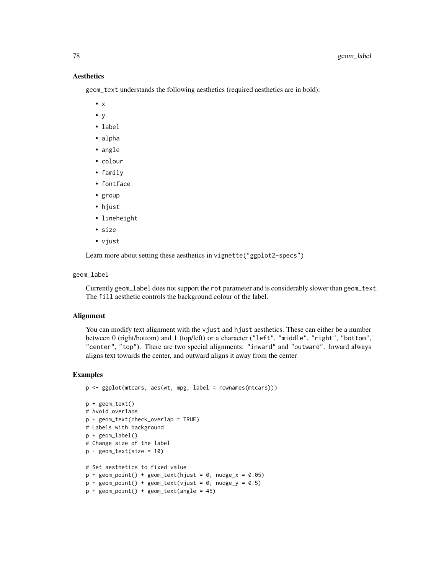geom\_text understands the following aesthetics (required aesthetics are in bold):

- $\bullet$  x
- y
- label
- alpha
- angle
- colour
- family
- fontface
- group
- hjust
- lineheight
- size
- vjust

Learn more about setting these aesthetics in vignette("ggplot2-specs")

## geom\_label

Currently geom\_label does not support the rot parameter and is considerably slower than geom\_text. The fill aesthetic controls the background colour of the label.

#### Alignment

You can modify text alignment with the vjust and hjust aesthetics. These can either be a number between 0 (right/bottom) and 1 (top/left) or a character ("left", "middle", "right", "bottom", "center", "top"). There are two special alignments: "inward" and "outward". Inward always aligns text towards the center, and outward aligns it away from the center

```
p <- ggplot(mtcars, aes(wt, mpg, label = rownames(mtcars)))
p + geom_text()
# Avoid overlaps
p + geom_text(check_overlap = TRUE)
# Labels with background
p + geom_label()
# Change size of the label
p + geometry = 10)
# Set aesthetics to fixed value
p + geom\_point() + geom\_text(hjust = 0, nudge_x = 0.05)p + geom\_point() + geom\_text(vjust = 0, nudge_y = 0.5)p + geom\_point() + geom\_text(name = 45)
```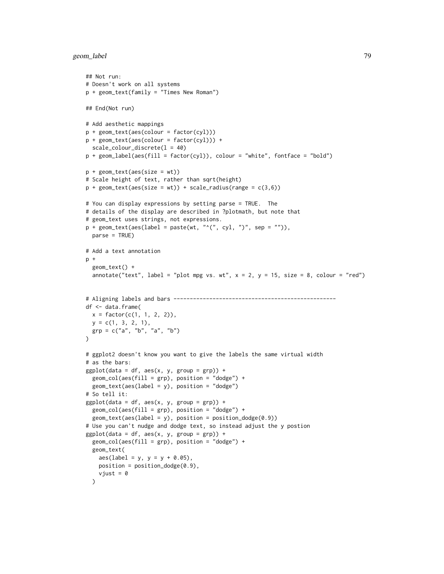```
## Not run:
# Doesn't work on all systems
p + geom_text(family = "Times New Roman")
## End(Not run)
# Add aesthetic mappings
p + geom\_text(aes(colour = factor(cyl)))p + geom\_text(aes(colour = factor(cyl))) +scale_colour_discrete(l = 40)
p + geom_label(aes(fill = factor(cyl)), colour = "white", fontface = "bold")
p + geom\_text(aes(size = wt))# Scale height of text, rather than sqrt(height)
p + geom\_text(aes(size = wt)) + scale\_radius(range = c(3,6))# You can display expressions by setting parse = TRUE. The
# details of the display are described in ?plotmath, but note that
# geom_text uses strings, not expressions.
p + geom\_text(aes(label = paste(wt, "^(", cyl, "))^", sep = "")),
  parse = TRUE)
# Add a text annotation
p +
  geom_text() +
  annotate("text", label = "plot mpg vs. wt", x = 2, y = 15, size = 8, colour = "red")
# Aligning labels and bars --------------------------------------------------
df <- data.frame(
 x = factor(c(1, 1, 2, 2)),y = c(1, 3, 2, 1),grp = c("a", "b", "a", "b"))
# ggplot2 doesn't know you want to give the labels the same virtual width
# as the bars:
ggplot(data = df, aes(x, y, group = grp)) +geom\_col(aes(fill = grp), position = "dodge") +geom\_text(aes(label = y), position = "dodge")# So tell it:
ggplot(data = df, aes(x, y, group = grp)) +geom_col(aes(fill = grp), position = "dodge") +
  geom\_text(aes(label = y), position = position\_dodge(0.9))# Use you can't nudge and dodge text, so instead adjust the y postion
ggplot(data = df, aes(x, y, group = grp)) +geom\_col(aes(fill = grp), position = "dodge") +geom_text(
    aes(label = y, y = y + 0.05),
   position = position\_dodge(0.9),
   vjust = 0)
```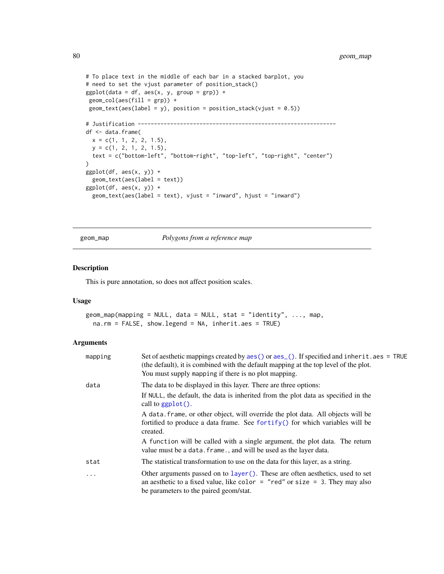```
# To place text in the middle of each bar in a stacked barplot, you
# need to set the vjust parameter of position_stack()
ggplot(data = df, aes(x, y, group = grp)) +geom\_col(aes(fill = grp)) +geom\_text(aes(label = y), position = position\_stack(vjust = 0.5))# Justification -------------------------------------------------------------
df <- data.frame(
 x = c(1, 1, 2, 2, 1.5),
  y = c(1, 2, 1, 2, 1.5),
  text = c("bottom-left", "bottom-right", "top-left", "top-right", "center")
\lambdaggplot(df, aes(x, y)) +geom_text(aes(label = text))
ggplot(df, aes(x, y)) +
  geom_text(aes(label = text), vjust = "inward", hjust = "inward")
```
geom\_map *Polygons from a reference map*

### Description

This is pure annotation, so does not affect position scales.

#### Usage

geom\_map(mapping = NULL, data = NULL, stat = "identity", ..., map, na.rm = FALSE, show.legend = NA, inherit.aes = TRUE)

| mapping | Set of aesthetic mappings created by $\text{aes}()$ or $\text{aes}()$ . If specified and inherit . aes = TRUE<br>(the default), it is combined with the default mapping at the top level of the plot.<br>You must supply mapping if there is no plot mapping. |
|---------|---------------------------------------------------------------------------------------------------------------------------------------------------------------------------------------------------------------------------------------------------------------|
| data    | The data to be displayed in this layer. There are three options:                                                                                                                                                                                              |
|         | If NULL, the default, the data is inherited from the plot data as specified in the<br>call to ggplot().                                                                                                                                                       |
|         | A data frame, or other object, will override the plot data. All objects will be<br>fortified to produce a data frame. See fortify() for which variables will be<br>created.                                                                                   |
|         | A function will be called with a single argument, the plot data. The return<br>value must be a data. frame., and will be used as the layer data.                                                                                                              |
| stat    | The statistical transformation to use on the data for this layer, as a string.                                                                                                                                                                                |
| $\cdot$ | Other arguments passed on to layer (). These are often aesthetics, used to set<br>an aesthetic to a fixed value, like color = "red" or size = 3. They may also<br>be parameters to the paired geom/stat.                                                      |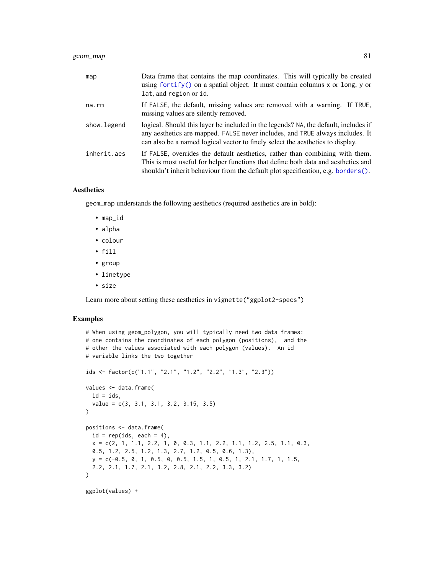| map         | Data frame that contains the map coordinates. This will typically be created<br>using fortify() on a spatial object. It must contain columns x or long, y or<br>lat, and region or id.                                                                 |
|-------------|--------------------------------------------------------------------------------------------------------------------------------------------------------------------------------------------------------------------------------------------------------|
| na.rm       | If FALSE, the default, missing values are removed with a warning. If TRUE,<br>missing values are silently removed.                                                                                                                                     |
| show.legend | logical. Should this layer be included in the legends? NA, the default, includes if<br>any aesthetics are mapped. FALSE never includes, and TRUE always includes. It<br>can also be a named logical vector to finely select the aesthetics to display. |
| inherit.aes | If FALSE, overrides the default aesthetics, rather than combining with them.<br>This is most useful for helper functions that define both data and aesthetics and<br>shouldn't inherit behaviour from the default plot specification, e.g. borders().  |

geom\_map understands the following aesthetics (required aesthetics are in bold):

- map\_id
- alpha
- colour
- fill
- group
- linetype
- size

Learn more about setting these aesthetics in vignette("ggplot2-specs")

```
# When using geom_polygon, you will typically need two data frames:
# one contains the coordinates of each polygon (positions), and the
# other the values associated with each polygon (values). An id
# variable links the two together
ids <- factor(c("1.1", "2.1", "1.2", "2.2", "1.3", "2.3"))
values <- data.frame(
  id = ids,
  value = c(3, 3.1, 3.1, 3.2, 3.15, 3.5)
\lambdapositions <- data.frame(
  id = rep(ids, each = 4),x = c(2, 1, 1.1, 2.2, 1, 0, 0.3, 1.1, 2.2, 1.1, 1.2, 2.5, 1.1, 0.3,0.5, 1.2, 2.5, 1.2, 1.3, 2.7, 1.2, 0.5, 0.6, 1.3),
  y = c(-0.5, 0, 1, 0.5, 0, 0.5, 1.5, 1, 0.5, 1, 2.1, 1.7, 1, 1.5,
  2.2, 2.1, 1.7, 2.1, 3.2, 2.8, 2.1, 2.2, 3.3, 3.2)
\mathcal{L}ggplot(values) +
```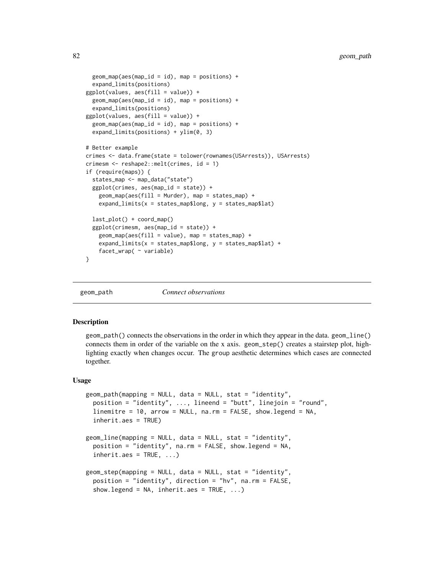```
geom_map(aes(map_id = id), map = positions) +expand_limits(positions)
ggplot(values, aes(fill = value)) +
 geom_map(aes(map_id = id), map = positions) +expand_limits(positions)
ggplot(values, aes(fill = value)) +
 geom_map(aes(map_id = id), map = positions) +
 expand_limits(positions) + ylim(0, 3)
# Better example
crimes <- data.frame(state = tolower(rownames(USArrests)), USArrests)
crimesm <- reshape2::melt(crimes, id = 1)
if (require(maps)) {
 states_map <- map_data("state")
 ggplot(crimes, aes(map_id = state)) +
    geom_map(aes(fill = Murder), map = states_map) +
    expand_limits(x = states_map$long, y = states_map$lat)
 last_plot() + coord_map()
 ggplot(crimesm, aes(map_id = state)) +
   geom_map(aes(fill = value), map = states_map) +expand_limits(x =states_map$long, y =states_map$lat) +
   facet_wrap( ~ variable)
}
```

```
geom_path Connect observations
```
### <span id="page-81-1"></span>Description

geom\_path() connects the observations in the order in which they appear in the data. geom\_line() connects them in order of the variable on the x axis. geom\_step() creates a stairstep plot, highlighting exactly when changes occur. The group aesthetic determines which cases are connected together.

#### Usage

```
geom_path(mapping = NULL, data = NULL, stat = "identity",
 position = "identity", ..., lineend = "butt", linejoin = "round",
  linemitre = 10, arrow = NULL, na.rm = FALSE, show.legend = NA,
  inherit.aes = TRUE)
geom_line(mapping = NULL, data = NULL, stat = "identity",
 position = "identity", na.rm = FALSE, show.legend = NA,
  inherit.aes = TRUE, ...geom_step(mapping = NULL, data = NULL, stat = "identity",
 position = "identity", direction = "hv", na.rm = FALSE,
  show.legend = NA, inherit.aes = TRUE, ...)
```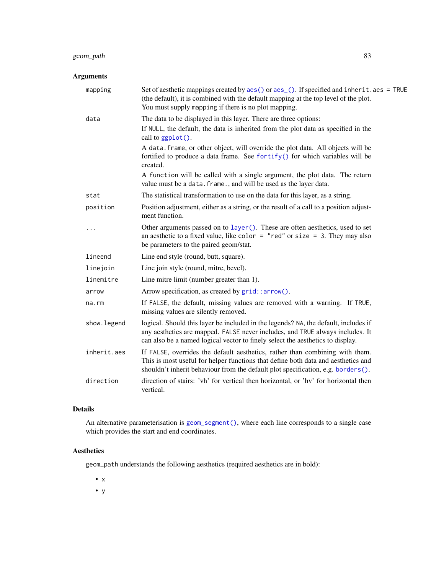# geom\_path 83

# Arguments

| mapping      | Set of aesthetic mappings created by aes() or aes_(). If specified and inherit.aes = TRUE<br>(the default), it is combined with the default mapping at the top level of the plot.<br>You must supply mapping if there is no plot mapping.              |
|--------------|--------------------------------------------------------------------------------------------------------------------------------------------------------------------------------------------------------------------------------------------------------|
| data         | The data to be displayed in this layer. There are three options:                                                                                                                                                                                       |
|              | If NULL, the default, the data is inherited from the plot data as specified in the<br>call to ggplot().                                                                                                                                                |
|              | A data. frame, or other object, will override the plot data. All objects will be<br>fortified to produce a data frame. See fortify() for which variables will be<br>created.                                                                           |
|              | A function will be called with a single argument, the plot data. The return<br>value must be a data. frame., and will be used as the layer data.                                                                                                       |
| stat         | The statistical transformation to use on the data for this layer, as a string.                                                                                                                                                                         |
| position     | Position adjustment, either as a string, or the result of a call to a position adjust-<br>ment function.                                                                                                                                               |
|              | Other arguments passed on to layer (). These are often aesthetics, used to set<br>an aesthetic to a fixed value, like color = "red" or size = 3. They may also<br>be parameters to the paired geom/stat.                                               |
| lineend      | Line end style (round, butt, square).                                                                                                                                                                                                                  |
| linejoin     | Line join style (round, mitre, bevel).                                                                                                                                                                                                                 |
| linemitre    | Line mitre limit (number greater than 1).                                                                                                                                                                                                              |
| arrow        | Arrow specification, as created by grid::arrow().                                                                                                                                                                                                      |
| na.rm        | If FALSE, the default, missing values are removed with a warning. If TRUE,<br>missing values are silently removed.                                                                                                                                     |
| show. legend | logical. Should this layer be included in the legends? NA, the default, includes if<br>any aesthetics are mapped. FALSE never includes, and TRUE always includes. It<br>can also be a named logical vector to finely select the aesthetics to display. |
| inherit.aes  | If FALSE, overrides the default aesthetics, rather than combining with them.<br>This is most useful for helper functions that define both data and aesthetics and<br>shouldn't inherit behaviour from the default plot specification, e.g. borders().  |
| direction    | direction of stairs: 'vh' for vertical then horizontal, or 'hv' for horizontal then<br>vertical.                                                                                                                                                       |

# Details

An alternative parameterisation is [geom\\_segment\(\)](#page-100-0), where each line corresponds to a single case which provides the start and end coordinates.

# Aesthetics

geom\_path understands the following aesthetics (required aesthetics are in bold):

- x
- y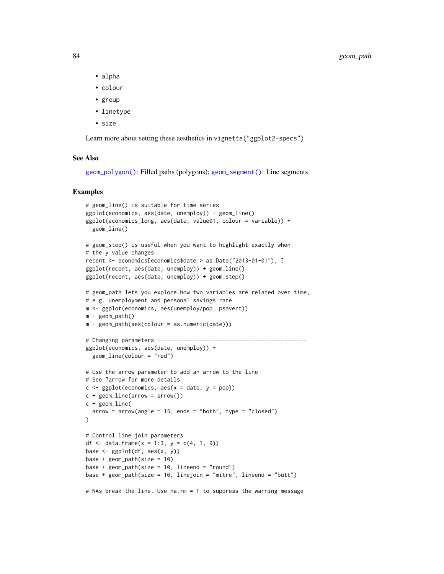- alpha
- colour
- group
- linetype
- size

Learn more about setting these aesthetics in vignette("ggplot2-specs")

#### See Also

[geom\\_polygon\(\)](#page-87-0): Filled paths (polygons); [geom\\_segment\(\)](#page-100-0): Line segments

```
# geom_line() is suitable for time series
ggplot(economics, aes(date, unemploy)) + geom_line()
ggplot(economics_long, aes(date, value01, colour = variable)) +
  geom_line()
# geom_step() is useful when you want to highlight exactly when
# the y value changes
recent <- economics[economics$date > as.Date("2013-01-01"), ]
ggplot(recent, aes(date, unemploy)) + geom_line()
ggplot(recent, aes(date, unemploy)) + geom_step()
# geom_path lets you explore how two variables are related over time,
# e.g. unemployment and personal savings rate
m <- ggplot(economics, aes(unemploy/pop, psavert))
m + geom_path()
m + geom_path(aes(colour = as.numeric(date)))
# Changing parameters ----------------------------------------------
ggplot(economics, aes(date, unemploy)) +
  geom_line(colour = "red")
# Use the arrow parameter to add an arrow to the line
# See ?arrow for more details
c \leq-ggplot(economics, aes(x = date, y = pop))c + geom\_line(arrow = arrow())c + geom_line(
  arrow = arrow(name = 15, ends = "both", type = "closed"))
# Control line join parameters
df <- data.frame(x = 1:3, y = c(4, 1, 9))
base \leq ggplot(df, aes(x, y))
base + geom\_path(size = 10)base + geom\_path(size = 10, lineend = "round")base + geom\_path(size = 10, linejoin = "mitre", lineend = "butt")# NAs break the line. Use na.rm = T to suppress the warning message
```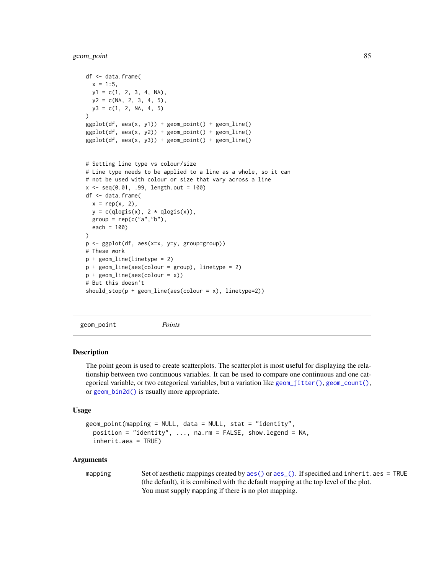geom\_point 85

```
df <- data.frame(
  x = 1:5,
  y1 = c(1, 2, 3, 4, NA),
  y2 = c(NA, 2, 3, 4, 5),
  y3 = c(1, 2, NA, 4, 5))
ggplot(df, aes(x, y1)) + geom\_point() + geom\_line()ggplot(df, aes(x, y2)) + geom\_point() + geom\_line()ggplot(df, aes(x, y3)) + geom\_point() + geom\_line()# Setting line type vs colour/size
# Line type needs to be applied to a line as a whole, so it can
# not be used with colour or size that vary across a line
x <- seq(0.01, .99, length.out = 100)
df <- data.frame(
 x = rep(x, 2),y = c(dlogis(x), 2 * dlogis(x)),group = rep(c("a", "b"),each = 100)
)
p <- ggplot(df, aes(x=x, y=y, group=group))
# These work
p + geom_line(linetype = 2)
p + geom_line(aes(colour = group), linetype = 2)
p + geom\_line(aes(colour = x))# But this doesn't
should_stop(p + geom_line(aes(colour = x), linetype=2))
```
<span id="page-84-0"></span>geom\_point *Points*

#### **Description**

The point geom is used to create scatterplots. The scatterplot is most useful for displaying the relationship between two continuous variables. It can be used to compare one continuous and one categorical variable, or two categorical variables, but a variation like [geom\\_jitter\(\)](#page-73-0), [geom\\_count\(\)](#page-53-0), or [geom\\_bin2d\(\)](#page-45-1) is usually more appropriate.

#### Usage

```
geom_point(mapping = NULL, data = NULL, stat = "identity",
 position = "identity", ..., na.rm = FALSE, show.legend = NA,
  inherit.aes = TRUE)
```
#### Arguments

mapping Set of aesthetic mappings created by [aes\(\)](#page-6-0) or [aes\\_\(\)](#page-7-0). If specified and inherit.aes = TRUE (the default), it is combined with the default mapping at the top level of the plot. You must supply mapping if there is no plot mapping.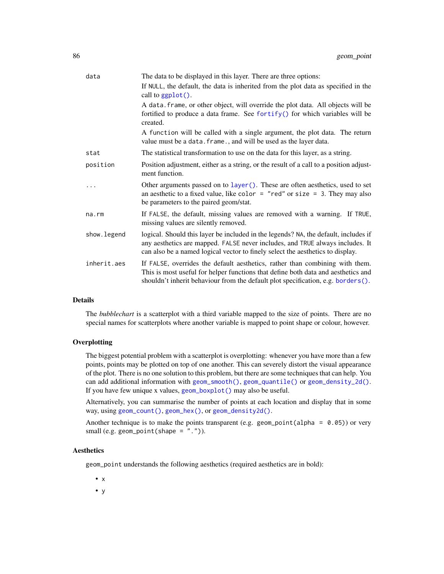| data        | The data to be displayed in this layer. There are three options:                                                                                                                                                                                       |
|-------------|--------------------------------------------------------------------------------------------------------------------------------------------------------------------------------------------------------------------------------------------------------|
|             | If NULL, the default, the data is inherited from the plot data as specified in the<br>call to $ggplot()$ .                                                                                                                                             |
|             | A data. frame, or other object, will override the plot data. All objects will be<br>fortified to produce a data frame. See fortify() for which variables will be<br>created.                                                                           |
|             | A function will be called with a single argument, the plot data. The return<br>value must be a data. frame., and will be used as the layer data.                                                                                                       |
| stat        | The statistical transformation to use on the data for this layer, as a string.                                                                                                                                                                         |
| position    | Position adjustment, either as a string, or the result of a call to a position adjust-<br>ment function.                                                                                                                                               |
|             | Other arguments passed on to layer (). These are often aesthetics, used to set<br>an aesthetic to a fixed value, like color = "red" or size = 3. They may also<br>be parameters to the paired geom/stat.                                               |
| na.rm       | If FALSE, the default, missing values are removed with a warning. If TRUE,<br>missing values are silently removed.                                                                                                                                     |
| show.legend | logical. Should this layer be included in the legends? NA, the default, includes if<br>any aesthetics are mapped. FALSE never includes, and TRUE always includes. It<br>can also be a named logical vector to finely select the aesthetics to display. |
| inherit.aes | If FALSE, overrides the default aesthetics, rather than combining with them.<br>This is most useful for helper functions that define both data and aesthetics and<br>shouldn't inherit behaviour from the default plot specification, e.g. borders().  |

#### Details

The *bubblechart* is a scatterplot with a third variable mapped to the size of points. There are no special names for scatterplots where another variable is mapped to point shape or colour, however.

### **Overplotting**

The biggest potential problem with a scatterplot is overplotting: whenever you have more than a few points, points may be plotted on top of one another. This can severely distort the visual appearance of the plot. There is no one solution to this problem, but there are some techniques that can help. You can add additional information with [geom\\_smooth\(\)](#page-102-0), [geom\\_quantile\(\)](#page-91-0) or [geom\\_density\\_2d\(\)](#page-61-0). If you have few unique x values, [geom\\_boxplot\(\)](#page-48-0) may also be useful.

Alternatively, you can summarise the number of points at each location and display that in some way, using [geom\\_count\(\)](#page-53-0), [geom\\_hex\(\)](#page-71-0), or [geom\\_density2d\(\)](#page-61-1).

Another technique is to make the points transparent (e.g. geom\_point(alpha =  $0.05$ )) or very small (e.g. geom\_point(shape =  $"$ .")).

### **Aesthetics**

geom\_point understands the following aesthetics (required aesthetics are in bold):

- x
- y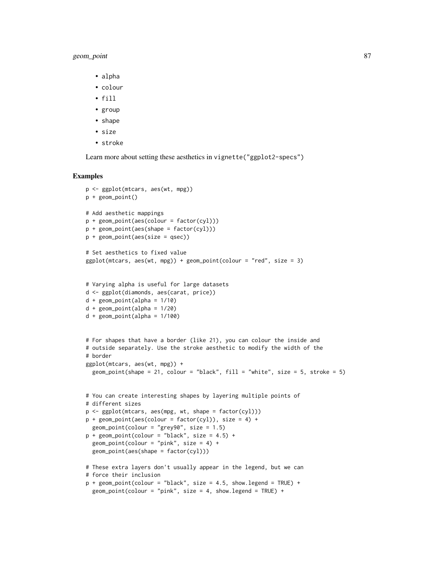## geom\_point 87

- alpha
- colour
- fill
- group
- shape
- size
- stroke

Learn more about setting these aesthetics in vignette("ggplot2-specs")

```
p <- ggplot(mtcars, aes(wt, mpg))
p + geom_point()
# Add aesthetic mappings
p + geom\_point(aes(colour = factor(cyl)))p + geom\_point(aes(shape = factor(cyl)))p + geom\_point(aes(size = qsec))# Set aesthetics to fixed value
ggplot(mtcars, aes(wt, mpg)) + geom\_point(colour = "red", size = 3)# Varying alpha is useful for large datasets
d <- ggplot(diamonds, aes(carat, price))
d + geom_point(alpha = 1/10)
d + geom_point(alpha = 1/20)
d + geom\_point(alpha = 1/100)# For shapes that have a border (like 21), you can colour the inside and
# outside separately. Use the stroke aesthetic to modify the width of the
# border
ggplot(mtcars, aes(wt, mpg)) +
  geom_point(shape = 21, colour = "black", fill = "white", size = 5, stroke = 5)
# You can create interesting shapes by layering multiple points of
# different sizes
p <- ggplot(mtcars, aes(mpg, wt, shape = factor(cyl)))
p + geom\_point(aes(colour = factor(cyl)), size = 4) +geom_point(colour = "grey90", size = 1.5)
p + geom\_point(colour = "black", size = 4.5) +geom\_point(colour = "pink", size = 4) +geom_point(aes(shape = factor(cyl)))
# These extra layers don't usually appear in the legend, but we can
# force their inclusion
p + geom\_point(colour = "black", size = 4.5, show. legend = TRUE) +geom\_point(colour = "pink", size = 4, show.length = TRUE) +
```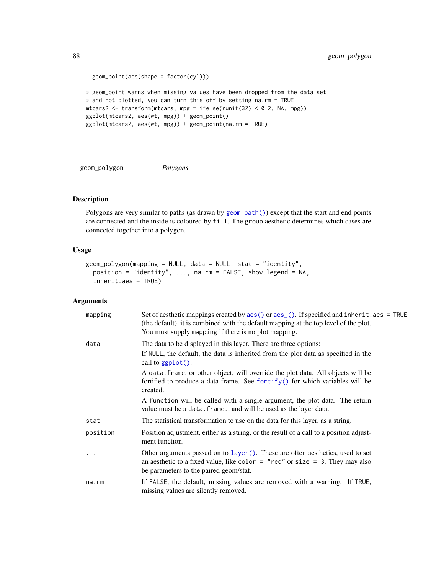```
geom_point(aes(shape = factor(cyl)))
# geom_point warns when missing values have been dropped from the data set
# and not plotted, you can turn this off by setting na.rm = TRUE
mtcars2 <- transform(mtcars, mpg = ifelse(runif(32) < 0.2, NA, mpg))
ggplot(mtcars2, aes(wt, mpg)) + geom_point()
ggplot(mtcars2, aes(wt, mpg)) + geom_point(na.rm = TRUE)
```
<span id="page-87-0"></span>geom\_polygon *Polygons*

# Description

Polygons are very similar to paths (as drawn by [geom\\_path\(\)](#page-81-0)) except that the start and end points are connected and the inside is coloured by fill. The group aesthetic determines which cases are connected together into a polygon.

## Usage

```
geom_polygon(mapping = NULL, data = NULL, stat = "identity",
 position = "identity", ..., na.rm = FALSE, show.legend = NA,
  inherit.aes = TRUE)
```

| mapping  | Set of aesthetic mappings created by aes () or aes (). If specified and inherit . aes = TRUE<br>(the default), it is combined with the default mapping at the top level of the plot.<br>You must supply mapping if there is no plot mapping. |
|----------|----------------------------------------------------------------------------------------------------------------------------------------------------------------------------------------------------------------------------------------------|
| data     | The data to be displayed in this layer. There are three options:                                                                                                                                                                             |
|          | If NULL, the default, the data is inherited from the plot data as specified in the<br>call to $ggplot()$ .                                                                                                                                   |
|          | A data. frame, or other object, will override the plot data. All objects will be<br>fortified to produce a data frame. See fortify() for which variables will be<br>created.                                                                 |
|          | A function will be called with a single argument, the plot data. The return<br>value must be a data. frame., and will be used as the layer data.                                                                                             |
| stat     | The statistical transformation to use on the data for this layer, as a string.                                                                                                                                                               |
| position | Position adjustment, either as a string, or the result of a call to a position adjust-<br>ment function.                                                                                                                                     |
|          | Other arguments passed on to layer (). These are often aesthetics, used to set<br>an aesthetic to a fixed value, like color = "red" or size = 3. They may also<br>be parameters to the paired geom/stat.                                     |
| na.rm    | If FALSE, the default, missing values are removed with a warning. If TRUE,<br>missing values are silently removed.                                                                                                                           |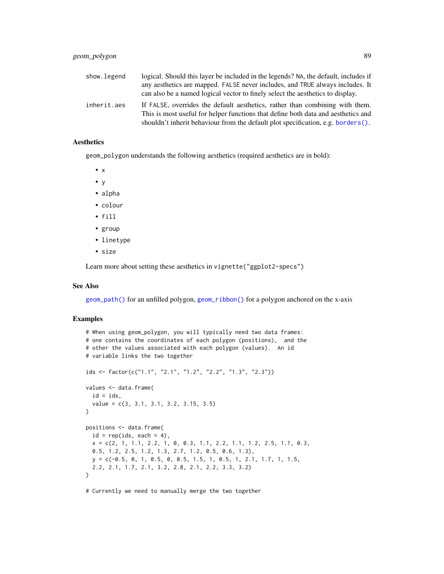| show.legend | logical. Should this layer be included in the legends? NA, the default, includes if                                                                               |
|-------------|-------------------------------------------------------------------------------------------------------------------------------------------------------------------|
|             | any aesthetics are mapped. FALSE never includes, and TRUE always includes. It                                                                                     |
|             | can also be a named logical vector to finely select the aesthetics to display.                                                                                    |
| inherit.aes | If FALSE, overrides the default aesthetics, rather than combining with them.<br>This is most useful for helper functions that define both data and aesthetics and |
|             | shouldn't inherit behaviour from the default plot specification, e.g. borders().                                                                                  |

geom\_polygon understands the following aesthetics (required aesthetics are in bold):

• x

- y
- alpha
- colour
- fill
- group
- linetype
- size

Learn more about setting these aesthetics in vignette("ggplot2-specs")

#### See Also

[geom\\_path\(\)](#page-81-0) for an unfilled polygon, [geom\\_ribbon\(\)](#page-96-0) for a polygon anchored on the x-axis

### Examples

```
# When using geom_polygon, you will typically need two data frames:
# one contains the coordinates of each polygon (positions), and the
# other the values associated with each polygon (values). An id
# variable links the two together
ids <- factor(c("1.1", "2.1", "1.2", "2.2", "1.3", "2.3"))
values <- data.frame(
  id = ids,
  value = c(3, 3.1, 3.1, 3.2, 3.15, 3.5)
\lambdapositions <- data.frame(
  id = rep(ids, each = 4),x = c(2, 1, 1.1, 2.2, 1, 0, 0.3, 1.1, 2.2, 1.1, 1.2, 2.5, 1.1, 0.3,0.5, 1.2, 2.5, 1.2, 1.3, 2.7, 1.2, 0.5, 0.6, 1.3),
  y = c(-0.5, 0, 1, 0.5, 0, 0.5, 1.5, 1, 0.5, 1, 2.1, 1.7, 1, 1.5,
  2.2, 2.1, 1.7, 2.1, 3.2, 2.8, 2.1, 2.2, 3.3, 3.2)
)
```
# Currently we need to manually merge the two together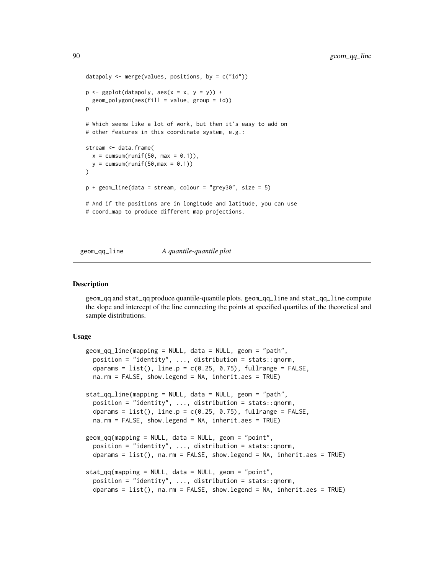```
datapoly \leq merge(values, positions, by = c("id"))
p \leftarrow \text{ggplot}(datapoly, aes(x = x, y = y)) +geom_polygon(aes(fill = value, group = id))
\mathsf{D}# Which seems like a lot of work, but then it's easy to add on
# other features in this coordinate system, e.g.:
stream <- data.frame(
  x = \text{cumsum}(\text{runif}(50, \text{max} = 0.1)),y = \text{cumsum}(\text{runif}(50, \text{max} = 0.1)))
p + geom_line(data = stream, colour = "grey30", size = 5)
# And if the positions are in longitude and latitude, you can use
# coord_map to produce different map projections.
```
#### geom\_qq\_line *A quantile-quantile plot*

#### **Description**

geom\_qq and stat\_qq produce quantile-quantile plots. geom\_qq\_line and stat\_qq\_line compute the slope and intercept of the line connecting the points at specified quartiles of the theoretical and sample distributions.

#### Usage

```
geom_qq_line(mapping = NULL, data = NULL, geom = "path",
 position = "identity", ..., distribution = stats::qnorm,
  dparams = list(), line.p = c(0.25, 0.75), fullrange = FALSE,
  na.rm = FALSE, show.legend = NA, inherit.aes = TRUE)
stat_qq_line(mapping = NULL, data = NULL, geom = "path",
  position = "identity", ..., distribution = stats::qnorm,
  dparams = list(), line.p = c(0.25, 0.75), fullrange = FALSE,
  na.rm = FALSE, show.legend = NA, inherit.aes = TRUE)
geom_qq(mapping = NULL, data = NULL, geom = "point",
 position = "identity", ..., distribution = stats::qnorm,
  dparams = list(), na.rm = FALSE, show.legend = NA, inherit.aes = TRUE)stat_qq(mapping = NULL, data = NULL, geom = "point",position = "identity", \ldots, distribution = stats:: qnorm,
  dparams = list(), na.rm = FALSE, show.legend = NA, inherit.aes = TRUE)
```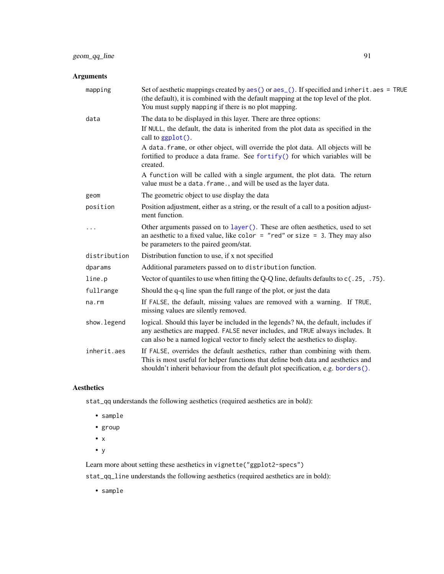# Arguments

| mapping      | Set of aesthetic mappings created by $aes()$ or $aes_()$ . If specified and inherit. $aes = TRUE$<br>(the default), it is combined with the default mapping at the top level of the plot.<br>You must supply mapping if there is no plot mapping.      |
|--------------|--------------------------------------------------------------------------------------------------------------------------------------------------------------------------------------------------------------------------------------------------------|
| data         | The data to be displayed in this layer. There are three options:                                                                                                                                                                                       |
|              | If NULL, the default, the data is inherited from the plot data as specified in the<br>call to ggplot().                                                                                                                                                |
|              | A data. frame, or other object, will override the plot data. All objects will be<br>fortified to produce a data frame. See fortify() for which variables will be<br>created.                                                                           |
|              | A function will be called with a single argument, the plot data. The return<br>value must be a data. frame., and will be used as the layer data.                                                                                                       |
| geom         | The geometric object to use display the data                                                                                                                                                                                                           |
| position     | Position adjustment, either as a string, or the result of a call to a position adjust-<br>ment function.                                                                                                                                               |
| $\cdots$     | Other arguments passed on to layer (). These are often aesthetics, used to set<br>an aesthetic to a fixed value, like color = "red" or size = 3. They may also<br>be parameters to the paired geom/stat.                                               |
| distribution | Distribution function to use, if x not specified                                                                                                                                                                                                       |
| dparams      | Additional parameters passed on to distribution function.                                                                                                                                                                                              |
| line.p       | Vector of quantiles to use when fitting the Q-Q line, defaults defaults to $c(.25, .75)$ .                                                                                                                                                             |
| fullrange    | Should the q-q line span the full range of the plot, or just the data                                                                                                                                                                                  |
| na.rm        | If FALSE, the default, missing values are removed with a warning. If TRUE,<br>missing values are silently removed.                                                                                                                                     |
| show. legend | logical. Should this layer be included in the legends? NA, the default, includes if<br>any aesthetics are mapped. FALSE never includes, and TRUE always includes. It<br>can also be a named logical vector to finely select the aesthetics to display. |
| inherit.aes  | If FALSE, overrides the default aesthetics, rather than combining with them.<br>This is most useful for helper functions that define both data and aesthetics and<br>shouldn't inherit behaviour from the default plot specification, e.g. borders().  |

# Aesthetics

stat\_qq understands the following aesthetics (required aesthetics are in bold):

- sample
- group
- x
- y

Learn more about setting these aesthetics in vignette("ggplot2-specs")

stat\_qq\_line understands the following aesthetics (required aesthetics are in bold):

• sample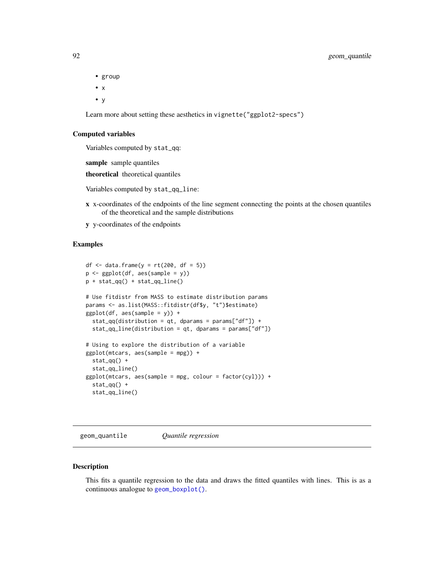## 92 geom\_quantile

- group
- x
- y

Learn more about setting these aesthetics in vignette("ggplot2-specs")

#### Computed variables

Variables computed by stat\_qq:

sample sample quantiles

theoretical theoretical quantiles

Variables computed by stat\_qq\_line:

- x x-coordinates of the endpoints of the line segment connecting the points at the chosen quantiles of the theoretical and the sample distributions
- y y-coordinates of the endpoints

# Examples

```
df \le data.frame(y = rt(200, df = 5))
p <- ggplot(df, aes(sample = y))
p + stat_qq() + stat_qq_# Use fitdistr from MASS to estimate distribution params
params <- as.list(MASS::fitdistr(df$y, "t")$estimate)
ggplot(df, aes(sample = y)) +
 stat_qq(distribution = qt, dparams = params["df"]) +
 stat_qq line(distribution = qt, dparams = params["df"])
# Using to explore the distribution of a variable
ggplot(mtcars, aes(sample = mpg)) +
 stat_qq() +stat_qq_line()
ggplot(mtcars, aes(sample = mpg, colour = factor(cyl))) +stat_qq() +stat_qq_line()
```
<span id="page-91-0"></span>geom\_quantile *Quantile regression*

### **Description**

This fits a quantile regression to the data and draws the fitted quantiles with lines. This is as a continuous analogue to [geom\\_boxplot\(\)](#page-48-0).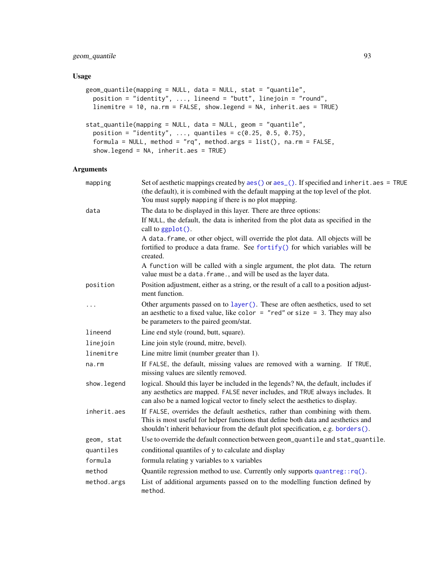# geom\_quantile 93

### Usage

```
geom_quantile(mapping = NULL, data = NULL, stat = "quantile",
 position = "identity", ..., lineend = "butt", linejoin = "round",
 linemitre = 10, na.rm = FALSE, show.legend = NA, inherit.aes = TRUE)
stat_quantile(mapping = NULL, data = NULL, geom = "quantile",
 position = "identity", ..., quantiles = c(0.25, 0.5, 0.75),formula = NULL, method = "rq", method.args = list(), na.rm = FALSE,
  show.legend = NA, inherit.aes = TRUE)
```

| mapping      | Set of aesthetic mappings created by aes() or aes_(). If specified and inherit.aes = TRUE<br>(the default), it is combined with the default mapping at the top level of the plot.<br>You must supply mapping if there is no plot mapping.              |
|--------------|--------------------------------------------------------------------------------------------------------------------------------------------------------------------------------------------------------------------------------------------------------|
| data         | The data to be displayed in this layer. There are three options:                                                                                                                                                                                       |
|              | If NULL, the default, the data is inherited from the plot data as specified in the<br>call to ggplot().                                                                                                                                                |
|              | A data. frame, or other object, will override the plot data. All objects will be<br>fortified to produce a data frame. See fortify() for which variables will be<br>created.                                                                           |
|              | A function will be called with a single argument, the plot data. The return<br>value must be a data. frame., and will be used as the layer data.                                                                                                       |
| position     | Position adjustment, either as a string, or the result of a call to a position adjust-<br>ment function.                                                                                                                                               |
|              | Other arguments passed on to layer (). These are often aesthetics, used to set<br>an aesthetic to a fixed value, like color = "red" or size = 3. They may also<br>be parameters to the paired geom/stat.                                               |
| lineend      | Line end style (round, butt, square).                                                                                                                                                                                                                  |
| linejoin     | Line join style (round, mitre, bevel).                                                                                                                                                                                                                 |
| linemitre    | Line mitre limit (number greater than 1).                                                                                                                                                                                                              |
| $na$ . $rm$  | If FALSE, the default, missing values are removed with a warning. If TRUE,<br>missing values are silently removed.                                                                                                                                     |
| show. legend | logical. Should this layer be included in the legends? NA, the default, includes if<br>any aesthetics are mapped. FALSE never includes, and TRUE always includes. It<br>can also be a named logical vector to finely select the aesthetics to display. |
| inherit.aes  | If FALSE, overrides the default aesthetics, rather than combining with them.<br>This is most useful for helper functions that define both data and aesthetics and<br>shouldn't inherit behaviour from the default plot specification, e.g. borders().  |
| geom, stat   | Use to override the default connection between geom_quantile and stat_quantile.                                                                                                                                                                        |
| quantiles    | conditional quantiles of y to calculate and display                                                                                                                                                                                                    |
| formula      | formula relating y variables to x variables                                                                                                                                                                                                            |
| method       | Quantile regression method to use. Currently only supports $quantreg::rq()$ .                                                                                                                                                                          |
| method.args  | List of additional arguments passed on to the modelling function defined by<br>method.                                                                                                                                                                 |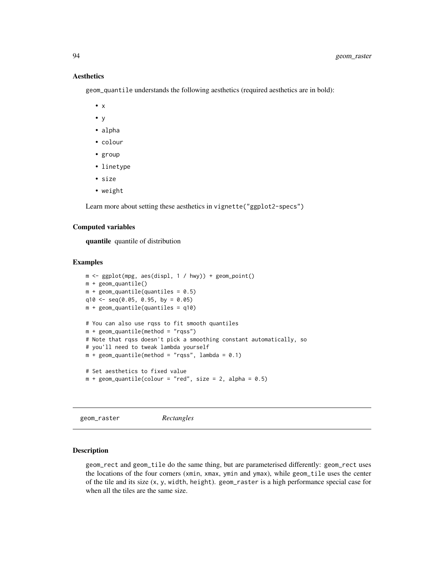geom\_quantile understands the following aesthetics (required aesthetics are in bold):

- $\bullet$  x
- y
- alpha
- colour
- group
- linetype
- size
- weight

Learn more about setting these aesthetics in vignette("ggplot2-specs")

### Computed variables

quantile quantile of distribution

### Examples

```
m \leq - ggplot(mpg, aes(displ, 1 / hwy)) + geom_point()
m + geom_quantile()
m + geom_quantile (quantiles = 0.5)
q10 \leq -\text{seq}(0.05, 0.95, \text{ by } = 0.05)m + geom_quantile(quantiles = q10)
# You can also use rqss to fit smooth quantiles
m + geom_quantile(method = "rqss")# Note that rqss doesn't pick a smoothing constant automatically, so
# you'll need to tweak lambda yourself
m + geom\_quantile(method = "rgss", lambda = 0.1)# Set aesthetics to fixed value
m + geom\_quantile (colour = "red", size = 2, alpha = 0.5)
```
geom\_raster *Rectangles*

#### Description

geom\_rect and geom\_tile do the same thing, but are parameterised differently: geom\_rect uses the locations of the four corners (xmin, xmax, ymin and ymax), while geom\_tile uses the center of the tile and its size (x, y, width, height). geom\_raster is a high performance special case for when all the tiles are the same size.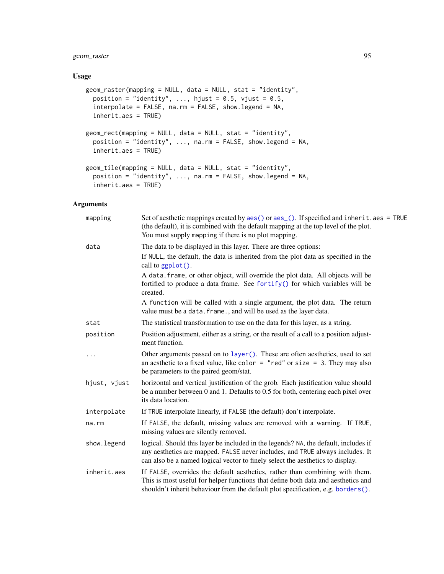# geom\_raster 95

### Usage

```
geom_raster(mapping = NULL, data = NULL, stat = "identity",
 position = "identity", ..., hjust = 0.5, vjust = 0.5,
  interpolate = FALSE, na.rm = FALSE, show.legend = NA,
  inherit.aes = TRUE)
geom_rect(mapping = NULL, data = NULL, stat = "identity",
 position = "identity", ..., na.rm = FALSE, show.legend = NA,
  inherit.aes = TRUE)
geom_tile(mapping = NULL, data = NULL, stat = "identity",
 position = "identity", ..., na.rm = FALSE, show.legend = NA,
  inherit.aes = TRUE)
```

| mapping      | Set of aesthetic mappings created by aes() or aes_(). If specified and inherit.aes = TRUE<br>(the default), it is combined with the default mapping at the top level of the plot.<br>You must supply mapping if there is no plot mapping.              |
|--------------|--------------------------------------------------------------------------------------------------------------------------------------------------------------------------------------------------------------------------------------------------------|
| data         | The data to be displayed in this layer. There are three options:                                                                                                                                                                                       |
|              | If NULL, the default, the data is inherited from the plot data as specified in the<br>call to ggplot().                                                                                                                                                |
|              | A data. frame, or other object, will override the plot data. All objects will be<br>fortified to produce a data frame. See fortify() for which variables will be<br>created.                                                                           |
|              | A function will be called with a single argument, the plot data. The return<br>value must be a data. frame., and will be used as the layer data.                                                                                                       |
| stat         | The statistical transformation to use on the data for this layer, as a string.                                                                                                                                                                         |
| position     | Position adjustment, either as a string, or the result of a call to a position adjust-<br>ment function.                                                                                                                                               |
| .            | Other arguments passed on to layer (). These are often aesthetics, used to set<br>an aesthetic to a fixed value, like color = "red" or size = 3. They may also<br>be parameters to the paired geom/stat.                                               |
| hjust, vjust | horizontal and vertical justification of the grob. Each justification value should<br>be a number between 0 and 1. Defaults to $0.5$ for both, centering each pixel over<br>its data location.                                                         |
| interpolate  | If TRUE interpolate linearly, if FALSE (the default) don't interpolate.                                                                                                                                                                                |
| na.rm        | If FALSE, the default, missing values are removed with a warning. If TRUE,<br>missing values are silently removed.                                                                                                                                     |
| show. legend | logical. Should this layer be included in the legends? NA, the default, includes if<br>any aesthetics are mapped. FALSE never includes, and TRUE always includes. It<br>can also be a named logical vector to finely select the aesthetics to display. |
| inherit.aes  | If FALSE, overrides the default aesthetics, rather than combining with them.<br>This is most useful for helper functions that define both data and aesthetics and<br>shouldn't inherit behaviour from the default plot specification, e.g. borders().  |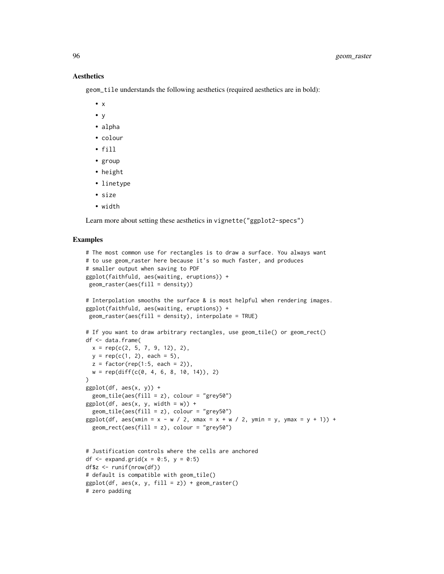geom\_tile understands the following aesthetics (required aesthetics are in bold):

- $\bullet$  x
- y
- alpha
- colour
- fill
- group
- height
- linetype
- size
- width

Learn more about setting these aesthetics in vignette("ggplot2-specs")

```
# The most common use for rectangles is to draw a surface. You always want
# to use geom_raster here because it's so much faster, and produces
# smaller output when saving to PDF
ggplot(faithfuld, aes(waiting, eruptions)) +
geom_raster(aes(fill = density))
# Interpolation smooths the surface & is most helpful when rendering images.
ggplot(faithfuld, aes(waiting, eruptions)) +
geom_raster(aes(fill = density), interpolate = TRUE)
# If you want to draw arbitrary rectangles, use geom_tile() or geom_rect()
df <- data.frame(
 x = \text{rep}(c(2, 5, 7, 9, 12), 2),y = rep(c(1, 2), each = 5),z = factor(rep(1:5, each = 2)),w = rep(diff(c(0, 4, 6, 8, 10, 14)), 2))
ggplot(df, aes(x, y)) +geom\_tile(aes(fill = z), colour = "grey50")ggplot(df, aes(x, y, width = w)) +geom_tile(aes(fill = z), colour = "grey50")
ggplot(df, aes(xmin = x - w / 2, xmax = x + w / 2, ymin = y, ymax = y + 1)) +
 geom_rect(aes(fill = z), colour = "grey50")
# Justification controls where the cells are anchored
df \leq expand.grid(x = 0:5, y = 0:5)
df$z <- runif(nrow(df))
# default is compatible with geom_tile()
ggplot(df, aes(x, y, fill = z)) + geom_raster()# zero padding
```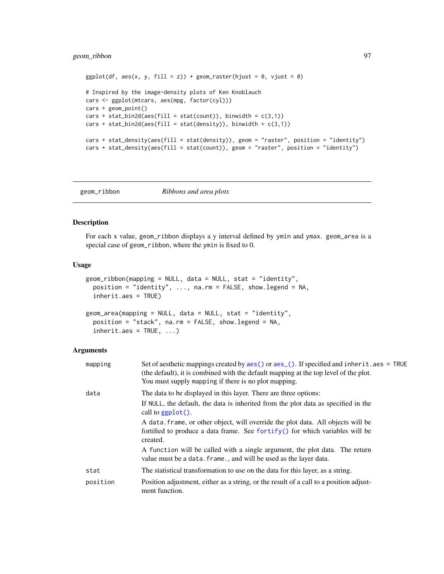## geom\_ribbon 97

```
ggplot(df, aes(x, y, fill = z)) + geom_raster(hjust = 0, vjust = 0)# Inspired by the image-density plots of Ken Knoblauch
cars <- ggplot(mtcars, aes(mpg, factor(cyl)))
cars + geom_point()
cars + stat\_bin2d(aes(fill = stat(count)), binwidth = c(3,1))cars + stat_bin2d(aes(fill = stat(density)), binwidth = c(3,1))
cars + stat_density(aes(fill = stat(density)), geom = "raster", position = "identity")
cars + stat_density(aes(fill = stat(count)), geom = "raster", position = "identity")
```
<span id="page-96-0"></span>geom\_ribbon *Ribbons and area plots*

### Description

For each x value, geom\_ribbon displays a y interval defined by ymin and ymax. geom\_area is a special case of geom\_ribbon, where the ymin is fixed to 0.

#### Usage

```
geom_ribbon(mapping = NULL, data = NULL, stat = "identity",
 position = "identity", \ldots, na.rm = FALSE, show.legend = NA,
  inherit.aes = TRUE)
geom_area(mapping = NULL, data = NULL, stat = "identity",
 position = "stack", na.rm = FALSE, show.legend = NA,
  inherit.aes = TRUE, ...
```

| mapping  | Set of aesthetic mappings created by $\text{aes}()$ or $\text{aes}()$ . If specified and inherit . aes = TRUE<br>(the default), it is combined with the default mapping at the top level of the plot.<br>You must supply mapping if there is no plot mapping. |
|----------|---------------------------------------------------------------------------------------------------------------------------------------------------------------------------------------------------------------------------------------------------------------|
| data     | The data to be displayed in this layer. There are three options:                                                                                                                                                                                              |
|          | If NULL, the default, the data is inherited from the plot data as specified in the<br>call to $ggplot()$ .                                                                                                                                                    |
|          | A data frame, or other object, will override the plot data. All objects will be<br>fortified to produce a data frame. See fortify() for which variables will be<br>created.                                                                                   |
|          | A function will be called with a single argument, the plot data. The return<br>value must be a data. frame., and will be used as the layer data.                                                                                                              |
| stat     | The statistical transformation to use on the data for this layer, as a string.                                                                                                                                                                                |
| position | Position adjustment, either as a string, or the result of a call to a position adjust-<br>ment function.                                                                                                                                                      |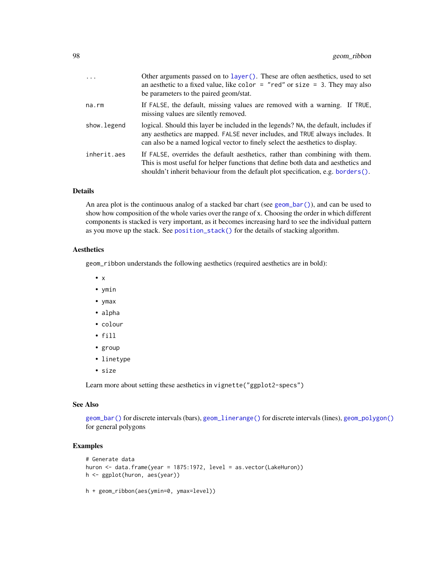| .           | Other arguments passed on to layer (). These are often aesthetics, used to set<br>an aesthetic to a fixed value, like color $=$ "red" or size $=$ 3. They may also<br>be parameters to the paired geom/stat.                                              |
|-------------|-----------------------------------------------------------------------------------------------------------------------------------------------------------------------------------------------------------------------------------------------------------|
| na.rm       | If FALSE, the default, missing values are removed with a warning. If TRUE,<br>missing values are silently removed.                                                                                                                                        |
| show.legend | logical. Should this layer be included in the legends? NA, the default, includes if<br>any aesthetics are mapped. FALSE never includes, and TRUE always includes. It<br>can also be a named logical vector to finely select the aesthetics to display.    |
| inherit.aes | If FALSE, overrides the default aesthetics, rather than combining with them.<br>This is most useful for helper functions that define both data and aesthetics and<br>shouldn't inherit behaviour from the default plot specification, e.g. borders $()$ . |

### Details

An area plot is the continuous analog of a stacked bar chart (see [geom\\_bar\(\)](#page-42-0)), and can be used to show how composition of the whole varies over the range of x. Choosing the order in which different components is stacked is very important, as it becomes increasing hard to see the individual pattern as you move up the stack. See [position\\_stack\(\)](#page-146-0) for the details of stacking algorithm.

### **Aesthetics**

geom\_ribbon understands the following aesthetics (required aesthetics are in bold):

- x
- ymin
- ymax
- alpha
- colour
- fill
- group
- linetype
- size

Learn more about setting these aesthetics in vignette("ggplot2-specs")

### See Also

[geom\\_bar\(\)](#page-42-0) for discrete intervals (bars), [geom\\_linerange\(\)](#page-56-0) for discrete intervals (lines), [geom\\_polygon\(\)](#page-87-0) for general polygons

```
# Generate data
huron <- data.frame(year = 1875:1972, level = as.vector(LakeHuron))
h <- ggplot(huron, aes(year))
h + geom_ribbon(aes(ymin=0, ymax=level))
```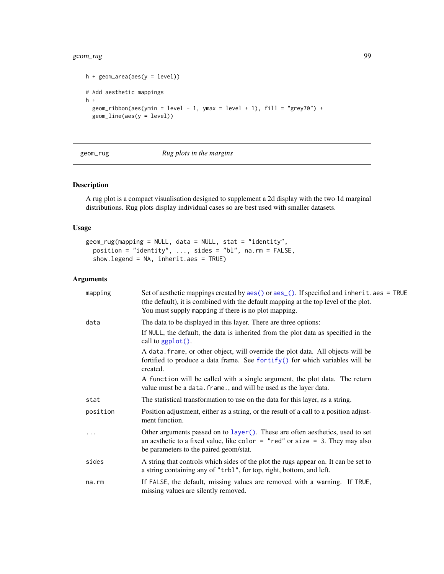#### geom\_rug 99

```
h + geom_area(aes(y = level))# Add aesthetic mappings
h +
  geom_ribbon(aes(ymin = level - 1, ymax = level + 1), fill = "grey70") +
  geom_line(aes(y = level))
```
#### geom\_rug *Rug plots in the margins*

## Description

A rug plot is a compact visualisation designed to supplement a 2d display with the two 1d marginal distributions. Rug plots display individual cases so are best used with smaller datasets.

## Usage

```
geom_rug(mapping = NULL, data = NULL, stat = "identity",
 position = "identity", ..., sides = "bl", na.rm = FALSE,
  show.legend = NA, inherit.aes = TRUE)
```

| mapping  | Set of aesthetic mappings created by aes() or aes_(). If specified and inherit.aes = TRUE<br>(the default), it is combined with the default mapping at the top level of the plot.<br>You must supply mapping if there is no plot mapping. |
|----------|-------------------------------------------------------------------------------------------------------------------------------------------------------------------------------------------------------------------------------------------|
| data     | The data to be displayed in this layer. There are three options:                                                                                                                                                                          |
|          | If NULL, the default, the data is inherited from the plot data as specified in the<br>call to $ggplot()$ .                                                                                                                                |
|          | A data. frame, or other object, will override the plot data. All objects will be<br>fortified to produce a data frame. See fortify() for which variables will be<br>created.                                                              |
|          | A function will be called with a single argument, the plot data. The return<br>value must be a data. frame., and will be used as the layer data.                                                                                          |
| stat     | The statistical transformation to use on the data for this layer, as a string.                                                                                                                                                            |
| position | Position adjustment, either as a string, or the result of a call to a position adjust-<br>ment function.                                                                                                                                  |
|          | Other arguments passed on to layer (). These are often aesthetics, used to set<br>an aesthetic to a fixed value, like color = "red" or size = 3. They may also<br>be parameters to the paired geom/stat.                                  |
| sides    | A string that controls which sides of the plot the rugs appear on. It can be set to<br>a string containing any of "trbl", for top, right, bottom, and left.                                                                               |
| na.rm    | If FALSE, the default, missing values are removed with a warning. If TRUE,<br>missing values are silently removed.                                                                                                                        |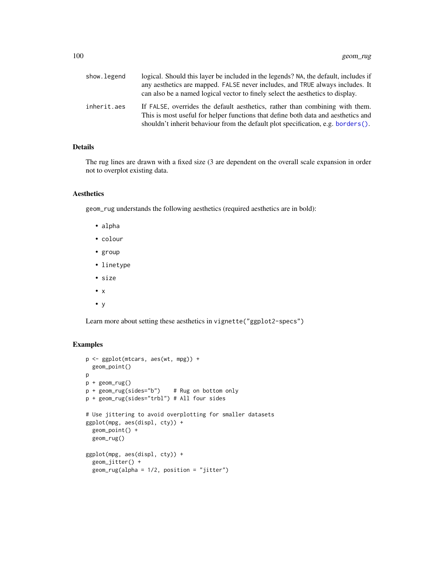| show.legend | logical. Should this layer be included in the legends? NA, the default, includes if<br>any aesthetics are mapped. FALSE never includes, and TRUE always includes. It<br>can also be a named logical vector to finely select the aesthetics to display. |
|-------------|--------------------------------------------------------------------------------------------------------------------------------------------------------------------------------------------------------------------------------------------------------|
| inherit.aes | If FALSE, overrides the default aesthetics, rather than combining with them.<br>This is most useful for helper functions that define both data and aesthetics and<br>shouldn't inherit behaviour from the default plot specification, e.g. borders().  |

# Details

The rug lines are drawn with a fixed size (3 are dependent on the overall scale expansion in order not to overplot existing data.

### Aesthetics

geom\_rug understands the following aesthetics (required aesthetics are in bold):

- alpha
- colour
- group
- linetype
- size
- x
- y

Learn more about setting these aesthetics in vignette("ggplot2-specs")

```
p <- ggplot(mtcars, aes(wt, mpg)) +
  geom_point()
p
p + geom_rug()
p + geom_rug(sides="b") # Rug on bottom only
p + geom_rug(sides="trbl") # All four sides
# Use jittering to avoid overplotting for smaller datasets
ggplot(mpg, aes(displ, cty)) +
  geom_point() +
  geom_rug()
ggplot(mpg, aes(displ, cty)) +
  geom_jitter() +
  geom_rug(alpha = 1/2, position = "jitter")
```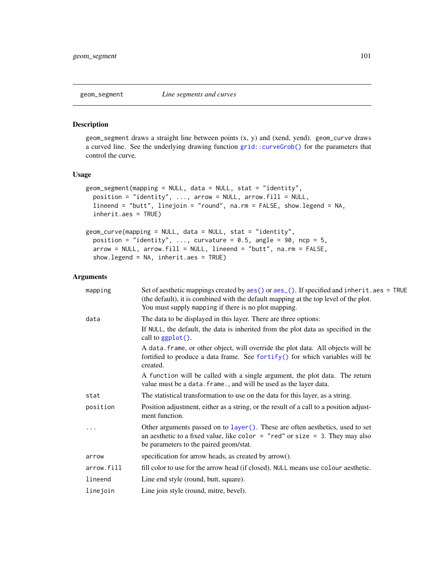<span id="page-100-0"></span>

#### Description

geom\_segment draws a straight line between points (x, y) and (xend, yend). geom\_curve draws a curved line. See the underlying drawing function [grid::curveGrob\(\)](#page-0-0) for the parameters that control the curve.

### Usage

```
geom_segment(mapping = NULL, data = NULL, stat = "identity",
 position = "identity", ..., arrow = NULL, arrowfill = NULL,lineend = "butt", linejoin = "round", na.rm = FALSE, show.legend = NA,
  inherit.aes = TRUE)
geom_curve(mapping = NULL, data = NULL, stat = "identity",
 position = "identity", ..., curvature = 0.5, angle = 90, ncp = 5,
  arrow = NULL, arrow.fill = NULL, lineend = "butt", na.rm = FALSE,
```
show.legend = NA, inherit.aes = TRUE)

| mapping    | Set of aesthetic mappings created by $aes()$ or $aes()$ . If specified and inherit. $aes = TRUE$<br>(the default), it is combined with the default mapping at the top level of the plot.<br>You must supply mapping if there is no plot mapping. |
|------------|--------------------------------------------------------------------------------------------------------------------------------------------------------------------------------------------------------------------------------------------------|
| data       | The data to be displayed in this layer. There are three options:                                                                                                                                                                                 |
|            | If NULL, the default, the data is inherited from the plot data as specified in the<br>call to $ggplot()$ .                                                                                                                                       |
|            | A data. frame, or other object, will override the plot data. All objects will be<br>fortified to produce a data frame. See for $\text{trify}()$ for which variables will be<br>created.                                                          |
|            | A function will be called with a single argument, the plot data. The return<br>value must be a data. frame., and will be used as the layer data.                                                                                                 |
| stat       | The statistical transformation to use on the data for this layer, as a string.                                                                                                                                                                   |
| position   | Position adjustment, either as a string, or the result of a call to a position adjust-<br>ment function.                                                                                                                                         |
|            | Other arguments passed on to layer (). These are often aesthetics, used to set<br>an aesthetic to a fixed value, like color = "red" or size = $3$ . They may also<br>be parameters to the paired geom/stat.                                      |
| arrow      | specification for arrow heads, as created by arrow().                                                                                                                                                                                            |
| arrow.fill | fill color to use for the arrow head (if closed). NULL means use colour aesthetic.                                                                                                                                                               |
| lineend    | Line end style (round, butt, square).                                                                                                                                                                                                            |
| linejoin   | Line join style (round, mitre, bevel).                                                                                                                                                                                                           |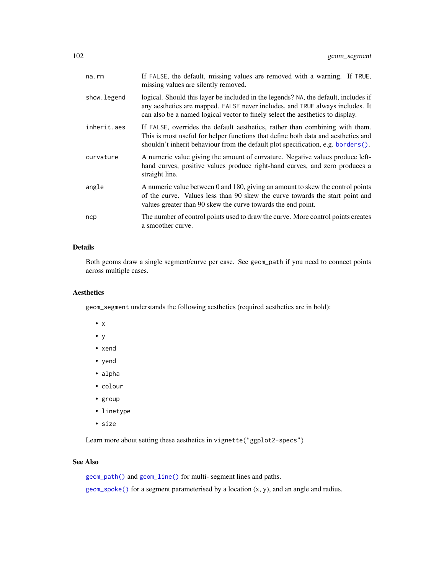| na.rm       | If FALSE, the default, missing values are removed with a warning. If TRUE,<br>missing values are silently removed.                                                                                                                                     |
|-------------|--------------------------------------------------------------------------------------------------------------------------------------------------------------------------------------------------------------------------------------------------------|
| show.legend | logical. Should this layer be included in the legends? NA, the default, includes if<br>any aesthetics are mapped. FALSE never includes, and TRUE always includes. It<br>can also be a named logical vector to finely select the aesthetics to display. |
| inherit.aes | If FALSE, overrides the default aesthetics, rather than combining with them.<br>This is most useful for helper functions that define both data and aesthetics and<br>shouldn't inherit behaviour from the default plot specification, e.g. borders().  |
| curvature   | A numeric value giving the amount of curvature. Negative values produce left-<br>hand curves, positive values produce right-hand curves, and zero produces a<br>straight line.                                                                         |
| angle       | A numeric value between 0 and 180, giving an amount to skew the control points<br>of the curve. Values less than 90 skew the curve towards the start point and<br>values greater than 90 skew the curve towards the end point.                         |
| ncp         | The number of control points used to draw the curve. More control points creates<br>a smoother curve.                                                                                                                                                  |

# Details

Both geoms draw a single segment/curve per case. See geom\_path if you need to connect points across multiple cases.

## Aesthetics

geom\_segment understands the following aesthetics (required aesthetics are in bold):

- x
- y
- xend
- yend
- alpha
- colour
- group
- linetype
- size

Learn more about setting these aesthetics in vignette("ggplot2-specs")

# See Also

[geom\\_path\(\)](#page-81-0) and [geom\\_line\(\)](#page-81-1) for multi- segment lines and paths.

[geom\\_spoke\(\)](#page-106-0) for a segment parameterised by a location (x, y), and an angle and radius.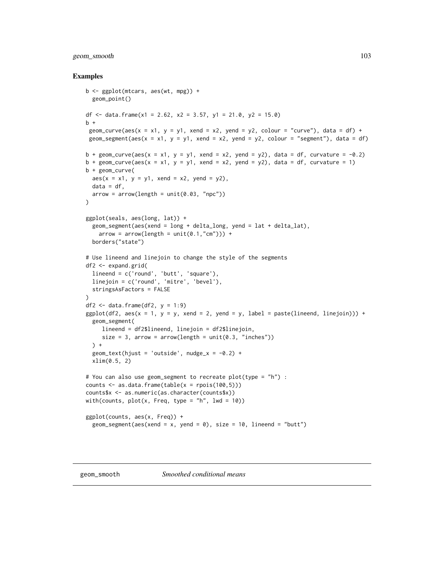## geom\_smooth 103

```
b <- ggplot(mtcars, aes(wt, mpg)) +
  geom_point()
df <- data.frame(x1 = 2.62, x2 = 3.57, y1 = 21.0, y2 = 15.0)
b +geom_curve(aes(x = x1, y = y1, xend = x2, yend = y2, colour = "curve"), data = df) +
geom_segment(aes(x = x1, y = y1, xend = x2, yend = y2, colour = "segment"), data = df)
b + geom_curve(aes(x = x1, y = y1, xend = x2, yend = y2), data = df, curvature = -0.2)
b + geom_curve(aes(x = x1, y = y1, xend = x2, yend = y2), data = df, curvature = 1)
b + geom_curve(
  aes(x = x1, y = y1, xend = x2, yend = y2),
 data = df,
  arrow = arrow(length = unit(0.03, 'npc")))
ggplot(seals, aes(long, lat)) +
  geom_segment(aes(xend = long + delta_long, yend = lat + delta_lat),
   arrow = arrow(length = unit(0.1, "cm")) +borders("state")
# Use lineend and linejoin to change the style of the segments
df2 <- expand.grid(
  lineend = c('round', 'butt', 'square'),
  linejoin = c('round', 'mitre', 'bevel'),
  stringsAsFactors = FALSE
\lambdadf2 \leftarrow data.frame(df2, y = 1:9)
ggplot(df2, aes(x = 1, y = y, xend = 2, yend = y, label = paste(lineend, linejoin))) +geom_segment(
    lineend = df2$lineend, linejoin = df2$linejoin,
     size = 3, arrow = arrow(length = unit(0.3, 'inches"))) +
  geom_text(hjust = 'outside', nudge_x = -0.2) +
  xlim(0.5, 2)
# You can also use geom_segment to recreate plot(type = "h") :
counts \leq as.data.frame(table(x = rpois(100,5)))
counts$x <- as.numeric(as.character(counts$x))
with(counts, plot(x, Freq, type = "h", lwd = 10))
ggplot(counts, aes(x, Freq)) +
  geom_segment(aes(xend = x, yend = 0), size = 10, lineend = "butt")
```
<span id="page-102-0"></span>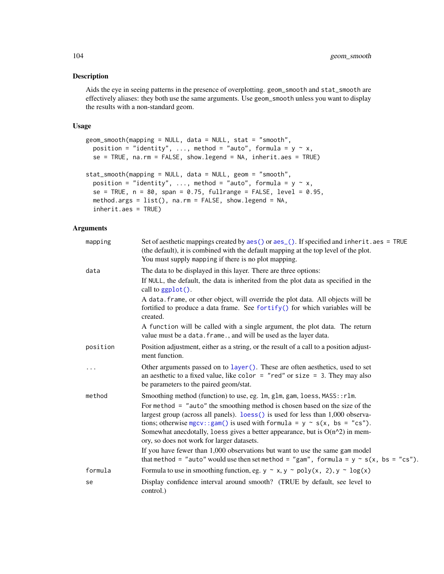### Description

Aids the eye in seeing patterns in the presence of overplotting. geom\_smooth and stat\_smooth are effectively aliases: they both use the same arguments. Use geom\_smooth unless you want to display the results with a non-standard geom.

#### Usage

```
geom_smooth(mapping = NULL, data = NULL, stat = "smooth",
 position = "identity", ..., method = "auto", formula = y \sim x,
  se = TRUE, na.rm = FALSE, show.legend = NA, inherit.aes = TRUE)
stat_smooth(mapping = NULL, data = NULL, geom = "smooth",
  position = "identity", ..., method = "auto", formula = y \sim x,
  se = TRUE, n = 80, span = 0.75, fullrange = FALSE, level = 0.95,
  method.args = list(), na.rm = FALSE, show.legend = NA,
  inherit.aes = TRUE)
```

| mapping  | Set of aesthetic mappings created by aes () or aes (). If specified and inherit . aes = TRUE<br>(the default), it is combined with the default mapping at the top level of the plot.<br>You must supply mapping if there is no plot mapping.                                                                                                                                        |
|----------|-------------------------------------------------------------------------------------------------------------------------------------------------------------------------------------------------------------------------------------------------------------------------------------------------------------------------------------------------------------------------------------|
| data     | The data to be displayed in this layer. There are three options:                                                                                                                                                                                                                                                                                                                    |
|          | If NULL, the default, the data is inherited from the plot data as specified in the<br>call to ggplot().                                                                                                                                                                                                                                                                             |
|          | A data. frame, or other object, will override the plot data. All objects will be<br>fortified to produce a data frame. See fortify() for which variables will be<br>created.                                                                                                                                                                                                        |
|          | A function will be called with a single argument, the plot data. The return<br>value must be a data. frame., and will be used as the layer data.                                                                                                                                                                                                                                    |
| position | Position adjustment, either as a string, or the result of a call to a position adjust-<br>ment function.                                                                                                                                                                                                                                                                            |
| $\cdot$  | Other arguments passed on to layer (). These are often aesthetics, used to set<br>an aesthetic to a fixed value, like color = "red" or size = 3. They may also<br>be parameters to the paired geom/stat.                                                                                                                                                                            |
| method   | Smoothing method (function) to use, eg. 1m, g1m, gam, loess, MASS:: r1m.                                                                                                                                                                                                                                                                                                            |
|          | For method $=$ "auto" the smoothing method is chosen based on the size of the<br>largest group (across all panels). loess () is used for less than 1,000 observa-<br>tions; otherwise mgcv:: gam() is used with formula = $y \sim s(x, bs = "cs").$<br>Somewhat anecdotally, loess gives a better appearance, but is $O(n^2)$ in mem-<br>ory, so does not work for larger datasets. |
|          | If you have fewer than 1,000 observations but want to use the same gam model<br>that method = "auto" would use then set method = "gam", formula = $y \sim s(x, bs = "cs")$ .                                                                                                                                                                                                        |
| formula  | Formula to use in smoothing function, eg. $y \sim x$ , $y \sim poly(x, 2)$ , $y \sim log(x)$                                                                                                                                                                                                                                                                                        |
| se       | Display confidence interval around smooth? (TRUE by default, see level to<br>control.)                                                                                                                                                                                                                                                                                              |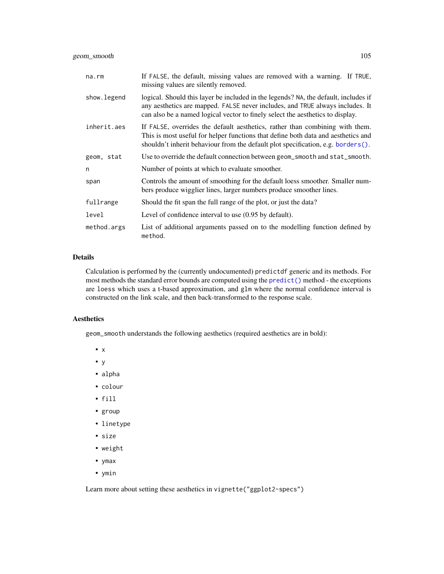geom\_smooth 105

| na.rm       | If FALSE, the default, missing values are removed with a warning. If TRUE,<br>missing values are silently removed.                                                                                                                                     |
|-------------|--------------------------------------------------------------------------------------------------------------------------------------------------------------------------------------------------------------------------------------------------------|
| show.legend | logical. Should this layer be included in the legends? NA, the default, includes if<br>any aesthetics are mapped. FALSE never includes, and TRUE always includes. It<br>can also be a named logical vector to finely select the aesthetics to display. |
| inherit.aes | If FALSE, overrides the default aesthetics, rather than combining with them.<br>This is most useful for helper functions that define both data and aesthetics and<br>shouldn't inherit behaviour from the default plot specification, e.g. borders().  |
| geom, stat  | Use to override the default connection between geom_smooth and stat_smooth.                                                                                                                                                                            |
| n           | Number of points at which to evaluate smoother.                                                                                                                                                                                                        |
| span        | Controls the amount of smoothing for the default loess smoother. Smaller num-<br>bers produce wigglier lines, larger numbers produce smoother lines.                                                                                                   |
| fullrange   | Should the fit span the full range of the plot, or just the data?                                                                                                                                                                                      |
| level       | Level of confidence interval to use $(0.95$ by default).                                                                                                                                                                                               |
| method.args | List of additional arguments passed on to the modelling function defined by<br>method.                                                                                                                                                                 |

### Details

Calculation is performed by the (currently undocumented) predictdf generic and its methods. For most methods the standard error bounds are computed using the [predict\(\)](#page-0-0) method - the exceptions are loess which uses a t-based approximation, and glm where the normal confidence interval is constructed on the link scale, and then back-transformed to the response scale.

# Aesthetics

geom\_smooth understands the following aesthetics (required aesthetics are in bold):

- x
- y
- alpha
- colour
- fill
- group
- linetype
- size
- weight
- ymax
- ymin

Learn more about setting these aesthetics in vignette("ggplot2-specs")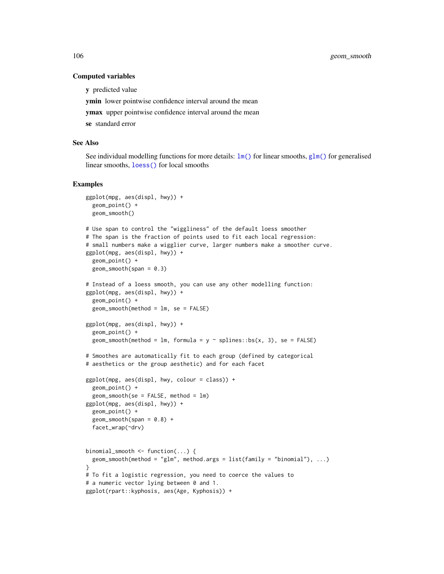#### Computed variables

y predicted value

ymin lower pointwise confidence interval around the mean

ymax upper pointwise confidence interval around the mean

se standard error

## See Also

See individual modelling functions for more details:  $\text{lm}()$  for linear smooths,  $\text{glm}()$  for generalised linear smooths, [loess\(\)](#page-0-0) for local smooths

```
ggplot(mpg, aes(displ, hwy)) +
 geom_point() +
 geom_smooth()
# Use span to control the "wiggliness" of the default loess smoother
# The span is the fraction of points used to fit each local regression:
# small numbers make a wigglier curve, larger numbers make a smoother curve.
ggplot(mpg, aes(displ, hwy)) +
 geom_point() +
 geom\_smooth(span = 0.3)# Instead of a loess smooth, you can use any other modelling function:
ggplot(mpg, aes(displ, hwy)) +
 geom_point() +
 geom_smooth(method = lm, se = FALSE)
ggplot(mpg, aes(displ, hwy)) +
 geom_point() +
 geom_smooth(method = lm, formula = y \sim splines::bs(x, 3), se = FALSE)
# Smoothes are automatically fit to each group (defined by categorical
# aesthetics or the group aesthetic) and for each facet
ggplot(mpg, aes(displ, hwy, colour = class)) +
 geom_point() +
 geom\_smooth (se = FALSE, method = lm)
ggplot(mpg, aes(displ, hwy)) +
 geom_point() +
 geom\_smooth(span = 0.8) +facet_wrap(~drv)
binomial_smooth <- function(...) {
 geom_smooth(method = "glm", method.args = list(family = "binomial"), ...)
}
# To fit a logistic regression, you need to coerce the values to
# a numeric vector lying between 0 and 1.
ggplot(rpart::kyphosis, aes(Age, Kyphosis)) +
```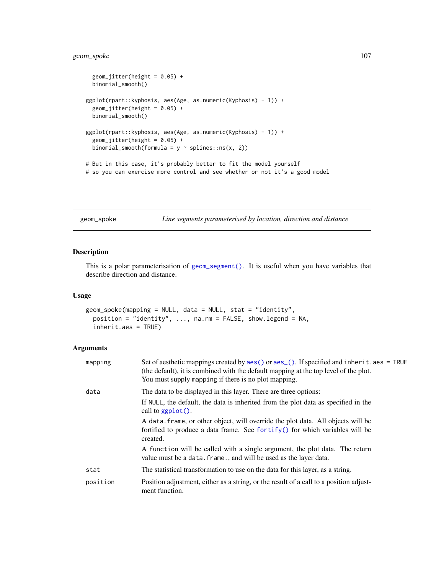## geom\_spoke 107

```
geom_Jitter(height = 0.05) +binomial_smooth()
ggplot(rpart::kyphosis, aes(Age, as.numeric(Kyphosis) - 1)) +
 geom\_jitter(height = 0.05) +binomial_smooth()
ggplot(rpart::kyphosis, aes(Age, as.numeric(Kyphosis) - 1)) +
 geom_jitter(height = 0.05) +binomial_smooth(formula = y \sim splines::ns(x, 2))
# But in this case, it's probably better to fit the model yourself
# so you can exercise more control and see whether or not it's a good model
```
<span id="page-106-0"></span>geom\_spoke *Line segments parameterised by location, direction and distance*

### Description

This is a polar parameterisation of [geom\\_segment\(\)](#page-100-0). It is useful when you have variables that describe direction and distance.

### Usage

```
geom_spoke(mapping = NULL, data = NULL, stat = "identity",
 position = "identity", ..., na.rm = FALSE, show.legend = NA,
  inherit.aes = TRUE)
```

| mapping  | Set of aesthetic mappings created by $aes()$ or $aes_()$ . If specified and inherit. $aes = TRUE$<br>(the default), it is combined with the default mapping at the top level of the plot.<br>You must supply mapping if there is no plot mapping. |
|----------|---------------------------------------------------------------------------------------------------------------------------------------------------------------------------------------------------------------------------------------------------|
| data     | The data to be displayed in this layer. There are three options:<br>If NULL, the default, the data is inherited from the plot data as specified in the<br>call to $graph()$ .                                                                     |
|          | A data frame, or other object, will override the plot data. All objects will be<br>fortified to produce a data frame. See fortify() for which variables will be<br>created.                                                                       |
|          | A function will be called with a single argument, the plot data. The return<br>value must be a data. frame., and will be used as the layer data.                                                                                                  |
| stat     | The statistical transformation to use on the data for this layer, as a string.                                                                                                                                                                    |
| position | Position adjustment, either as a string, or the result of a call to a position adjust-<br>ment function.                                                                                                                                          |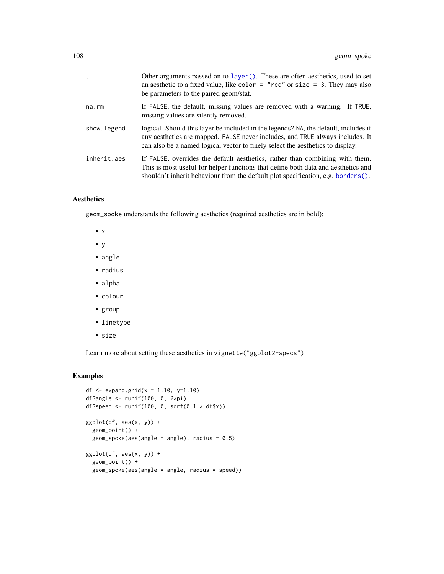| $\cdots$    | Other arguments passed on to layer (). These are often aesthetics, used to set<br>an aesthetic to a fixed value, like color $=$ "red" or size $=$ 3. They may also<br>be parameters to the paired geom/stat.                                              |
|-------------|-----------------------------------------------------------------------------------------------------------------------------------------------------------------------------------------------------------------------------------------------------------|
|             |                                                                                                                                                                                                                                                           |
| na.rm       | If FALSE, the default, missing values are removed with a warning. If TRUE,<br>missing values are silently removed.                                                                                                                                        |
| show.legend | logical. Should this layer be included in the legends? NA, the default, includes if<br>any aesthetics are mapped. FALSE never includes, and TRUE always includes. It<br>can also be a named logical vector to finely select the aesthetics to display.    |
| inherit.aes | If FALSE, overrides the default aesthetics, rather than combining with them.<br>This is most useful for helper functions that define both data and aesthetics and<br>shouldn't inherit behaviour from the default plot specification, e.g. borders $()$ . |

geom\_spoke understands the following aesthetics (required aesthetics are in bold):

- x
- y
- angle
- radius
- alpha
- colour
- group
- linetype
- size

Learn more about setting these aesthetics in vignette("ggplot2-specs")

```
df <- expand.grid(x = 1:10, y=1:10)
df$angle <- runif(100, 0, 2*pi)
df$speed <- runif(100, 0, sqrt(0.1 * df$x))
ggplot(df, aes(x, y)) +
  geom_point() +
  geom\_spoke(aes(angle = angle), radius = 0.5)ggplot(df, aes(x, y)) +
  geom_point() +
  geom_spoke(aes(angle = angle, radius = speed))
```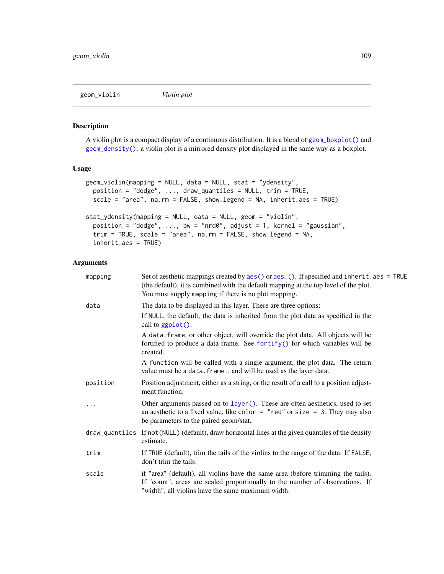<span id="page-108-0"></span>geom\_violin *Violin plot*

#### Description

A violin plot is a compact display of a continuous distribution. It is a blend of [geom\\_boxplot\(\)](#page-48-0) and [geom\\_density\(\)](#page-58-0): a violin plot is a mirrored density plot displayed in the same way as a boxplot.

## Usage

```
geom_violin(mapping = NULL, data = NULL, stat = "ydensity",
 position = "dodge", ..., draw_quantiles = NULL, trim = TRUE,
  scale = "area", na.rm = FALSE, show.legend = NA, inherit.aes = TRUE)
stat_ydensity(mapping = NULL, data = NULL, geom = "violin",
 position = "dodge", ..., bw = "nrd0", adjust = 1, kernel = "gaussian",
  trim = TRUE, scale = "area", na.rm = FALSE, show.legend = NA,
  inherit.aes = TRUE)
```

| mapping  | Set of aesthetic mappings created by aes () or aes (). If specified and inherit . aes = TRUE<br>(the default), it is combined with the default mapping at the top level of the plot.<br>You must supply mapping if there is no plot mapping. |
|----------|----------------------------------------------------------------------------------------------------------------------------------------------------------------------------------------------------------------------------------------------|
| data     | The data to be displayed in this layer. There are three options:                                                                                                                                                                             |
|          | If NULL, the default, the data is inherited from the plot data as specified in the<br>call to ggplot().                                                                                                                                      |
|          | A data. frame, or other object, will override the plot data. All objects will be<br>fortified to produce a data frame. See fortify() for which variables will be<br>created.                                                                 |
|          | A function will be called with a single argument, the plot data. The return<br>value must be a data. frame., and will be used as the layer data.                                                                                             |
| position | Position adjustment, either as a string, or the result of a call to a position adjust-<br>ment function.                                                                                                                                     |
| .        | Other arguments passed on to layer (). These are often aesthetics, used to set<br>an aesthetic to a fixed value, like color = "red" or size = 3. They may also<br>be parameters to the paired geom/stat.                                     |
|          | draw_quantiles If not (NULL) (default), draw horizontal lines at the given quantiles of the density<br>estimate.                                                                                                                             |
| trim     | If TRUE (default), trim the tails of the violins to the range of the data. If FALSE,<br>don't trim the tails.                                                                                                                                |
| scale    | if "area" (default), all violins have the same area (before trimming the tails).<br>If "count", areas are scaled proportionally to the number of observations. If<br>"width", all violins have the same maximum width.                       |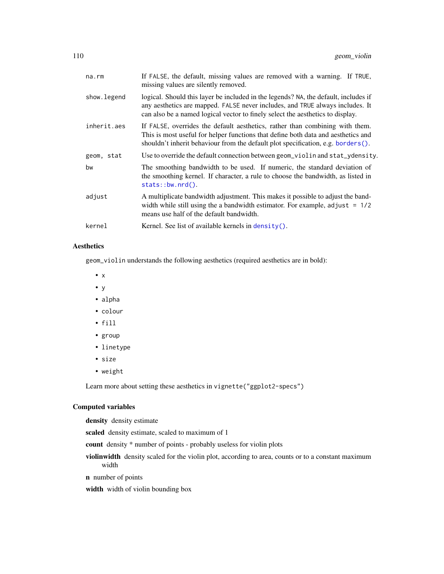| na.rm       | If FALSE, the default, missing values are removed with a warning. If TRUE,<br>missing values are silently removed.                                                                                                                                     |
|-------------|--------------------------------------------------------------------------------------------------------------------------------------------------------------------------------------------------------------------------------------------------------|
| show.legend | logical. Should this layer be included in the legends? NA, the default, includes if<br>any aesthetics are mapped. FALSE never includes, and TRUE always includes. It<br>can also be a named logical vector to finely select the aesthetics to display. |
| inherit.aes | If FALSE, overrides the default aesthetics, rather than combining with them.<br>This is most useful for helper functions that define both data and aesthetics and<br>shouldn't inherit behaviour from the default plot specification, e.g. borders().  |
| geom, stat  | Use to override the default connection between geom_violin and stat_ydensity.                                                                                                                                                                          |
| bw          | The smoothing bandwidth to be used. If numeric, the standard deviation of<br>the smoothing kernel. If character, a rule to choose the bandwidth, as listed in<br>$stats::bw.nrd()$ .                                                                   |
| adjust      | A multiplicate bandwidth adjustment. This makes it possible to adjust the band-<br>width while still using the a bandwidth estimator. For example, adjust $= 1/2$<br>means use half of the default bandwidth.                                          |
| kernel      | Kernel. See list of available kernels in density().                                                                                                                                                                                                    |
|             |                                                                                                                                                                                                                                                        |

## Aesthetics

geom\_violin understands the following aesthetics (required aesthetics are in bold):

- x
- y
- alpha
- colour
- fill
- group
- linetype
- size
- weight

Learn more about setting these aesthetics in vignette("ggplot2-specs")

# Computed variables

density density estimate

scaled density estimate, scaled to maximum of 1

- count density \* number of points probably useless for violin plots
- violinwidth density scaled for the violin plot, according to area, counts or to a constant maximum width
- n number of points

width width of violin bounding box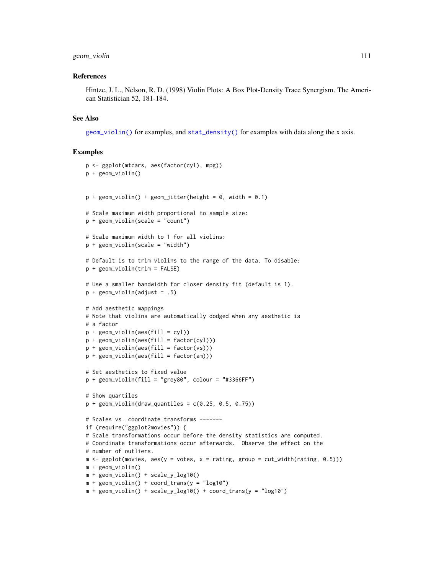## geom\_violin 111

#### References

Hintze, J. L., Nelson, R. D. (1998) Violin Plots: A Box Plot-Density Trace Synergism. The American Statistician 52, 181-184.

#### See Also

[geom\\_violin\(\)](#page-108-0) for examples, and [stat\\_density\(\)](#page-58-1) for examples with data along the x axis.

```
p <- ggplot(mtcars, aes(factor(cyl), mpg))
p + geom_violin()
p + geom_violin() + geom_jitter(height = 0, width = 0.1)
# Scale maximum width proportional to sample size:
p + geom_violin(scale = "count")
# Scale maximum width to 1 for all violins:
p + geom\_violin(scale = "width")# Default is to trim violins to the range of the data. To disable:
p + geom_violin(trim = FALSE)
# Use a smaller bandwidth for closer density fit (default is 1).
p + geom\_violin(adjust = .5)# Add aesthetic mappings
# Note that violins are automatically dodged when any aesthetic is
# a factor
p + geom\_violin(aes(fill = cyl))p + geom\_violin(aes(fill = factor(cyl)))p + geom\_violin(aes(fill = factor(vs)))p + geom\_violin(aes(fill = factor(am)))# Set aesthetics to fixed value
p + geom\_violin(fill = "grey80", colour = "#3366FF")# Show quartiles
p + geom\_violin(draw\_quantiles = c(0.25, 0.5, 0.75))# Scales vs. coordinate transforms -------
if (require("ggplot2movies")) {
# Scale transformations occur before the density statistics are computed.
# Coordinate transformations occur afterwards. Observe the effect on the
# number of outliers.
m \le - ggplot(movies, aes(y = votes, x = rating, group = cut_width(rating, 0.5)))
m + geom_violin()
m + geom_violin() + scale_y_log10()
m + geom\_violin() + coord\_trans(y = "log10")m + geom\_violin() + scale_y_log10() + coord\_trans(y = "log10")
```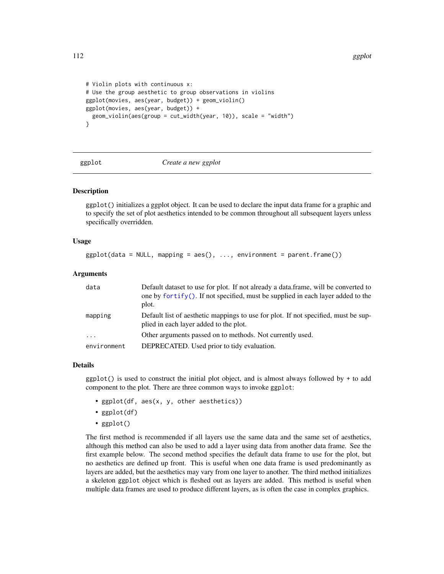```
# Violin plots with continuous x:
# Use the group aesthetic to group observations in violins
ggplot(movies, aes(year, budget)) + geom_violin()
ggplot(movies, aes(year, budget)) +
 geom_violin(aes(group = cut_width(year, 10)), scale = "width")
}
```
<span id="page-111-0"></span>

#### ggplot *Create a new ggplot*

## Description

ggplot() initializes a ggplot object. It can be used to declare the input data frame for a graphic and to specify the set of plot aesthetics intended to be common throughout all subsequent layers unless specifically overridden.

#### Usage

```
ggplot(data = NULL, mapping = aes(), ..., environment = parent-frame())
```
## Arguments

| data                    | Default dataset to use for plot. If not already a data, frame, will be converted to<br>one by fortify(). If not specified, must be supplied in each layer added to the<br>plot. |
|-------------------------|---------------------------------------------------------------------------------------------------------------------------------------------------------------------------------|
| mapping                 | Default list of aesthetic mappings to use for plot. If not specified, must be sup-<br>plied in each layer added to the plot.                                                    |
| $\cdot$ $\cdot$ $\cdot$ | Other arguments passed on to methods. Not currently used.                                                                                                                       |
| environment             | DEPRECATED. Used prior to tidy evaluation.                                                                                                                                      |

#### Details

ggplot() is used to construct the initial plot object, and is almost always followed by + to add component to the plot. There are three common ways to invoke ggplot:

- ggplot(df, aes(x, y, other aesthetics))
- ggplot(df)
- ggplot()

The first method is recommended if all layers use the same data and the same set of aesthetics, although this method can also be used to add a layer using data from another data frame. See the first example below. The second method specifies the default data frame to use for the plot, but no aesthetics are defined up front. This is useful when one data frame is used predominantly as layers are added, but the aesthetics may vary from one layer to another. The third method initializes a skeleton ggplot object which is fleshed out as layers are added. This method is useful when multiple data frames are used to produce different layers, as is often the case in complex graphics.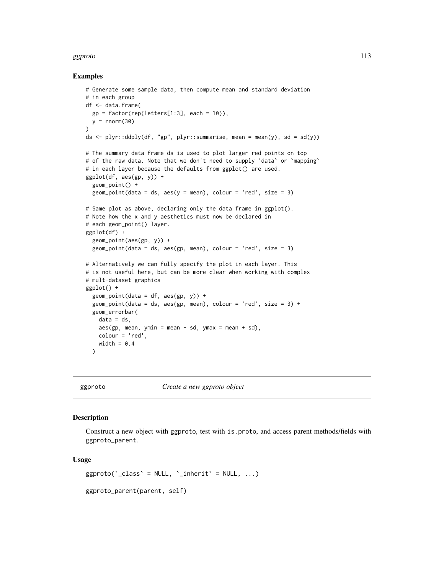#### ggproto that the set of the set of the set of the set of the set of the set of the set of the set of the set of the set of the set of the set of the set of the set of the set of the set of the set of the set of the set of

#### Examples

```
# Generate some sample data, then compute mean and standard deviation
# in each group
df <- data.frame(
  gp = factor(rep(leftters[1:3], each = 10)),y = rnorm(30)\lambdads \le plyr::ddply(df, "gp", plyr::summarise, mean = mean(y), sd = sd(y))
# The summary data frame ds is used to plot larger red points on top
# of the raw data. Note that we don't need to supply 'data' or 'mapping'
# in each layer because the defaults from ggplot() are used.
ggplot(df, aes(gp, y)) +
  geom_point() +
  geom\_point(data = ds, aes(y = mean), colour = 'red', size = 3)# Same plot as above, declaring only the data frame in ggplot().
# Note how the x and y aesthetics must now be declared in
# each geom_point() layer.
ggplot(df) +
  geom_point(aes(gp, y)) +
  geom\_point(data = ds, aes(gp, mean), colour = 'red', size = 3)# Alternatively we can fully specify the plot in each layer. This
# is not useful here, but can be more clear when working with complex
# mult-dataset graphics
ggplot() +
  geom\_point(data = df, aes(gp, y)) +geom_point(data = ds, aes(gp, mean), colour = 'red', size = 3) +
  geom_errorbar(
   data = ds,
   aes(gp, mean, ymin = mean - sd, ymax = mean + sd),colour = 'red',
   width = 0.4)
```
ggproto *Create a new ggproto object*

## **Description**

Construct a new object with ggproto, test with is.proto, and access parent methods/fields with ggproto\_parent.

#### Usage

 $ggproto('class' = NULL, 'inherit' = NULL, ...)$ 

ggproto\_parent(parent, self)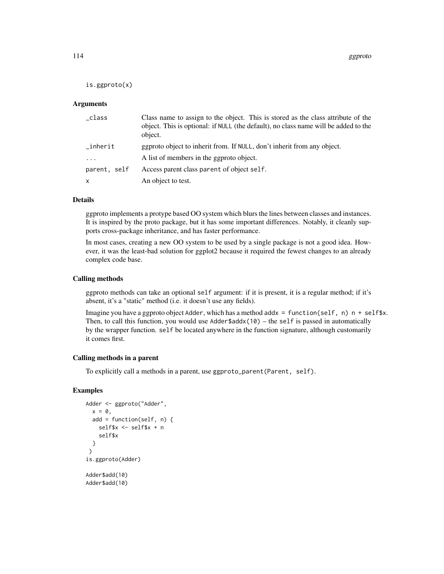is.ggproto(x)

#### Arguments

| _class       | Class name to assign to the object. This is stored as the class attribute of the<br>object. This is optional: if NULL (the default), no class name will be added to the<br>object. |
|--------------|------------------------------------------------------------------------------------------------------------------------------------------------------------------------------------|
| $\_inherit$  | geproto object to inherit from. If NULL, don't inherit from any object.                                                                                                            |
| $\ddots$ .   | A list of members in the ggproto object.                                                                                                                                           |
| parent, self | Access parent class parent of object self.                                                                                                                                         |
| X            | An object to test.                                                                                                                                                                 |

## Details

ggproto implements a protype based OO system which blurs the lines between classes and instances. It is inspired by the proto package, but it has some important differences. Notably, it cleanly supports cross-package inheritance, and has faster performance.

In most cases, creating a new OO system to be used by a single package is not a good idea. However, it was the least-bad solution for ggplot2 because it required the fewest changes to an already complex code base.

## Calling methods

ggproto methods can take an optional self argument: if it is present, it is a regular method; if it's absent, it's a "static" method (i.e. it doesn't use any fields).

Imagine you have a ggproto object Adder, which has a method addx = function(self, n)  $n +$  self\$x. Then, to call this function, you would use Adder\$addx(10) – the self is passed in automatically by the wrapper function. self be located anywhere in the function signature, although customarily it comes first.

## Calling methods in a parent

To explicitly call a methods in a parent, use ggproto\_parent(Parent, self).

```
Adder <- ggproto("Adder",
  x = 0,
  add = function(self, n) {
   self$x <- self$x + n
    self$x
  }
 )
is.ggproto(Adder)
Adder$add(10)
Adder$add(10)
```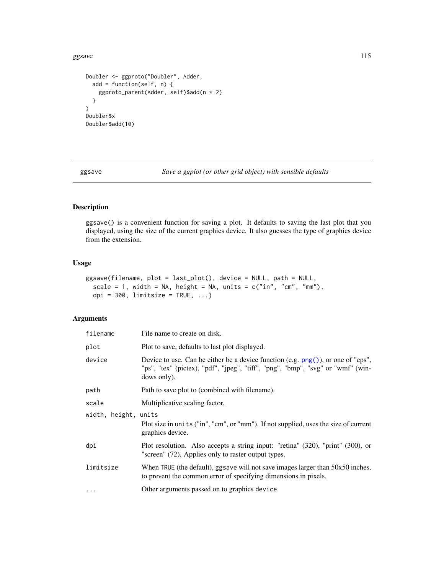#### ggsave the contract of the contract of the contract of the contract of the contract of the contract of the contract of the contract of the contract of the contract of the contract of the contract of the contract of the con

```
Doubler <- ggproto("Doubler", Adder,
  add = function(self, n) {
   ggproto_parent(Adder, self)$add(n * 2)
  }
)
Doubler$x
Doubler$add(10)
```
ggsave *Save a ggplot (or other grid object) with sensible defaults*

# Description

ggsave() is a convenient function for saving a plot. It defaults to saving the last plot that you displayed, using the size of the current graphics device. It also guesses the type of graphics device from the extension.

# Usage

```
ggsave(filename, plot = last_plot(), device = NULL, path = NULL,
  scale = 1, width = NA, height = NA, units = c("in", "cm", "mm"),dpi = 300, limitsize = TRUE, ...)
```

| filename             | File name to create on disk.                                                                                                                                                          |  |
|----------------------|---------------------------------------------------------------------------------------------------------------------------------------------------------------------------------------|--|
| plot                 | Plot to save, defaults to last plot displayed.                                                                                                                                        |  |
| device               | Device to use. Can be either be a device function (e.g. $png()$ ), or one of "eps",<br>"ps", "tex" (pictex), "pdf", "jpeg", "tiff", "png", "bmp", "svg" or "wmf" (win-<br>dows only). |  |
| path                 | Path to save plot to (combined with filename).                                                                                                                                        |  |
| scale                | Multiplicative scaling factor.                                                                                                                                                        |  |
| width, height, units |                                                                                                                                                                                       |  |
|                      | Plot size in units ("in", "cm", or "mm"). If not supplied, uses the size of current<br>graphics device.                                                                               |  |
| dpi                  | Plot resolution. Also accepts a string input: "retina" (320), "print" (300), or<br>"screen" (72). Applies only to raster output types.                                                |  |
| limitsize            | When TRUE (the default), ggsave will not save images larger than 50x50 inches,<br>to prevent the common error of specifying dimensions in pixels.                                     |  |
| $\ddotsc$            | Other arguments passed on to graphics device.                                                                                                                                         |  |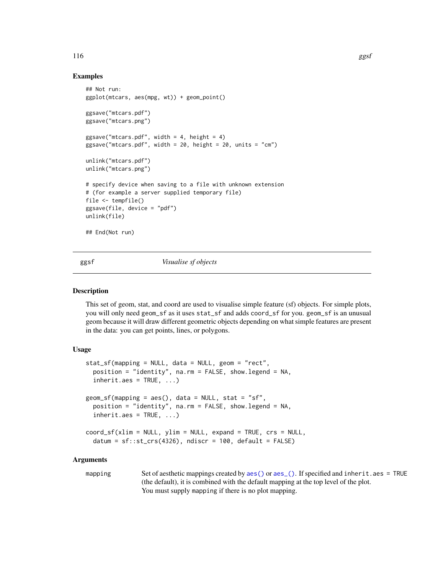### Examples

```
## Not run:
ggplot(mtcars, aes(mpg, wt)) + geom_point()
ggsave("mtcars.pdf")
ggsave("mtcars.png")
ggsave("mtcars.pdf", width = 4, height = 4)
ggsave("mtcars.pdf", width = 20, height = 20, units = "cm")unlink("mtcars.pdf")
unlink("mtcars.png")
# specify device when saving to a file with unknown extension
# (for example a server supplied temporary file)
file <- tempfile()
ggsave(file, device = "pdf")
unlink(file)
## End(Not run)
```
ggsf *Visualise sf objects*

#### Description

This set of geom, stat, and coord are used to visualise simple feature (sf) objects. For simple plots, you will only need geom\_sf as it uses stat\_sf and adds coord\_sf for you. geom\_sf is an unusual geom because it will draw different geometric objects depending on what simple features are present in the data: you can get points, lines, or polygons.

#### Usage

```
stat_sf(mapping = NULL, data = NULL, geom = "rect",
 position = "identity", na.rm = FALSE, show.legend = NA,
  inherit.aes = TRUE, ...geom_sf(mapping = aes(), data = NULL, stat = "sf",
  position = "identity", na.rm = FALSE, show.legend = NA,
  inherit.aes = TRUE, ...)coord_s f(xlim = NULL, ylim = NULL, expand = TRUE, crs = NULL,datum = sf::st\_crs(4326), ndiscr = 100, default = FALSE)
```
#### Arguments

mapping Set of aesthetic mappings created by [aes\(\)](#page-6-0) or [aes\\_\(\)](#page-7-0). If specified and inherit.aes = TRUE (the default), it is combined with the default mapping at the top level of the plot. You must supply mapping if there is no plot mapping.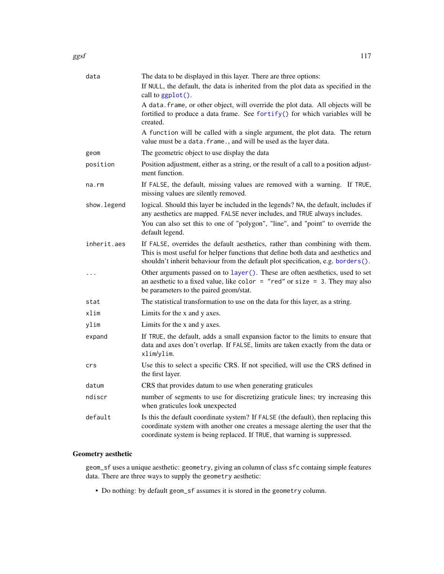| data        | The data to be displayed in this layer. There are three options:                                                                                                                                                                                                       |
|-------------|------------------------------------------------------------------------------------------------------------------------------------------------------------------------------------------------------------------------------------------------------------------------|
|             | If NULL, the default, the data is inherited from the plot data as specified in the<br>call to ggplot().                                                                                                                                                                |
|             | A data. frame, or other object, will override the plot data. All objects will be<br>fortified to produce a data frame. See fortify() for which variables will be<br>created.                                                                                           |
|             | A function will be called with a single argument, the plot data. The return<br>value must be a data. frame., and will be used as the layer data.                                                                                                                       |
| geom        | The geometric object to use display the data                                                                                                                                                                                                                           |
| position    | Position adjustment, either as a string, or the result of a call to a position adjust-<br>ment function.                                                                                                                                                               |
| na.rm       | If FALSE, the default, missing values are removed with a warning. If TRUE,<br>missing values are silently removed.                                                                                                                                                     |
| show.legend | logical. Should this layer be included in the legends? NA, the default, includes if<br>any aesthetics are mapped. FALSE never includes, and TRUE always includes.<br>You can also set this to one of "polygon", "line", and "point" to override the<br>default legend. |
| inherit.aes | If FALSE, overrides the default aesthetics, rather than combining with them.<br>This is most useful for helper functions that define both data and aesthetics and<br>shouldn't inherit behaviour from the default plot specification, e.g. borders().                  |
| .           | Other arguments passed on to layer (). These are often aesthetics, used to set<br>an aesthetic to a fixed value, like color = "red" or size = 3. They may also<br>be parameters to the paired geom/stat.                                                               |
| stat        | The statistical transformation to use on the data for this layer, as a string.                                                                                                                                                                                         |
| xlim        | Limits for the x and y axes.                                                                                                                                                                                                                                           |
| ylim        | Limits for the x and y axes.                                                                                                                                                                                                                                           |
| expand      | If TRUE, the default, adds a small expansion factor to the limits to ensure that<br>data and axes don't overlap. If FALSE, limits are taken exactly from the data or<br>xlim/ylim.                                                                                     |
| crs         | Use this to select a specific CRS. If not specified, will use the CRS defined in<br>the first layer.                                                                                                                                                                   |
| datum       | CRS that provides datum to use when generating graticules                                                                                                                                                                                                              |
| ndiscr      | number of segments to use for discretizing graticule lines; try increasing this<br>when graticules look unexpected                                                                                                                                                     |
| default     | Is this the default coordinate system? If FALSE (the default), then replacing this<br>coordinate system with another one creates a message alerting the user that the<br>coordinate system is being replaced. If TRUE, that warning is suppressed.                     |

# Geometry aesthetic

geom\_sf uses a unique aesthetic: geometry, giving an column of class sfc containg simple features data. There are three ways to supply the geometry aesthetic:

• Do nothing: by default geom\_sf assumes it is stored in the geometry column.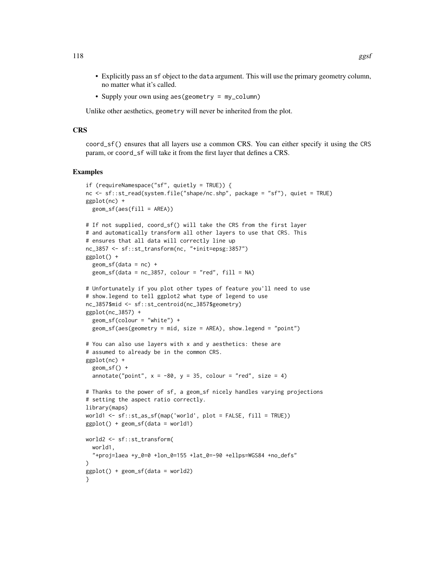- Explicitly pass an sf object to the data argument. This will use the primary geometry column, no matter what it's called.
- Supply your own using aes (geometry = my\_column)

Unlike other aesthetics, geometry will never be inherited from the plot.

#### **CRS**

coord\_sf() ensures that all layers use a common CRS. You can either specify it using the CRS param, or coord\_sf will take it from the first layer that defines a CRS.

```
if (requireNamespace("sf", quietly = TRUE)) {
nc <- sf::st_read(system.file("shape/nc.shp", package = "sf"), quiet = TRUE)
ggplot(nc) +
 geom_sf(aes(fill = AREA))
# If not supplied, coord_sf() will take the CRS from the first layer
# and automatically transform all other layers to use that CRS. This
# ensures that all data will correctly line up
nc_3857 <- sf::st_transform(nc, "+init=epsg:3857")
ggplot() +
 geom_sf(data = nc) +geom_s f(data = nc_3857, colour = "red", fill = NA)# Unfortunately if you plot other types of feature you'll need to use
# show.legend to tell ggplot2 what type of legend to use
nc_3857$mid <- sf::st_centroid(nc_3857$geometry)
ggplot(nc_3857) +
 geom_sf(colour = "white") +
 geom_sf(aes(geometry = mid, size = AREA), show.legend = "point")
# You can also use layers with x and y aesthetics: these are
# assumed to already be in the common CRS.
ggplot(nc) +
 geom_sf() +
 annotate("point", x = -80, y = 35, colour = "red", size = 4)
# Thanks to the power of sf, a geom_sf nicely handles varying projections
# setting the aspect ratio correctly.
library(maps)
world1 <- sf::st_as_sf(map('world', plot = FALSE, fill = TRUE))
ggplot() + geom_sf(data = world1)world2 <- sf::st_transform(
 world1,
  "+proj=laea +y_0=0 +lon_0=155 +lat_0=-90 +ellps=WGS84 +no_defs"
)
ggplot() + geom_sf(data = world2)
}
```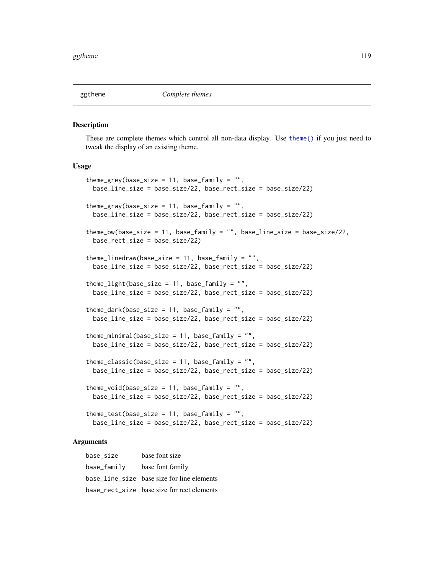These are complete themes which control all non-data display. Use [theme\(\)](#page-199-0) if you just need to tweak the display of an existing theme.

## Usage

```
theme_grey(base_size = 11, base_family = "",
 base_line_size = base_size/22, base_rect_size = base_size/22)
theme_gray(base_size = 11, base_family = "",
 base_line_size = base_size/22, base_rect_size = base_size/22)
theme_bw(base_size = 11, base_family = "", base_line_size = base_size/22,
  base_rect_size = base_size/22)
themelinedraw(base_size = 11, base-family = " " ,base_line_size = base_size/22, base_rect_size = base_size/22)
theme_light(base_size = 11, base_family = "",
 base_line_size = base_size/22, base_rect_size = base_size/22)
theme_dark(base_size = 11, base_family = "",
 base_line_size = base_size/22, base_rect_size = base_size/22)
theme_minimal(base_size = 11, base_family = "",
  base_line_size = base_size/22, base_rect_size = base_size/22)
theme_classic(base_size = 11, base_family = "",
 base_line_size = base_size/22, base_rect_size = base_size/22)
theme_void(base_size = 11, base_family = "",
 base_line_size = base_size/22, base_rect_size = base_size/22)
theme_test(base_size = 11, base_family = ",
 base_line_size = base_size/22, base_rect_size = base_size/22)
```
#### Arguments

base\_size base font size base\_family base font family base\_line\_size base size for line elements base\_rect\_size base size for rect elements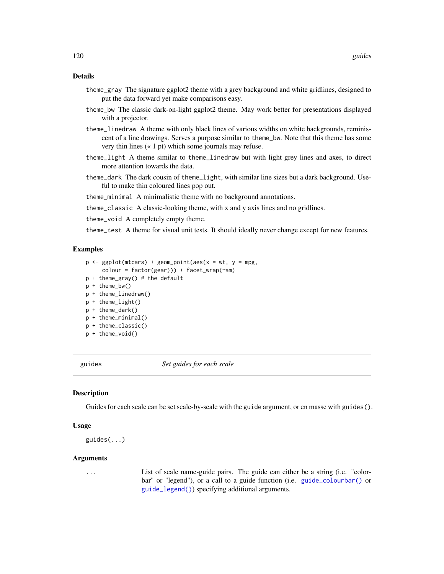## Details

- theme\_gray The signature ggplot2 theme with a grey background and white gridlines, designed to put the data forward yet make comparisons easy.
- theme\_bw The classic dark-on-light ggplot2 theme. May work better for presentations displayed with a projector.
- theme\_linedraw A theme with only black lines of various widths on white backgrounds, reminiscent of a line drawings. Serves a purpose similar to theme\_bw. Note that this theme has some very thin lines (« 1 pt) which some journals may refuse.
- theme\_light A theme similar to theme\_linedraw but with light grey lines and axes, to direct more attention towards the data.
- theme\_dark The dark cousin of theme\_light, with similar line sizes but a dark background. Useful to make thin coloured lines pop out.
- theme\_minimal A minimalistic theme with no background annotations.
- theme\_classic A classic-looking theme, with x and y axis lines and no gridlines.
- theme\_void A completely empty theme.

theme\_test A theme for visual unit tests. It should ideally never change except for new features.

## Examples

```
p \leq - ggplot(mtcars) + geom_point(aes(x = wt, y = mpg,
     color = factor(gear)) + facet_wrap(\text{ram})p + theme_gray() # the default
p + theme_bw()
p + theme_linedraw()
p + theme_light()
p + theme_dark()
p + theme_minimal()
p + theme_classic()
p + theme_void()
```
<span id="page-119-0"></span>

guides *Set guides for each scale*

#### Description

Guides for each scale can be set scale-by-scale with the guide argument, or en masse with guides().

#### Usage

```
guides(...)
```
#### Arguments

... List of scale name-guide pairs. The guide can either be a string (i.e. "colorbar" or "legend"), or a call to a guide function (i.e. [guide\\_colourbar\(\)](#page-121-0) or [guide\\_legend\(\)](#page-124-0)) specifying additional arguments.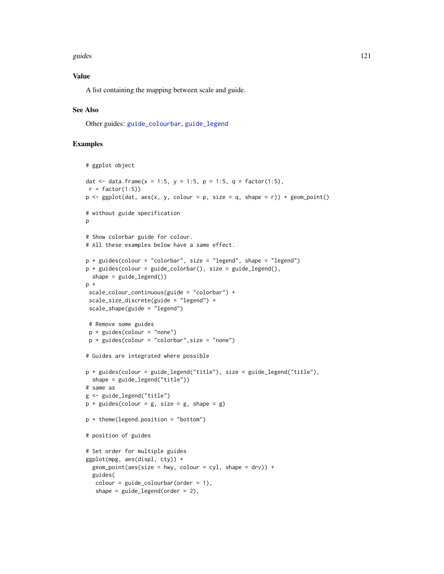#### guides **121**

## Value

A list containing the mapping between scale and guide.

## See Also

Other guides: [guide\\_colourbar](#page-121-0), [guide\\_legend](#page-124-0)

```
# ggplot object
dat <- data.frame(x = 1:5, y = 1:5, p = 1:5, q = factor(1:5),
r = factor(1:5)p \leftarrow ggplot(data, aes(x, y, colour = p, size = q, shape = r)) + geom\_point()# without guide specification
p
# Show colorbar guide for colour.
# All these examples below have a same effect.
p + guides(colour = "colorbar", size = "legend", shape = "legend")
p + guides(colour = guide_colorbar(), size = guide_eled(),shape = guide\_legend()p +scale_colour_continuous(guide = "colorbar") +
 scale_size_discrete(guide = "legend") +
 scale_shape(guide = "legend")
# Remove some guides
 p + guides(colour = "none")
 p + guides(colour = "colorbar",size = "none")
# Guides are integrated where possible
p + guides(colour = guide_legend("title"), size = guide_legend("title"),
  shape = guide_legend("title"))
# same as
g <- guide_legend("title")
p + guides(colour = g, size = g, shape = g)p + theme(legend.position = "bottom")
# position of guides
# Set order for multiple guides
ggplot(mpg, aes(displ, cty)) +
  geom\_point(aes(size = hwy, colour = cyl, shape = dry) +guides(
  color = guide\_colourbar(order = 1),
   shape = guide\_legend(order = 2),
```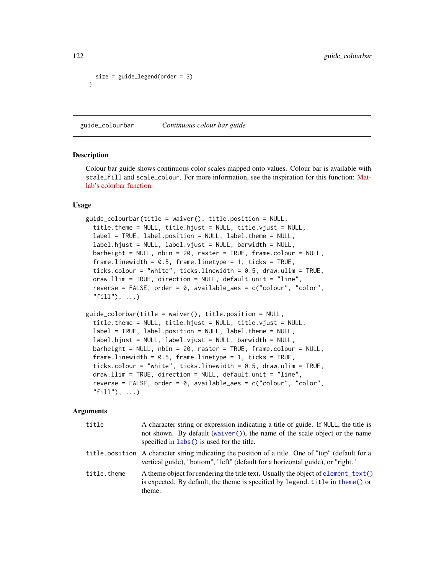```
size = guide_legend(order = 3)
)
```
<span id="page-121-0"></span>guide\_colourbar *Continuous colour bar guide*

#### Description

Colour bar guide shows continuous color scales mapped onto values. Colour bar is available with scale\_fill and scale\_colour. For more information, see the inspiration for this function: [Mat](http://www.mathworks.com/help/techdoc/ref/colorbar.html)[lab's colorbar function.](http://www.mathworks.com/help/techdoc/ref/colorbar.html)

## Usage

```
guide_colourbar(title = waiver(), title.position = NULL,
  title.theme = NULL, title.hjust = NULL, title.vjust = NULL,
  label = TRUE, label.position = NULL, label.theme = NULL,
  label.hjust = NULL, label.vjust = NULL,barheight = NULL, nbin = 20, raster = TRUE, frame.colour = NULL,
  frame.linewidth = 0.5, frame.linetype = 1, ticks = TRUE,
  ticks.colour = "white", ticks.linewidth = 0.5, draw.ulim = TRUE,
  draw.llim = TRUE, direction = NULL, default.unit = "line",
  reverse = FALSE, order = 0, available_aes = c("colour", "color",
  "fill"), \ldots)
```

```
guide_colorbar(title = waiver(), title.position = NULL,
 title.theme = NULL, title.hjust = NULL, title.vjust = NULL,
 label = TRUE, label.position = NULL, label.theme = NULL,
 label.hjust = NULL, label.vjust = NULL, barwidth = NULL,
 barheight = NULL, nbin = 20, raster = TRUE, frame.colour = NULL,
 frame.linewidth = 0.5, frame.linetype = 1, ticks = TRUE,
 ticks.colour = "white", ticks.linewidth = 0.5, draw.ulim = TRUE,
 draw.llim = TRUE, direction = NULL, default.unit = "line",
 reverse = FALSE, order = 0, available_aes = c("colour", "color",
 "fill"), ...)
```

| title       | A character string or expression indicating a title of guide. If NULL, the title is<br>not shown. By default (waiver $()$ ), the name of the scale object or the name<br>specified in labs () is used for the title. |
|-------------|----------------------------------------------------------------------------------------------------------------------------------------------------------------------------------------------------------------------|
|             | title position A character string indicating the position of a title. One of "top" (default for a<br>vertical guide), "bottom", "left" (default for a horizontal guide), or "right."                                 |
| title.theme | A theme object for rendering the title text. Usually the object of element_text()<br>is expected. By default, the theme is specified by legend. title in theme() or<br>theme.                                        |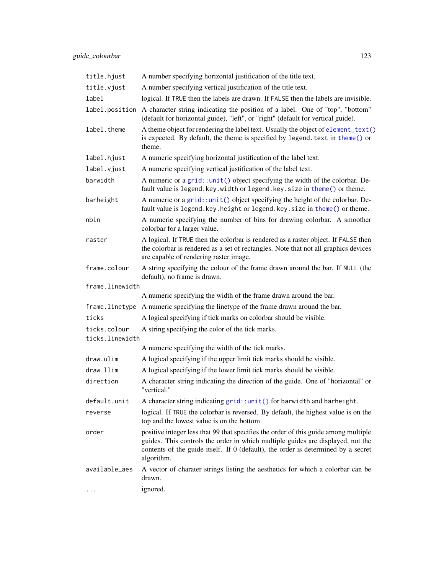| title.hjust     | A number specifying horizontal justification of the title text.                                                                                                                                                                                                           |
|-----------------|---------------------------------------------------------------------------------------------------------------------------------------------------------------------------------------------------------------------------------------------------------------------------|
| title.vjust     | A number specifying vertical justification of the title text.                                                                                                                                                                                                             |
| label           | logical. If TRUE then the labels are drawn. If FALSE then the labels are invisible.                                                                                                                                                                                       |
| label.position  | A character string indicating the position of a label. One of "top", "bottom"<br>(default for horizontal guide), "left", or "right" (default for vertical guide).                                                                                                         |
| label.theme     | A theme object for rendering the label text. Usually the object of element_text()<br>is expected. By default, the theme is specified by legend. text in theme() or<br>theme.                                                                                              |
| label.hjust     | A numeric specifying horizontal justification of the label text.                                                                                                                                                                                                          |
| label.vjust     | A numeric specifying vertical justification of the label text.                                                                                                                                                                                                            |
| barwidth        | A numeric or a grid::unit() object specifying the width of the colorbar. De-<br>fault value is legend. key. width or legend. key. size in theme() or theme.                                                                                                               |
| barheight       | A numeric or a grid::unit() object specifying the height of the colorbar. De-<br>fault value is legend. key. height or legend. key. size in theme() or theme.                                                                                                             |
| nbin            | A numeric specifying the number of bins for drawing colorbar. A smoother<br>colorbar for a larger value.                                                                                                                                                                  |
| raster          | A logical. If TRUE then the colorbar is rendered as a raster object. If FALSE then<br>the colorbar is rendered as a set of rectangles. Note that not all graphics devices<br>are capable of rendering raster image.                                                       |
| frame.colour    | A string specifying the colour of the frame drawn around the bar. If NULL (the<br>default), no frame is drawn.                                                                                                                                                            |
| frame.linewidth |                                                                                                                                                                                                                                                                           |
|                 | A numeric specifying the width of the frame drawn around the bar.                                                                                                                                                                                                         |
| frame.linetype  | A numeric specifying the linetype of the frame drawn around the bar.                                                                                                                                                                                                      |
| ticks           | A logical specifying if tick marks on colorbar should be visible.                                                                                                                                                                                                         |
| ticks.colour    | A string specifying the color of the tick marks.                                                                                                                                                                                                                          |
| ticks.linewidth | A numeric specifying the width of the tick marks.                                                                                                                                                                                                                         |
| draw.ulim       | A logical specifying if the upper limit tick marks should be visible.                                                                                                                                                                                                     |
| draw. 11im      | A logical specifying if the lower limit tick marks should be visible.                                                                                                                                                                                                     |
| direction       | A character string indicating the direction of the guide. One of "horizontal" or                                                                                                                                                                                          |
|                 | "vertical."                                                                                                                                                                                                                                                               |
| default.unit    | A character string indicating grid::unit() for barwidth and barheight.                                                                                                                                                                                                    |
| reverse         | logical. If TRUE the colorbar is reversed. By default, the highest value is on the<br>top and the lowest value is on the bottom                                                                                                                                           |
| order           | positive integer less that 99 that specifies the order of this guide among multiple<br>guides. This controls the order in which multiple guides are displayed, not the<br>contents of the guide itself. If 0 (default), the order is determined by a secret<br>algorithm. |
| available_aes   | A vector of charater strings listing the aesthetics for which a colorbar can be<br>drawn.                                                                                                                                                                                 |
|                 | ignored.                                                                                                                                                                                                                                                                  |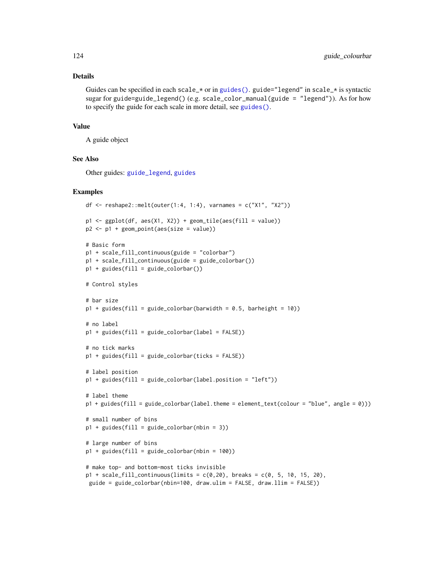#### Details

Guides can be specified in each scale\_ $\star$  or in [guides\(\)](#page-119-0). guide="legend" in scale\_ $\star$  is syntactic sugar for guide=guide\_legend() (e.g. scale\_color\_manual(guide =  $"legend")$ ). As for how to specify the guide for each scale in more detail, see [guides\(\)](#page-119-0).

## Value

A guide object

# See Also

Other guides: [guide\\_legend](#page-124-0), [guides](#page-119-0)

```
df \le reshape2::melt(outer(1:4, 1:4), varnames = c("X1", "X2"))
p1 \leftarrow ggplot(df, aes(X1, X2)) + geom\_tile(aes(fill = value))p2 \leq -p1 + geom\_point(aes(size = value))# Basic form
p1 + scale_fill_continuous(guide = "colorbar")
p1 + scale_fill_continuous(guide = guide_colorbar())
p1 + guides(fill = guide\_colorbar())# Control styles
# bar size
p1 + guides(fill = guide-colorbar(barwidth = 0.5, barheight = 10))# no label
p1 + guides(fill = guide_colorbar(label = FALSE))
# no tick marks
p1 + guides(fill = guide_colorbar(ticks = FALSE))
# label position
p1 + guides(fill = guide_colorbar(label.position = "left"))
# label theme
p1 + guides(fill = guide_colorbar(label.theme = element_text(colour = "blue", angle = 0)))
# small number of bins
p1 + guides(fill = guide\_colorbar(hin = 3))# large number of bins
p1 + guides(fill = guide\_colorbar(hlin = 100))# make top- and bottom-most ticks invisible
p1 + scale_fill_continuous(limits = c(0, 20), breaks = c(0, 5, 10, 15, 20),
 guide = guide_colorbar(nbin=100, draw.ulim = FALSE, draw.llim = FALSE))
```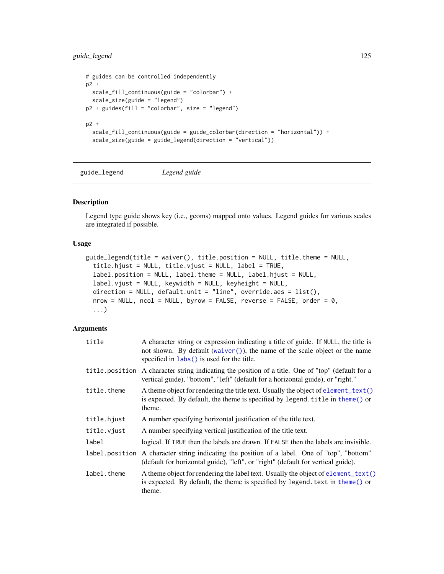## guide\_legend 125

```
# guides can be controlled independently
p2 +
 scale_fill_continuous(guide = "colorbar") +
  scale_size(guide = "legend")
p2 + guides(fill = "colorbar", size = "legend")p2 +
  scale_fill_continuous(guide = guide_colorbar(direction = "horizontal")) +
  scale_size(guide = guide_legend(direction = "vertical"))
```
<span id="page-124-0"></span>guide\_legend *Legend guide*

## Description

Legend type guide shows key (i.e., geoms) mapped onto values. Legend guides for various scales are integrated if possible.

## Usage

```
guide_legend(title = waiver(), title.position = NULL, title.theme = NULL,
  title.hjust = NULL, title.vjust = NULL, label = TRUE,
  label.position = NULL, label.theme = NULL, label.hjust = NULL,
  label.vjust = NULL, keywidth = NULL, keyheight = NULL,
  direction = NULL, default.out = "line", override.aes = list(),nrow = NULL, ncol = NULL, byrow = FALSE, reverse = FALSE, order = 0,
  ...)
```

| title          | A character string or expression indicating a title of guide. If NULL, the title is<br>not shown. By default (waiver()), the name of the scale object or the name<br>specified in labs () is used for the title. |
|----------------|------------------------------------------------------------------------------------------------------------------------------------------------------------------------------------------------------------------|
| title.position | A character string indicating the position of a title. One of "top" (default for a<br>vertical guide), "bottom", "left" (default for a horizontal guide), or "right."                                            |
| title.theme    | A theme object for rendering the title text. Usually the object of element_text()<br>is expected. By default, the theme is specified by legend. title in theme() or<br>theme.                                    |
| title.hjust    | A number specifying horizontal justification of the title text.                                                                                                                                                  |
| title.vjust    | A number specifying vertical justification of the title text.                                                                                                                                                    |
| label          | logical. If TRUE then the labels are drawn. If FALSE then the labels are invisible.                                                                                                                              |
| label.position | A character string indicating the position of a label. One of "top", "bottom"<br>(default for horizontal guide), "left", or "right" (default for vertical guide).                                                |
| label.theme    | A theme object for rendering the label text. Usually the object of element_text()<br>is expected. By default, the theme is specified by legend. text in theme() or<br>theme.                                     |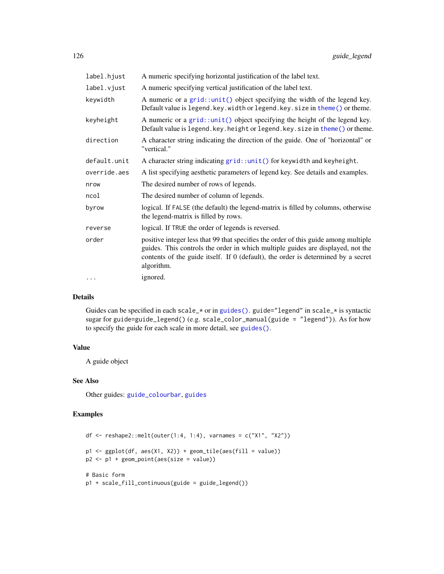| label.hjust  | A numeric specifying horizontal justification of the label text.                                                                                                                                                                                                          |
|--------------|---------------------------------------------------------------------------------------------------------------------------------------------------------------------------------------------------------------------------------------------------------------------------|
| label.vjust  | A numeric specifying vertical justification of the label text.                                                                                                                                                                                                            |
| keywidth     | A numeric or a $grid::unit()$ object specifying the width of the legend key.<br>Default value is legend. key. width or legend. key. size in theme() or theme.                                                                                                             |
| keyheight    | A numeric or a $grid::unit()$ object specifying the height of the legend key.<br>Default value is legend. key. height or legend. key. size in theme() or theme.                                                                                                           |
| direction    | A character string indicating the direction of the guide. One of "horizontal" or<br>"vertical."                                                                                                                                                                           |
| default.unit | A character string indicating grid::unit() for keywidth and keyheight.                                                                                                                                                                                                    |
| override.aes | A list specifying aesthetic parameters of legend key. See details and examples.                                                                                                                                                                                           |
| nrow         | The desired number of rows of legends.                                                                                                                                                                                                                                    |
| ncol         | The desired number of column of legends.                                                                                                                                                                                                                                  |
| byrow        | logical. If FALSE (the default) the legend-matrix is filled by columns, otherwise<br>the legend-matrix is filled by rows.                                                                                                                                                 |
| reverse      | logical. If TRUE the order of legends is reversed.                                                                                                                                                                                                                        |
| order        | positive integer less that 99 that specifies the order of this guide among multiple<br>guides. This controls the order in which multiple guides are displayed, not the<br>contents of the guide itself. If 0 (default), the order is determined by a secret<br>algorithm. |
| $\ddots$     | ignored.                                                                                                                                                                                                                                                                  |

## Details

Guides can be specified in each scale\_\* or in [guides\(\)](#page-119-0). guide="legend" in scale\_\* is syntactic sugar for guide=guide\_legend() (e.g. scale\_color\_manual(guide = "legend")). As for how to specify the guide for each scale in more detail, see [guides\(\)](#page-119-0).

## Value

A guide object

## See Also

Other guides: [guide\\_colourbar](#page-121-0), [guides](#page-119-0)

```
df \leq reshape2::melt(outer(1:4, 1:4), varnames = c("X1", "X2"))
p1 \leftarrow ggplot(df, aes(X1, X2)) + geom\_tile(aes(fill = value))p2 <- p1 + geom_point(aes(size = value))
# Basic form
p1 + scale_fill_continuous(guide = guide_legend())
```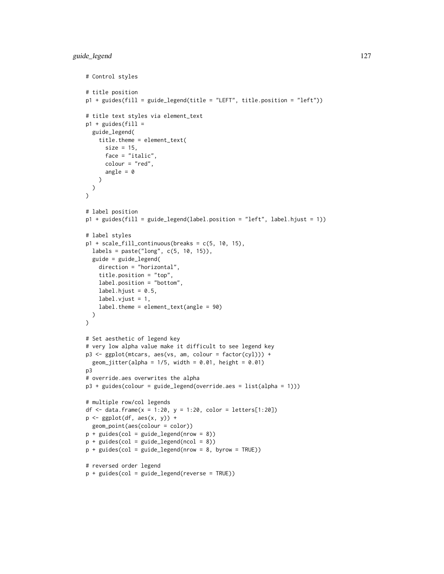```
# Control styles
# title position
p1 + guides(fill = guide_legend(title = "LEFT", title.position = "left"))
# title text styles via element_text
p1 + guides(fill =guide_legend(
    title.theme = element_text(
      size = 15,
      face = "italic",
      colour = "red",
      angle = \theta)
 )
\mathcal{L}# label position
p1 + guides(fill = guide_legend(label.position = "left", label.hjust = 1))
# label styles
p1 + scale_fill_continuous(breaks = c(5, 10, 15),labels = paste("long", c(5, 10, 15)),
  guide = guide_legend(
   direction = "horizontal",
    title.position = "top",
    label.position = "bottom",
    label.hjust = 0.5,
   label.vjust = 1,label.theme = element_text(angle = 90)
 )
\mathcal{L}# Set aesthetic of legend key
# very low alpha value make it difficult to see legend key
p3 <- ggplot(mtcars, aes(vs, am, colour = factor(cyl))) +
  geom_Jitter(alpha = 1/5, width = 0.01, height = 0.01)
p3
# override.aes overwrites the alpha
p3 + guides(colour = guide_legend(override.aes = list(alpha = 1)))
# multiple row/col legends
df <- data.frame(x = 1:20, y = 1:20, color = letters[1:20])
p \leftarrow ggplot(df, aes(x, y)) +
 geom_point(aes(colour = color))
p + guides(col = guide\_legend(nrow = 8))p + guides(col = guide\_legend(ncol = 8))p + guides(col = guide\_legend(nrow = 8, byrow = TRUE))# reversed order legend
p + guides(col = guide_legend(reverse = TRUE))
```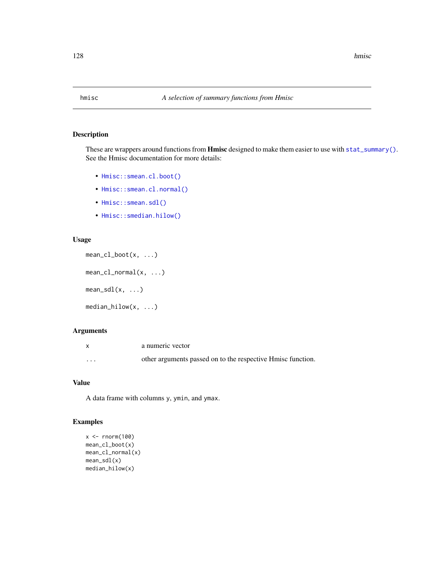These are wrappers around functions from **Hmisc** designed to make them easier to use with [stat\\_summary\(\)](#page-194-0). See the Hmisc documentation for more details:

- [Hmisc::smean.cl.boot\(\)](#page-0-0)
- [Hmisc::smean.cl.normal\(\)](#page-0-0)
- [Hmisc::smean.sdl\(\)](#page-0-0)
- [Hmisc::smedian.hilow\(\)](#page-0-0)

## Usage

```
mean_cl_boot(x, ...)
mean_cl\_normal(x, ...)mean_sdl(x, \ldots)median_hilow(x, ...)
```
## Arguments

|          | a numeric vector                                            |
|----------|-------------------------------------------------------------|
| $\cdots$ | other arguments passed on to the respective Hmisc function. |

## Value

A data frame with columns y, ymin, and ymax.

```
x < - rnorm(100)
mean_cl_boot(x)
mean_cl_normal(x)
mean_sdl(x)
median_hilow(x)
```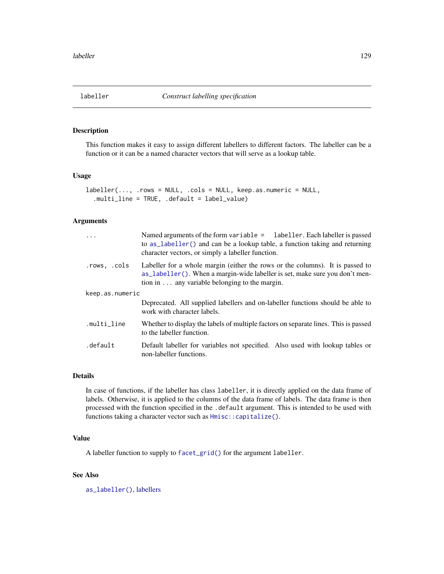<span id="page-128-0"></span>This function makes it easy to assign different labellers to different factors. The labeller can be a function or it can be a named character vectors that will serve as a lookup table.

## Usage

```
labeller(..., .rows = NULL, .cols = NULL, keep.as.numeric = NULL,
  .multi_line = TRUE, .default = label_value)
```
## Arguments

| $\cdots$        | Named arguments of the form variable = labeller. Each labeller is passed<br>to as_labeller() and can be a lookup table, a function taking and returning<br>character vectors, or simply a labeller function.          |  |
|-----------------|-----------------------------------------------------------------------------------------------------------------------------------------------------------------------------------------------------------------------|--|
| .rows, .cols    | Labeller for a whole margin (either the rows or the columns). It is passed to<br>as labeller(). When a margin-wide labeller is set, make sure you don't men-<br>tion in $\dots$ any variable belonging to the margin. |  |
| keep.as.numeric |                                                                                                                                                                                                                       |  |
|                 | Deprecated. All supplied labellers and on-labeller functions should be able to<br>work with character labels.                                                                                                         |  |
| .multi_line     | Whether to display the labels of multiple factors on separate lines. This is passed<br>to the labeller function.                                                                                                      |  |
| .default        | Default labeller for variables not specified. Also used with lookup tables or<br>non-labeller functions.                                                                                                              |  |

## Details

In case of functions, if the labeller has class labeller, it is directly applied on the data frame of labels. Otherwise, it is applied to the columns of the data frame of labels. The data frame is then processed with the function specified in the .default argument. This is intended to be used with functions taking a character vector such as  $Hmisc::capitalize()$ .

## Value

A labeller function to supply to [facet\\_grid\(\)](#page-35-0) for the argument labeller.

## See Also

[as\\_labeller\(\)](#page-0-0), [labellers](#page-130-0)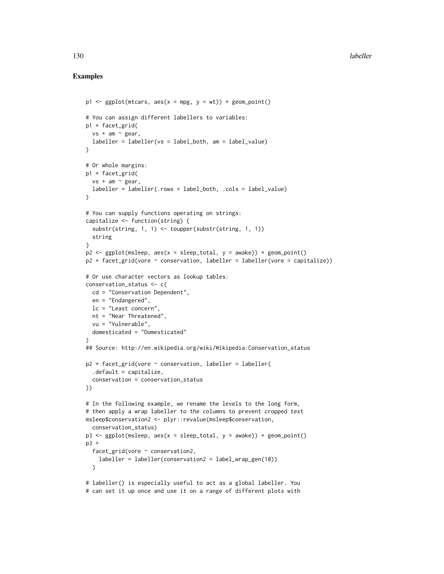```
p1 \leq - ggplot(mtcars, aes(x = mpg, y = wt)) + geom_point()
# You can assign different labellers to variables:
p1 + facet_grid(
  vs + am ~ <math>gear</math>,labeller = labeller(vs = label_both, am = label_value)
\lambda# Or whole margins:
p1 + facet_grid(
  vs + am ~ " gear,labeller = labeller(.rows = label_both, .cols = label_value)
\lambda# You can supply functions operating on strings:
capitalize <- function(string) {
  substr(string, 1, 1) <- toupper(substr(string, 1, 1))
  string
}
p2 \leq - ggplot(msleep, aes(x = sleep\_total, y = awake)) + geom_point()
p2 + \text{facet\_grid}(vore \sim \text{conservation}, \text{ labeller} = \text{labeller}(vore = \text{capitalize})# Or use character vectors as lookup tables:
conservation_status <- c(
 cd = "Conservation Dependent",
  en = "Endangered",
 lc = "Least concern",
  nt = "Near Threatened",
  vu = "Vulnerable",
  domesticated = "Domesticated"
\lambda## Source: http://en.wikipedia.org/wiki/Wikipedia:Conservation_status
p2 + \text{facet\_grid}(vore \sim \text{conservation}, \text{labeller} = \text{labeller}(.default = capitalize,
  conservation = conservation_status
))
# In the following example, we rename the levels to the long form,
# then apply a wrap labeller to the columns to prevent cropped text
msleep$conservation2 <- plyr::revalue(msleep$conservation,
  conservation_status)
p3 \leq - ggplot(msleep, aes(x = sleep_total, y = awake)) + geom_point()
p3 +
  facet_grid(vore ~ conservation2,
    labeller = labeller(conservation2 = label_wrap_gen(10))
  \lambda# labeller() is especially useful to act as a global labeller. You
# can set it up once and use it on a range of different plots with
```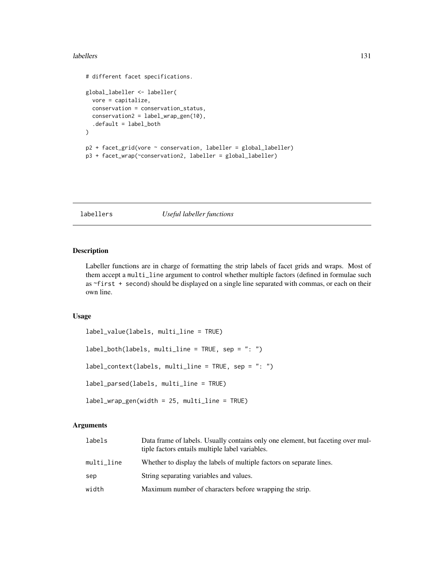#### labellers and the state of the state of the state of the state of the state of the state of the state of the state of the state of the state of the state of the state of the state of the state of the state of the state of

```
# different facet specifications.
global_labeller <- labeller(
  vore = capitalize,
  conservation = conservation_status,
  conservation2 = label_wrap_gen(10),
  .default = label_both
\mathcal{L}p2 + facet_grid(vore ~ conservation, labeller = global_labeller)
p3 + facet_wrap(~conservation2, labeller = global_labeller)
```
## <span id="page-130-0"></span>labellers *Useful labeller functions*

## Description

Labeller functions are in charge of formatting the strip labels of facet grids and wraps. Most of them accept a multi\_line argument to control whether multiple factors (defined in formulae such as ~first + second) should be displayed on a single line separated with commas, or each on their own line.

## Usage

```
label_value(labels, multi_line = TRUE)
label_both(labels, multi_line = TRUE, sep = ": ")
label_context(labels, multi_line = TRUE, sep = ": ")
label_parsed(labels, multi_line = TRUE)
label_wrap_gen(width = 25, multi_line = TRUE)
```

| labels     | Data frame of labels. Usually contains only one element, but faceting over mul-<br>tiple factors entails multiple label variables. |
|------------|------------------------------------------------------------------------------------------------------------------------------------|
| multi_line | Whether to display the labels of multiple factors on separate lines.                                                               |
| sep        | String separating variables and values.                                                                                            |
| width      | Maximum number of characters before wrapping the strip.                                                                            |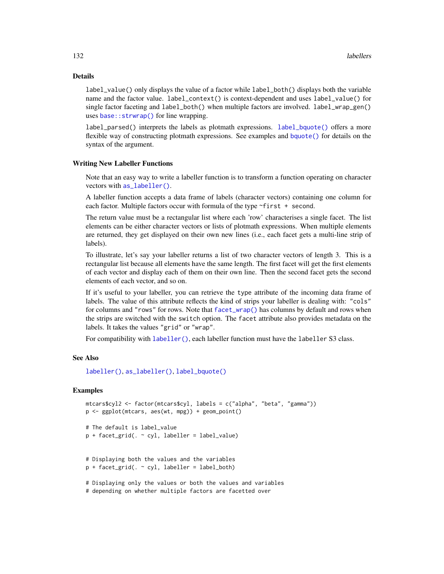## Details

label\_value() only displays the value of a factor while label\_both() displays both the variable name and the factor value. label\_context() is context-dependent and uses label\_value() for single factor faceting and label\_both() when multiple factors are involved. label\_wrap\_gen() uses base:: strwrap() for line wrapping.

label\_parsed() interprets the labels as plotmath expressions. [label\\_bquote\(\)](#page-132-0) offers a more flexible way of constructing plotmath expressions. See examples and [bquote\(\)](#page-0-0) for details on the syntax of the argument.

#### Writing New Labeller Functions

Note that an easy way to write a labeller function is to transform a function operating on character vectors with [as\\_labeller\(\)](#page-0-0).

A labeller function accepts a data frame of labels (character vectors) containing one column for each factor. Multiple factors occur with formula of the type ~first + second.

The return value must be a rectangular list where each 'row' characterises a single facet. The list elements can be either character vectors or lists of plotmath expressions. When multiple elements are returned, they get displayed on their own new lines (i.e., each facet gets a multi-line strip of labels).

To illustrate, let's say your labeller returns a list of two character vectors of length 3. This is a rectangular list because all elements have the same length. The first facet will get the first elements of each vector and display each of them on their own line. Then the second facet gets the second elements of each vector, and so on.

If it's useful to your labeller, you can retrieve the type attribute of the incoming data frame of labels. The value of this attribute reflects the kind of strips your labeller is dealing with: "cols" for columns and "rows" for rows. Note that [facet\\_wrap\(\)](#page-37-0) has columns by default and rows when the strips are switched with the switch option. The facet attribute also provides metadata on the labels. It takes the values "grid" or "wrap".

For compatibility with [labeller\(\)](#page-128-0), each labeller function must have the labeller S3 class.

## See Also

[labeller\(\)](#page-128-0), [as\\_labeller\(\)](#page-0-0), [label\\_bquote\(\)](#page-132-0)

## Examples

```
mtcars$cyl2 <- factor(mtcars$cyl, labels = c("alpha", "beta", "gamma"))
p <- ggplot(mtcars, aes(wt, mpg)) + geom_point()
# The default is label_value
p + facet_grid(. ~ cyl, labeller = label_value)
# Displaying both the values and the variables
p + facet_grid(. \sim cyl, labeller = label_both)
# Displaying only the values or both the values and variables
```
# depending on whether multiple factors are facetted over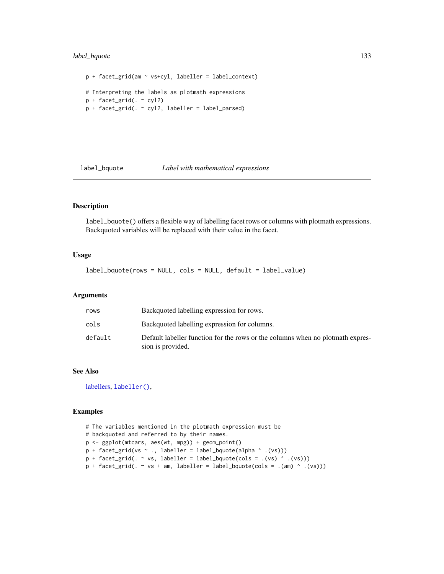## label\_bquote 133

```
p + facet_grid(am ~ vs+cyl, labeller = label_context)
# Interpreting the labels as plotmath expressions
p + facet\_grid( . ~ ~ cyl2)p + facet_grid(. ~ cyl2, labeller = label_parsed)
```
<span id="page-132-0"></span>

#### label\_bquote *Label with mathematical expressions*

## Description

label\_bquote() offers a flexible way of labelling facet rows or columns with plotmath expressions. Backquoted variables will be replaced with their value in the facet.

## Usage

label\_bquote(rows = NULL, cols = NULL, default = label\_value)

## Arguments

| rows    | Backquoted labelling expression for rows.                                                           |
|---------|-----------------------------------------------------------------------------------------------------|
| cols    | Backquoted labelling expression for columns.                                                        |
| default | Default labeller function for the rows or the columns when no plotmath expres-<br>sion is provided. |

## See Also

[labellers,](#page-130-0) [labeller\(\)](#page-128-0),

```
# The variables mentioned in the plotmath expression must be
# backquoted and referred to by their names.
p <- ggplot(mtcars, aes(wt, mpg)) + geom_point()
p + \text{facet\_grid}(vs ~ . , \text{ labeller = label\_bquote(alpha ^ \text{'})})p + facet\_grid( . ~ vs, labeller = label_bquote(cols = .(vs) ^ (vs))))p + facet\_grid( . ~ vs + am, labeller = label_bquote(cols = .(am) ^ (vs)))
```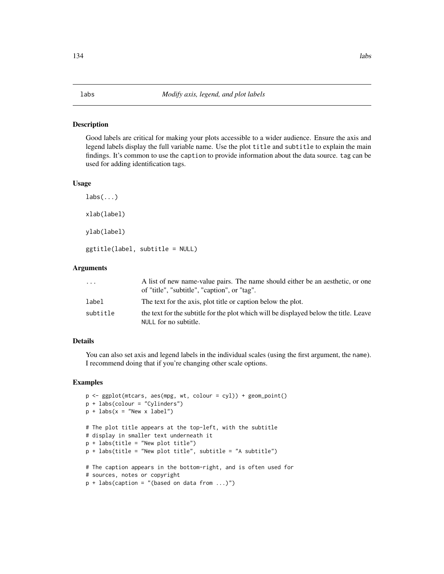<span id="page-133-0"></span>Good labels are critical for making your plots accessible to a wider audience. Ensure the axis and legend labels display the full variable name. Use the plot title and subtitle to explain the main findings. It's common to use the caption to provide information about the data source. tag can be used for adding identification tags.

#### Usage

```
\text{labs}(\ldots)xlab(label)
ylab(label)
ggtitle(label, subtitle = NULL)
```
## **Arguments**

| .        | A list of new name-value pairs. The name should either be an aesthetic, or one<br>of "title", "subtitle", "caption", or "tag". |
|----------|--------------------------------------------------------------------------------------------------------------------------------|
| label    | The text for the axis, plot title or caption below the plot.                                                                   |
| subtitle | the text for the subtitle for the plot which will be displayed below the title. Leave<br>NULL for no subtitle.                 |

## Details

You can also set axis and legend labels in the individual scales (using the first argument, the name). I recommend doing that if you're changing other scale options.

```
p <- ggplot(mtcars, aes(mpg, wt, colour = cyl)) + geom_point()
p + labs(colour = "Cylinders")
p + \text{ labs}(x = "New x label")# The plot title appears at the top-left, with the subtitle
# display in smaller text underneath it
p + labs(title = "New plot title")
p + labs(title = "New plot title", subtitle = "A subtitle")
# The caption appears in the bottom-right, and is often used for
# sources, notes or copyright
p + labs(caption = "(based on data from ...)")
```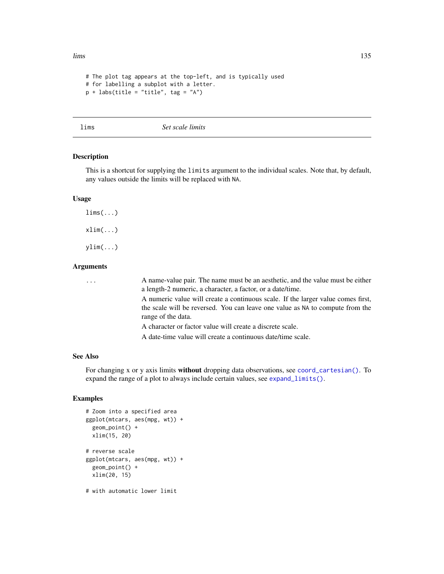```
# The plot tag appears at the top-left, and is typically used
# for labelling a subplot with a letter.
p + labs(title = "title", tag = "A")
```
lims *Set scale limits*

## Description

This is a shortcut for supplying the limits argument to the individual scales. Note that, by default, any values outside the limits will be replaced with NA.

## Usage

 $\lim_{\delta}$  (...)  $xlim(...)$ ylim(...)

# Arguments

| $\cdots$ | A name-value pair. The name must be an aesthetic, and the value must be either<br>a length-2 numeric, a character, a factor, or a date/time.                                            |
|----------|-----------------------------------------------------------------------------------------------------------------------------------------------------------------------------------------|
|          | A numeric value will create a continuous scale. If the larger value comes first,<br>the scale will be reversed. You can leave one value as NA to compute from the<br>range of the data. |
|          | A character or factor value will create a discrete scale.                                                                                                                               |
|          | A date-time value will create a continuous date/time scale.                                                                                                                             |
|          |                                                                                                                                                                                         |

## See Also

For changing x or y axis limits without dropping data observations, see [coord\\_cartesian\(\)](#page-22-0). To expand the range of a plot to always include certain values, see [expand\\_limits\(\)](#page-33-0).

```
# Zoom into a specified area
ggplot(mtcars, aes(mpg, wt)) +
 geom_point() +
 xlim(15, 20)
# reverse scale
ggplot(mtcars, aes(mpg, wt)) +
 geom_point() +
 xlim(20, 15)
# with automatic lower limit
```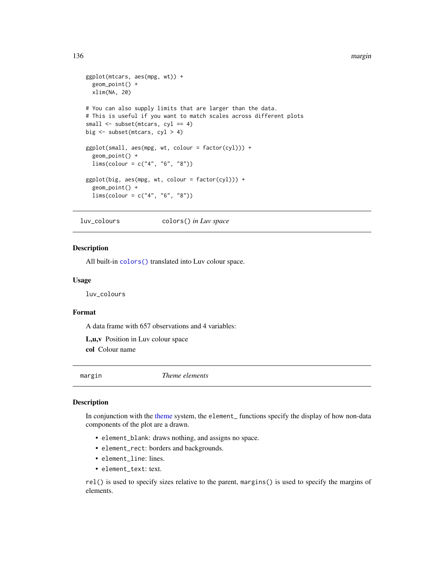#### 136 margin and the contract of the contract of the contract of the contract of the contract of the contract of the contract of the contract of the contract of the contract of the contract of the contract of the contract of

```
ggplot(mtcars, aes(mpg, wt)) +
 geom_point() +
 xlim(NA, 20)
# You can also supply limits that are larger than the data.
# This is useful if you want to match scales across different plots
small <- subset(mtcars, cyl == 4)
big <- subset(mtcars, cyl > 4)
ggplot(small, aes(mpg, wt, colour = factor(cyl))) +
 geom_point() +
 lims(colour = c("4", "6", "8"))
ggplot(big, aes(mpg, wt, colour = factor(cyl))) +geom_point() +
 lims(colour = c("4", "6", "8"))
```
luv\_colours colors() *in Luv space*

#### Description

All built-in [colors\(\)](#page-0-0) translated into Luv colour space.

#### Usage

luv\_colours

## Format

A data frame with 657 observations and 4 variables:

L,u,v Position in Luv colour space col Colour name

<span id="page-135-1"></span>margin *Theme elements*

## <span id="page-135-0"></span>Description

In conjunction with the [theme](#page-199-0) system, the element\_ functions specify the display of how non-data components of the plot are a drawn.

- element\_blank: draws nothing, and assigns no space.
- element\_rect: borders and backgrounds.
- element\_line: lines.
- element\_text: text.

rel() is used to specify sizes relative to the parent, margins() is used to specify the margins of elements.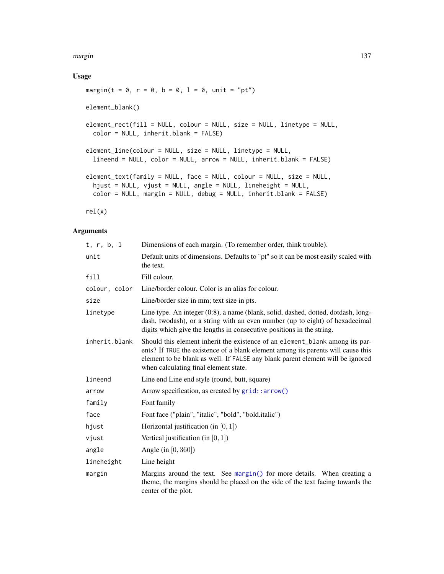#### margin the contract of the contract of the contract of the contract of the contract of the contract of the contract of the contract of the contract of the contract of the contract of the contract of the contract of the con

## Usage

```
margin(t = 0, r = 0, b = 0, 1 = 0, unit = "pt")element_blank()
element_rect(fill = NULL, colour = NULL, size = NULL, linetype = NULL,
 color = NULL, inherit.blank = FALSE)
element_line(colour = NULL, size = NULL, linetype = NULL,
  lineend = NULL, color = NULL, arrow = NULL, inherit.blank = FALSE)
element_text(family = NULL, face = NULL, colour = NULL, size = NULL,
 hjust = NULL, vjust = NULL, angle = NULL, lineheight = NULL,
 color = NULL, margin = NULL, debug = NULL, inherit.blank = FALSE)
```
rel(x)

| t, r, b, 1    | Dimensions of each margin. (To remember order, think trouble).                                                                                                                                                                                                                              |
|---------------|---------------------------------------------------------------------------------------------------------------------------------------------------------------------------------------------------------------------------------------------------------------------------------------------|
| unit          | Default units of dimensions. Defaults to "pt" so it can be most easily scaled with<br>the text.                                                                                                                                                                                             |
| fill          | Fill colour.                                                                                                                                                                                                                                                                                |
| colour, color | Line/border colour. Color is an alias for colour.                                                                                                                                                                                                                                           |
| size          | Line/border size in mm; text size in pts.                                                                                                                                                                                                                                                   |
| linetype      | Line type. An integer (0:8), a name (blank, solid, dashed, dotted, dotdash, long-<br>dash, twodash), or a string with an even number (up to eight) of hexadecimal<br>digits which give the lengths in consecutive positions in the string.                                                  |
| inherit.blank | Should this element inherit the existence of an element_blank among its par-<br>ents? If TRUE the existence of a blank element among its parents will cause this<br>element to be blank as well. If FALSE any blank parent element will be ignored<br>when calculating final element state. |
| lineend       | Line end Line end style (round, butt, square)                                                                                                                                                                                                                                               |
| arrow         | Arrow specification, as created by grid::arrow()                                                                                                                                                                                                                                            |
| family        | Font family                                                                                                                                                                                                                                                                                 |
| face          | Font face ("plain", "italic", "bold", "bold.italic")                                                                                                                                                                                                                                        |
| hjust         | Horizontal justification (in $[0, 1]$ )                                                                                                                                                                                                                                                     |
| vjust         | Vertical justification (in $[0,1]$ )                                                                                                                                                                                                                                                        |
| angle         | Angle (in $[0, 360]$ )                                                                                                                                                                                                                                                                      |
| lineheight    | Line height                                                                                                                                                                                                                                                                                 |
| margin        | Margins around the text. See margin() for more details. When creating a<br>theme, the margins should be placed on the side of the text facing towards the<br>center of the plot.                                                                                                            |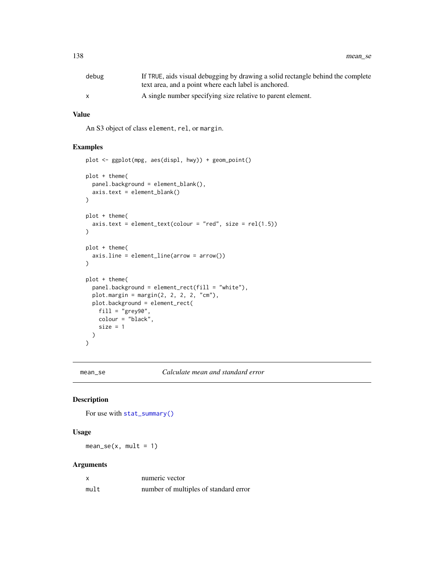| debug | If TRUE, aids visual debugging by drawing a solid rectangle behind the complete<br>text area, and a point where each label is anchored. |
|-------|-----------------------------------------------------------------------------------------------------------------------------------------|
|       | A single number specifying size relative to parent element.                                                                             |

#### Value

An S3 object of class element, rel, or margin.

## Examples

```
plot <- ggplot(mpg, aes(displ, hwy)) + geom_point()
plot + theme(
  panel.background = element_blank(),
  axis.text = element_blank()
\mathcal{L}plot + theme(
  axis. text = element\_text(colour = "red", size = rel(1.5))\lambdaplot + theme(
  axis.line = element_line(arrow = arrow())
\overline{)}plot + theme(
  panel.background = element_rect(fill = "white"),
  plot.margin = margin(2, 2, 2, 2, "cm"),
 plot.background = element_rect(
   fill = "grey90",
    colour = "black",
    size = 1)
)
```
mean\_se *Calculate mean and standard error*

#### Description

For use with [stat\\_summary\(\)](#page-194-0)

#### Usage

 $mean\_se(x, mult = 1)$ 

|      | numeric vector                        |
|------|---------------------------------------|
| mult | number of multiples of standard error |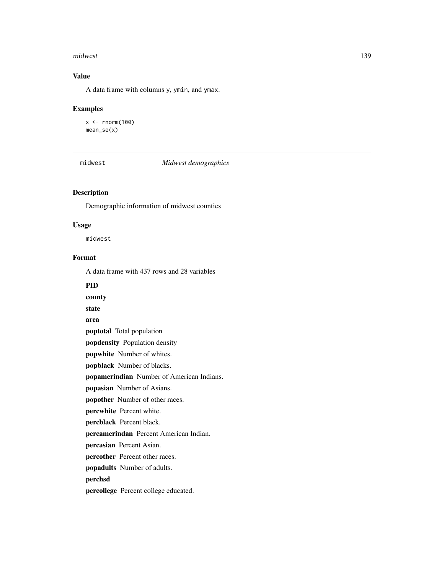#### midwest 239

# Value

A data frame with columns y, ymin, and ymax.

#### Examples

 $x < -$  rnorm(100) mean\_se(x)

## midwest *Midwest demographics*

## Description

Demographic information of midwest counties

#### Usage

midwest

## Format

A data frame with 437 rows and 28 variables

## PID

county

state

area

poptotal Total population

popdensity Population density

popwhite Number of whites.

popblack Number of blacks.

popamerindian Number of American Indians.

popasian Number of Asians.

popother Number of other races.

percwhite Percent white.

percblack Percent black.

percamerindan Percent American Indian.

percasian Percent Asian.

percother Percent other races.

popadults Number of adults.

# perchsd

percollege Percent college educated.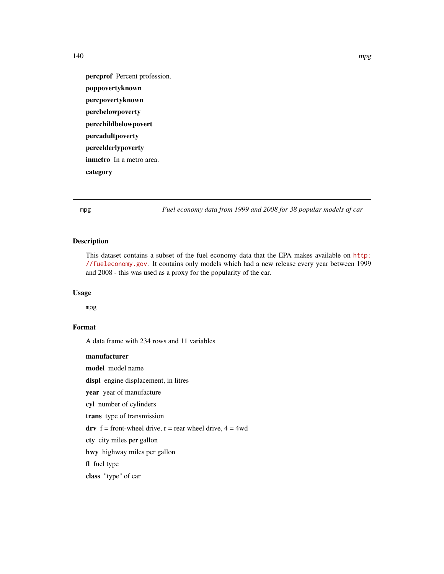percprof Percent profession. poppovertyknown percpovertyknown percbelowpoverty percchildbelowpovert percadultpoverty percelderlypoverty inmetro In a metro area. category

mpg *Fuel economy data from 1999 and 2008 for 38 popular models of car*

## Description

This dataset contains a subset of the fuel economy data that the EPA makes available on [http:](http://fueleconomy.gov) [//fueleconomy.gov](http://fueleconomy.gov). It contains only models which had a new release every year between 1999 and 2008 - this was used as a proxy for the popularity of the car.

#### Usage

mpg

# Format

A data frame with 234 rows and 11 variables

manufacturer model model name displ engine displacement, in litres year year of manufacture cyl number of cylinders trans type of transmission drv  $f =$  front-wheel drive,  $r =$  rear wheel drive,  $4 = 4wd$ cty city miles per gallon hwy highway miles per gallon fl fuel type class "type" of car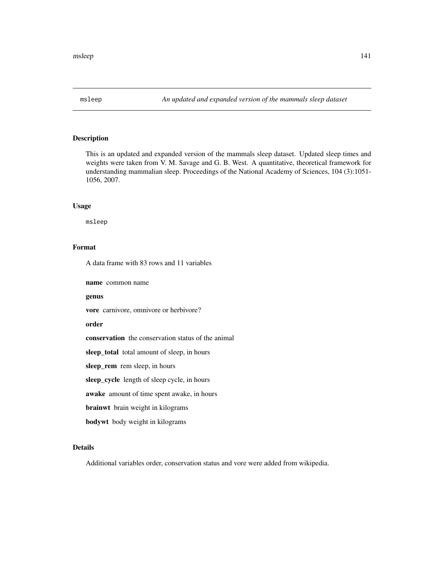This is an updated and expanded version of the mammals sleep dataset. Updated sleep times and weights were taken from V. M. Savage and G. B. West. A quantitative, theoretical framework for understanding mammalian sleep. Proceedings of the National Academy of Sciences, 104 (3):1051- 1056, 2007.

#### Usage

msleep

## Format

A data frame with 83 rows and 11 variables

name common name

#### genus

vore carnivore, omnivore or herbivore?

#### order

conservation the conservation status of the animal

sleep\_total total amount of sleep, in hours

sleep\_rem rem sleep, in hours

sleep\_cycle length of sleep cycle, in hours

awake amount of time spent awake, in hours

brainwt brain weight in kilograms

bodywt body weight in kilograms

## Details

Additional variables order, conservation status and vore were added from wikipedia.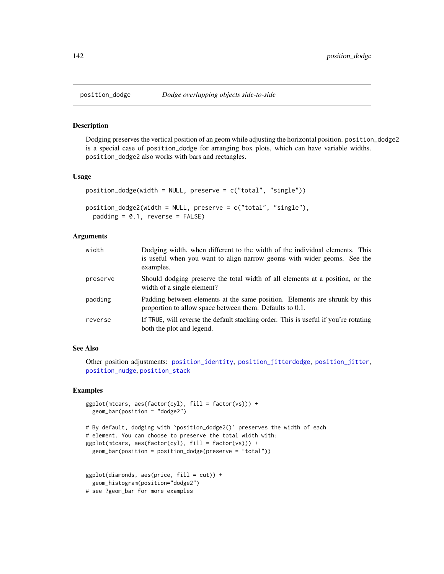Dodging preserves the vertical position of an geom while adjusting the horizontal position. position\_dodge2 is a special case of position\_dodge for arranging box plots, which can have variable widths. position\_dodge2 also works with bars and rectangles.

## Usage

```
position_dodge(width = NULL, preserve = c("total", "single"))
position_dodge2(width = NULL, preserve = c("total", "single"),
 padding = 0.1, reverse = FALSE)
```
### Arguments

| width    | Dodging width, when different to the width of the individual elements. This<br>is useful when you want to align narrow geoms with wider geoms. See the<br>examples. |
|----------|---------------------------------------------------------------------------------------------------------------------------------------------------------------------|
| preserve | Should dodging preserve the total width of all elements at a position, or the<br>width of a single element?                                                         |
| padding  | Padding between elements at the same position. Elements are shrunk by this<br>proportion to allow space between them. Defaults to 0.1.                              |
| reverse  | If TRUE, will reverse the default stacking order. This is useful if you're rotating<br>both the plot and legend.                                                    |

#### See Also

Other position adjustments: [position\\_identity](#page-142-0), [position\\_jitterdodge](#page-144-0), [position\\_jitter](#page-143-0), [position\\_nudge](#page-145-0), [position\\_stack](#page-146-0)

```
ggplot(mtcars, aes(factor(cyl), fill = factor(vs))) +geom_bar(position = "dodge2")
# By default, dodging with `position_dodge2()` preserves the width of each
# element. You can choose to preserve the total width with:
ggplot(mtcars, aes(factor(cyl), fill = factor(vs))) +geom_bar(position = position_dodge(preserve = "total"))
ggplot(diamonds, aes(price, fill = cut)) +geom_histogram(position="dodge2")
```

```
# see ?geom_bar for more examples
```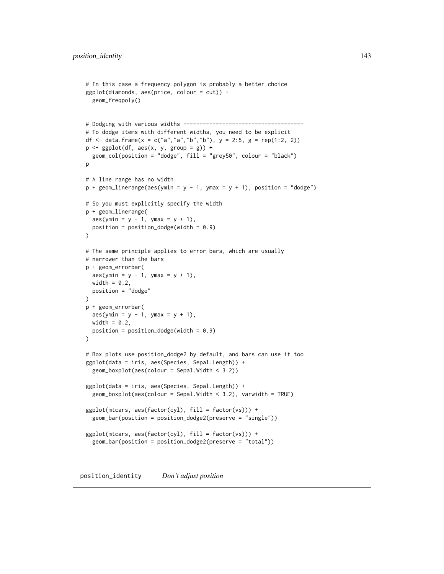```
# In this case a frequency polygon is probably a better choice
ggplot(diamonds, aes(price, colour = cut)) +
 geom_freqpoly()
# Dodging with various widths -------------------------------------
# To dodge items with different widths, you need to be explicit
df <- data.frame(x = c("a","a","b","b"), y = 2:5, g = rep(1:2, 2))
p \leftarrow \text{ggplot}(df, \text{aes}(x, y, \text{group} = g)) +geom_col(position = "dodge", fill = "grey50", colour = "black")
p
# A line range has no width:
p + geom\_linearange(aes(ymin = y - 1, ymax = y + 1), position = "dodge")# So you must explicitly specify the width
p + geom_linerange(
 aes(ymin = y - 1, ymax = y + 1),position = position\_dodge(width = 0.9)\mathcal{L}# The same principle applies to error bars, which are usually
# narrower than the bars
p + geom_errorbar(
 aes(ymin = y - 1, ymax = y + 1),width = 0.2,
 position = "dodge"
)
p + geom_errorbar(
 aes(ymin = y - 1, ymax = y + 1),width = 0.2,
 position = position\_dodge(width = 0.9))
# Box plots use position_dodge2 by default, and bars can use it too
ggplot(data = iris, aes(Species, Sepal.Length)) +
 geom_boxplot(aes(colour = Sepal.Width < 3.2))
ggplot(data = iris, aes(Species, Sepal.Length)) +
 geom_boxplot(aes(colour = Sepal.Width < 3.2), varwidth = TRUE)
ggplot(mtcars, aes(factor(cyl), fill = factor(vs))) +
 geom_bar(position = position_dodge2(preserve = "single"))
ggplot(mtcars, aes(factor(cyl), fill = factor(vs))) +geom_bar(position = position_dodge2(preserve = "total"))
```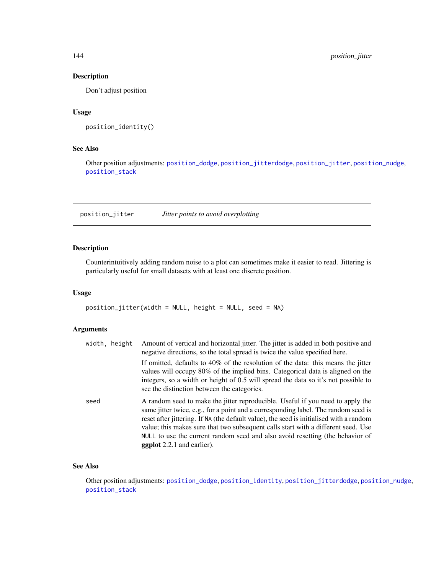Don't adjust position

## Usage

```
position_identity()
```
## See Also

Other position adjustments: [position\\_dodge](#page-141-0), [position\\_jitterdodge](#page-144-0), [position\\_jitter](#page-143-0), [position\\_nudge](#page-145-0), [position\\_stack](#page-146-0)

<span id="page-143-0"></span>position\_jitter *Jitter points to avoid overplotting*

## Description

Counterintuitively adding random noise to a plot can sometimes make it easier to read. Jittering is particularly useful for small datasets with at least one discrete position.

#### Usage

```
position_jitter(width = NULL, height = NULL, seed = NA)
```
## Arguments

| width, height | Amount of vertical and horizontal jitter. The jitter is added in both positive and<br>negative directions, so the total spread is twice the value specified here.                                                                                                                                                                                                                                                                                                          |
|---------------|----------------------------------------------------------------------------------------------------------------------------------------------------------------------------------------------------------------------------------------------------------------------------------------------------------------------------------------------------------------------------------------------------------------------------------------------------------------------------|
|               | If omitted, defaults to 40% of the resolution of the data: this means the jitter<br>values will occupy 80% of the implied bins. Categorical data is aligned on the<br>integers, so a width or height of 0.5 will spread the data so it's not possible to<br>see the distinction between the categories.                                                                                                                                                                    |
| seed          | A random seed to make the jitter reproducible. Useful if you need to apply the<br>same jitter twice, e.g., for a point and a corresponding label. The random seed is<br>reset after jittering. If NA (the default value), the seed is initialised with a random<br>value; this makes sure that two subsequent calls start with a different seed. Use<br>NULL to use the current random seed and also avoid resetting (the behavior of<br><b>ggplot</b> 2.2.1 and earlier). |

# See Also

Other position adjustments: [position\\_dodge](#page-141-0), [position\\_identity](#page-142-0), [position\\_jitterdodge](#page-144-0), [position\\_nudge](#page-145-0), [position\\_stack](#page-146-0)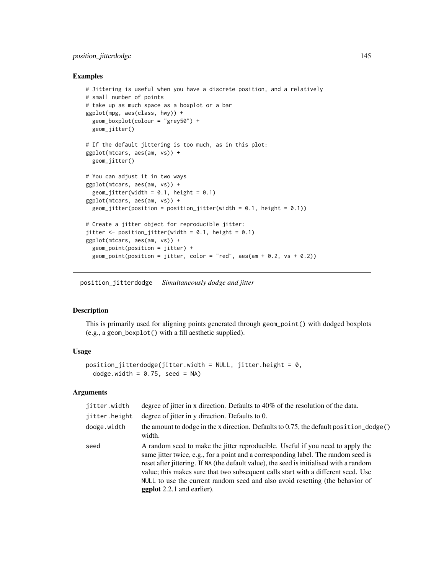# position\_jitterdodge 145

# Examples

```
# Jittering is useful when you have a discrete position, and a relatively
# small number of points
# take up as much space as a boxplot or a bar
ggplot(mpg, aes(class, hwy)) +
  geom_boxplot(colour = "grey50") +
  geom_jitter()
# If the default jittering is too much, as in this plot:
ggplot(mtcars, aes(am, vs)) +
  geom_jitter()
# You can adjust it in two ways
ggplot(mtcars, aes(am, vs)) +
  geom_jitter(width = 0.1, height = 0.1)
ggplot(mtcars, aes(am, vs)) +
  geom_jitter(position = position_jitter(width = 0.1, height = 0.1))
# Create a jitter object for reproducible jitter:
jitter \leq position_jitter(width = 0.1, height = 0.1)
ggplot(mtcars, aes(am, vs)) +
  geom_point(position = jitter) +
  geom_point(position = jitter, color = "red", aes(am + 0.2, vs + 0.2))
```
<span id="page-144-0"></span>position\_jitterdodge *Simultaneously dodge and jitter*

# Description

This is primarily used for aligning points generated through geom\_point() with dodged boxplots (e.g., a geom\_boxplot() with a fill aesthetic supplied).

# Usage

```
position\_jitterdodge(jitter<u>.width = NULL, jitter.height = 0,</u>
  dodge.width = 0.75, seed = NA)
```
# Arguments

| jitter.width  | degree of jitter in x direction. Defaults to 40% of the resolution of the data.                                                                                                                                                                                                                                                                                                                                                                                            |
|---------------|----------------------------------------------------------------------------------------------------------------------------------------------------------------------------------------------------------------------------------------------------------------------------------------------------------------------------------------------------------------------------------------------------------------------------------------------------------------------------|
| jitter.height | degree of jitter in y direction. Defaults to 0.                                                                                                                                                                                                                                                                                                                                                                                                                            |
| dodge.width   | the amount to dodge in the x direction. Defaults to 0.75, the default position_dodge()<br>width.                                                                                                                                                                                                                                                                                                                                                                           |
| seed          | A random seed to make the jitter reproducible. Useful if you need to apply the<br>same jitter twice, e.g., for a point and a corresponding label. The random seed is<br>reset after jittering. If NA (the default value), the seed is initialised with a random<br>value; this makes sure that two subsequent calls start with a different seed. Use<br>NULL to use the current random seed and also avoid resetting (the behavior of<br><b>ggplot</b> 2.2.1 and earlier). |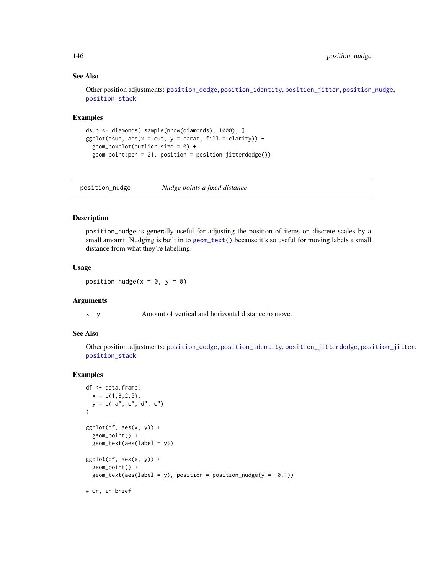# See Also

Other position adjustments: [position\\_dodge](#page-141-0), [position\\_identity](#page-142-0), [position\\_jitter](#page-143-0), [position\\_nudge](#page-145-0), [position\\_stack](#page-146-0)

# Examples

```
dsub <- diamonds[ sample(nrow(diamonds), 1000), ]
ggplot(dsub, aes(x = cut, y = carat, fill = clarity)) +geom_boxplot(outlier.size = 0) +
 geom_point(pch = 21, position = position_jitterdodge())
```
<span id="page-145-0"></span>position\_nudge *Nudge points a fixed distance*

## Description

position\_nudge is generally useful for adjusting the position of items on discrete scales by a small amount. Nudging is built in to [geom\\_text\(\)](#page-75-0) because it's so useful for moving labels a small distance from what they're labelling.

# Usage

position\_nudge( $x = 0$ ,  $y = 0$ )

#### Arguments

x, y Amount of vertical and horizontal distance to move.

# See Also

Other position adjustments: [position\\_dodge](#page-141-0), [position\\_identity](#page-142-0), [position\\_jitterdodge](#page-144-0), [position\\_jitter](#page-143-0), [position\\_stack](#page-146-0)

```
df <- data.frame(
 x = c(1, 3, 2, 5),
  y = c("a", "c", "d", "c")\mathcal{L}ggplot(df, aes(x, y)) +geom_point() +
  geom_text(aes(label = y))
ggplot(df, aes(x, y)) +geom_point() +
  geom_text(aes(label = y), position = position_nudge(y = -0.1))
# Or, in brief
```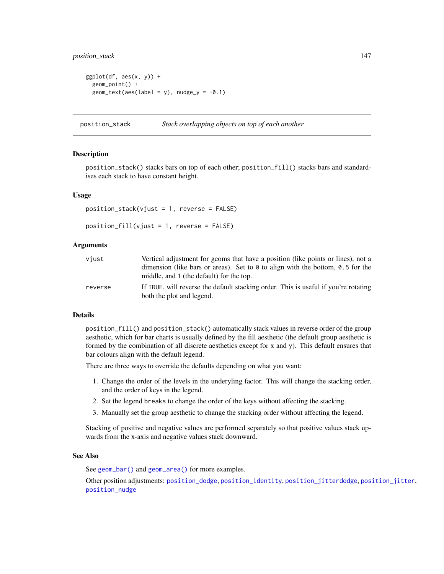# position\_stack 147

```
ggplot(df, aes(x, y)) +
 geom_point() +
 geom\_text(aes(label = y), nudge_y = -0.1)
```
<span id="page-146-0"></span>position\_stack *Stack overlapping objects on top of each another*

#### Description

position\_stack() stacks bars on top of each other; position\_fill() stacks bars and standardises each stack to have constant height.

# Usage

position\_stack(vjust = 1, reverse = FALSE)

 $position_fill(vjust = 1, reverse = FALSE)$ 

# Arguments

| viust   | Vertical adjustment for geoms that have a position (like points or lines), not a<br>dimension (like bars or areas). Set to $\theta$ to align with the bottom, 0.5 for the<br>middle, and 1 (the default) for the top. |
|---------|-----------------------------------------------------------------------------------------------------------------------------------------------------------------------------------------------------------------------|
| reverse | If TRUE, will reverse the default stacking order. This is useful if you're rotating<br>both the plot and legend.                                                                                                      |

# Details

position\_fill() and position\_stack() automatically stack values in reverse order of the group aesthetic, which for bar charts is usually defined by the fill aesthetic (the default group aesthetic is formed by the combination of all discrete aesthetics except for x and y). This default ensures that bar colours align with the default legend.

There are three ways to override the defaults depending on what you want:

- 1. Change the order of the levels in the underyling factor. This will change the stacking order, and the order of keys in the legend.
- 2. Set the legend breaks to change the order of the keys without affecting the stacking.
- 3. Manually set the group aesthetic to change the stacking order without affecting the legend.

Stacking of positive and negative values are performed separately so that positive values stack upwards from the x-axis and negative values stack downward.

#### See Also

See [geom\\_bar\(\)](#page-42-0) and [geom\\_area\(\)](#page-96-0) for more examples.

Other position adjustments: [position\\_dodge](#page-141-0), [position\\_identity](#page-142-0), [position\\_jitterdodge](#page-144-0), [position\\_jitter](#page-143-0), [position\\_nudge](#page-145-0)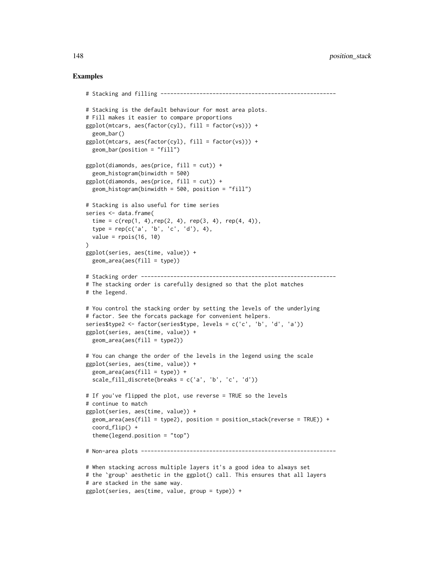```
# Stacking and filling ------------------------------------------------------
# Stacking is the default behaviour for most area plots.
# Fill makes it easier to compare proportions
ggplot(mtcars, aes(factor(cyl), fill = factor(vs))) +geom_bar()
ggplot(mtcars, aes(factor(cyl), fill = factor(vs))) +geom_bar(position = "fill")
ggplot(diamonds, aes(price, fill = cut)) +geom_histogram(binwidth = 500)
ggplot(diamonds, aes(price, fill = cut)) +geom_histogram(binwidth = 500, position = "fill")
# Stacking is also useful for time series
series <- data.frame(
 time = c(rep(1, 4), rep(2, 4), rep(3, 4), rep(4, 4)),type = rep(c('a', 'b', 'c', 'd')), 4),value = rpois(16, 10))
ggplot(series, aes(time, value)) +
 geom_area(aes(fill = type))
# Stacking order ------------------------------------------------------------
# The stacking order is carefully designed so that the plot matches
# the legend.
# You control the stacking order by setting the levels of the underlying
# factor. See the forcats package for convenient helpers.
series$type2 <- factor(series$type, levels = c('c', 'b', 'd', 'a'))
ggplot(series, aes(time, value)) +
 geom_area(aes(fill = type2))
# You can change the order of the levels in the legend using the scale
ggplot(series, aes(time, value)) +
 geom_area(aes(fill = type)) +
 scale_fill_discrete(breaks = c('a', 'b', 'c', 'd'))
# If you've flipped the plot, use reverse = TRUE so the levels
# continue to match
ggplot(series, aes(time, value)) +
 geom_area(aes(fill = type2), position = position_stack(reverse = TRUE)) +
 coord_flip() +
 theme(legend.position = "top")
# Non-area plots ------------------------------------------------------------
# When stacking across multiple layers it's a good idea to always set
# the `group` aesthetic in the ggplot() call. This ensures that all layers
# are stacked in the same way.
ggplot(series, aes(time, value, group = type)) +
```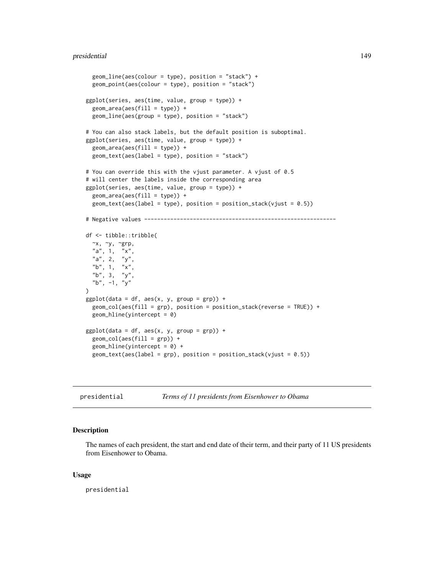```
geom_line(aes(colour = type), position = "stack") +
 geom_point(aes(colour = type), position = "stack")
ggplot(series, aes(time, value, group = type)) +
 geom_area(aes(fill = type)) +
 geom_line(aes(group = type), position = "stack")
# You can also stack labels, but the default position is suboptimal.
ggplot(series, aes(time, value, group = type)) +
 geom_area(aes(fill = type)) +
 geom_text(aes(label = type), position = "stack")
# You can override this with the vjust parameter. A vjust of 0.5
# will center the labels inside the corresponding area
ggplot(series, aes(time, value, group = type)) +
 geom_area(aes(fill = type)) +
 geom_text(aes(label = type), position = position_stack(vjust = 0.5))
# Negative values -----------------------------------------------------------
df <- tibble::tribble(
  \simx, \simy, \simgrp,
 "a", 1, "x",
 "a", 2, "y",
 "b", 1, "x","b", 3, "y"
  "b", -1, "y"
)
ggplot(data = df, aes(x, y, group = grp)) +geom_col(aes(fill = grp), position = position_stack(reverse = TRUE)) +
 geom_hline(yintercept = 0)
ggplot(data = df, aes(x, y, group = grp)) +geom\_col(aes(fill = grp)) +geom\_hline(yintercept = 0) +geom\_text(aes(label = grp), position = position_stack(vjust = 0.5))
```
presidential *Terms of 11 presidents from Eisenhower to Obama*

# Description

The names of each president, the start and end date of their term, and their party of 11 US presidents from Eisenhower to Obama.

# Usage

presidential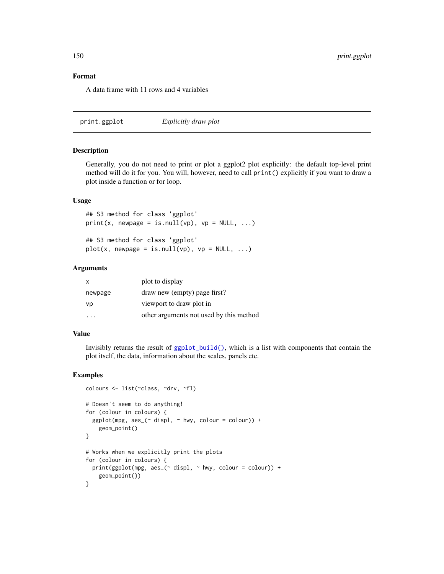# Format

A data frame with 11 rows and 4 variables

print.ggplot *Explicitly draw plot*

# Description

Generally, you do not need to print or plot a ggplot2 plot explicitly: the default top-level print method will do it for you. You will, however, need to call print() explicitly if you want to draw a plot inside a function or for loop.

# Usage

## S3 method for class 'ggplot'  $print(x, newpage = is.null(vp), vp = NULL, ...)$ 

## S3 method for class 'ggplot'  $plot(x, newpage = is.null(vp), vp = NULL, ...)$ 

#### Arguments

| $\mathsf{X}$ | plot to display                         |
|--------------|-----------------------------------------|
| newpage      | draw new (empty) page first?            |
| vp           | viewport to draw plot in                |
|              | other arguments not used by this method |

# Value

Invisibly returns the result of [ggplot\\_build\(\)](#page-0-0), which is a list with components that contain the plot itself, the data, information about the scales, panels etc.

```
colours <- list(~class, ~drv, ~fl)
# Doesn't seem to do anything!
for (colour in colours) {
 ggplot(mpg, aes_(~displ, ~hwy, colour = colour)) +geom_point()
}
# Works when we explicitly print the plots
for (colour in colours) {
 print(ggplot(mpg, aes_(\sim displ, \sim hwy, colour = colour)) +
   geom_point())
}
```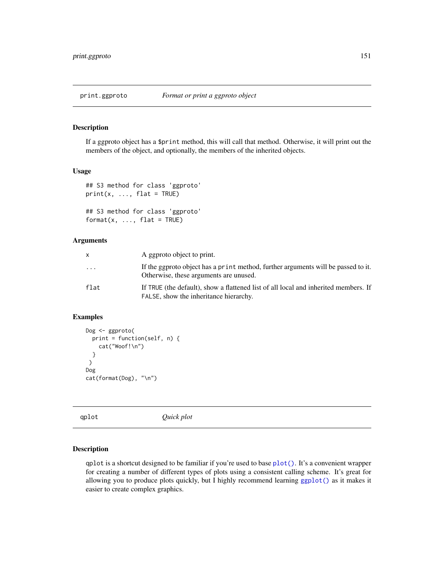# **Description**

If a ggproto object has a \$print method, this will call that method. Otherwise, it will print out the members of the object, and optionally, the members of the inherited objects.

# Usage

```
## S3 method for class 'ggproto'
print(x, ..., flat = TRUE)## S3 method for class 'ggproto'
format(x, ..., flat = TRUE)
```
#### Arguments

|      | A ggproto object to print.                                                                                                    |
|------|-------------------------------------------------------------------------------------------------------------------------------|
| .    | If the gap to object has a print method, further arguments will be passed to it.<br>Otherwise, these arguments are unused.    |
| flat | If TRUE (the default), show a flattened list of all local and inherited members. If<br>FALSE, show the inheritance hierarchy. |

# Examples

```
Dog <- ggproto(
 print = function(self, n) {
   cat("Woof!\n")
 }
)
Dog
cat(format(Dog), "\n")
```
qplot *Quick plot*

#### Description

qplot is a shortcut designed to be familiar if you're used to base [plot\(\)](#page-0-0). It's a convenient wrapper for creating a number of different types of plots using a consistent calling scheme. It's great for allowing you to produce plots quickly, but I highly recommend learning [ggplot\(\)](#page-111-0) as it makes it easier to create complex graphics.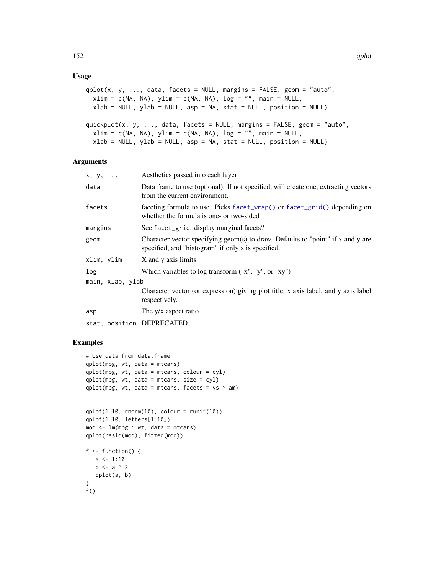# Usage

```
qplot(x, y, ..., data, facets = NULL, margins = FALSE, geom = "auto",xlim = c(NA, NA), ylim = c(NA, NA), log = ''', main = NULL,xlab = NULL, ylab = NULL, asp = NA, stat = NULL, position = NULL)
quickplot(x, y, ..., data, facets = NULL, margins = FALSE, geom = "auto",
  xlim = c(NA, NA), ylim = c(NA, NA), log = "", main = NULL,xlab = NULL, ylab = NULL, asp = NA, stat = NULL, position = NULL)
```
# Arguments

| $X, Y, \ldots$             | Aesthetics passed into each layer                                                                                                     |
|----------------------------|---------------------------------------------------------------------------------------------------------------------------------------|
| data                       | Data frame to use (optional). If not specified, will create one, extracting vectors<br>from the current environment.                  |
| facets                     | faceting formula to use. Picks facet_wrap() or facet_grid() depending on<br>whether the formula is one- or two-sided                  |
| margins                    | See facet_grid: display marginal facets?                                                                                              |
| geom                       | Character vector specifying geom(s) to draw. Defaults to "point" if x and y are<br>specified, and "histogram" if only x is specified. |
| xlim, ylim                 | X and y axis limits                                                                                                                   |
| log                        | Which variables to log transform $("x", "y", or "xy")$                                                                                |
| main, xlab, ylab           |                                                                                                                                       |
|                            | Character vector (or expression) giving plot title, x axis label, and y axis label<br>respectively.                                   |
| asp                        | The y/x aspect ratio                                                                                                                  |
| stat, position DEPRECATED. |                                                                                                                                       |

```
# Use data from data.frame
qplot(mpg, wt, data = mtcars)
qplot(mpg, wt, data = mtcars, colour = cyl)
qplot(mpg, wt, data = mtcars, size = cyl)
qplot(mpg, wt, data = mtcars, facets = vs ~qplot(1:10, rnorm(10), color = runif(10))qplot(1:10, letters[1:10])
mod < -1m(mpg \sim wt, data = mtcars)
qplot(resid(mod), fitted(mod))
f \leftarrow function() {
  a \le -1:10b \leq a \land 2qplot(a, b)
}
f()
```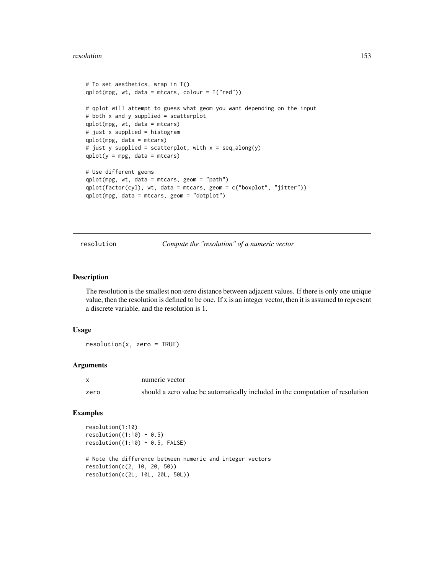#### resolution to the set of the set of the set of the set of the set of the set of the set of the set of the set of the set of the set of the set of the set of the set of the set of the set of the set of the set of the set of

```
# To set aesthetics, wrap in I()
qplot(mpg, wt, data = mtcars, colour = I("red"))# qplot will attempt to guess what geom you want depending on the input
# both x and y supplied = scatterplot
qplot(mpg, wt, data = mtcars)
# just x supplied = histogram
qplot(mpg, data = mtcars)
# just y supplied = scatterplot, with x = \text{seq\_along}(y)qplot(y = mp, data = mtcars)# Use different geoms
qplot(mpg, wt, data = mtcars, geom = "path")
qplot(factor(cyl), wt, data = mtcars, geom = c("boxplot", "jitter"))
qplot(mpg, data = mtcars, geom = "dotplot")
```
resolution *Compute the "resolution" of a numeric vector*

# Description

The resolution is the smallest non-zero distance between adjacent values. If there is only one unique value, then the resolution is defined to be one. If x is an integer vector, then it is assumed to represent a discrete variable, and the resolution is 1.

## Usage

resolution(x, zero = TRUE)

# Arguments

|      | numeric vector                                                                 |
|------|--------------------------------------------------------------------------------|
| zero | should a zero value be automatically included in the computation of resolution |

```
resolution(1:10)
resolution((1:10) - 0.5)resolution((1:10) - 0.5, FALSE)# Note the difference between numeric and integer vectors
resolution(c(2, 10, 20, 50))
```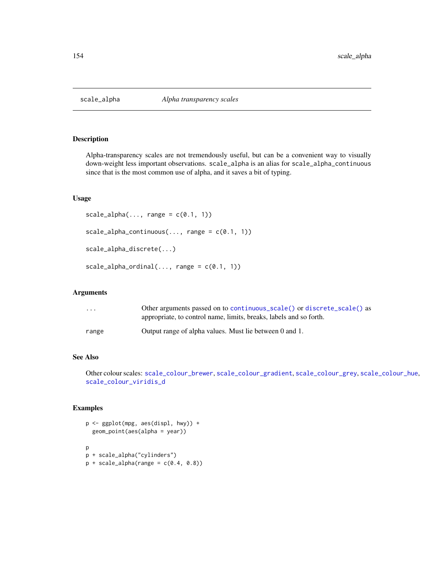<span id="page-153-0"></span>

# Description

Alpha-transparency scales are not tremendously useful, but can be a convenient way to visually down-weight less important observations. scale\_alpha is an alias for scale\_alpha\_continuous since that is the most common use of alpha, and it saves a bit of typing.

# Usage

```
scale\_alpha(..., range = c(0.1, 1))scale_alpha_continuous(..., range = c(0.1, 1))scale_alpha_discrete(...)
scale_alpha_ordinate_1)
```
#### Arguments

| $\cdot$ $\cdot$ $\cdot$ | Other arguments passed on to continuous_scale() or discrete_scale() as<br>appropriate, to control name, limits, breaks, labels and so forth. |
|-------------------------|----------------------------------------------------------------------------------------------------------------------------------------------|
| range                   | Output range of alpha values. Must lie between 0 and 1.                                                                                      |

# See Also

Other colour scales: [scale\\_colour\\_brewer](#page-154-0), [scale\\_colour\\_gradient](#page-157-0), [scale\\_colour\\_grey](#page-160-0), [scale\\_colour\\_hue](#page-162-0), [scale\\_colour\\_viridis\\_d](#page-164-0)

```
p <- ggplot(mpg, aes(displ, hwy)) +
  geom_point(aes(alpha = year))
p
p + scale_alpha("cylinders")
p + scale_alpha(range = c(0.4, 0.8))
```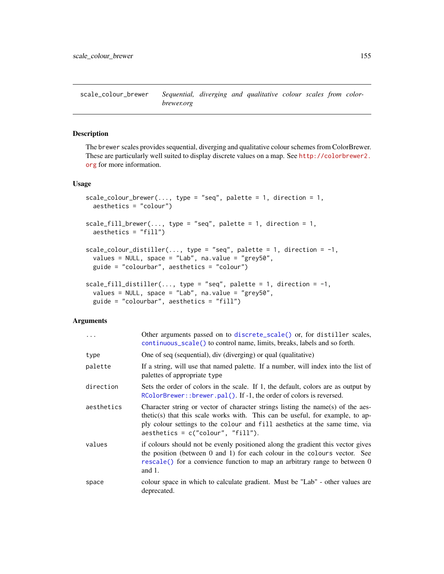<span id="page-154-0"></span>scale\_colour\_brewer *Sequential, diverging and qualitative colour scales from colorbrewer.org*

# Description

The brewer scales provides sequential, diverging and qualitative colour schemes from ColorBrewer. These are particularly well suited to display discrete values on a map. See [http://colorbrewer2.](http://colorbrewer2.org) [org](http://colorbrewer2.org) for more information.

# Usage

```
scale_colour_brewer(..., type = "seq", palette = 1, direction = 1,
 aesthetics = "colour")
scale_fill\_brewer(..., type = "seq", platete = 1, direction = 1,aesthetics = "fill")
scale_colour_distiller(..., type = "seq", palette = 1, direction = -1,
  values = NULL, space = "Lab", na.value = "grey50",
 guide = "colourbar", aesthetics = "colour")
scale_fill_distiller(..., type = "seq", palette = 1, direction = -1,
 values = NULL, space = "Lab", na.value = "grey50",
 guide = "colourbar", aesthetics = "fill")
```
#### Arguments

| $\cdots$   | Other arguments passed on to discrete_scale() or, for distiller scales,<br>continuous_scale() to control name, limits, breaks, labels and so forth.                                                                                                                                     |
|------------|-----------------------------------------------------------------------------------------------------------------------------------------------------------------------------------------------------------------------------------------------------------------------------------------|
| type       | One of seq (sequential), div (diverging) or qual (qualitative)                                                                                                                                                                                                                          |
| palette    | If a string, will use that named palette. If a number, will index into the list of<br>palettes of appropriate type                                                                                                                                                                      |
| direction  | Sets the order of colors in the scale. If 1, the default, colors are as output by<br>RColorBrewer:: brewer.pal(). If -1, the order of colors is reversed.                                                                                                                               |
| aesthetics | Character string or vector of character strings listing the name(s) of the aes-<br>thetic(s) that this scale works with. This can be useful, for example, to ap-<br>ply colour settings to the colour and fill aesthetics at the same time, via<br>$a$ esthetics = c("colour", "fill"). |
| values     | if colours should not be evenly positioned along the gradient this vector gives<br>the position (between $0$ and $1$ ) for each colour in the colours vector. See<br>rescale() for a convience function to map an arbitrary range to between 0<br>and $1$ .                             |
| space      | colour space in which to calculate gradient. Must be "Lab" - other values are<br>deprecated.                                                                                                                                                                                            |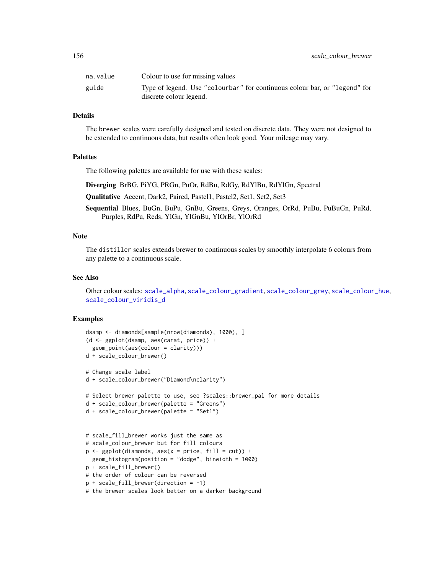| na.value | Colour to use for missing values                                                                      |
|----------|-------------------------------------------------------------------------------------------------------|
| guide    | Type of legend. Use "colourbar" for continuous colour bar, or "legend" for<br>discrete colour legend. |

# Details

The brewer scales were carefully designed and tested on discrete data. They were not designed to be extended to continuous data, but results often look good. Your mileage may vary.

# **Palettes**

The following palettes are available for use with these scales:

Diverging BrBG, PiYG, PRGn, PuOr, RdBu, RdGy, RdYlBu, RdYlGn, Spectral

Qualitative Accent, Dark2, Paired, Pastel1, Pastel2, Set1, Set2, Set3

Sequential Blues, BuGn, BuPu, GnBu, Greens, Greys, Oranges, OrRd, PuBu, PuBuGn, PuRd, Purples, RdPu, Reds, YlGn, YlGnBu, YlOrBr, YlOrRd

# Note

The distiller scales extends brewer to continuous scales by smoothly interpolate 6 colours from any palette to a continuous scale.

#### See Also

Other colour scales: [scale\\_alpha](#page-153-0), [scale\\_colour\\_gradient](#page-157-0), [scale\\_colour\\_grey](#page-160-0), [scale\\_colour\\_hue](#page-162-0), [scale\\_colour\\_viridis\\_d](#page-164-0)

```
dsamp <- diamonds[sample(nrow(diamonds), 1000), ]
(d <- ggplot(dsamp, aes(carat, price)) +
 geom_point(aes(colour = clarity)))
d + scale_colour_brewer()
# Change scale label
d + scale_colour_brewer("Diamond\nclarity")
# Select brewer palette to use, see ?scales::brewer_pal for more details
d + scale_colour_brewer(palette = "Greens")
d + scale_colour_brewer(palette = "Set1")
# scale_fill_brewer works just the same as
# scale_colour_brewer but for fill colours
p \leftarrow \text{ggplot}(diamonds, aes(x = price, fill = cut)) +geom_histogram(position = "dodge", binwidth = 1000)
p + scale_fill_brewer()
# the order of colour can be reversed
p + scale_fill_brewer(direction = -1)
# the brewer scales look better on a darker background
```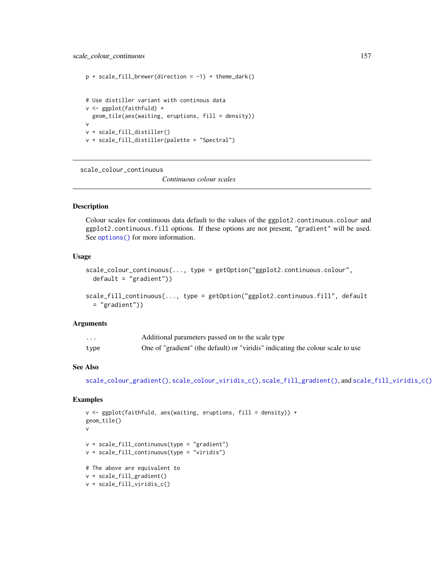```
p + scale_fill_brewer(direction = -1) + theme_dark()
# Use distiller variant with continous data
v <- ggplot(faithfuld) +
  geom_tile(aes(waiting, eruptions, fill = density))
v
v + scale_fill_distiller()
v + scale_fill_distiller(palette = "Spectral")
```
scale\_colour\_continuous

*Continuous colour scales*

# Description

Colour scales for continuous data default to the values of the ggplot2.continuous.colour and ggplot2.continuous.fill options. If these options are not present, "gradient" will be used. See options () for more information.

# Usage

```
scale_colour_continuous(..., type = getOption("ggplot2.continuous.colour",
 default = "gradient"))
scale_fill_continuous(..., type = getOption("ggplot2.continuous.fill", default
```

```
= "gradient"))
```
# Arguments

| $\cdots$ | Additional parameters passed on to the scale type                               |
|----------|---------------------------------------------------------------------------------|
| type     | One of "gradient" (the default) or "viridis" indicating the colour scale to use |

# See Also

[scale\\_colour\\_gradient\(\)](#page-157-0), [scale\\_colour\\_viridis\\_c\(\)](#page-164-1), [scale\\_fill\\_gradient\(\)](#page-157-1), and [scale\\_fill\\_viridis\\_c\(\)](#page-164-1)

```
v \leq ggplot(faithfuld, aes(waiting, eruptions, fill = density)) +
geom_tile()
v
v + scale_fill_continuous(type = "gradient")
v + scale_fill_continuous(type = "viridis")
# The above are equivalent to
v + scale_fill_gradient()
v + scale_fill_viridis_c()
```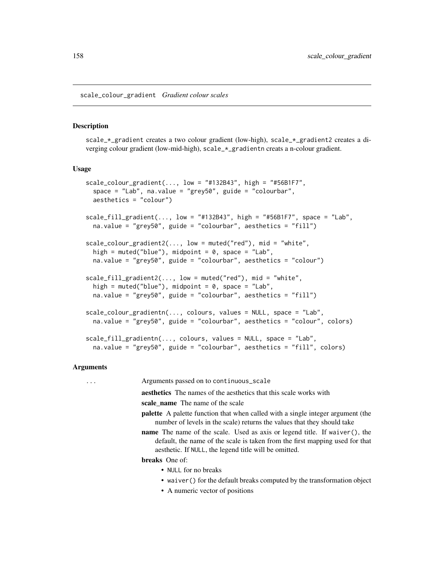<span id="page-157-0"></span>scale\_colour\_gradient *Gradient colour scales*

#### <span id="page-157-1"></span>Description

scale\_\*\_gradient creates a two colour gradient (low-high), scale\_\*\_gradient2 creates a diverging colour gradient (low-mid-high), scale\_\*\_gradientn creats a n-colour gradient.

## Usage

```
scale\_colour\_gradient(..., low = "#132B43", high = "#56B1F7",space = "Lab", na.value = "grey50", guide = "colourbar",
  aesthetics = "colour")
scale_fill_gradient(..., low = "#132B43", high = "#56B1F7", space = "Lab",na.value = "grey50", guide = "colourbar", aesthetics = "fill")
scale\_colour\_gradient2(..., low = mutated("red"), mid = "white",high = muted("blue"), midpoint = 0, space = "Lab",
 na.value = "grey50", guide = "colourbar", aesthetics = "colour")
scale_fill\_gradient2(..., low = muted("red"), mid = "white",high = muted("blue"), midpoint = 0, space = "Lab",
  na.value = "grey50", guide = "colourbar", aesthetics = "fill")
scale_colour_gradientn(..., colours, values = NULL, space = "Lab",
  na.value = "grey50", guide = "colourbar", aesthetics = "colour", colors)
scale_fill_gradientn(..., colours, values = NULL, space = "Lab",
  na.value = "grey50", guide = "colourbar", aesthetics = "fill", colors)
```
# Arguments

... Arguments passed on to continuous\_scale aesthetics The names of the aesthetics that this scale works with scale name The name of the scale palette A palette function that when called with a single integer argument (the number of levels in the scale) returns the values that they should take name The name of the scale. Used as axis or legend title. If waiver(), the default, the name of the scale is taken from the first mapping used for that aesthetic. If NULL, the legend title will be omitted. breaks One of: • NULL for no breaks • waiver() for the default breaks computed by the transformation object

• A numeric vector of positions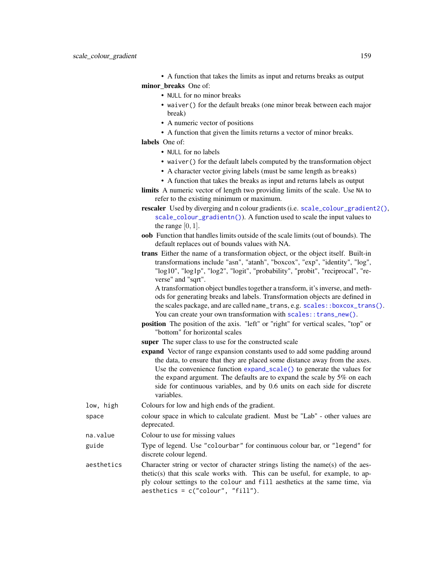|  | • A function that takes the limits as input and returns breaks as output |  |  |  |
|--|--------------------------------------------------------------------------|--|--|--|
|  | minor breaks One of:                                                     |  |  |  |

- NULL for no minor breaks
- waiver() for the default breaks (one minor break between each major break)
- A numeric vector of positions
- A function that given the limits returns a vector of minor breaks.
- labels One of:
	- NULL for no labels
	- waiver() for the default labels computed by the transformation object
	- A character vector giving labels (must be same length as breaks)
	- A function that takes the breaks as input and returns labels as output
- limits A numeric vector of length two providing limits of the scale. Use NA to refer to the existing minimum or maximum.
- rescaler Used by diverging and n colour gradients (i.e. [scale\\_colour\\_gradient2\(\)](#page-157-1), [scale\\_colour\\_gradientn\(\)](#page-157-1)). A function used to scale the input values to the range  $[0, 1]$ .
- oob Function that handles limits outside of the scale limits (out of bounds). The default replaces out of bounds values with NA.
- trans Either the name of a transformation object, or the object itself. Built-in transformations include "asn", "atanh", "boxcox", "exp", "identity", "log", "log10", "log1p", "log2", "logit", "probability", "probit", "reciprocal", "reverse" and "sqrt".

A transformation object bundles together a transform, it's inverse, and methods for generating breaks and labels. Transformation objects are defined in the scales package, and are called name\_trans, e.g. [scales::boxcox\\_trans\(\)](#page-0-0). You can create your own transformation with [scales::trans\\_new\(\)](#page-0-0).

- position The position of the axis. "left" or "right" for vertical scales, "top" or "bottom" for horizontal scales
- super The super class to use for the constructed scale
- expand Vector of range expansion constants used to add some padding around the data, to ensure that they are placed some distance away from the axes. Use the convenience function [expand\\_scale\(\)](#page-34-0) to generate the values for the expand argument. The defaults are to expand the scale by 5% on each side for continuous variables, and by 0.6 units on each side for discrete variables.
- low, high Colours for low and high ends of the gradient.
- space colour space in which to calculate gradient. Must be "Lab" other values are deprecated.
- na.value Colour to use for missing values
- guide Type of legend. Use "colourbar" for continuous colour bar, or "legend" for discrete colour legend.
- aesthetics Character string or vector of character strings listing the name(s) of the aesthetic(s) that this scale works with. This can be useful, for example, to apply colour settings to the colour and fill aesthetics at the same time, via aesthetics = c("colour", "fill").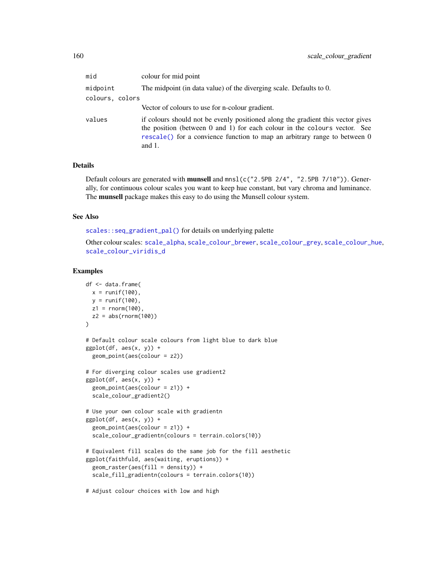| mid             | colour for mid point                                                                                                                                                                                                                                   |  |  |  |  |
|-----------------|--------------------------------------------------------------------------------------------------------------------------------------------------------------------------------------------------------------------------------------------------------|--|--|--|--|
| midpoint        | The midpoint (in data value) of the diverging scale. Defaults to 0.                                                                                                                                                                                    |  |  |  |  |
| colours, colors |                                                                                                                                                                                                                                                        |  |  |  |  |
|                 | Vector of colours to use for n-colour gradient.                                                                                                                                                                                                        |  |  |  |  |
| values          | if colours should not be evenly positioned along the gradient this vector gives<br>the position (between 0 and 1) for each colour in the colours vector. See<br>rescale() for a convience function to map an arbitrary range to between 0<br>and $1$ . |  |  |  |  |

# Details

Default colours are generated with munsell and mnsl(c("2.5PB 2/4", "2.5PB 7/10")). Generally, for continuous colour scales you want to keep hue constant, but vary chroma and luminance. The munsell package makes this easy to do using the Munsell colour system.

#### See Also

[scales::seq\\_gradient\\_pal\(\)](#page-0-0) for details on underlying palette

Other colour scales: [scale\\_alpha](#page-153-0), [scale\\_colour\\_brewer](#page-154-0), [scale\\_colour\\_grey](#page-160-0), [scale\\_colour\\_hue](#page-162-0), [scale\\_colour\\_viridis\\_d](#page-164-0)

### Examples

```
df <- data.frame(
 x = runif(100),
  y = runif(100),
 z1 = rnorm(100),
  z2 = abs(rnorm(100))\mathcal{L}# Default colour scale colours from light blue to dark blue
ggplot(df, aes(x, y)) +geom_point(aes(colour = z2))
# For diverging colour scales use gradient2
ggplot(df, aes(x, y)) +geom_point(aes(colour = z1)) +
  scale_colour_gradient2()
# Use your own colour scale with gradientn
ggplot(df, aes(x, y)) +geom_point(aes(colour = z1)) +
  scale_colour_gradientn(colours = terrain.colors(10))
# Equivalent fill scales do the same job for the fill aesthetic
ggplot(faithfuld, aes(waiting, eruptions)) +
  geom\_raster(aes(fill = density)) +scale_fill_gradientn(colours = terrain.colors(10))
```
# Adjust colour choices with low and high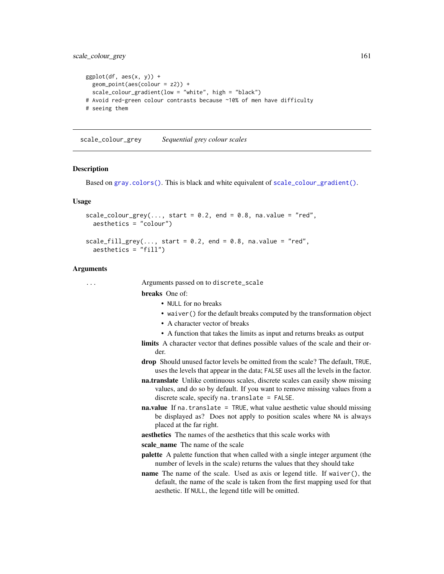```
ggplot(df, aes(x, y)) +geom_point(aes(colour = z2)) +
 scale_colour_gradient(low = "white", high = "black")
# Avoid red-green colour contrasts because ~10% of men have difficulty
# seeing them
```
<span id="page-160-0"></span>scale\_colour\_grey *Sequential grey colour scales*

#### **Description**

Based on [gray.colors\(\)](#page-0-0). This is black and white equivalent of [scale\\_colour\\_gradient\(\)](#page-157-0).

# Usage

```
scale\_colour\_grey(..., start = 0.2, end = 0.8, na.value = "red",aesthetics = "colour")
```

```
scale_fill\_grey(..., start = 0.2, end = 0.8, na.value = "red",aesthetics = "fill")
```
#### Arguments

... Arguments passed on to discrete\_scale

### breaks One of:

- NULL for no breaks
- waiver() for the default breaks computed by the transformation object
- A character vector of breaks
- A function that takes the limits as input and returns breaks as output
- limits A character vector that defines possible values of the scale and their order.
- drop Should unused factor levels be omitted from the scale? The default, TRUE, uses the levels that appear in the data; FALSE uses all the levels in the factor.
- na.translate Unlike continuous scales, discrete scales can easily show missing values, and do so by default. If you want to remove missing values from a discrete scale, specify na.translate = FALSE.
- **na.value** If na. translate = TRUE, what value aesthetic value should missing be displayed as? Does not apply to position scales where NA is always placed at the far right.
- aesthetics The names of the aesthetics that this scale works with

scale\_name The name of the scale

- palette A palette function that when called with a single integer argument (the number of levels in the scale) returns the values that they should take
- name The name of the scale. Used as axis or legend title. If waiver(), the default, the name of the scale is taken from the first mapping used for that aesthetic. If NULL, the legend title will be omitted.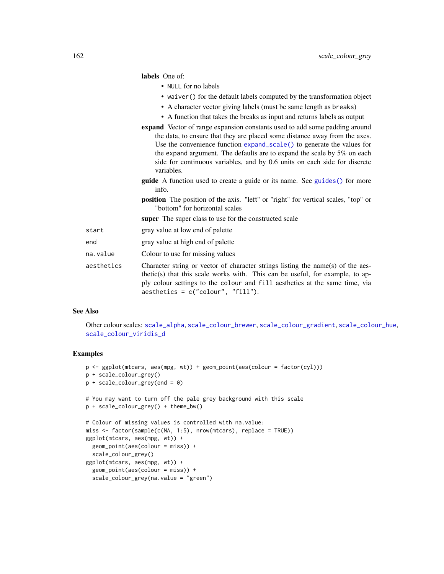|            | labels One of:                                                                                                                                                                                                                                                                                                                                                                                                     |
|------------|--------------------------------------------------------------------------------------------------------------------------------------------------------------------------------------------------------------------------------------------------------------------------------------------------------------------------------------------------------------------------------------------------------------------|
|            | • NULL for no labels                                                                                                                                                                                                                                                                                                                                                                                               |
|            | • waiver () for the default labels computed by the transformation object                                                                                                                                                                                                                                                                                                                                           |
|            | • A character vector giving labels (must be same length as breaks)                                                                                                                                                                                                                                                                                                                                                 |
|            | • A function that takes the breaks as input and returns labels as output                                                                                                                                                                                                                                                                                                                                           |
|            | <b>expand</b> Vector of range expansion constants used to add some padding around<br>the data, to ensure that they are placed some distance away from the axes.<br>Use the convenience function expand_scale() to generate the values for<br>the expand argument. The defaults are to expand the scale by $5\%$ on each<br>side for continuous variables, and by 0.6 units on each side for discrete<br>variables. |
|            | <b>guide</b> A function used to create a guide or its name. See guides () for more<br>info.                                                                                                                                                                                                                                                                                                                        |
|            | <b>position</b> The position of the axis. "left" or "right" for vertical scales, "top" or<br>"bottom" for horizontal scales                                                                                                                                                                                                                                                                                        |
|            | super The super class to use for the constructed scale                                                                                                                                                                                                                                                                                                                                                             |
| start      | gray value at low end of palette                                                                                                                                                                                                                                                                                                                                                                                   |
| end        | gray value at high end of palette                                                                                                                                                                                                                                                                                                                                                                                  |
| na.value   | Colour to use for missing values                                                                                                                                                                                                                                                                                                                                                                                   |
| aesthetics | Character string or vector of character strings listing the name(s) of the aes-<br>thetic(s) that this scale works with. This can be useful, for example, to ap-                                                                                                                                                                                                                                                   |

# See Also

Other colour scales: [scale\\_alpha](#page-153-0), [scale\\_colour\\_brewer](#page-154-0), [scale\\_colour\\_gradient](#page-157-0), [scale\\_colour\\_hue](#page-162-0), [scale\\_colour\\_viridis\\_d](#page-164-0)

ply colour settings to the colour and fill aesthetics at the same time, via

#### Examples

```
p <- ggplot(mtcars, aes(mpg, wt)) + geom_point(aes(colour = factor(cyl)))
p + scale_colour_grey()
p + scale_colour_grey(end = 0)
# You may want to turn off the pale grey background with this scale
p + scale_colour_grey() + theme_bw()
# Colour of missing values is controlled with na.value:
miss <- factor(sample(c(NA, 1:5), nrow(mtcars), replace = TRUE))
ggplot(mtcars, aes(mpg, wt)) +
  geom_point(aes(colour = miss)) +
  scale_colour_grey()
ggplot(mtcars, aes(mpg, wt)) +
  geom_point(aes(colour = miss)) +
  scale_colour_grey(na.value = "green")
```
aesthetics = c("colour", "fill").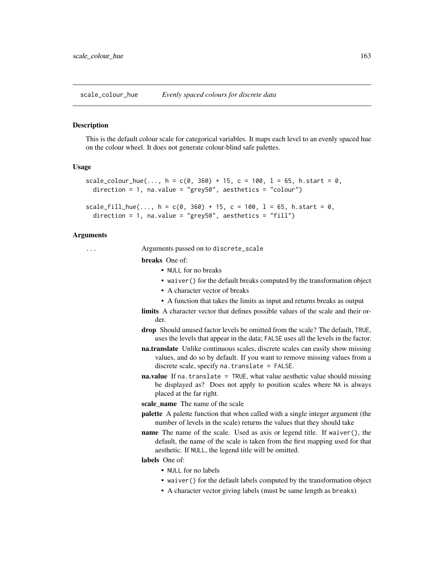<span id="page-162-0"></span>scale\_colour\_hue *Evenly spaced colours for discrete data*

#### Description

This is the default colour scale for categorical variables. It maps each level to an evenly spaced hue on the colour wheel. It does not generate colour-blind safe palettes.

# Usage

```
scale_colour_hue(..., h = c(\emptyset, 360) + 15, c = 100, l = 65, h.start = 0,
  direction = 1, na.value = "grey50", aesthetics = "colour")
```

```
scale_fill\_hue(..., h = c(0, 360) + 15, c = 100, l = 65, h.start = 0,direction = 1, na.value = "grey50", aesthetics = "fill")
```
# Arguments

... Arguments passed on to discrete\_scale

breaks One of:

- NULL for no breaks
- waiver() for the default breaks computed by the transformation object
- A character vector of breaks
- A function that takes the limits as input and returns breaks as output
- limits A character vector that defines possible values of the scale and their order.
- drop Should unused factor levels be omitted from the scale? The default, TRUE, uses the levels that appear in the data; FALSE uses all the levels in the factor.
- na.translate Unlike continuous scales, discrete scales can easily show missing values, and do so by default. If you want to remove missing values from a discrete scale, specify na.translate = FALSE.
- **na.value** If na. translate = TRUE, what value aesthetic value should missing be displayed as? Does not apply to position scales where NA is always placed at the far right.
- scale name The name of the scale
- palette A palette function that when called with a single integer argument (the number of levels in the scale) returns the values that they should take
- name The name of the scale. Used as axis or legend title. If waiver(), the default, the name of the scale is taken from the first mapping used for that aesthetic. If NULL, the legend title will be omitted.

# labels One of:

- NULL for no labels
- waiver() for the default labels computed by the transformation object
- A character vector giving labels (must be same length as breaks)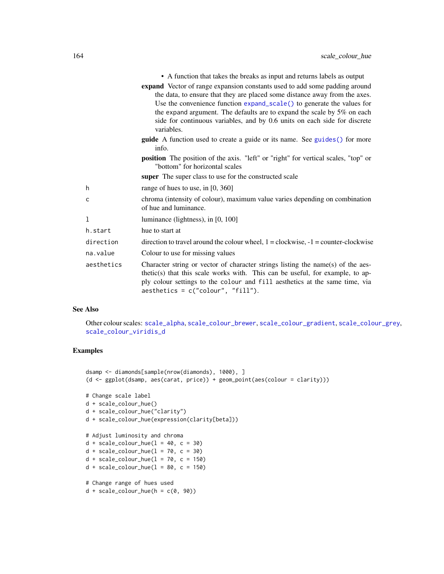|            | • A function that takes the breaks as input and returns labels as output                                                                                                                                                                                                                                                                                                                                 |
|------------|----------------------------------------------------------------------------------------------------------------------------------------------------------------------------------------------------------------------------------------------------------------------------------------------------------------------------------------------------------------------------------------------------------|
|            | expand Vector of range expansion constants used to add some padding around<br>the data, to ensure that they are placed some distance away from the axes.<br>Use the convenience function expand_scale() to generate the values for<br>the expand argument. The defaults are to expand the scale by 5% on each<br>side for continuous variables, and by 0.6 units on each side for discrete<br>variables. |
|            | <b>guide</b> A function used to create a guide or its name. See guides () for more<br>info.                                                                                                                                                                                                                                                                                                              |
|            | <b>position</b> The position of the axis. "left" or "right" for vertical scales, "top" or<br>"bottom" for horizontal scales                                                                                                                                                                                                                                                                              |
|            | <b>super</b> The super class to use for the constructed scale                                                                                                                                                                                                                                                                                                                                            |
| h.         | range of hues to use, in $[0, 360]$                                                                                                                                                                                                                                                                                                                                                                      |
| c          | chroma (intensity of colour), maximum value varies depending on combination<br>of hue and luminance.                                                                                                                                                                                                                                                                                                     |
| 1          | luminance (lightness), in [0, 100]                                                                                                                                                                                                                                                                                                                                                                       |
| h.start    | hue to start at                                                                                                                                                                                                                                                                                                                                                                                          |
| direction  | direction to travel around the colour wheel, $1 = \text{clockwise}, -1 = \text{counter-clockwise}$                                                                                                                                                                                                                                                                                                       |
| na.value   | Colour to use for missing values                                                                                                                                                                                                                                                                                                                                                                         |
| aesthetics | Character string or vector of character strings listing the name(s) of the aes-<br>thetic(s) that this scale works with. This can be useful, for example, to ap-<br>ply colour settings to the colour and fill aesthetics at the same time, via<br>$a$ esthetics = c("colour", "fill").                                                                                                                  |

#### See Also

Other colour scales: [scale\\_alpha](#page-153-0), [scale\\_colour\\_brewer](#page-154-0), [scale\\_colour\\_gradient](#page-157-0), [scale\\_colour\\_grey](#page-160-0), [scale\\_colour\\_viridis\\_d](#page-164-0)

```
dsamp <- diamonds[sample(nrow(diamonds), 1000), ]
(d <- ggplot(dsamp, aes(carat, price)) + geom_point(aes(colour = clarity)))
# Change scale label
d + scale_colour_hue()
d + scale_colour_hue("clarity")
d + scale_colour_hue(expression(clarity[beta]))
# Adjust luminosity and chroma
d + scale_{colour_{hue}(l = 40, c = 30)}d + scale_{colour_{hue}(l = 70, c = 30)}d + scale\_colour\_hue(1 = 70, c = 150)d + scale\_colour\_hue(1 = 80, c = 150)# Change range of hues used
d + scale\_colour\_hue(h = c(0, 90))
```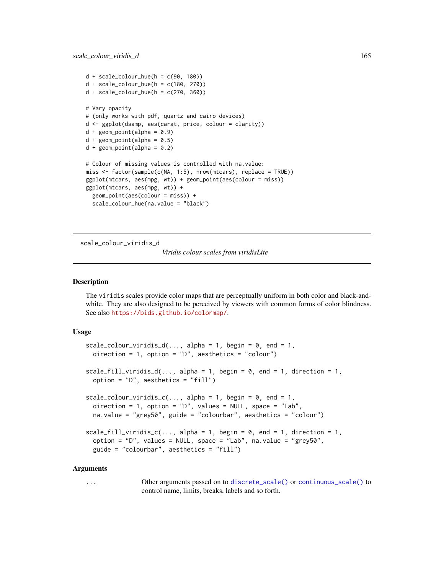```
d + scale_{colour_{blue}(h = c(90, 180))}d + scale\_colour\_hue(h = c(180, 270))d + scale\_colour\_hue(h = c(270, 360))# Vary opacity
# (only works with pdf, quartz and cairo devices)
d <- ggplot(dsamp, aes(carat, price, colour = clarity))
d + geom\_point(alpha = 0.9)d + geom\_point(alpha = 0.5)d + geom\_point(alpha = 0.2)# Colour of missing values is controlled with na.value:
miss <- factor(sample(c(NA, 1:5), nrow(mtcars), replace = TRUE))
ggplot(mtcars, aes(mpg, wt)) + geom_point(aes(colour = miss))
ggplot(mtcars, aes(mpg, wt)) +
  geom_point(aes(colour = miss)) +
  scale_colour_hue(na.value = "black")
```
<span id="page-164-0"></span>scale\_colour\_viridis\_d

*Viridis colour scales from viridisLite*

# <span id="page-164-1"></span>**Description**

The viridis scales provide color maps that are perceptually uniform in both color and black-andwhite. They are also designed to be perceived by viewers with common forms of color blindness. See also <https://bids.github.io/colormap/>.

#### Usage

```
scale_colour_viridis_d(..., alpha = 1, begin = 0, end = 1,
 direction = 1, option = "D", aesthetics = "colour")
scale_fill_viridis_d(..., alpha = 1, begin = 0, end = 1, direction = 1,
  option = "D", aesthetics = "fill")
scale\_colour\_viridis\_c(..., alpha = 1, begin = 0, end = 1,direction = 1, option = "D", values = NULL, space = "Lab",
 na.value = "grey50", guide = "colourbar", aesthetics = "colour")
scale_fill\_viridis\_c(..., alpha = 1, begin = 0, end = 1, direction = 1,option = "D", values = NULL, space = "Lab", na.value = "grey50",
  guide = "colourbar", aesthetics = "fill")
```
#### Arguments

... Other arguments passed on to [discrete\\_scale\(\)](#page-0-0) or [continuous\\_scale\(\)](#page-0-0) to control name, limits, breaks, labels and so forth.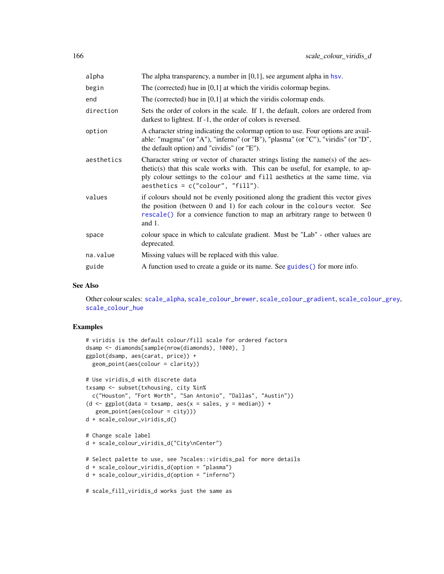| alpha      | The alpha transparency, a number in $[0,1]$ , see argument alpha in hsv.                                                                                                                                                                                                                |
|------------|-----------------------------------------------------------------------------------------------------------------------------------------------------------------------------------------------------------------------------------------------------------------------------------------|
| begin      | The (corrected) hue in $[0,1]$ at which the viridis colormap begins.                                                                                                                                                                                                                    |
| end        | The (corrected) hue in $[0,1]$ at which the viridis colormap ends.                                                                                                                                                                                                                      |
| direction  | Sets the order of colors in the scale. If 1, the default, colors are ordered from<br>darkest to lightest. If -1, the order of colors is reversed.                                                                                                                                       |
| option     | A character string indicating the colormap option to use. Four options are avail-<br>able: "magma" (or "A"), "inferno" (or "B"), "plasma" (or "C"), "viridis" (or "D",<br>the default option) and "cividis" (or "E").                                                                   |
| aesthetics | Character string or vector of character strings listing the name(s) of the aes-<br>thetic(s) that this scale works with. This can be useful, for example, to ap-<br>ply colour settings to the colour and fill aesthetics at the same time, via<br>$a$ esthetics = c("colour", "fill"). |
| values     | if colours should not be evenly positioned along the gradient this vector gives<br>the position (between 0 and 1) for each colour in the colours vector. See<br>rescale() for a convience function to map an arbitrary range to between 0<br>and $1$ .                                  |
| space      | colour space in which to calculate gradient. Must be "Lab" - other values are<br>deprecated.                                                                                                                                                                                            |
| na.value   | Missing values will be replaced with this value.                                                                                                                                                                                                                                        |
| guide      | A function used to create a guide or its name. See guides () for more info.                                                                                                                                                                                                             |

# See Also

Other colour scales: [scale\\_alpha](#page-153-0), [scale\\_colour\\_brewer](#page-154-0), [scale\\_colour\\_gradient](#page-157-0), [scale\\_colour\\_grey](#page-160-0), [scale\\_colour\\_hue](#page-162-0)

```
# viridis is the default colour/fill scale for ordered factors
dsamp <- diamonds[sample(nrow(diamonds), 1000), ]
ggplot(dsamp, aes(carat, price)) +
  geom_point(aes(colour = clarity))
# Use viridis_d with discrete data
txsamp <- subset(txhousing, city %in%
  c("Houston", "Fort Worth", "San Antonio", "Dallas", "Austin"))
(d <- ggplot(data = txsamp, aes(x = sales, y = median)) +geom_point(aes(colour = city)))
d + scale_colour_viridis_d()
# Change scale label
d + scale_colour_viridis_d("City\nCenter")
# Select palette to use, see ?scales::viridis_pal for more details
d + scale_colour_viridis_d(option = "plasma")
d + scale_colour_viridis_d(option = "inferno")
# scale_fill_viridis_d works just the same as
```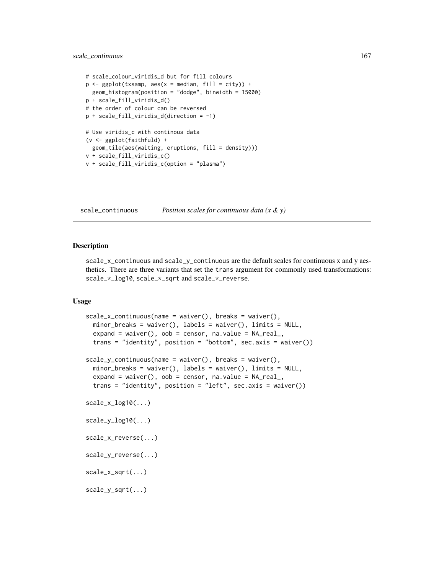# scale\_continuous 167

```
# scale_colour_viridis_d but for fill colours
p \leftarrow \text{ggplot}(txsamp, aes(x = median, fill = city)) +geom_histogram(position = "dodge", binwidth = 15000)
p + scale_fill_viridis_d()
# the order of colour can be reversed
p + scale_fill_viridis_d(direction = -1)
# Use viridis_c with continous data
(v <- ggplot(faithfuld) +
  geom_tile(aes(waiting, eruptions, fill = density)))
v + scale_fill_viridis_c()
v + scale_fill_viridis_c(option = "plasma")
```
scale\_continuous *Position scales for continuous data (x & y)*

# <span id="page-166-0"></span>Description

scale\_x\_continuous and scale\_y\_continuous are the default scales for continuous x and y aesthetics. There are three variants that set the trans argument for commonly used transformations: scale\_\*\_log10, scale\_\*\_sqrt and scale\_\*\_reverse.

#### Usage

```
scale_x_{continuous(name = waire(), breaks = waire(),minor_breaks = waiver(), labels = waiver(), limits = NULL,
  expand = waiver(), oob = censor, na.value = NA_real_,trans = "identity", position = "bottom", sec.axis = waiver())
scale_y_{continuous(name = waire(), breaks = waire(),minor_breaks = waiver(), labels = waiver(), limits = NULL,
 expand = waiver(), oob = censor, na.value = NA\_real,
  trans = "identity", position = "left", sec.axis = waiver())
scale_x_log10(...)
scale_y_log10(...)
scale_x_reverse(...)
scale_y_reverse(...)
scale_x_sqrt(...)scale_y_sqrt(...)
```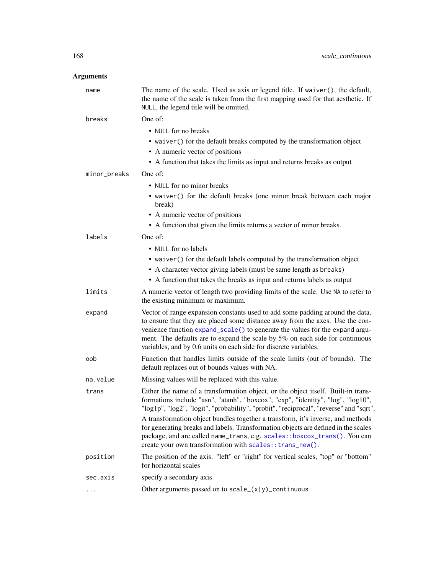# Arguments

| name         | The name of the scale. Used as axis or legend title. If waiver(), the default,<br>the name of the scale is taken from the first mapping used for that aesthetic. If<br>NULL, the legend title will be omitted.                                                                                                                                                                                     |
|--------------|----------------------------------------------------------------------------------------------------------------------------------------------------------------------------------------------------------------------------------------------------------------------------------------------------------------------------------------------------------------------------------------------------|
| breaks       | One of:                                                                                                                                                                                                                                                                                                                                                                                            |
|              | • NULL for no breaks                                                                                                                                                                                                                                                                                                                                                                               |
|              | • waiver () for the default breaks computed by the transformation object                                                                                                                                                                                                                                                                                                                           |
|              | • A numeric vector of positions                                                                                                                                                                                                                                                                                                                                                                    |
|              | • A function that takes the limits as input and returns breaks as output                                                                                                                                                                                                                                                                                                                           |
| minor_breaks | One of:                                                                                                                                                                                                                                                                                                                                                                                            |
|              | • NULL for no minor breaks                                                                                                                                                                                                                                                                                                                                                                         |
|              | • waiver () for the default breaks (one minor break between each major<br>break)                                                                                                                                                                                                                                                                                                                   |
|              | • A numeric vector of positions                                                                                                                                                                                                                                                                                                                                                                    |
|              | • A function that given the limits returns a vector of minor breaks.                                                                                                                                                                                                                                                                                                                               |
| labels       | One of:                                                                                                                                                                                                                                                                                                                                                                                            |
|              | • NULL for no labels                                                                                                                                                                                                                                                                                                                                                                               |
|              | • waiver () for the default labels computed by the transformation object                                                                                                                                                                                                                                                                                                                           |
|              | • A character vector giving labels (must be same length as breaks)                                                                                                                                                                                                                                                                                                                                 |
|              | • A function that takes the breaks as input and returns labels as output                                                                                                                                                                                                                                                                                                                           |
| limits       | A numeric vector of length two providing limits of the scale. Use NA to refer to<br>the existing minimum or maximum.                                                                                                                                                                                                                                                                               |
| expand       | Vector of range expansion constants used to add some padding around the data,<br>to ensure that they are placed some distance away from the axes. Use the con-<br>venience function expand_scale() to generate the values for the expand argu-<br>ment. The defaults are to expand the scale by 5% on each side for continuous<br>variables, and by 0.6 units on each side for discrete variables. |
| oob          | Function that handles limits outside of the scale limits (out of bounds). The<br>default replaces out of bounds values with NA.                                                                                                                                                                                                                                                                    |
| na.value     | Missing values will be replaced with this value.                                                                                                                                                                                                                                                                                                                                                   |
| trans        | Either the name of a transformation object, or the object itself. Built-in trans-<br>formations include "asn", "atanh", "boxcox", "exp", "identity", "log", "log10",<br>"log1p", "log2", "logit", "probability", "probit", "reciprocal", "reverse" and "sqrt".                                                                                                                                     |
|              | A transformation object bundles together a transform, it's inverse, and methods<br>for generating breaks and labels. Transformation objects are defined in the scales<br>package, and are called name_trans, e.g. scales::boxcox_trans(). You can<br>create your own transformation with scales: : trans_new().                                                                                    |
| position     | The position of the axis. "left" or "right" for vertical scales, "top" or "bottom"<br>for horizontal scales                                                                                                                                                                                                                                                                                        |
| sec.axis     | specify a secondary axis                                                                                                                                                                                                                                                                                                                                                                           |
|              | Other arguments passed on to $scale_{(x y)}_{continuous}$                                                                                                                                                                                                                                                                                                                                          |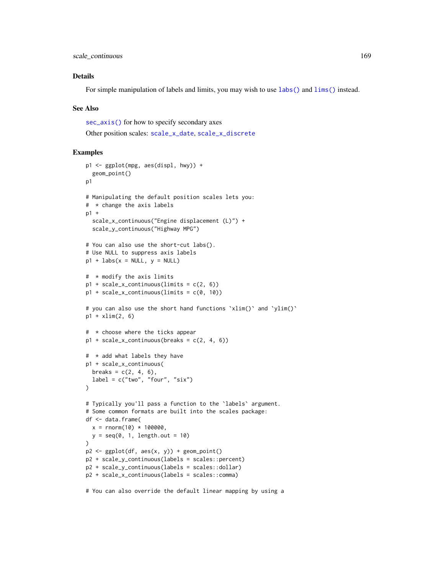scale\_continuous 169

# Details

For simple manipulation of labels and limits, you may wish to use [labs\(\)](#page-133-0) and [lims\(\)](#page-134-0) instead.

### See Also

[sec\\_axis\(\)](#page-183-0) for how to specify secondary axes

Other position scales: [scale\\_x\\_date](#page-169-0), [scale\\_x\\_discrete](#page-181-0)

# Examples

```
p1 <- ggplot(mpg, aes(displ, hwy)) +
  geom_point()
p1
# Manipulating the default position scales lets you:
# * change the axis labels
p1 +
  scale_x_continuous("Engine displacement (L)") +
  scale_y_continuous("Highway MPG")
# You can also use the short-cut labs().
# Use NULL to suppress axis labels
p1 + \text{ labs}(x = \text{NULL}, y = \text{NULL})# * modify the axis limits
p1 + scale_x_{continuous(limits = c(2, 6))p1 + scale_x_{continuous(limits = c(0, 10))# you can also use the short hand functions `xlim()` and `ylim()`
p1 + xlim(2, 6)# * choose where the ticks appear
p1 + scale_x_{continuous(breaks = c(2, 4, 6))# * add what labels they have
p1 + scale_x_continuous(
  breaks = c(2, 4, 6),label = c("two", "four", "six"))
# Typically you'll pass a function to the `labels` argument.
# Some common formats are built into the scales package:
df <- data.frame(
  x = rnorm(10) * 100000,y = seq(0, 1, length.out = 10))
p2 \leq-ggplot(df, aes(x, y)) + geom\_point()p2 + scale_y_continuous(labels = scales::percent)
p2 + scale_y_continuous(labels = scales::dollar)
p2 + scale_x_continuous(labels = scales::comma)
```
# You can also override the default linear mapping by using a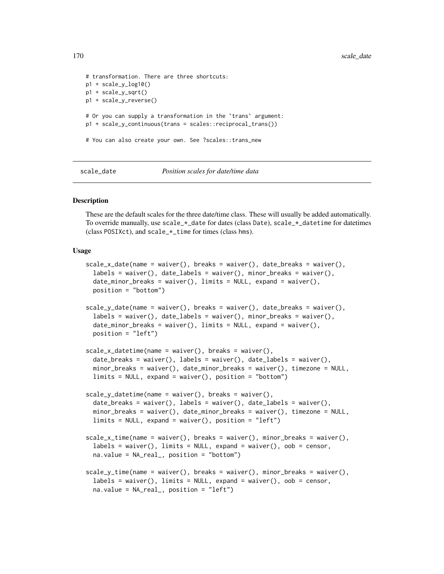```
# transformation. There are three shortcuts:
p1 + scale_y_log10()
p1 + scale_y_sqrt()
p1 + scale_y_reverse()
# Or you can supply a transformation in the `trans` argument:
p1 + scale_y_continuous(trans = scales::reciprocal_trans())
# You can also create your own. See ?scales::trans_new
```
scale\_date *Position scales for date/time data*

#### <span id="page-169-0"></span>Description

These are the default scales for the three date/time class. These will usually be added automatically. To override manually, use scale\_ $\star$ \_date for dates (class Date), scale\_ $\star$ \_datetime for datetimes (class POSIXct), and scale\_\*\_time for times (class hms).

#### Usage

```
scale_x_data(name = waiver(), breaks = waiver(), date_breaks = waiver(),labels = wave(, date_labels = waiver(), minor_breaks = waiver(),
  date_minor_breaks = waiver(), limits = NULL, expand = waiver(),
 position = "bottom")
scale_y_data(name = waire(), \text{breaks} = waire(), \text{breaks} = waire(),labels = wavier(), date_labels = waire(), minor_breaks = waire(),date_minor_breaks = waiver(), limits = NULL, expand = waiver(),
 position = "left")
scale_x_datetime(name = waiver(), breaks = waiver(),
  date_breaks = waiver(), labels = waiver(), date_labels = waiver(),
  minor_breaks = waiver(), date_minor_breaks = waiver(), timezone = NULL,
  limits = NULL, expand = waiver(), position = "bottom")
scale_y_datatime(name = waire(), breaks = waire(),date_breaks = waiver(), labels = waiver(), date_labels = waiver(),
 minor_breaks = waiver(), date_minor_breaks = waiver(), timezone = NULL,
  limits = NULL, expand = waiver(), position = "left")
scale_x_time(name = waiver(), breaks = waiver(), minor_breaks = waiver(),
  labels = wavier(), limits = NULL, expand = waire(), oob = censor,na.value = NA_real_, position = "bottom")
scale_y_time(name = wavier(), breaks = wavier(), minor_breaks = wiver(),labels = waiverg(, limits = NULL, expand = waiver(), oob = censor,
  na.value = NA_real_, position = "left")
```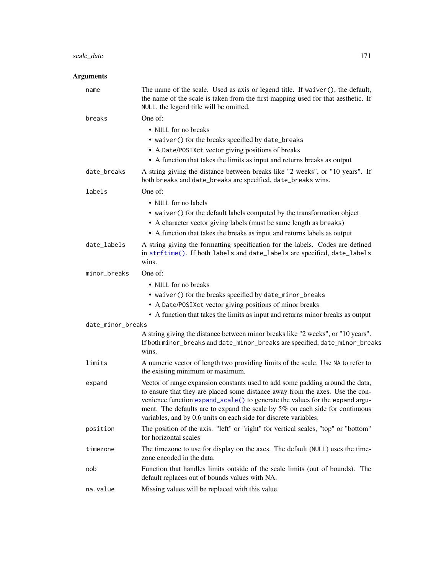# scale\_date 171

# Arguments

| name              | The name of the scale. Used as axis or legend title. If waiver(), the default,<br>the name of the scale is taken from the first mapping used for that aesthetic. If<br>NULL, the legend title will be omitted.                                                                                                                                                                                     |
|-------------------|----------------------------------------------------------------------------------------------------------------------------------------------------------------------------------------------------------------------------------------------------------------------------------------------------------------------------------------------------------------------------------------------------|
| breaks            | One of:                                                                                                                                                                                                                                                                                                                                                                                            |
|                   | • NULL for no breaks                                                                                                                                                                                                                                                                                                                                                                               |
|                   | • waiver() for the breaks specified by date_breaks                                                                                                                                                                                                                                                                                                                                                 |
|                   | • A Date/POSIXct vector giving positions of breaks                                                                                                                                                                                                                                                                                                                                                 |
|                   | • A function that takes the limits as input and returns breaks as output                                                                                                                                                                                                                                                                                                                           |
| date_breaks       | A string giving the distance between breaks like "2 weeks", or "10 years". If<br>both breaks and date_breaks are specified, date_breaks wins.                                                                                                                                                                                                                                                      |
| labels            | One of:                                                                                                                                                                                                                                                                                                                                                                                            |
|                   | • NULL for no labels                                                                                                                                                                                                                                                                                                                                                                               |
|                   | • waiver () for the default labels computed by the transformation object                                                                                                                                                                                                                                                                                                                           |
|                   | • A character vector giving labels (must be same length as breaks)                                                                                                                                                                                                                                                                                                                                 |
|                   | • A function that takes the breaks as input and returns labels as output                                                                                                                                                                                                                                                                                                                           |
| date_labels       | A string giving the formatting specification for the labels. Codes are defined<br>in strftime(). If both labels and date_labels are specified, date_labels<br>wins.                                                                                                                                                                                                                                |
| minor_breaks      | One of:                                                                                                                                                                                                                                                                                                                                                                                            |
|                   | • NULL for no breaks                                                                                                                                                                                                                                                                                                                                                                               |
|                   | • waiver() for the breaks specified by date_minor_breaks                                                                                                                                                                                                                                                                                                                                           |
|                   | • A Date/POSIXct vector giving positions of minor breaks                                                                                                                                                                                                                                                                                                                                           |
|                   | • A function that takes the limits as input and returns minor breaks as output                                                                                                                                                                                                                                                                                                                     |
| date_minor_breaks |                                                                                                                                                                                                                                                                                                                                                                                                    |
|                   | A string giving the distance between minor breaks like "2 weeks", or "10 years".<br>If both minor_breaks and date_minor_breaks are specified, date_minor_breaks<br>wins.                                                                                                                                                                                                                           |
| limits            | A numeric vector of length two providing limits of the scale. Use NA to refer to<br>the existing minimum or maximum.                                                                                                                                                                                                                                                                               |
| expand            | Vector of range expansion constants used to add some padding around the data,<br>to ensure that they are placed some distance away from the axes. Use the con-<br>venience function expand_scale() to generate the values for the expand argu-<br>ment. The defaults are to expand the scale by 5% on each side for continuous<br>variables, and by 0.6 units on each side for discrete variables. |
| position          | The position of the axis. "left" or "right" for vertical scales, "top" or "bottom"<br>for horizontal scales                                                                                                                                                                                                                                                                                        |
| timezone          | The timezone to use for display on the axes. The default (NULL) uses the time-<br>zone encoded in the data.                                                                                                                                                                                                                                                                                        |
| oob               | Function that handles limits outside of the scale limits (out of bounds). The<br>default replaces out of bounds values with NA.                                                                                                                                                                                                                                                                    |
| na.value          | Missing values will be replaced with this value.                                                                                                                                                                                                                                                                                                                                                   |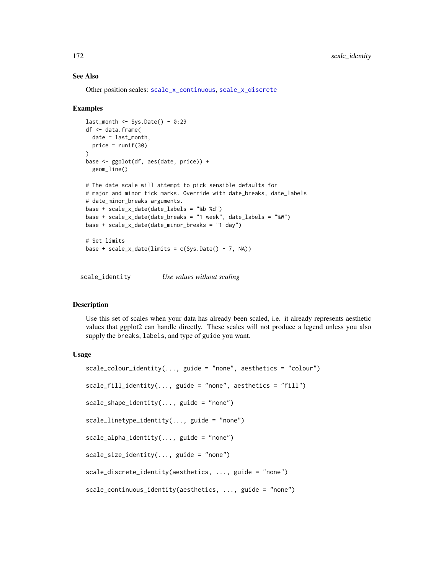# See Also

Other position scales: [scale\\_x\\_continuous](#page-166-0), [scale\\_x\\_discrete](#page-181-0)

# Examples

```
last\_month \leq System Sys.Date() - 0:29
df <- data.frame(
  date = last_month,
 price = runif(30))
base <- ggplot(df, aes(date, price)) +
  geom_line()
# The date scale will attempt to pick sensible defaults for
# major and minor tick marks. Override with date_breaks, date_labels
# date_minor_breaks arguments.
base + scale_x_date(date_labels = "%b %d")
base + scale_x_date(date_breaks = "1 week", date_labels = "%W")
base + scale_x_date(date_minor_breaks = "1 day")
# Set limits
base + scale_x_date(limits = c(Sys.DataFrame() - 7, NA))
```
scale\_identity *Use values without scaling*

# Description

Use this set of scales when your data has already been scaled, i.e. it already represents aesthetic values that ggplot2 can handle directly. These scales will not produce a legend unless you also supply the breaks, labels, and type of guide you want.

# Usage

```
scale\_colour\_identity(..., guide = "none", aesthetics = "colour")scale_fill_identity(..., guide = "none", aesthetics = "fill")scale_shape_identity(..., guide = "none")
scale_linetype_identity(..., guide = "none")
scale_alpha_identity(..., guide = "none")scale_size_identity(..., guide = "none")
scale_discrete_identity(aesthetics, ..., guide = "none")
scale_continuous_identity(aesthetics, ..., guide = "none")
```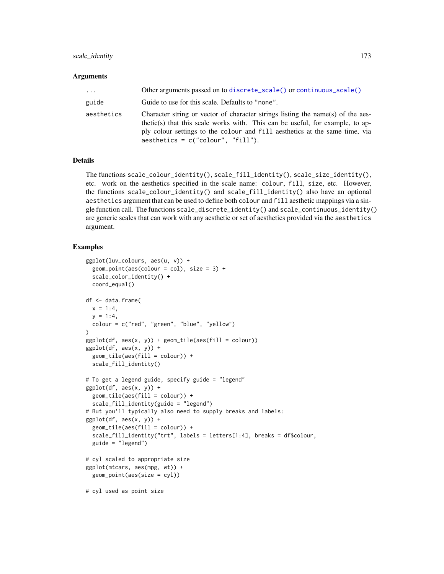# scale\_identity 173

#### Arguments

| $\cdots$   | Other arguments passed on to discrete_scale() or continuous_scale()                                                                                                                                                                                                                     |
|------------|-----------------------------------------------------------------------------------------------------------------------------------------------------------------------------------------------------------------------------------------------------------------------------------------|
| guide      | Guide to use for this scale. Defaults to "none".                                                                                                                                                                                                                                        |
| aesthetics | Character string or vector of character strings listing the name(s) of the aes-<br>thetic(s) that this scale works with. This can be useful, for example, to ap-<br>ply colour settings to the colour and fill aesthetics at the same time, via<br>$a$ esthetics = c("colour", "fill"). |

# Details

The functions scale\_colour\_identity(), scale\_fill\_identity(), scale\_size\_identity(), etc. work on the aesthetics specified in the scale name: colour, fill, size, etc. However, the functions scale\_colour\_identity() and scale\_fill\_identity() also have an optional aesthetics argument that can be used to define both colour and fill aesthetic mappings via a single function call. The functions scale\_discrete\_identity() and scale\_continuous\_identity() are generic scales that can work with any aesthetic or set of aesthetics provided via the aesthetics argument.

```
ggplot(luv_colours, aes(u, v)) +
 geom\_point(aes(colour = col), size = 3) +scale_color_identity() +
 coord_equal()
df <- data.frame(
 x = 1:4,
 y = 1:4,
 colour = c("red", "green", "blue", "yellow")
\lambdaggplot(df, aes(x, y)) + geom\_tile(aes(fill = colour))ggplot(df, aes(x, y)) +geom_tile(aes(fill = colour)) +
 scale_fill_identity()
# To get a legend guide, specify guide = "legend"
ggplot(df, aes(x, y)) +geom_tile(aes(fill = colour)) +
 scale_fill_identity(guide = "legend")
# But you'll typically also need to supply breaks and labels:
ggplot(df, aes(x, y)) +geom_tile(aes(fill = colour)) +
 scale_fill_identity("trt", labels = letters[1:4], breaks = df$colour,
 guide = "legend")
# cyl scaled to appropriate size
ggplot(mtcars, aes(mpg, wt)) +
 geom_point(aes(size = cyl))
# cyl used as point size
```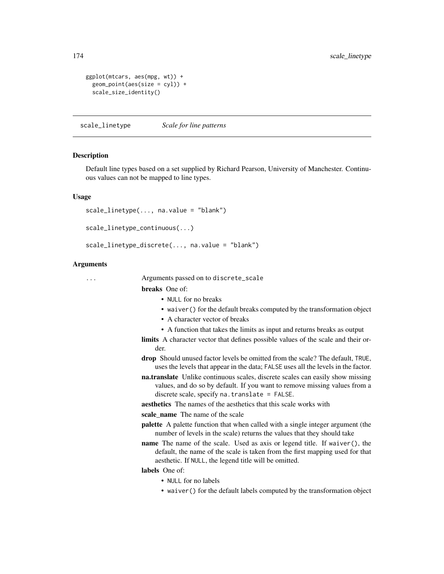```
ggplot(mtcars, aes(mpg, wt)) +
 geom_point(aes(size = cyl)) +
 scale_size_identity()
```
scale\_linetype *Scale for line patterns*

#### Description

Default line types based on a set supplied by Richard Pearson, University of Manchester. Continuous values can not be mapped to line types.

#### Usage

```
scale_linetype(..., na.value = "blank")
```

```
scale_linetype_continuous(...)
```

```
scale_linetype_discrete(..., na.value = "blank")
```
# Arguments

... Arguments passed on to discrete\_scale

breaks One of:

- NULL for no breaks
- waiver() for the default breaks computed by the transformation object
- A character vector of breaks
- A function that takes the limits as input and returns breaks as output
- limits A character vector that defines possible values of the scale and their order.
- drop Should unused factor levels be omitted from the scale? The default, TRUE, uses the levels that appear in the data; FALSE uses all the levels in the factor.
- na.translate Unlike continuous scales, discrete scales can easily show missing values, and do so by default. If you want to remove missing values from a discrete scale, specify na.translate = FALSE.
- aesthetics The names of the aesthetics that this scale works with

scale\_name The name of the scale

- palette A palette function that when called with a single integer argument (the number of levels in the scale) returns the values that they should take
- name The name of the scale. Used as axis or legend title. If waiver(), the default, the name of the scale is taken from the first mapping used for that aesthetic. If NULL, the legend title will be omitted.

labels One of:

- NULL for no labels
- waiver() for the default labels computed by the transformation object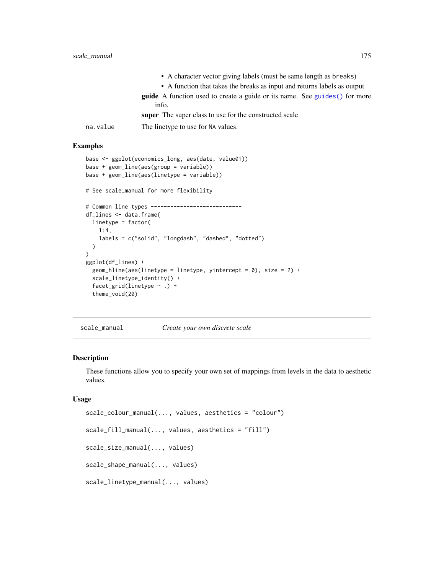• A character vector giving labels (must be same length as breaks) • A function that takes the breaks as input and returns labels as output guide A function used to create a guide or its name. See [guides\(\)](#page-119-0) for more info. super The super class to use for the constructed scale na.value The linetype to use for NA values.

# Examples

```
base <- ggplot(economics_long, aes(date, value01))
base + geom_line(aes(group = variable))
base + geom_line(aes(linetype = variable))
# See scale_manual for more flexibility
# Common line types ----------------------------
df_lines <- data.frame(
 linetype = factor(
   1:4,
   labels = c("solid", "longdash", "dashed", "dotted")
 )
)
ggplot(df_lines) +
 geom_hline(aes(linetype = linetype, yintercept = 0), size = 2) +
 scale_linetype_identity() +
 facet_grid(linetype ~ .) +
 theme_void(20)
```
scale\_manual *Create your own discrete scale*

# <span id="page-174-0"></span>Description

These functions allow you to specify your own set of mappings from levels in the data to aesthetic values.

# Usage

```
scale_colour_manual(..., values, aesthetics = "colour")
scale_fill_manual(..., values, aesthetics = "fill")
scale_size_manual(..., values)
scale_shape_manual(..., values)
scale_linetype_manual(..., values)
```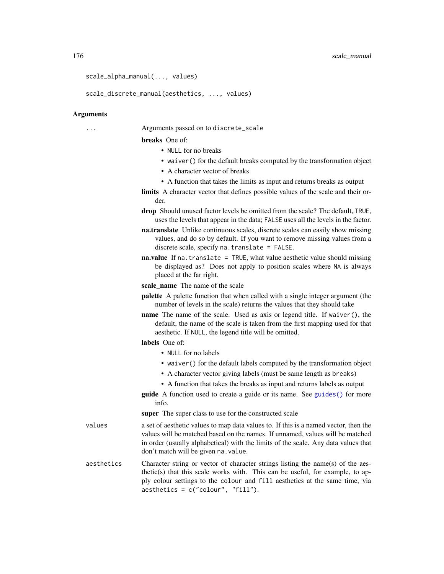176 scale\_manual scale\_manual scale\_manual scale\_manual scale\_manual scale\_manual

```
scale_alpha_manual(..., values)
```
scale\_discrete\_manual(aesthetics, ..., values)

#### Arguments

... Arguments passed on to discrete\_scale

breaks One of:

- NULL for no breaks
- waiver() for the default breaks computed by the transformation object
- A character vector of breaks
- A function that takes the limits as input and returns breaks as output
- limits A character vector that defines possible values of the scale and their order.
- drop Should unused factor levels be omitted from the scale? The default, TRUE, uses the levels that appear in the data; FALSE uses all the levels in the factor.
- na.translate Unlike continuous scales, discrete scales can easily show missing values, and do so by default. If you want to remove missing values from a discrete scale, specify na.translate = FALSE.
- na.value If na.translate = TRUE, what value aesthetic value should missing be displayed as? Does not apply to position scales where NA is always placed at the far right.
- scale name The name of the scale
- palette A palette function that when called with a single integer argument (the number of levels in the scale) returns the values that they should take
- name The name of the scale. Used as axis or legend title. If waiver(), the default, the name of the scale is taken from the first mapping used for that aesthetic. If NULL, the legend title will be omitted.

# labels One of:

- NULL for no labels
- waiver() for the default labels computed by the transformation object
- A character vector giving labels (must be same length as breaks)
- A function that takes the breaks as input and returns labels as output
- guide A function used to create a guide or its name. See [guides\(\)](#page-119-0) for more info.

super The super class to use for the constructed scale

- values a set of aesthetic values to map data values to. If this is a named vector, then the values will be matched based on the names. If unnamed, values will be matched in order (usually alphabetical) with the limits of the scale. Any data values that don't match will be given na.value.
- aesthetics Character string or vector of character strings listing the name(s) of the aesthetic(s) that this scale works with. This can be useful, for example, to apply colour settings to the colour and fill aesthetics at the same time, via aesthetics = c("colour", "fill").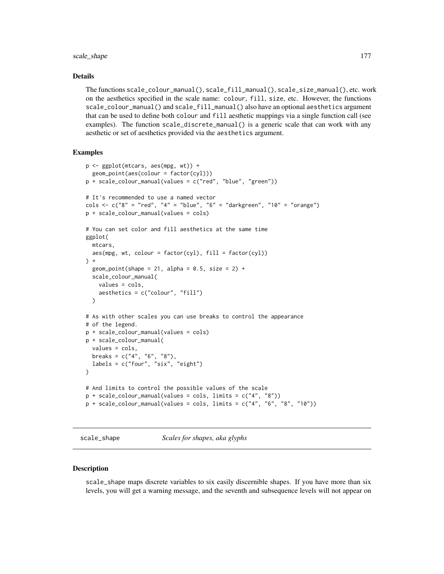# scale\_shape 177

# Details

The functions scale\_colour\_manual(), scale\_fill\_manual(), scale\_size\_manual(), etc. work on the aesthetics specified in the scale name: colour, fill, size, etc. However, the functions scale\_colour\_manual() and scale\_fill\_manual() also have an optional aesthetics argument that can be used to define both colour and fill aesthetic mappings via a single function call (see examples). The function scale\_discrete\_manual() is a generic scale that can work with any aesthetic or set of aesthetics provided via the aesthetics argument.

#### Examples

```
p <- ggplot(mtcars, aes(mpg, wt)) +
  geom_point(aes(colour = factor(cyl)))
p + scale_colour_manual(values = c("red", "blue", "green"))
# It's recommended to use a named vector
cols \langle -c|^2 8^n = "red", "4" = "blue", "6" = "darkgreen", "10" = "orange")p + scale_colour_manual(values = cols)
# You can set color and fill aesthetics at the same time
ggplot(
  mtcars,
  \text{aes(mpg, wt, colour} = \text{factor(cyl)}, \text{ fill} = \text{factor(cyl)})) +
  geom_point(shape = 21, alpha = 0.5, size = 2) +
  scale_colour_manual(
    values = cols,
    aesthetics = c("colour", "fill")
  \lambda# As with other scales you can use breaks to control the appearance
# of the legend.
p + scale_colour_manual(values = cols)
p + scale_colour_manual(
  values = cols,
  breaks = c("4", "6", "8"),
  labels = c("four", "six", "eight")
)
# And limits to control the possible values of the scale
p + scale_{colour_{manual}(values = \text{cols}, \text{limits} = c("4", "8"))p + scale_{colour\_manual(values = cols, limits = c("4", "6", "8", "10"))
```
scale\_shape *Scales for shapes, aka glyphs*

#### **Description**

scale\_shape maps discrete variables to six easily discernible shapes. If you have more than six levels, you will get a warning message, and the seventh and subsequence levels will not appear on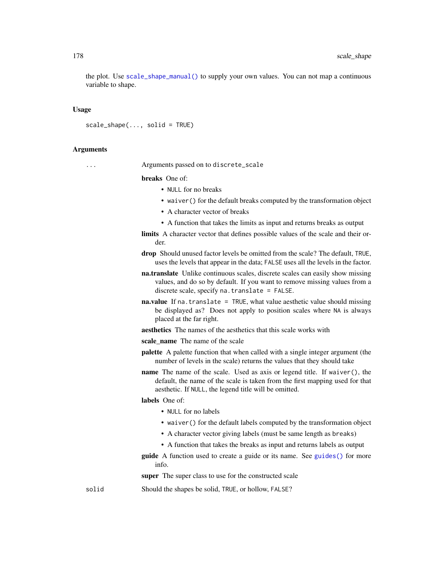the plot. Use [scale\\_shape\\_manual\(\)](#page-174-0) to supply your own values. You can not map a continuous variable to shape.

# Usage

```
scale\_shape(..., solid = TRUE)
```
#### Arguments

... Arguments passed on to discrete\_scale

breaks One of:

- NULL for no breaks
- waiver() for the default breaks computed by the transformation object
- A character vector of breaks
- A function that takes the limits as input and returns breaks as output
- limits A character vector that defines possible values of the scale and their order.
- drop Should unused factor levels be omitted from the scale? The default, TRUE, uses the levels that appear in the data; FALSE uses all the levels in the factor.
- na.translate Unlike continuous scales, discrete scales can easily show missing values, and do so by default. If you want to remove missing values from a discrete scale, specify na.translate = FALSE.
- na.value If na.translate = TRUE, what value aesthetic value should missing be displayed as? Does not apply to position scales where NA is always placed at the far right.
- aesthetics The names of the aesthetics that this scale works with
- scale name The name of the scale
- palette A palette function that when called with a single integer argument (the number of levels in the scale) returns the values that they should take
- name The name of the scale. Used as axis or legend title. If waiver(), the default, the name of the scale is taken from the first mapping used for that aesthetic. If NULL, the legend title will be omitted.

### labels One of:

- NULL for no labels
- waiver() for the default labels computed by the transformation object
- A character vector giving labels (must be same length as breaks)
- A function that takes the breaks as input and returns labels as output

guide A function used to create a guide or its name. See [guides\(\)](#page-119-0) for more info.

super The super class to use for the constructed scale

solid Should the shapes be solid, TRUE, or hollow, FALSE?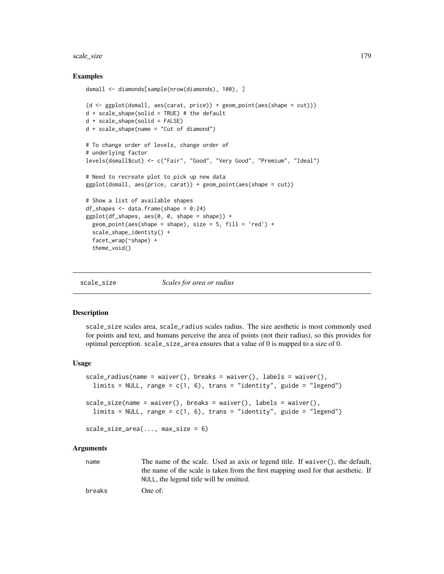#### scale\_size 179

# Examples

```
dsmall <- diamonds[sample(nrow(diamonds), 100), ]
(d \leq gplot(dsmall, aes(carat, price)) + geom-point(aes(shape = cut)))d + scale\_shape(solid = TRUE) # the default
d + scale_shape(solid = FALSE)
d + scale_shape(name = "Cut of diamond")
# To change order of levels, change order of
# underlying factor
levels(dsmall$cut) <- c("Fair", "Good", "Very Good", "Premium", "Ideal")
# Need to recreate plot to pick up new data
ggplot(dsmall, aes(price, carat)) + geom_point(aes(shape = cut))
# Show a list of available shapes
df_shapes \leq data.frame(shape = 0:24)
ggplot(df_shapes, aes(0, 0, shape = shape)) +geom_point(aes(shape = shape), size = 5, fill = 'red') +
 scale_shape_identity() +
 facet_wrap(~shape) +
 theme_void()
```
scale\_size *Scales for area or radius*

# **Description**

scale\_size scales area, scale\_radius scales radius. The size aesthetic is most commonly used for points and text, and humans perceive the area of points (not their radius), so this provides for optimal perception. scale\_size\_area ensures that a value of 0 is mapped to a size of 0.

# Usage

```
scale_radius(name = waiver(), breaks = waiver(), labels = waiver(),
  limits = NULL, range = c(1, 6), trans = "identity", guide = "legend")
scale_size(name = waiver(), breaks = waiver(), labels = waiver(),
  limits = NULL, range = c(1, 6), trans = "identity", guide = "legend")
scale_size_area(..., max_size = 6)
```
#### Arguments

name The name of the scale. Used as axis or legend title. If waiver(), the default, the name of the scale is taken from the first mapping used for that aesthetic. If NULL, the legend title will be omitted.

breaks One of: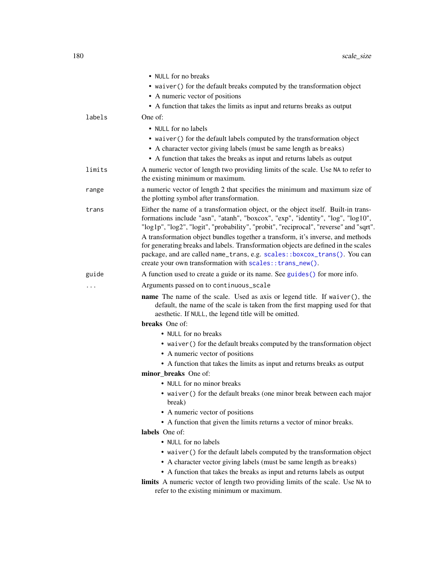|        | • NULL for no breaks                                                                                                                                                                                                                                                                                                                              |
|--------|---------------------------------------------------------------------------------------------------------------------------------------------------------------------------------------------------------------------------------------------------------------------------------------------------------------------------------------------------|
|        | • waiver () for the default breaks computed by the transformation object                                                                                                                                                                                                                                                                          |
|        | • A numeric vector of positions                                                                                                                                                                                                                                                                                                                   |
|        | • A function that takes the limits as input and returns breaks as output                                                                                                                                                                                                                                                                          |
| labels | One of:                                                                                                                                                                                                                                                                                                                                           |
|        | • NULL for no labels                                                                                                                                                                                                                                                                                                                              |
|        | • waiver () for the default labels computed by the transformation object                                                                                                                                                                                                                                                                          |
|        | • A character vector giving labels (must be same length as breaks)                                                                                                                                                                                                                                                                                |
|        | • A function that takes the breaks as input and returns labels as output                                                                                                                                                                                                                                                                          |
| limits | A numeric vector of length two providing limits of the scale. Use NA to refer to<br>the existing minimum or maximum.                                                                                                                                                                                                                              |
| range  | a numeric vector of length 2 that specifies the minimum and maximum size of<br>the plotting symbol after transformation.                                                                                                                                                                                                                          |
| trans  | Either the name of a transformation object, or the object itself. Built-in trans-<br>formations include "asn", "atanh", "boxcox", "exp", "identity", "log", "log10",<br>"log1p", "log2", "logit", "probability", "probit", "reciprocal", "reverse" and "sqrt".<br>A transformation object bundles together a transform, it's inverse, and methods |
|        | for generating breaks and labels. Transformation objects are defined in the scales<br>package, and are called name_trans, e.g. scales::boxcox_trans(). You can<br>create your own transformation with scales:: trans_new().                                                                                                                       |
| guide  | A function used to create a guide or its name. See guides () for more info.                                                                                                                                                                                                                                                                       |
| .      | Arguments passed on to continuous_scale                                                                                                                                                                                                                                                                                                           |
|        | name The name of the scale. Used as axis or legend title. If waiver(), the<br>default, the name of the scale is taken from the first mapping used for that<br>aesthetic. If NULL, the legend title will be omitted.                                                                                                                               |
|        | breaks One of:                                                                                                                                                                                                                                                                                                                                    |
|        | • NULL for no breaks                                                                                                                                                                                                                                                                                                                              |
|        | • waiver () for the default breaks computed by the transformation object<br>• A numeric vector of positions                                                                                                                                                                                                                                       |
|        | • A function that takes the limits as input and returns breaks as output                                                                                                                                                                                                                                                                          |
|        | minor breaks One of:                                                                                                                                                                                                                                                                                                                              |
|        | • NULL for no minor breaks                                                                                                                                                                                                                                                                                                                        |
|        | • waiver () for the default breaks (one minor break between each major<br>break)                                                                                                                                                                                                                                                                  |
|        | • A numeric vector of positions                                                                                                                                                                                                                                                                                                                   |
|        | • A function that given the limits returns a vector of minor breaks.                                                                                                                                                                                                                                                                              |
|        | labels One of:                                                                                                                                                                                                                                                                                                                                    |
|        | • NULL for no labels                                                                                                                                                                                                                                                                                                                              |
|        | • waiver () for the default labels computed by the transformation object<br>• A character vector giving labels (must be same length as breaks)                                                                                                                                                                                                    |
|        | • A function that takes the breaks as input and returns labels as output<br>limits A numeric vector of length two providing limits of the scale. Use NA to<br>refer to the existing minimum or maximum.                                                                                                                                           |
|        |                                                                                                                                                                                                                                                                                                                                                   |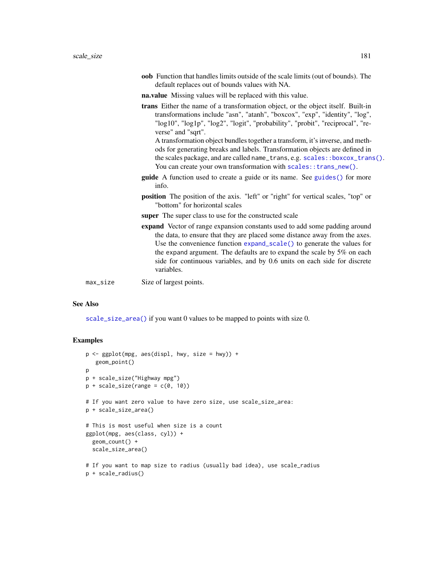<span id="page-180-0"></span>

|          | <b>oob</b> Function that handles limits outside of the scale limits (out of bounds). The<br>default replaces out of bounds values with NA.                                                                                                                                                                                                                                                                                                                                                                                                                                                         |
|----------|----------------------------------------------------------------------------------------------------------------------------------------------------------------------------------------------------------------------------------------------------------------------------------------------------------------------------------------------------------------------------------------------------------------------------------------------------------------------------------------------------------------------------------------------------------------------------------------------------|
|          | na.value Missing values will be replaced with this value.                                                                                                                                                                                                                                                                                                                                                                                                                                                                                                                                          |
|          | <b>trans</b> Either the name of a transformation object, or the object itself. Built-in<br>transformations include "asn", "atanh", "boxcox", "exp", "identity", "log",<br>"log10", "log1p", "log2", "logit", "probability", "probit", "reciprocal", "re-<br>verse" and "sqrt".<br>A transformation object bundles together a transform, it's inverse, and meth-<br>ods for generating breaks and labels. Transformation objects are defined in<br>the scales package, and are called name_trans, e.g. scales::boxcox_trans().<br>You can create your own transformation with scales:: trans_new(). |
|          | <b>guide</b> A function used to create a guide or its name. See guides () for more<br>info.                                                                                                                                                                                                                                                                                                                                                                                                                                                                                                        |
|          | <b>position</b> The position of the axis. "left" or "right" for vertical scales, "top" or<br>"bottom" for horizontal scales                                                                                                                                                                                                                                                                                                                                                                                                                                                                        |
|          | <b>super</b> The super class to use for the constructed scale                                                                                                                                                                                                                                                                                                                                                                                                                                                                                                                                      |
|          | expand Vector of range expansion constants used to add some padding around<br>the data, to ensure that they are placed some distance away from the axes.<br>Use the convenience function $expand\_scale()$ to generate the values for<br>the expand argument. The defaults are to expand the scale by $5\%$ on each<br>side for continuous variables, and by 0.6 units on each side for discrete<br>variables.                                                                                                                                                                                     |
| max_size | Size of largest points.                                                                                                                                                                                                                                                                                                                                                                                                                                                                                                                                                                            |

# See Also

[scale\\_size\\_area\(\)](#page-178-0) if you want 0 values to be mapped to points with size 0.

```
p <- ggplot(mpg, aes(displ, hwy, size = hwy)) +
  geom_point()
p
p + scale_size("Highway mpg")
p + scale\_size(range = c(0, 10))# If you want zero value to have zero size, use scale_size_area:
p + scale_size_area()
# This is most useful when size is a count
ggplot(mpg, aes(class, cyl)) +
  geom_count() +
  scale_size_area()
# If you want to map size to radius (usually bad idea), use scale_radius
p + scale_radius()
```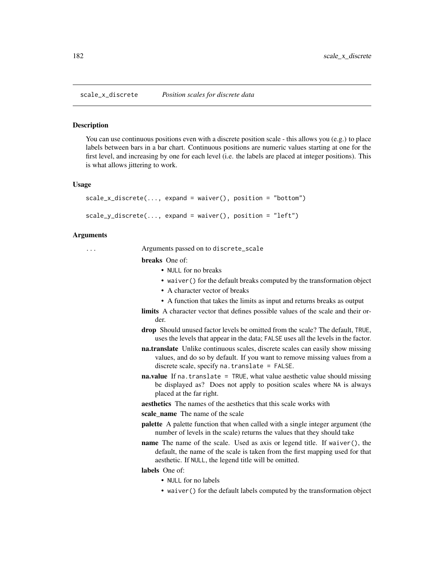#### <span id="page-181-0"></span>Description

You can use continuous positions even with a discrete position scale - this allows you (e.g.) to place labels between bars in a bar chart. Continuous positions are numeric values starting at one for the first level, and increasing by one for each level (i.e. the labels are placed at integer positions). This is what allows jittering to work.

#### Usage

```
scale_x_discrete(..., expand = waiver(), position = "bottom")
scale_y_discrete(..., expand = waiver(), position = "left")
```
# Arguments

... Arguments passed on to discrete\_scale

breaks One of:

- NULL for no breaks
- waiver() for the default breaks computed by the transformation object
- A character vector of breaks
- A function that takes the limits as input and returns breaks as output
- limits A character vector that defines possible values of the scale and their order.
- drop Should unused factor levels be omitted from the scale? The default, TRUE, uses the levels that appear in the data; FALSE uses all the levels in the factor.
- na.translate Unlike continuous scales, discrete scales can easily show missing values, and do so by default. If you want to remove missing values from a discrete scale, specify na.translate = FALSE.
- **na.value** If na. translate = TRUE, what value aesthetic value should missing be displayed as? Does not apply to position scales where NA is always placed at the far right.

aesthetics The names of the aesthetics that this scale works with

scale\_name The name of the scale

- palette A palette function that when called with a single integer argument (the number of levels in the scale) returns the values that they should take
- name The name of the scale. Used as axis or legend title. If waiver(), the default, the name of the scale is taken from the first mapping used for that aesthetic. If NULL, the legend title will be omitted.

labels One of:

- NULL for no labels
- waiver() for the default labels computed by the transformation object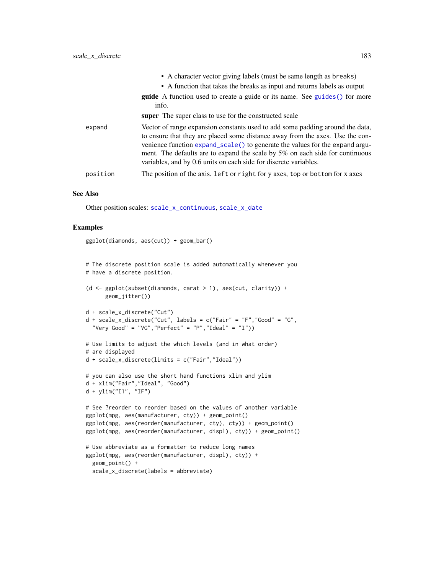<span id="page-182-0"></span>

|          | • A character vector giving labels (must be same length as breaks)                                                                                                                                                                                                                                                                                                                                 |
|----------|----------------------------------------------------------------------------------------------------------------------------------------------------------------------------------------------------------------------------------------------------------------------------------------------------------------------------------------------------------------------------------------------------|
|          | • A function that takes the breaks as input and returns labels as output                                                                                                                                                                                                                                                                                                                           |
|          | <b>guide</b> A function used to create a guide or its name. See guides () for more<br>info.                                                                                                                                                                                                                                                                                                        |
|          | <b>super</b> The super class to use for the constructed scale                                                                                                                                                                                                                                                                                                                                      |
| expand   | Vector of range expansion constants used to add some padding around the data,<br>to ensure that they are placed some distance away from the axes. Use the con-<br>venience function expand_scale() to generate the values for the expand argu-<br>ment. The defaults are to expand the scale by 5% on each side for continuous<br>variables, and by 0.6 units on each side for discrete variables. |
| position | The position of the axis. Left or right for y axes, top or bottom for x axes                                                                                                                                                                                                                                                                                                                       |

#### See Also

Other position scales: [scale\\_x\\_continuous](#page-166-0), [scale\\_x\\_date](#page-169-0)

```
ggplot(diamonds, aes(cut)) + geom_bar()
```

```
# The discrete position scale is added automatically whenever you
# have a discrete position.
(d <- ggplot(subset(diamonds, carat > 1), aes(cut, clarity)) +
     geom_jitter())
```

```
d + scale_x_discrete("Cut")
d + scale_x_discrete("Cut", labels = c("Fair" = "F","Good" = "G",
  "Very Good" = "VG", "Perfect" = "P", "Ideal" = "I"))
```

```
# Use limits to adjust the which levels (and in what order)
# are displayed
d + scale_x_discrete(limits = c("Fair","Ideal"))
```

```
# you can also use the short hand functions xlim and ylim
d + xlim("Fair","Ideal", "Good")
```

```
d + ylim("I1", "IF")
```

```
# See ?reorder to reorder based on the values of another variable
ggplot(mpg, aes(manufacturer, cty)) + geom_point()
ggplot(mpg, aes(reorder(manufacturer, cty), cty)) + geom_point()
ggplot(mpg, aes(reorder(manufacturer, displ), cty)) + geom_point()
# Use abbreviate as a formatter to reduce long names
```

```
ggplot(mpg, aes(reorder(manufacturer, displ), cty)) +
 geom_point() +
 scale_x_discrete(labels = abbreviate)
```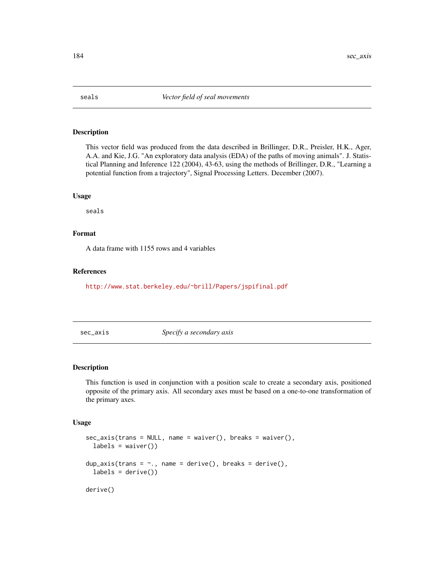<span id="page-183-0"></span>

# Description

This vector field was produced from the data described in Brillinger, D.R., Preisler, H.K., Ager, A.A. and Kie, J.G. "An exploratory data analysis (EDA) of the paths of moving animals". J. Statistical Planning and Inference 122 (2004), 43-63, using the methods of Brillinger, D.R., "Learning a potential function from a trajectory", Signal Processing Letters. December (2007).

#### Usage

seals

# Format

A data frame with 1155 rows and 4 variables

## References

<http://www.stat.berkeley.edu/~brill/Papers/jspifinal.pdf>

sec\_axis *Specify a secondary axis*

# Description

This function is used in conjunction with a position scale to create a secondary axis, positioned opposite of the primary axis. All secondary axes must be based on a one-to-one transformation of the primary axes.

#### Usage

```
sec_axis(trains = NULL, name = waire(), breaks = waire(),labels = waire()dup_axis(trans = \sim., name = derive(), breaks = derive(),
  labels = derive()derive()
```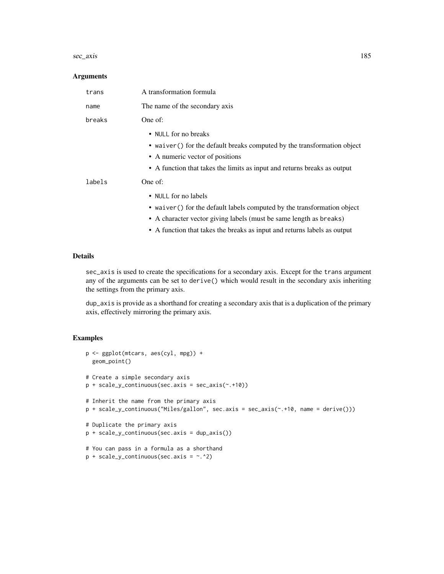#### sec\_axis 185

#### **Arguments**

| trans  | A transformation formula                                                                                                                                                                                                                                      |
|--------|---------------------------------------------------------------------------------------------------------------------------------------------------------------------------------------------------------------------------------------------------------------|
| name   | The name of the secondary axis                                                                                                                                                                                                                                |
| breaks | One of:                                                                                                                                                                                                                                                       |
|        | • NULL for no breaks<br>• waiver () for the default breaks computed by the transformation object<br>• A numeric vector of positions<br>• A function that takes the limits as input and returns breaks as output                                               |
| labels | One of:<br>• NULL for no labels<br>• waiver () for the default labels computed by the transformation object<br>• A character vector giving labels (must be same length as breaks)<br>• A function that takes the breaks as input and returns labels as output |

# Details

sec\_axis is used to create the specifications for a secondary axis. Except for the trans argument any of the arguments can be set to derive() which would result in the secondary axis inheriting the settings from the primary axis.

dup\_axis is provide as a shorthand for creating a secondary axis that is a duplication of the primary axis, effectively mirroring the primary axis.

```
p <- ggplot(mtcars, aes(cyl, mpg)) +
 geom_point()
# Create a simple secondary axis
p + scale_y_{continuous(sec. axis = sec_axis(*. +10))# Inherit the name from the primary axis
p + scale_y_continuous("Miles/gallon", sec.axis = sec_axis(~.+10, name = derive()))
# Duplicate the primary axis
p + scale_y_continuous(sec.axis = dup_axis())
# You can pass in a formula as a shorthand
p + scale_y_{continuous(sec. axis = ~. ^2)
```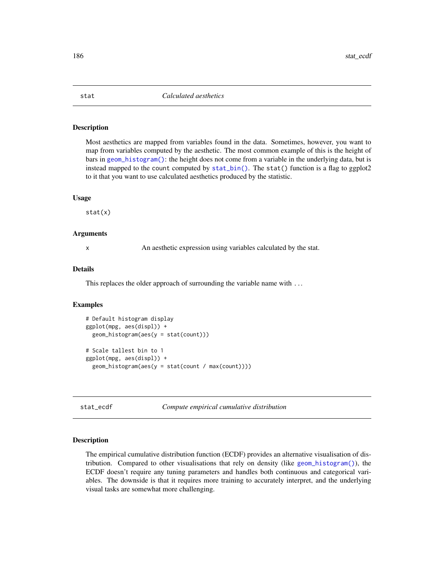# <span id="page-185-0"></span>Description

Most aesthetics are mapped from variables found in the data. Sometimes, however, you want to map from variables computed by the aesthetic. The most common example of this is the height of bars in [geom\\_histogram\(\)](#page-68-0): the height does not come from a variable in the underlying data, but is instead mapped to the count computed by  $stat\phi$ . The stat() function is a flag to ggplot2 to it that you want to use calculated aesthetics produced by the statistic.

#### Usage

stat(x)

# Arguments

x An aesthetic expression using variables calculated by the stat.

#### Details

This replaces the older approach of surrounding the variable name with ...

# Examples

```
# Default histogram display
ggplot(mpg, aes(displ)) +
 geom_histogram(aes(y = stat(count)))
# Scale tallest bin to 1
ggplot(mpg, aes(displ)) +
 geom_histogram(aes(y = stat(count / max(count))))
```
stat\_ecdf *Compute empirical cumulative distribution*

#### Description

The empirical cumulative distribution function (ECDF) provides an alternative visualisation of distribution. Compared to other visualisations that rely on density (like  $geom_h$ -histogram()), the ECDF doesn't require any tuning parameters and handles both continuous and categorical variables. The downside is that it requires more training to accurately interpret, and the underlying visual tasks are somewhat more challenging.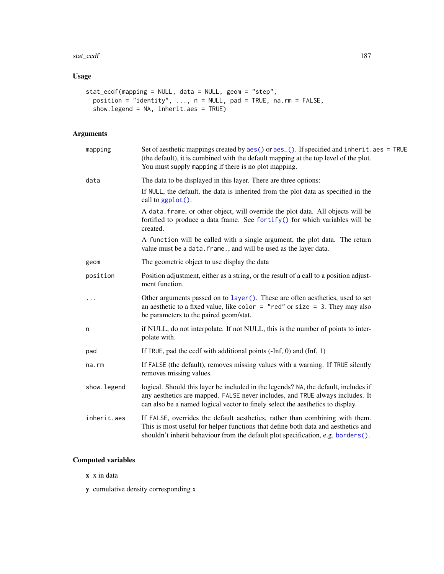#### <span id="page-186-0"></span>stat\_ecdf 187

# Usage

```
stat_ecdf(mapping = NULL, data = NULL, geom = "step",
 position = "identity", ..., n = NULL, pad = TRUE, na.rm = FALSE,
 show.legend = NA, inherit.aes = TRUE)
```
# Arguments

| mapping     | Set of aesthetic mappings created by aes() or aes_(). If specified and inherit.aes = TRUE<br>(the default), it is combined with the default mapping at the top level of the plot.<br>You must supply mapping if there is no plot mapping.              |
|-------------|--------------------------------------------------------------------------------------------------------------------------------------------------------------------------------------------------------------------------------------------------------|
| data        | The data to be displayed in this layer. There are three options:                                                                                                                                                                                       |
|             | If NULL, the default, the data is inherited from the plot data as specified in the<br>call to ggplot().                                                                                                                                                |
|             | A data. frame, or other object, will override the plot data. All objects will be<br>fortified to produce a data frame. See fortify() for which variables will be<br>created.                                                                           |
|             | A function will be called with a single argument, the plot data. The return<br>value must be a data. frame., and will be used as the layer data.                                                                                                       |
| geom        | The geometric object to use display the data                                                                                                                                                                                                           |
| position    | Position adjustment, either as a string, or the result of a call to a position adjust-<br>ment function.                                                                                                                                               |
| $\cdots$    | Other arguments passed on to layer (). These are often aesthetics, used to set<br>an aesthetic to a fixed value, like color = "red" or size = 3. They may also<br>be parameters to the paired geom/stat.                                               |
| n           | if NULL, do not interpolate. If not NULL, this is the number of points to inter-<br>polate with.                                                                                                                                                       |
| pad         | If TRUE, pad the ecdf with additional points $(-Inf, 0)$ and $(Inf, 1)$                                                                                                                                                                                |
| na.rm       | If FALSE (the default), removes missing values with a warning. If TRUE silently<br>removes missing values.                                                                                                                                             |
| show.legend | logical. Should this layer be included in the legends? NA, the default, includes if<br>any aesthetics are mapped. FALSE never includes, and TRUE always includes. It<br>can also be a named logical vector to finely select the aesthetics to display. |
| inherit.aes | If FALSE, overrides the default aesthetics, rather than combining with them.<br>This is most useful for helper functions that define both data and aesthetics and<br>shouldn't inherit behaviour from the default plot specification, e.g. borders().  |
|             |                                                                                                                                                                                                                                                        |

# Computed variables

- x x in data
- y cumulative density corresponding x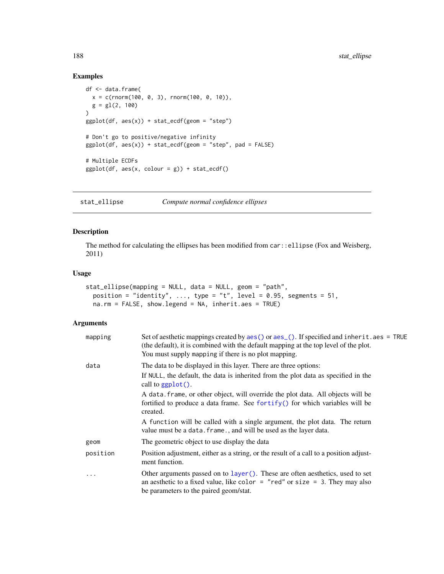# Examples

```
df <- data.frame(
 x = c(rnorm(100, 0, 3), rnorm(100, 0, 10)),g = gl(2, 100)\lambdaggplot(df, aes(x)) + stat_ccdf(geom = "step")# Don't go to positive/negative infinity
ggplot(df, aes(x)) + stat_ecdf(geom = "step", pad = FALSE)# Multiple ECDFs
ggplot(df, aes(x, colour = g)) + stat_ecdf()
```
stat\_ellipse *Compute normal confidence ellipses*

# Description

The method for calculating the ellipses has been modified from car::ellipse (Fox and Weisberg, 2011)

# Usage

```
stat_ellipse(mapping = NULL, data = NULL, geom = "path",
 position = "identity", ..., type = "t", level = 0.95, segments = 51,
 na.rm = FALSE, show.legend = NA, inherit.aes = TRUE)
```
# Arguments

| mapping   | Set of aesthetic mappings created by $aes()$ or $aes()$ . If specified and inherit. $aes = TRUE$<br>(the default), it is combined with the default mapping at the top level of the plot.<br>You must supply mapping if there is no plot mapping. |
|-----------|--------------------------------------------------------------------------------------------------------------------------------------------------------------------------------------------------------------------------------------------------|
| data      | The data to be displayed in this layer. There are three options:                                                                                                                                                                                 |
|           | If NULL, the default, the data is inherited from the plot data as specified in the<br>call to $ggplot()$ .                                                                                                                                       |
|           | A data. frame, or other object, will override the plot data. All objects will be<br>fortified to produce a data frame. See fortify() for which variables will be<br>created.                                                                     |
|           | A function will be called with a single argument, the plot data. The return<br>value must be a data. frame., and will be used as the layer data.                                                                                                 |
| geom      | The geometric object to use display the data                                                                                                                                                                                                     |
| position  | Position adjustment, either as a string, or the result of a call to a position adjust-<br>ment function.                                                                                                                                         |
| $\ddotsc$ | Other arguments passed on to layer (). These are often aesthetics, used to set<br>an aesthetic to a fixed value, like color = "red" or size = 3. They may also<br>be parameters to the paired geom/stat.                                         |

<span id="page-187-0"></span>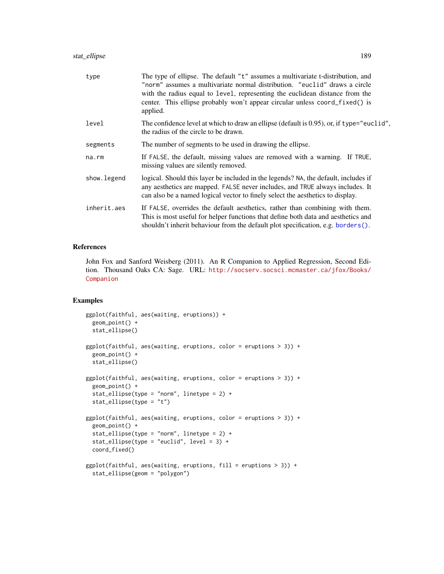<span id="page-188-0"></span>

| type        | The type of ellipse. The default "t" assumes a multivariate t-distribution, and<br>"norm" assumes a multivariate normal distribution. "euclid" draws a circle<br>with the radius equal to level, representing the euclidean distance from the<br>center. This ellipse probably won't appear circular unless coord_fixed() is<br>applied. |
|-------------|------------------------------------------------------------------------------------------------------------------------------------------------------------------------------------------------------------------------------------------------------------------------------------------------------------------------------------------|
| level       | The confidence level at which to draw an ellipse (default is 0.95), or, if type="euclid",<br>the radius of the circle to be drawn.                                                                                                                                                                                                       |
| segments    | The number of segments to be used in drawing the ellipse.                                                                                                                                                                                                                                                                                |
| na.rm       | If FALSE, the default, missing values are removed with a warning. If TRUE,<br>missing values are silently removed.                                                                                                                                                                                                                       |
| show.legend | logical. Should this layer be included in the legends? NA, the default, includes if<br>any aesthetics are mapped. FALSE never includes, and TRUE always includes. It<br>can also be a named logical vector to finely select the aesthetics to display.                                                                                   |
| inherit.aes | If FALSE, overrides the default aesthetics, rather than combining with them.<br>This is most useful for helper functions that define both data and aesthetics and<br>shouldn't inherit behaviour from the default plot specification, e.g. borders().                                                                                    |

# References

John Fox and Sanford Weisberg (2011). An R Companion to Applied Regression, Second Edition. Thousand Oaks CA: Sage. URL: [http://socserv.socsci.mcmaster.ca/jfox/Books/](http://socserv.socsci.mcmaster.ca/jfox/Books/Companion) [Companion](http://socserv.socsci.mcmaster.ca/jfox/Books/Companion)

```
ggplot(faithful, aes(waiting, eruptions)) +
  geom_point() +
  stat_ellipse()
ggplot(faithful, aes(waiting, eruptions, color = eruptions > 3)) +
  geom_point() +
  stat_ellipse()
ggplot(faithful, aes(waiting, eruptions, color = eruptions > 3)) +
  geom_point() +
  stat_ellipse(type = "norm", linetype = 2) +
  stat_ellipse(type = "t")
ggplot(faithful, aes(waiting, eruptions, color = eruptions > 3)) +
  geom_point() +
  stat_ellipse(type = "norm", linetype = 2) +
  stat_ellipse(type = "euclid", level = 3) +
  coord_fixed()
ggplot(faithful, aes(waiting, eruptions, fill = eruptions > 3)) +
  stat_ellipse(geom = "polygon")
```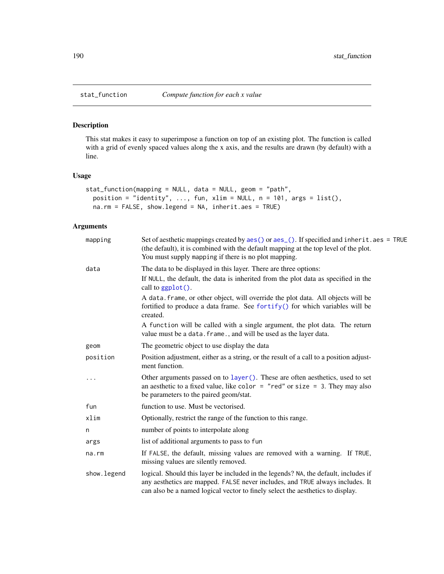# Description

This stat makes it easy to superimpose a function on top of an existing plot. The function is called with a grid of evenly spaced values along the x axis, and the results are drawn (by default) with a line.

# Usage

```
stat_function(mapping = NULL, data = NULL, geom = "path",
 position = "identity", ..., fun, xlim = NULL, n = 101, args = list(),
 na.rm = FALSE, show.legend = NA, inherit.aes = TRUE)
```
# Arguments

| mapping      | Set of aesthetic mappings created by aes () or aes (). If specified and inherit.aes = TRUE<br>(the default), it is combined with the default mapping at the top level of the plot.<br>You must supply mapping if there is no plot mapping.             |
|--------------|--------------------------------------------------------------------------------------------------------------------------------------------------------------------------------------------------------------------------------------------------------|
| data         | The data to be displayed in this layer. There are three options:                                                                                                                                                                                       |
|              | If NULL, the default, the data is inherited from the plot data as specified in the<br>call to ggplot().                                                                                                                                                |
|              | A data. frame, or other object, will override the plot data. All objects will be<br>fortified to produce a data frame. See fortify() for which variables will be<br>created.                                                                           |
|              | A function will be called with a single argument, the plot data. The return<br>value must be a data. frame., and will be used as the layer data.                                                                                                       |
| geom         | The geometric object to use display the data                                                                                                                                                                                                           |
| position     | Position adjustment, either as a string, or the result of a call to a position adjust-<br>ment function.                                                                                                                                               |
|              | Other arguments passed on to layer (). These are often aesthetics, used to set<br>an aesthetic to a fixed value, like color = "red" or size = 3. They may also<br>be parameters to the paired geom/stat.                                               |
| fun          | function to use. Must be vectorised.                                                                                                                                                                                                                   |
| xlim         | Optionally, restrict the range of the function to this range.                                                                                                                                                                                          |
| n            | number of points to interpolate along                                                                                                                                                                                                                  |
| args         | list of additional arguments to pass to fun                                                                                                                                                                                                            |
| na.rm        | If FALSE, the default, missing values are removed with a warning. If TRUE,<br>missing values are silently removed.                                                                                                                                     |
| show. legend | logical. Should this layer be included in the legends? NA, the default, includes if<br>any aesthetics are mapped. FALSE never includes, and TRUE always includes. It<br>can also be a named logical vector to finely select the aesthetics to display. |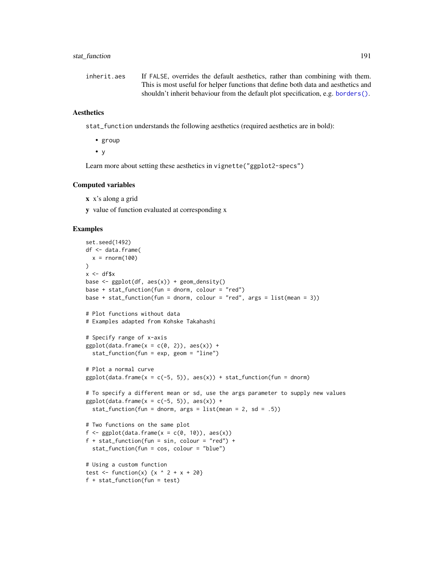# <span id="page-190-0"></span>stat\_function 191

| inherit.aes | If FALSE, overrides the default aesthetics, rather than combining with them.      |
|-------------|-----------------------------------------------------------------------------------|
|             | This is most useful for helper functions that define both data and aesthetics and |
|             | shouldn't inherit behaviour from the default plot specification, e.g. borders().  |

# **Aesthetics**

stat\_function understands the following aesthetics (required aesthetics are in bold):

• group

• y

Learn more about setting these aesthetics in vignette("ggplot2-specs")

#### Computed variables

- x x's along a grid
- y value of function evaluated at corresponding x

```
set.seed(1492)
df <- data.frame(
  x = rnorm(100))
x < -df$x
base <- ggplot(df, aes(x)) + geom_density()
base + stat_function(fun = dnorm, colour = "red")
base + stat_function(fun = dnorm, colour = "red", args = list(mean = 3))
# Plot functions without data
# Examples adapted from Kohske Takahashi
# Specify range of x-axis
ggplot(data, frame(x = c(0, 2)), aes(x)) +stat_function(fun = exp, geom = "line")
# Plot a normal curve
ggplot(data-frame(x = c(-5, 5)), aes(x)) + stat_function(fun = donorm)# To specify a different mean or sd, use the args parameter to supply new values
ggplot(data.frame(x = c(-5, 5)), aes(x)) +stat_function(fun = dnorm, args = list(mean = 2, sd = .5))# Two functions on the same plot
f <- gplot(data, frame(x = c(0, 10)), aes(x))f + stat_function(fun = sin, colour = "red") +stat_function(fun = cos, colour = "blue")
# Using a custom function
test \le function(x) {x ^ 2 + x + 20}
f + stat_function(fun = test)
```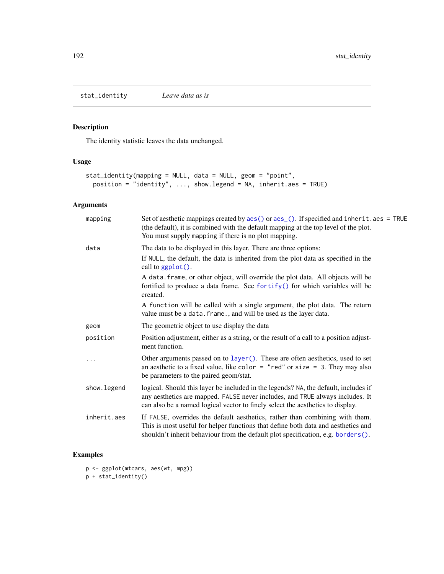<span id="page-191-0"></span>stat\_identity *Leave data as is*

# Description

The identity statistic leaves the data unchanged.

# Usage

```
stat_identity(mapping = NULL, data = NULL, geom = "point",
  position = "identity", ..., show.legend = NA, inherit.aes = TRUE)
```
# Arguments

| mapping     | Set of aesthetic mappings created by $aes()$ or $aes_()$ . If specified and inherit. $aes = TRUE$<br>(the default), it is combined with the default mapping at the top level of the plot.<br>You must supply mapping if there is no plot mapping.      |
|-------------|--------------------------------------------------------------------------------------------------------------------------------------------------------------------------------------------------------------------------------------------------------|
| data        | The data to be displayed in this layer. There are three options:                                                                                                                                                                                       |
|             | If NULL, the default, the data is inherited from the plot data as specified in the<br>call to $ggplot()$ .                                                                                                                                             |
|             | A data. frame, or other object, will override the plot data. All objects will be<br>fortified to produce a data frame. See fortify() for which variables will be<br>created.                                                                           |
|             | A function will be called with a single argument, the plot data. The return<br>value must be a data. frame., and will be used as the layer data.                                                                                                       |
| geom        | The geometric object to use display the data                                                                                                                                                                                                           |
| position    | Position adjustment, either as a string, or the result of a call to a position adjust-<br>ment function.                                                                                                                                               |
|             | Other arguments passed on to layer (). These are often aesthetics, used to set<br>an aesthetic to a fixed value, like color = "red" or size = 3. They may also<br>be parameters to the paired geom/stat.                                               |
| show.legend | logical. Should this layer be included in the legends? NA, the default, includes if<br>any aesthetics are mapped. FALSE never includes, and TRUE always includes. It<br>can also be a named logical vector to finely select the aesthetics to display. |
| inherit.aes | If FALSE, overrides the default aesthetics, rather than combining with them.<br>This is most useful for helper functions that define both data and aesthetics and<br>shouldn't inherit behaviour from the default plot specification, e.g. borders().  |
|             |                                                                                                                                                                                                                                                        |

```
p <- ggplot(mtcars, aes(wt, mpg))
p + stat_identity()
```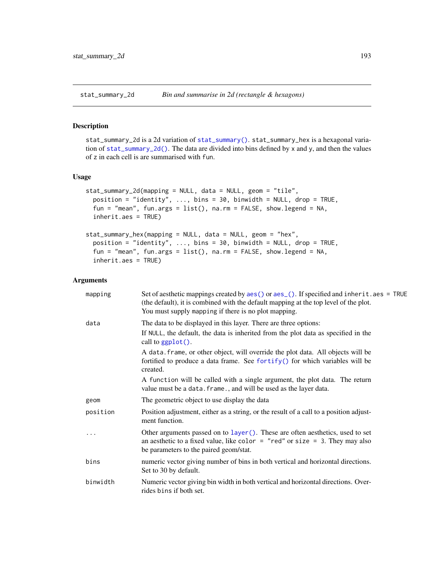<span id="page-192-2"></span><span id="page-192-0"></span>stat\_summary\_2d *Bin and summarise in 2d (rectangle & hexagons)*

# <span id="page-192-1"></span>Description

stat\_summary\_2d is a 2d variation of [stat\\_summary\(\)](#page-194-0). stat\_summary\_hex is a hexagonal variation of [stat\\_summary\\_2d\(\)](#page-192-0). The data are divided into bins defined by x and y, and then the values of z in each cell is are summarised with fun.

# Usage

```
stat_summary_2d(mapping = NULL, data = NULL, geom = "tile",
  position = "identity", \ldots, bins = 30, binwidth = NULL, drop = TRUE,
  fun = "mean", fun.args = list(), na.rm = FALSE, show.legend = NA,
  inherit.aes = TRUE)
stat_summary_hex(mapping = NULL, data = NULL, geom = "hex",
  position = "identity", \ldots, bins = 30, binwidth = NULL, drop = TRUE,
  fun = "mean", fun.args = list(), na.rm = FALSE, show.legend = NA,
```

```
Arguments
```
inherit.aes = TRUE)

| mapping  | Set of aesthetic mappings created by $aes()$ or $aes_()$ . If specified and inherit. $aes = TRUE$<br>(the default), it is combined with the default mapping at the top level of the plot.<br>You must supply mapping if there is no plot mapping. |
|----------|---------------------------------------------------------------------------------------------------------------------------------------------------------------------------------------------------------------------------------------------------|
| data     | The data to be displayed in this layer. There are three options:                                                                                                                                                                                  |
|          | If NULL, the default, the data is inherited from the plot data as specified in the<br>call to $ggplot()$ .                                                                                                                                        |
|          | A data frame, or other object, will override the plot data. All objects will be<br>fortified to produce a data frame. See fortify() for which variables will be<br>created.                                                                       |
|          | A function will be called with a single argument, the plot data. The return<br>value must be a data. frame., and will be used as the layer data.                                                                                                  |
| geom     | The geometric object to use display the data                                                                                                                                                                                                      |
| position | Position adjustment, either as a string, or the result of a call to a position adjust-<br>ment function.                                                                                                                                          |
| .        | Other arguments passed on to layer (). These are often aesthetics, used to set<br>an aesthetic to a fixed value, like color = "red" or size = 3. They may also<br>be parameters to the paired geom/stat.                                          |
| bins     | numeric vector giving number of bins in both vertical and horizontal directions.<br>Set to 30 by default.                                                                                                                                         |
| binwidth | Numeric vector giving bin width in both vertical and horizontal directions. Over-<br>rides bins if both set.                                                                                                                                      |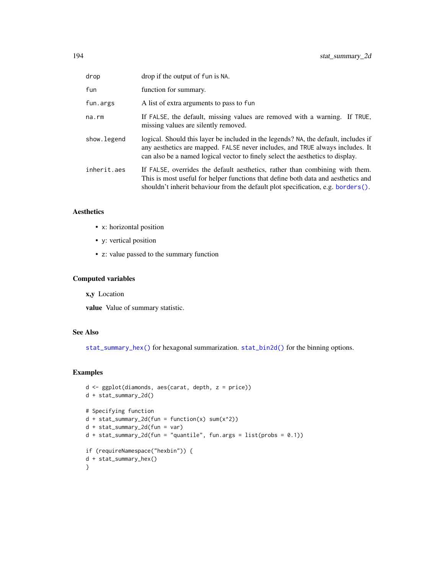<span id="page-193-0"></span>

| drop        | drop if the output of fun is NA.                                                                                                                                                                                                                          |
|-------------|-----------------------------------------------------------------------------------------------------------------------------------------------------------------------------------------------------------------------------------------------------------|
| fun         | function for summary.                                                                                                                                                                                                                                     |
| fun.args    | A list of extra arguments to pass to fun                                                                                                                                                                                                                  |
| na.rm       | If FALSE, the default, missing values are removed with a warning. If TRUE,<br>missing values are silently removed.                                                                                                                                        |
| show.legend | logical. Should this layer be included in the legends? NA, the default, includes if<br>any aesthetics are mapped. FALSE never includes, and TRUE always includes. It<br>can also be a named logical vector to finely select the aesthetics to display.    |
| inherit.aes | If FALSE, overrides the default aesthetics, rather than combining with them.<br>This is most useful for helper functions that define both data and aesthetics and<br>shouldn't inherit behaviour from the default plot specification, e.g. borders $()$ . |

# Aesthetics

- x: horizontal position
- y: vertical position
- z: value passed to the summary function

# Computed variables

x,y Location

value Value of summary statistic.

# See Also

[stat\\_summary\\_hex\(\)](#page-192-1) for hexagonal summarization. [stat\\_bin2d\(\)](#page-45-0) for the binning options.

```
d <- ggplot(diamonds, aes(carat, depth, z = price))
d + stat_summary_2d()
# Specifying function
d + stat_summary_2d(fun = function(x) sum(x^2))d + stat\_summary_2d(fun = var)d + stat_summary_2d(fun = "quantile", fun.args = list(probs = 0.1))if (requireNamespace("hexbin")) {
d + stat_summary_hex()
}
```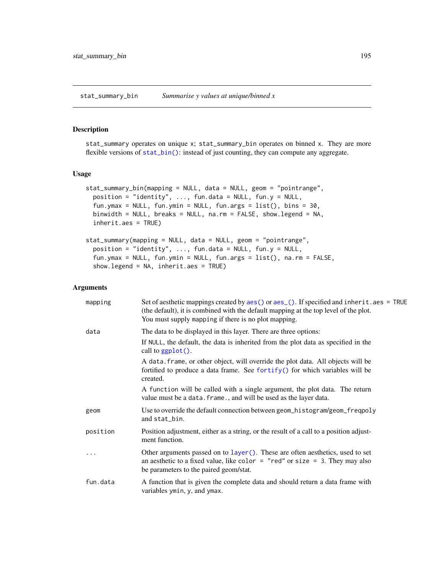<span id="page-194-1"></span>stat\_summary\_bin *Summarise y values at unique/binned x*

# <span id="page-194-0"></span>Description

stat\_summary operates on unique x; stat\_summary\_bin operates on binned x. They are more flexible versions of [stat\\_bin\(\)](#page-68-0): instead of just counting, they can compute any aggregate.

#### Usage

```
stat_summary_bin(mapping = NULL, data = NULL, geom = "pointrange",
 position = "identity", ..., fun.data = NULL, fun.y = NULL,
  fun.ymax = NULL, fun.ymin = NULL, fun.args = list(), bins = 30,
 binwidth = NULL, breaks = NULL, na.rm = FALSE, show.legend = NA,
  inherit.aes = TRUE)
```

```
stat_summary(mapping = NULL, data = NULL, geom = "pointrange",
 position = "identity", ..., fun.data = NULL, fun.y = NULL,
  fun.ymax = NULL, fun.ymin = NULL, fun.args = list(), na.rm = FALSE,
  show.legend = NA, inherit.aes = TRUE)
```
# Arguments

| mapping  | Set of aesthetic mappings created by aes() or aes_(). If specified and inherit.aes = TRUE<br>(the default), it is combined with the default mapping at the top level of the plot.<br>You must supply mapping if there is no plot mapping. |
|----------|-------------------------------------------------------------------------------------------------------------------------------------------------------------------------------------------------------------------------------------------|
| data     | The data to be displayed in this layer. There are three options:                                                                                                                                                                          |
|          | If NULL, the default, the data is inherited from the plot data as specified in the<br>call to $ggplot()$ .                                                                                                                                |
|          | A data. frame, or other object, will override the plot data. All objects will be<br>fortified to produce a data frame. See fortify() for which variables will be<br>created.                                                              |
|          | A function will be called with a single argument, the plot data. The return<br>value must be a data. frame., and will be used as the layer data.                                                                                          |
| geom     | Use to override the default connection between geom_histogram/geom_freqpoly<br>and stat_bin.                                                                                                                                              |
| position | Position adjustment, either as a string, or the result of a call to a position adjust-<br>ment function.                                                                                                                                  |
|          | Other arguments passed on to layer (). These are often aesthetics, used to set<br>an aesthetic to a fixed value, like color = "red" or size = 3. They may also<br>be parameters to the paired geom/stat.                                  |
| fun.data | A function that is given the complete data and should return a data frame with<br>variables ymin, y, and ymax.                                                                                                                            |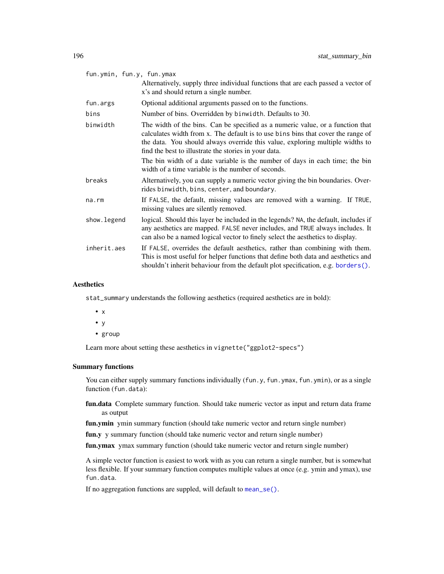<span id="page-195-0"></span>

| fun.ymin, fun.y, fun.ymax |                                                                                                                                                                                                                                                                                                                                                                                                                                                    |
|---------------------------|----------------------------------------------------------------------------------------------------------------------------------------------------------------------------------------------------------------------------------------------------------------------------------------------------------------------------------------------------------------------------------------------------------------------------------------------------|
|                           | Alternatively, supply three individual functions that are each passed a vector of<br>x's and should return a single number.                                                                                                                                                                                                                                                                                                                        |
| fun.args                  | Optional additional arguments passed on to the functions.                                                                                                                                                                                                                                                                                                                                                                                          |
| bins                      | Number of bins. Overridden by binwidth. Defaults to 30.                                                                                                                                                                                                                                                                                                                                                                                            |
| binwidth                  | The width of the bins. Can be specified as a numeric value, or a function that<br>calculates width from x. The default is to use bins bins that cover the range of<br>the data. You should always override this value, exploring multiple widths to<br>find the best to illustrate the stories in your data.<br>The bin width of a date variable is the number of days in each time; the bin<br>width of a time variable is the number of seconds. |
| breaks                    | Alternatively, you can supply a numeric vector giving the bin boundaries. Over-<br>rides binwidth, bins, center, and boundary.                                                                                                                                                                                                                                                                                                                     |
| na.rm                     | If FALSE, the default, missing values are removed with a warning. If TRUE,<br>missing values are silently removed.                                                                                                                                                                                                                                                                                                                                 |
| show.legend               | logical. Should this layer be included in the legends? NA, the default, includes if<br>any aesthetics are mapped. FALSE never includes, and TRUE always includes. It<br>can also be a named logical vector to finely select the aesthetics to display.                                                                                                                                                                                             |
| inherit.aes               | If FALSE, overrides the default aesthetics, rather than combining with them.<br>This is most useful for helper functions that define both data and aesthetics and<br>shouldn't inherit behaviour from the default plot specification, e.g. borders().                                                                                                                                                                                              |

#### Aesthetics

stat\_summary understands the following aesthetics (required aesthetics are in bold):

- x
- y
- group

Learn more about setting these aesthetics in vignette("ggplot2-specs")

# Summary functions

You can either supply summary functions individually (fun.y, fun.ymax, fun.ymin), or as a single function (fun.data):

- fun.data Complete summary function. Should take numeric vector as input and return data frame as output
- fun.ymin ymin summary function (should take numeric vector and return single number)

fun.y y summary function (should take numeric vector and return single number)

fun.ymax ymax summary function (should take numeric vector and return single number)

A simple vector function is easiest to work with as you can return a single number, but is somewhat less flexible. If your summary function computes multiple values at once (e.g. ymin and ymax), use fun.data.

If no aggregation functions are suppled, will default to [mean\\_se\(\)](#page-137-0).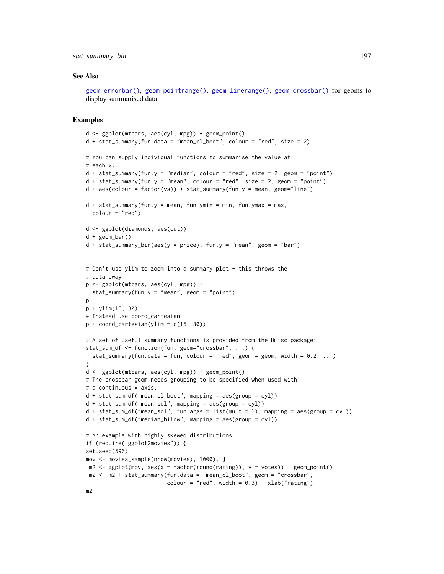# <span id="page-196-0"></span>stat\_summary\_bin 197

# See Also

[geom\\_errorbar\(\)](#page-56-0), [geom\\_pointrange\(\)](#page-56-0), [geom\\_linerange\(\)](#page-56-0), [geom\\_crossbar\(\)](#page-56-1) for geoms to display summarised data

```
d <- ggplot(mtcars, aes(cyl, mpg)) + geom_point()
d + stat_summary(fun.data = "mean_cl-book", colour = "red", size = 2)# You can supply individual functions to summarise the value at
# each x:
d + stat_summary(fun.y = "median", colour = "red", size = 2, geom = "point")
d + stat_summary(fun.y = "mean", colour = "red", size = 2, geom = "point")d + aes(colour = factor(vs)) + stat_summary(fun.y = mean, geom="line")d + stat_summary(fun.y = mean, fun.ymin = min, fun.ymax = max,
  color = "red")d <- ggplot(diamonds, aes(cut))
d + geom_bar()
d + stat\_summary\_bin(aes(y = price), fun.y = "mean", geom = "bar")# Don't use ylim to zoom into a summary plot - this throws the
# data away
p <- ggplot(mtcars, aes(cyl, mpg)) +
  stat_summary(fun.y = "mean", geom = "point")p
p + ylim(15, 30)
# Instead use coord_cartesian
p + coord_{cartesian(ylim = c(15, 30))}# A set of useful summary functions is provided from the Hmisc package:
stat_sum_df <- function(fun, geom="crossbar", ...) {
  stat_summary(fun.data = fun, colour = "red", geom = geom, width = 0.2, ...)
}
d <- ggplot(mtcars, aes(cyl, mpg)) + geom_point()
# The crossbar geom needs grouping to be specified when used with
# a continuous x axis.
d + stat_sum_df("mean_cl\_boot", mapping = aes(group = cyl))d + stat_sum_df("mean_sdl", mapping = aes(group = cyl))d + stat_sum_df("mean_sdl", fun.args = list(mult = 1), mapping = aes(group = cyl))d + stat_sum_df("median_hilow", mapping = aes(group = cyl))
# An example with highly skewed distributions:
if (require("ggplot2movies")) {
set.seed(596)
mov <- movies[sample(nrow(movies), 1000), ]
m2 \leq ggplot(mov, \text{aes}(x = factor(round(rating)), y = votes)) + geom\_point()m2 <- m2 + stat_summary(fun.data = "mean_cl_boot", geom = "crossbar",
                         colour = "red", width = 0.3) + xlab("rating")
m2
```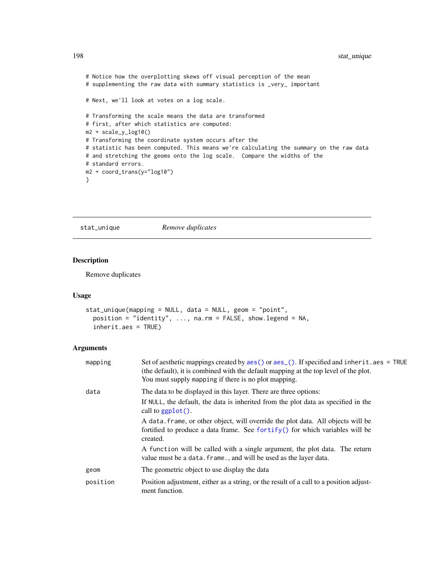```
# Notice how the overplotting skews off visual perception of the mean
# supplementing the raw data with summary statistics is _very_ important
# Next, we'll look at votes on a log scale.
# Transforming the scale means the data are transformed
# first, after which statistics are computed:
m2 + scale_y_log10()
# Transforming the coordinate system occurs after the
# statistic has been computed. This means we're calculating the summary on the raw data
# and stretching the geoms onto the log scale. Compare the widths of the
# standard errors.
m2 + coord_trans(y="log10")
}
```
stat\_unique *Remove duplicates*

# Description

Remove duplicates

# Usage

```
stat_unique(mapping = NULL, data = NULL, geom = "point",
 position = "identity", ..., na.rm = FALSE, show.legend = NA,
  inherit.aes = TRUE)
```
# Arguments

| mapping  | Set of aesthetic mappings created by $\text{aes}()$ or $\text{aes}()$ . If specified and inherit. aes = TRUE<br>(the default), it is combined with the default mapping at the top level of the plot.<br>You must supply mapping if there is no plot mapping. |
|----------|--------------------------------------------------------------------------------------------------------------------------------------------------------------------------------------------------------------------------------------------------------------|
| data     | The data to be displayed in this layer. There are three options:<br>If NULL, the default, the data is inherited from the plot data as specified in the                                                                                                       |
|          | call to $ggplot()$ .<br>A data frame, or other object, will override the plot data. All objects will be<br>fortified to produce a data frame. See fortify() for which variables will be<br>created.                                                          |
|          | A function will be called with a single argument, the plot data. The return<br>value must be a data. frame., and will be used as the layer data.                                                                                                             |
| geom     | The geometric object to use display the data                                                                                                                                                                                                                 |
| position | Position adjustment, either as a string, or the result of a call to a position adjust-<br>ment function.                                                                                                                                                     |

<span id="page-197-0"></span>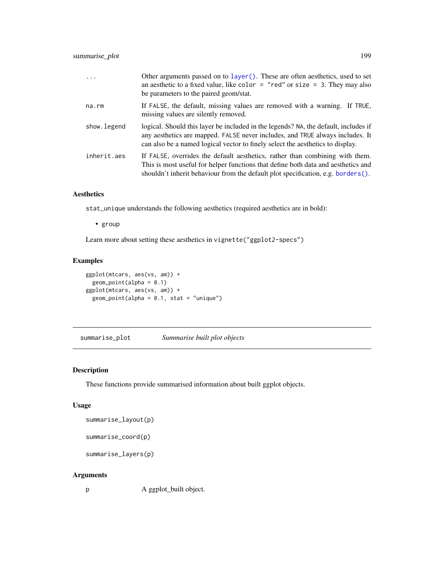<span id="page-198-0"></span>

| $\ddots$ .  | Other arguments passed on to layer (). These are often aesthetics, used to set<br>an aesthetic to a fixed value, like color $=$ "red" or size $=$ 3. They may also<br>be parameters to the paired geom/stat.                                              |
|-------------|-----------------------------------------------------------------------------------------------------------------------------------------------------------------------------------------------------------------------------------------------------------|
| na.rm       | If FALSE, the default, missing values are removed with a warning. If TRUE,<br>missing values are silently removed.                                                                                                                                        |
| show.legend | logical. Should this layer be included in the legends? NA, the default, includes if<br>any aesthetics are mapped. FALSE never includes, and TRUE always includes. It<br>can also be a named logical vector to finely select the aesthetics to display.    |
| inherit.aes | If FALSE, overrides the default aesthetics, rather than combining with them.<br>This is most useful for helper functions that define both data and aesthetics and<br>shouldn't inherit behaviour from the default plot specification, e.g. borders $()$ . |

# Aesthetics

stat\_unique understands the following aesthetics (required aesthetics are in bold):

• group

Learn more about setting these aesthetics in vignette("ggplot2-specs")

# Examples

```
ggplot(mtcars, aes(vs, am)) +
 geom_point(alpha = 0.1)
ggplot(mtcars, aes(vs, am)) +
  geom\_point(alpha = 0.1, stat = "unique")
```
summarise\_plot *Summarise built plot objects*

# Description

These functions provide summarised information about built ggplot objects.

#### Usage

summarise\_layout(p)

summarise\_coord(p)

summarise\_layers(p)

# Arguments

p A ggplot\_built object.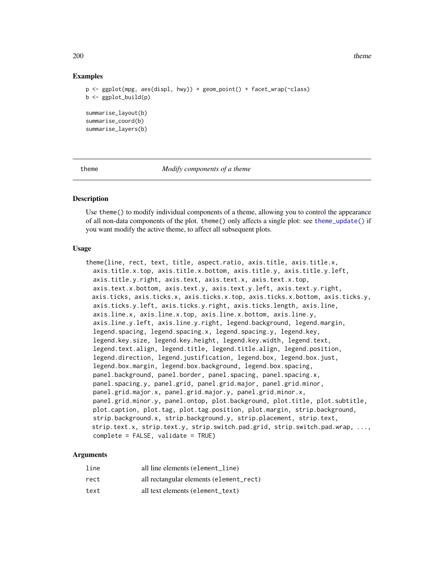<span id="page-199-0"></span>200 theme and the method of the state of the state of the state of the state of the state of the state of the state of the state of the state of the state of the state of the state of the state of the state of the state of

# Examples

```
p <- ggplot(mpg, aes(displ, hwy)) + geom_point() + facet_wrap(~class)
b \leq-ggplot_butild(p)summarise_layout(b)
summarise_coord(b)
summarise_layers(b)
```
theme *Modify components of a theme*

# **Description**

Use theme() to modify individual components of a theme, allowing you to control the appearance of all non-data components of the plot. theme() only affects a single plot: see [theme\\_update\(\)](#page-205-0) if you want modify the active theme, to affect all subsequent plots.

### Usage

```
theme(line, rect, text, title, aspect.ratio, axis.title, axis.title.x,
 axis.title.x.top, axis.title.x.bottom, axis.title.y, axis.title.y.left,
 axis.title.y.right, axis.text, axis.text.x, axis.text.x.top,
 axis.text.x.bottom, axis.text.y, axis.text.y.left, axis.text.y.right,
 axis.ticks, axis.ticks.x, axis.ticks.x.top, axis.ticks.x.bottom, axis.ticks.y,
 axis.ticks.y.left, axis.ticks.y.right, axis.ticks.length, axis.line,
 axis.line.x, axis.line.x.top, axis.line.x.bottom, axis.line.y,
 axis.line.y.left, axis.line.y.right, legend.background, legend.margin,
 legend.spacing, legend.spacing.x, legend.spacing.y, legend.key,
 legend.key.size, legend.key.height, legend.key.width, legend.text,
 legend.text.align, legend.title, legend.title.align, legend.position,
 legend.direction, legend.justification, legend.box, legend.box.just,
 legend.box.margin, legend.box.background, legend.box.spacing,
 panel.background, panel.border, panel.spacing, panel.spacing.x,
 panel.spacing.y, panel.grid, panel.grid.major, panel.grid.minor,
 panel.grid.major.x, panel.grid.major.y, panel.grid.minor.x,
 panel.grid.minor.y, panel.ontop, plot.background, plot.title, plot.subtitle,
 plot.caption, plot.tag, plot.tag.position, plot.margin, strip.background,
 strip.background.x, strip.background.y, strip.placement, strip.text,
 strip.text.x, strip.text.y, strip.switch.pad.grid, strip.switch.pad.wrap, ...,
 complete = FALSE, validate = TRUE)
```
### Arguments

| line | all line elements (element_line)        |
|------|-----------------------------------------|
| rect | all rectangular elements (element_rect) |
| text | all text elements (element_text)        |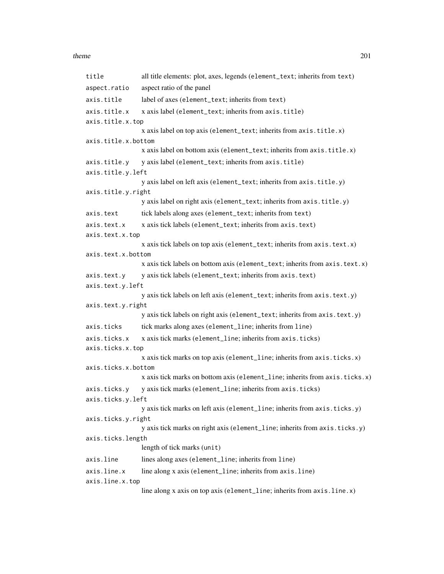#### theme 201

```
title all title elements: plot, axes, legends (element_text; inherits from text)
aspect.ratio aspect ratio of the panel
axis.title label of axes (element_text; inherits from text)
axis.title.x x axis label (element_text; inherits from axis.title)
axis.title.x.top
                 x axis label on top axis (element_text; inherits from axis.title.x)
axis.title.x.bottom
                 x axis label on bottom axis (element_text; inherits from axis.title.x)
axis.title.y y axis label (element_text; inherits from axis.title)
axis.title.y.left
                 y axis label on left axis (element_text; inherits from axis.title.y)
axis.title.y.right
                 y axis label on right axis (element_text; inherits from axis.title.y)
axis.text tick labels along axes (element_text; inherits from text)
axis.text.x x axis tick labels (element_text; inherits from axis.text)
axis.text.x.top
                 x axis tick labels on top axis (element_text; inherits from axis.text.x)
axis.text.x.bottom
                 x axis tick labels on bottom axis (element_text; inherits from axis.text.x)
axis.text.y y axis tick labels (element_text; inherits from axis.text)
axis.text.y.left
                 y axis tick labels on left axis (element_text; inherits from axis.text.y)
axis.text.y.right
                 y axis tick labels on right axis (element_text; inherits from axis.text.y)
axis.ticks tick marks along axes (element_line; inherits from line)
axis.ticks.x x axis tick marks (element_line; inherits from axis.ticks)
axis.ticks.x.top
                 x axis tick marks on top axis (element_line; inherits from axis.ticks.x)
axis.ticks.x.bottom
                 x axis tick marks on bottom axis (element_line; inherits from axis.ticks.x)
axis.ticks.y y axistick marks (element_line; inherits from axis.ticks)
axis.ticks.y.left
                 y axis tick marks on left axis (element_line; inherits from axis.ticks.y)
axis.ticks.y.right
                 y axis tick marks on right axis (element_line; inherits from axis.ticks.y)
axis.ticks.length
                 length of tick marks (unit)
axis.line lines along axes (element_line; inherits from line)
axis.line.x line along x axis (element_line; inherits from axis.line)
axis.line.x.top
                 line along x axis on top axis (element_line; inherits from axis.line.x)
```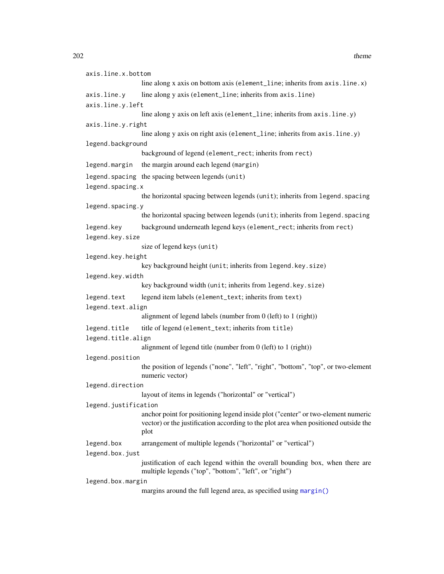```
axis.line.x.bottom
                 line along x axis on bottom axis (element_line; inherits from axis.line.x)
axis.line.y line along y axis (element_line; inherits from axis.line)
axis.line.y.left
                  line along y axis on left axis (element_line; inherits from axis.line.y)
axis.line.y.right
                  line along y axis on right axis (element_line; inherits from axis.line.y)
legend.background
                 background of legend (element_rect; inherits from rect)
legend.margin the margin around each legend (margin)
legend.spacing the spacing between legends (unit)
legend.spacing.x
                  the horizontal spacing between legends (unit); inherits from legend. spacing
legend.spacing.y
                 the horizontal spacing between legends (unit); inherits from legend. spacing
legend.key background underneath legend keys (element_rect; inherits from rect)
legend.key.size
                  size of legend keys (unit)
legend.key.height
                  key background height (unit; inherits from legend.key.size)
legend.key.width
                  key background width (unit; inherits from legend.key.size)
legend.text legend item labels (element_text; inherits from text)
legend.text.align
                  alignment of legend labels (number from 0 (left) to 1 (right))
legend.title title of legend (element_text; inherits from title)
legend.title.align
                  alignment of legend title (number from 0 (left) to 1 (right))
legend.position
                 the position of legends ("none", "left", "right", "bottom", "top", or two-element
                  numeric vector)
legend.direction
                 layout of items in legends ("horizontal" or "vertical")
legend.justification
                  anchor point for positioning legend inside plot ("center" or two-element numeric
                  vector) or the justification according to the plot area when positioned outside the
                  plot
legend.box arrangement of multiple legends ("horizontal" or "vertical")
legend.box.just
                 justification of each legend within the overall bounding box, when there are
                 multiple legends ("top", "bottom", "left", or "right")
legend.box.margin
```
margins around the full legend area, as specified using [margin\(\)](#page-135-0)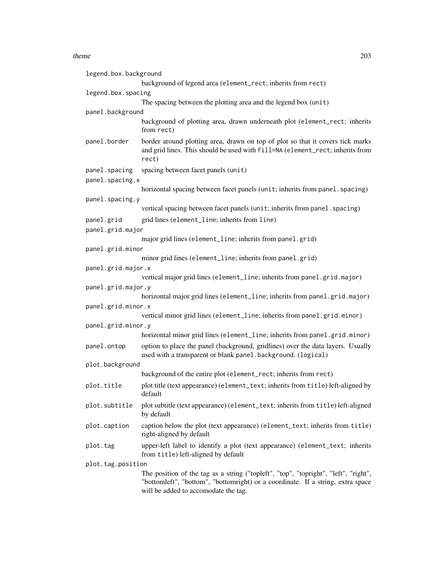#### theme 203

| legend.box.background |                                                                                                                                                                                                                |
|-----------------------|----------------------------------------------------------------------------------------------------------------------------------------------------------------------------------------------------------------|
|                       | background of legend area (element_rect; inherits from rect)                                                                                                                                                   |
| legend.box.spacing    |                                                                                                                                                                                                                |
|                       | The spacing between the plotting area and the legend box (unit)                                                                                                                                                |
| panel.background      |                                                                                                                                                                                                                |
|                       | background of plotting area, drawn underneath plot (element_rect; inherits<br>from rect)                                                                                                                       |
| panel.border          | border around plotting area, drawn on top of plot so that it covers tick marks<br>and grid lines. This should be used with fill=NA (element_rect; inherits from<br>rect)                                       |
| panel.spacing         | spacing between facet panels (unit)                                                                                                                                                                            |
| panel.spacing.x       |                                                                                                                                                                                                                |
|                       | horizontal spacing between facet panels (unit; inherits from panel. spacing)                                                                                                                                   |
| panel.spacing.y       |                                                                                                                                                                                                                |
|                       | vertical spacing between facet panels (unit; inherits from panel. spacing)                                                                                                                                     |
| panel.grid            | grid lines (element_line; inherits from line)                                                                                                                                                                  |
| panel.grid.major      |                                                                                                                                                                                                                |
|                       | major grid lines (element_line; inherits from panel.grid)                                                                                                                                                      |
| panel.grid.minor      |                                                                                                                                                                                                                |
|                       | minor grid lines (element_line; inherits from panel.grid)                                                                                                                                                      |
| panel.grid.major.x    |                                                                                                                                                                                                                |
|                       | vertical major grid lines (element_line; inherits from panel.grid.major)                                                                                                                                       |
| panel.grid.major.y    |                                                                                                                                                                                                                |
|                       | horizontal major grid lines (element_line; inherits from panel.grid.major)                                                                                                                                     |
| panel.grid.minor.x    | vertical minor grid lines (element_line; inherits from panel.grid.minor)                                                                                                                                       |
| panel.grid.minor.y    |                                                                                                                                                                                                                |
|                       | horizontal minor grid lines (element_line; inherits from panel.grid.minor)                                                                                                                                     |
| panel.ontop           | option to place the panel (background, gridlines) over the data layers. Usually<br>used with a transparent or blank panel.background. (logical)                                                                |
| plot.background       |                                                                                                                                                                                                                |
|                       | background of the entire plot (element_rect; inherits from rect)                                                                                                                                               |
| plot.title            | plot title (text appearance) (element_text; inherits from title) left-aligned by<br>default                                                                                                                    |
| plot.subtitle         | plot subtitle (text appearance) (element_text; inherits from title) left-aligned<br>by default                                                                                                                 |
| plot.caption          | caption below the plot (text appearance) (element_text; inherits from title)<br>right-aligned by default                                                                                                       |
| plot.tag              | upper-left label to identify a plot (text appearance) (element_text; inherits<br>from title) left-aligned by default                                                                                           |
| plot.tag.position     |                                                                                                                                                                                                                |
|                       | The position of the tag as a string ("topleft", "top", "topright", "left", "right",<br>"bottomleft", "bottom", "bottomright) or a coordinate. If a string, extra space<br>will be added to accomodate the tag. |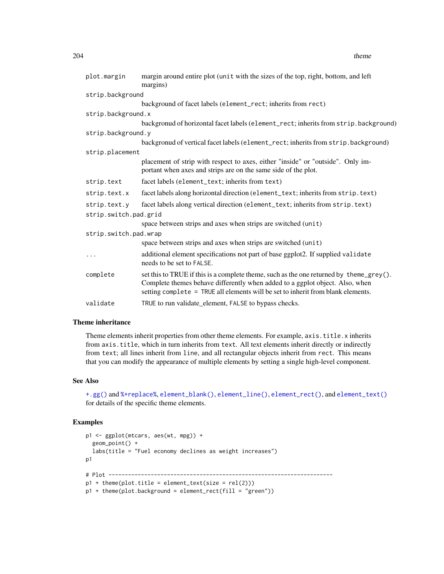<span id="page-203-0"></span>

| 204 |  | theme<br>------- |
|-----|--|------------------|
|     |  |                  |

| plot.margin           | margin around entire plot (unit with the sizes of the top, right, bottom, and left<br>margins)                                                                                                                                                              |
|-----------------------|-------------------------------------------------------------------------------------------------------------------------------------------------------------------------------------------------------------------------------------------------------------|
| strip.background      |                                                                                                                                                                                                                                                             |
|                       | background of facet labels (element_rect; inherits from rect)                                                                                                                                                                                               |
| strip.background.x    |                                                                                                                                                                                                                                                             |
|                       | backgronud of horizontal facet labels (element_rect; inherits from strip.background)                                                                                                                                                                        |
| strip.background.y    |                                                                                                                                                                                                                                                             |
|                       | backgronud of vertical facet labels (element_rect; inherits from strip.background)                                                                                                                                                                          |
| strip.placement       |                                                                                                                                                                                                                                                             |
|                       | placement of strip with respect to axes, either "inside" or "outside". Only im-<br>portant when axes and strips are on the same side of the plot.                                                                                                           |
| strip.text            | facet labels (element_text; inherits from text)                                                                                                                                                                                                             |
| strip.text.x          | facet labels along horizontal direction (element_text; inherits from strip. text)                                                                                                                                                                           |
| strip.text.y          | facet labels along vertical direction (element_text; inherits from strip.text)                                                                                                                                                                              |
| strip.switch.pad.grid |                                                                                                                                                                                                                                                             |
|                       | space between strips and axes when strips are switched (unit)                                                                                                                                                                                               |
| strip.switch.pad.wrap |                                                                                                                                                                                                                                                             |
|                       | space between strips and axes when strips are switched (unit)                                                                                                                                                                                               |
| $\cdots$              | additional element specifications not part of base ggplot2. If supplied validate<br>needs to be set to FALSE.                                                                                                                                               |
| complete              | set this to TRUE if this is a complete theme, such as the one returned by theme_grey().<br>Complete themes behave differently when added to a ggplot object. Also, when<br>setting complete = TRUE all elements will be set to inherit from blank elements. |
| validate              | TRUE to run validate_element, FALSE to bypass checks.                                                                                                                                                                                                       |

# Theme inheritance

Theme elements inherit properties from other theme elements. For example, axis.title.x inherits from axis.title, which in turn inherits from text. All text elements inherit directly or indirectly from text; all lines inherit from line, and all rectangular objects inherit from rect. This means that you can modify the appearance of multiple elements by setting a single high-level component.

# See Also

[+.gg\(\)](#page-4-0) and [%+replace%](#page-205-0), [element\\_blank\(\)](#page-135-1), [element\\_line\(\)](#page-135-1), [element\\_rect\(\)](#page-135-1), and [element\\_text\(\)](#page-135-1) for details of the specific theme elements.

```
p1 <- ggplot(mtcars, aes(wt, mpg)) +
  geom_point() +
  labs(title = "Fuel economy declines as weight increases")
p1
# Plot ---------------------------------------------------------------------
p1 + \text{ theme}(\text{plot.title} = \text{element}\text{text(size} = \text{rel}(2)))p1 + theme(plot.background = element_rect(fill = "green"))
```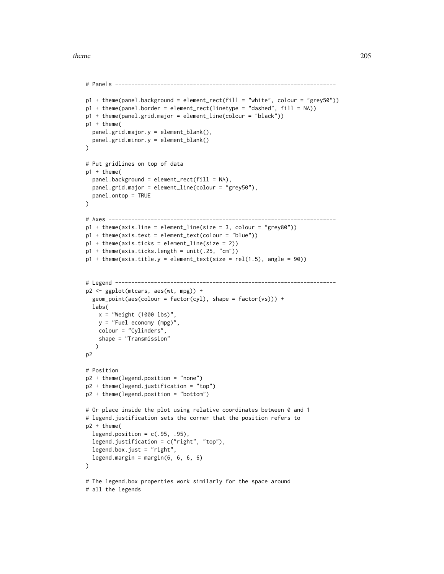#### theme 205

```
# Panels --------------------------------------------------------------------
p1 + theme(panel.background = element_rect(fill = "white", colour = "grey50"))
p1 + theme(panel.border = element_rect(linetype = "dashed", fill = NA))
p1 + theme(panel.grid.major = element_line(colour = "black"))
p1 + theme(
  panel.grid.major.y = element_blank(),
  panel.grid.minor.y = element_blank()
\lambda# Put gridlines on top of data
p1 + theme(
  panel.background = element_rect(fill = NA),
  panel.grid.major = element_line(colour = "grey50"),
  panel.ontop = TRUE
)
# Axes ----------------------------------------------------------------------
p1 + theme(axis.line = element_line(size = 3, colour = "grey80"))
p1 + theme(axis.text = element_text(colour = "blue"))
p1 + theme(axis.ticks = element_line(size = 2))
p1 + theme(axis.ticks.length = unit(.25, "cm"))
p1 + theme(axis.title.y = element_text(size = rel(1.5), angle = 90))
# Legend --------------------------------------------------------------------
p2 <- ggplot(mtcars, aes(wt, mpg)) +
  geom_point(aes(colour = factor(cyl), shape = factor(vs))) +
  labs(
   x = "Weight (1000 lbs)",
   y = "Fuel economy (mpg)",
   colour = "Cylinders",
    shape = "Transmission"
   )
p2
# Position
p2 + theme(legend.position = "none")
p2 + theme(legend.justification = "top")
p2 + theme(legend.position = "bottom")
# Or place inside the plot using relative coordinates between 0 and 1
# legend.justification sets the corner that the position refers to
p2 + theme(
  legend.position = c(.95, .95),
  legend.justification = c("right", "top"),
  legend.box.just = "right",
  legend.margin = margin(6, 6, 6, 6)
\mathcal{L}# The legend.box properties work similarly for the space around
# all the legends
```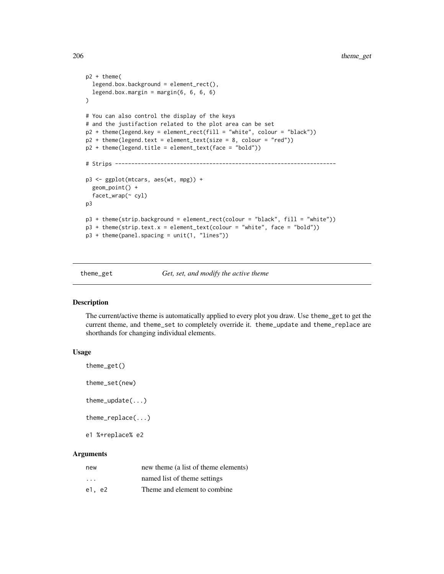```
p2 + theme(
  legend.box.background = element_rect(),
  legend.box.margin = margin(6, 6, 6, 6)
)
# You can also control the display of the keys
# and the justifaction related to the plot area can be set
p2 + theme(legend.key = element_rect(fill = "white", colour = "black"))
p2 + theme(legend.text = element_text(size = 8, colour = "red"))
p2 + theme(legend.title = element_text(face = "bold"))
# Strips --------------------------------------------------------------------
p3 <- ggplot(mtcars, aes(wt, mpg)) +
  geom_point() +
  facet_wrap(~ cyl)
p3
p3 + theme(strip.background = element_rect(colour = "black", fill = "white"))
p3 + them (strip.text.x = element_test(colour = "white", face = "bold"))p3 + theme(panel.spacing = unit(1, "lines"))
```
theme\_get *Get, set, and modify the active theme*

#### <span id="page-205-0"></span>Description

The current/active theme is automatically applied to every plot you draw. Use theme\_get to get the current theme, and theme\_set to completely override it. theme\_update and theme\_replace are shorthands for changing individual elements.

#### Usage

```
theme_get()
```
theme\_set(new)

theme\_update(...)

theme\_replace(...)

e1 %+replace% e2

# Arguments

| new                     | new theme (a list of theme elements) |
|-------------------------|--------------------------------------|
| $\cdot$ $\cdot$ $\cdot$ | named list of theme settings         |
| e1. e2                  | Theme and element to combine.        |

<span id="page-205-1"></span>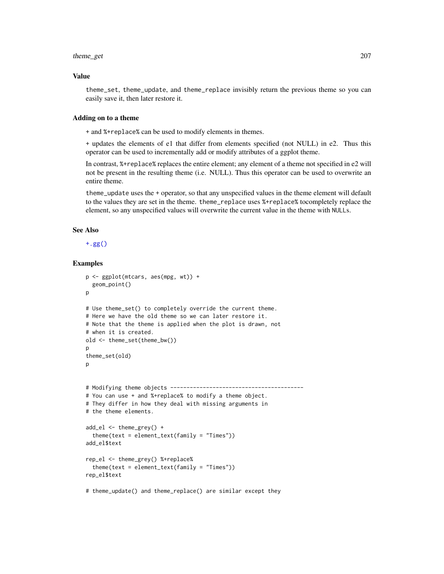#### <span id="page-206-0"></span>theme\_get 207

#### Value

theme\_set, theme\_update, and theme\_replace invisibly return the previous theme so you can easily save it, then later restore it.

# Adding on to a theme

+ and %+replace% can be used to modify elements in themes.

+ updates the elements of e1 that differ from elements specified (not NULL) in e2. Thus this operator can be used to incrementally add or modify attributes of a ggplot theme.

In contrast, %+replace% replaces the entire element; any element of a theme not specified in e2 will not be present in the resulting theme (i.e. NULL). Thus this operator can be used to overwrite an entire theme.

theme\_update uses the + operator, so that any unspecified values in the theme element will default to the values they are set in the theme. theme\_replace uses %+replace% tocompletely replace the element, so any unspecified values will overwrite the current value in the theme with NULLs.

# See Also

[+.gg\(\)](#page-4-0)

```
p <- ggplot(mtcars, aes(mpg, wt)) +
 geom_point()
p
# Use theme_set() to completely override the current theme.
# Here we have the old theme so we can later restore it.
# Note that the theme is applied when the plot is drawn, not
# when it is created.
old <- theme_set(theme_bw())
p
theme_set(old)
\mathbf{D}# Modifying theme objects -----------------------------------------
# You can use + and %+replace% to modify a theme object.
# They differ in how they deal with missing arguments in
# the theme elements.
add_el <- theme_grey() +
 theme(text = element_text(family = "Times"))
add_el$text
rep_el <- theme_grey() %+replace%
 theme(text = element_text(family = "Times"))
rep_el$text
# theme_update() and theme_replace() are similar except they
```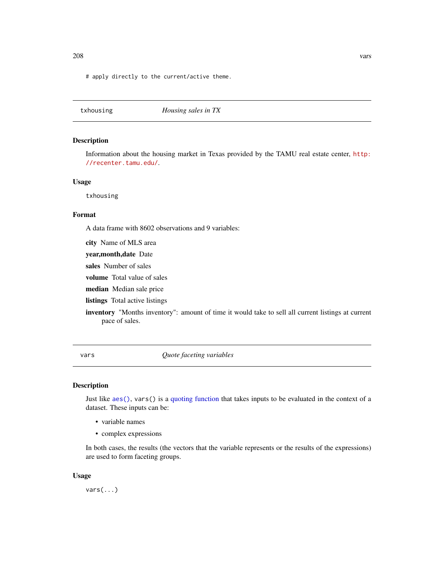<span id="page-207-0"></span># apply directly to the current/active theme.

| Housing sales in TX |
|---------------------|
|---------------------|

#### Description

Information about the housing market in Texas provided by the TAMU real estate center, [http:](http://recenter.tamu.edu/) [//recenter.tamu.edu/](http://recenter.tamu.edu/).

# Usage

txhousing

# Format

A data frame with 8602 observations and 9 variables:

city Name of MLS area

year,month,date Date

sales Number of sales

volume Total value of sales

median Median sale price

listings Total active listings

inventory "Months inventory": amount of time it would take to sell all current listings at current pace of sales.

vars *Quote faceting variables*

# Description

Just like [aes\(\)](#page-6-0), vars() is a [quoting function](#page-0-0) that takes inputs to be evaluated in the context of a dataset. These inputs can be:

- variable names
- complex expressions

In both cases, the results (the vectors that the variable represents or the results of the expressions) are used to form faceting groups.

#### Usage

vars(...)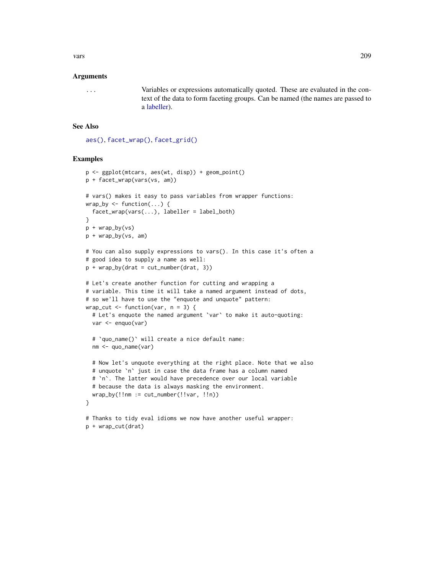<span id="page-208-0"></span>vars 209

#### Arguments

... Variables or expressions automatically quoted. These are evaluated in the context of the data to form faceting groups. Can be named (the names are passed to a [labeller\)](#page-130-0).

#### See Also

[aes\(\)](#page-6-0), [facet\\_wrap\(\)](#page-37-0), [facet\\_grid\(\)](#page-35-0)

# Examples

p + wrap\_cut(drat)

```
p <- ggplot(mtcars, aes(wt, disp)) + geom_point()
p + facet_wrap(vars(vs, am))
# vars() makes it easy to pass variables from wrapper functions:
wrap_by \leftarrow function(...) {
  facet_wrap(vars(...), labeller = label_both)
}
p + wrap_by(vs)
p + wrap_by(vs, am)
# You can also supply expressions to vars(). In this case it's often a
# good idea to supply a name as well:
p + wrap_by(drat = cut_number(drat, 3))# Let's create another function for cutting and wrapping a
# variable. This time it will take a named argument instead of dots,
# so we'll have to use the "enquote and unquote" pattern:
wrap_cut \leq function(var, n = 3) {
  # Let's enquote the named argument `var` to make it auto-quoting:
  var <- enquo(var)
  # `quo_name()` will create a nice default name:
  nm <- quo_name(var)
  # Now let's unquote everything at the right place. Note that we also
  # unquote `n` just in case the data frame has a column named
  # `n`. The latter would have precedence over our local variable
  # because the data is always masking the environment.
  wrap_by(!!nm := cut_number(!!var, !!n))
}
# Thanks to tidy eval idioms we now have another useful wrapper:
```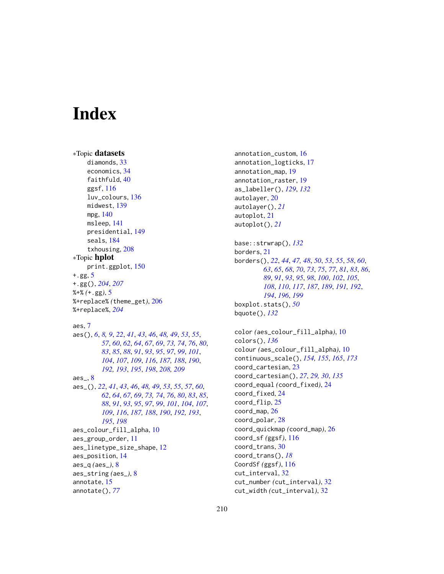# **Index**

```
∗Topic datasets
    diamonds, 33
    economics, 34
    faithfuld, 40
    ggsf, 116
    luv_colours, 136
    midwest, 139
    mpg, 140
    msleep, 141
    presidential, 149
    seals, 184
    txhousing, 208
∗Topic hplot
    print.ggplot, 150
+.gg, 5
+.gg(), 204, 207
%+% (+.gg), 5
%+replace% (theme_get), 206
%+replace%, 204
```
aes, [7](#page-6-1)

aes\_, [8](#page-7-1)

aes(), *[6](#page-5-0)*, *[8,](#page-7-1) [9](#page-8-0)*, *[22](#page-21-0)*, *[41](#page-40-0)*, *[43](#page-42-0)*, *[46](#page-45-1)*, *[48,](#page-47-0) [49](#page-48-0)*, *[53](#page-52-0)*, *[55](#page-54-0)*, *[57](#page-56-2)*, *[60](#page-59-0)*, *[62](#page-61-0)*, *[64](#page-63-0)*, *[67](#page-66-0)*, *[69](#page-68-1)*, *[73,](#page-72-0) [74](#page-73-0)*, *[76](#page-75-0)*, *[80](#page-79-0)*, *[83](#page-82-0)*, *[85](#page-84-0)*, *[88](#page-87-0)*, *[91](#page-90-0)*, *[93](#page-92-0)*, *[95](#page-94-0)*, *[97](#page-96-0)*, *[99](#page-98-0)*, *[101](#page-100-0)*, *[104](#page-103-0)*, *[107](#page-106-0)*, *[109](#page-108-0)*, *[116](#page-115-0)*, *[187,](#page-186-0) [188](#page-187-0)*, *[190](#page-189-0)*, *[192,](#page-191-0) [193](#page-192-2)*, *[195](#page-194-1)*, *[198](#page-197-0)*, *[208,](#page-207-0) [209](#page-208-0)*

aes\_(), *[22](#page-21-0)*, *[41](#page-40-0)*, *[43](#page-42-0)*, *[46](#page-45-1)*, *[48,](#page-47-0) [49](#page-48-0)*, *[53](#page-52-0)*, *[55](#page-54-0)*, *[57](#page-56-2)*, *[60](#page-59-0)*, *[62](#page-61-0)*, *[64](#page-63-0)*, *[67](#page-66-0)*, *[69](#page-68-1)*, *[73,](#page-72-0) [74](#page-73-0)*, *[76](#page-75-0)*, *[80](#page-79-0)*, *[83](#page-82-0)*, *[85](#page-84-0)*, *[88](#page-87-0)*, *[91](#page-90-0)*, *[93](#page-92-0)*, *[95](#page-94-0)*, *[97](#page-96-0)*, *[99](#page-98-0)*, *[101](#page-100-0)*, *[104](#page-103-0)*, *[107](#page-106-0)*, *[109](#page-108-0)*, *[116](#page-115-0)*, *[187,](#page-186-0) [188](#page-187-0)*, *[190](#page-189-0)*, *[192,](#page-191-0) [193](#page-192-2)*, *[195](#page-194-1)*, *[198](#page-197-0)* aes\_colour\_fill\_alpha, [10](#page-9-0) aes\_group\_order, [11](#page-10-0) aes\_linetype\_size\_shape, [12](#page-11-0) aes\_position, [14](#page-13-0) aes\_q *(*aes\_*)*, [8](#page-7-1) aes\_string *(*aes\_*)*, [8](#page-7-1) annotate, [15](#page-14-0) annotate(), *[77](#page-76-0)*

annotation\_custom, [16](#page-15-0) annotation\_logticks, [17](#page-16-0) annotation\_map, [19](#page-18-0) annotation\_raster, [19](#page-18-0) as\_labeller(), *[129](#page-128-0)*, *[132](#page-131-0)* autolayer, [20](#page-19-0) autolayer(), *[21](#page-20-1)* autoplot, [21](#page-20-1) autoplot(), *[21](#page-20-1)* base::strwrap(), *[132](#page-131-0)* borders, [21](#page-20-1) borders(), *[22](#page-21-0)*, *[44](#page-43-0)*, *[47,](#page-46-0) [48](#page-47-0)*, *[50](#page-49-0)*, *[53](#page-52-0)*, *[55](#page-54-0)*, *[58](#page-57-0)*, *[60](#page-59-0)*, *[63](#page-62-0)*, *[65](#page-64-0)*, *[68](#page-67-0)*, *[70](#page-69-0)*, *[73](#page-72-0)*, *[75](#page-74-0)*, *[77](#page-76-0)*, *[81](#page-80-0)*, *[83](#page-82-0)*, *[86](#page-85-0)*, *[89](#page-88-0)*, *[91](#page-90-0)*, *[93](#page-92-0)*, *[95](#page-94-0)*, *[98](#page-97-0)*, *[100](#page-99-0)*, *[102](#page-101-0)*, *[105](#page-104-0)*, *[108](#page-107-0)*, *[110](#page-109-0)*, *[117](#page-116-0)*, *[187](#page-186-0)*, *[189](#page-188-0)*, *[191,](#page-190-0) [192](#page-191-0)*, *[194](#page-193-0)*, *[196](#page-195-0)*, *[199](#page-198-0)* boxplot.stats(), *[50](#page-49-0)* bquote(), *[132](#page-131-0)* color *(*aes\_colour\_fill\_alpha*)*, [10](#page-9-0) colors(), *[136](#page-135-2)* colour *(*aes\_colour\_fill\_alpha*)*, [10](#page-9-0)

continuous\_scale(), *[154,](#page-153-0) [155](#page-154-0)*, *[165](#page-164-0)*, *[173](#page-172-0)* coord\_cartesian, [23](#page-22-0) coord\_cartesian(), *[27](#page-26-0)*, *[29,](#page-28-0) [30](#page-29-0)*, *[135](#page-134-0)* coord\_equal *(*coord\_fixed*)*, [24](#page-23-0) coord\_fixed, [24](#page-23-0) coord\_flip, [25](#page-24-0) coord\_map, [26](#page-25-0) coord\_polar, [28](#page-27-0) coord\_quickmap *(*coord\_map*)*, [26](#page-25-0) coord\_sf *(*ggsf*)*, [116](#page-115-0) coord\_trans, [30](#page-29-0) coord\_trans(), *[18](#page-17-0)* CoordSf *(*ggsf*)*, [116](#page-115-0) cut\_interval, [32](#page-31-0) cut\_number *(*cut\_interval*)*, [32](#page-31-0) cut\_width *(*cut\_interval*)*, [32](#page-31-0)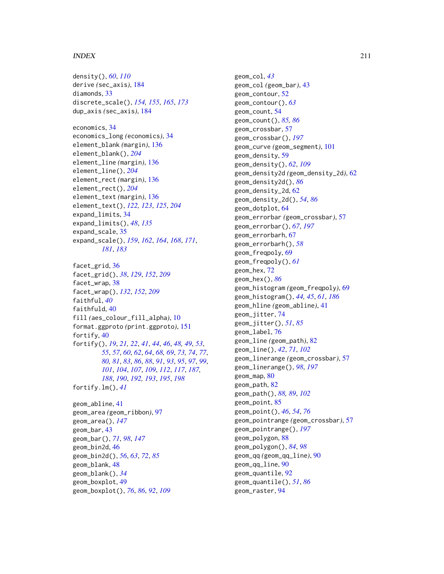## INDEX 211

```
density(), 60, 110
derive (sec_axis), 184
diamonds, 33
discrete_scale(), 154, 155, 165, 173
dup_axis (sec_axis), 184
economics, 34
economics_long (economics), 34
element_blank (margin), 136
element_blank(), 204
element_line (margin), 136
element_line(), 204
element_rect (margin), 136
element_rect(), 204
element_text (margin), 136
element_text(), 122, 123, 125, 204
expand_limits, 34
expand_limits(), 48, 135
expand_scale, 35
expand_scale(), 159, 162, 164, 168, 171,
         181, 183
facet_grid, 36
facet_grid(), 38, 129, 152, 209
facet_wrap, 38
facet_wrap(), 132, 152, 209
faithful, 40
faithfuld, 40
fill (aes_colour_fill_alpha), 10
format.ggproto (print.ggproto), 151
fortify, 40
fortify(), 19, 21, 22, 41, 44, 46, 48, 49, 53,
         55, 57, 60, 62, 64, 68, 69, 73, 74, 77,
        80, 81, 83, 86, 88, 91, 93, 95, 97, 99,
         101, 104, 107, 109, 112, 117, 187,
         188, 190, 192, 193, 195, 198
fortify.lm(), 41
geom_abline, 41
geom_area (geom_ribbon), 97
geom_area(), 147
geom_bar, 43
geom_bar(), 71, 98, 147
geom_bin2d, 46
geom_bin2d(), 56, 63, 72, 85
geom_blank, 48
geom_blank(), 34
geom_boxplot, 49
geom_boxplot(), 76, 86, 92, 109
```
geom\_col, *[43](#page-42-0)* geom\_col *(*geom\_bar*)*, [43](#page-42-0) geom\_contour, [52](#page-51-0) geom\_contour(), *[63](#page-62-0)* geom\_count, [54](#page-53-0) geom\_count(), *[85,](#page-84-0) [86](#page-85-0)* geom\_crossbar, [57](#page-56-2) geom\_crossbar(), *[197](#page-196-0)* geom\_curve *(*geom\_segment*)*, [101](#page-100-0) geom\_density, [59](#page-58-0) geom\_density(), *[62](#page-61-0)*, *[109](#page-108-0)* geom\_density2d *(*geom\_density\_2d*)*, [62](#page-61-0) geom\_density2d(), *[86](#page-85-0)* geom\_density\_2d, [62](#page-61-0) geom\_density\_2d(), *[54](#page-53-0)*, *[86](#page-85-0)* geom\_dotplot, [64](#page-63-0) geom\_errorbar *(*geom\_crossbar*)*, [57](#page-56-2) geom\_errorbar(), *[67](#page-66-0)*, *[197](#page-196-0)* geom\_errorbarh, [67](#page-66-0) geom\_errorbarh(), *[58](#page-57-0)* geom\_freqpoly, [69](#page-68-1) geom\_freqpoly(), *[61](#page-60-0)* geom\_hex, [72](#page-71-0) geom\_hex(), *[86](#page-85-0)* geom\_histogram *(*geom\_freqpoly*)*, [69](#page-68-1) geom\_histogram(), *[44,](#page-43-0) [45](#page-44-0)*, *[61](#page-60-0)*, *[186](#page-185-0)* geom\_hline *(*geom\_abline*)*, [41](#page-40-0) geom\_jitter, [74](#page-73-0) geom\_jitter(), *[51](#page-50-0)*, *[85](#page-84-0)* geom\_label, [76](#page-75-0) geom\_line *(*geom\_path*)*, [82](#page-81-0) geom\_line(), *[42](#page-41-0)*, *[71](#page-70-0)*, *[102](#page-101-0)* geom\_linerange *(*geom\_crossbar*)*, [57](#page-56-2) geom\_linerange(), *[98](#page-97-0)*, *[197](#page-196-0)* geom\_map, [80](#page-79-0) geom\_path, [82](#page-81-0) geom\_path(), *[88,](#page-87-0) [89](#page-88-0)*, *[102](#page-101-0)* geom\_point, [85](#page-84-0) geom\_point(), *[46](#page-45-1)*, *[54](#page-53-0)*, *[76](#page-75-0)* geom\_pointrange *(*geom\_crossbar*)*, [57](#page-56-2) geom\_pointrange(), *[197](#page-196-0)* geom\_polygon, [88](#page-87-0) geom\_polygon(), *[84](#page-83-0)*, *[98](#page-97-0)* geom\_qq *(*geom\_qq\_line*)*, [90](#page-89-0) geom\_qq\_line, [90](#page-89-0) geom\_quantile, [92](#page-91-0) geom\_quantile(), *[51](#page-50-0)*, *[86](#page-85-0)* geom\_raster, [94](#page-93-0)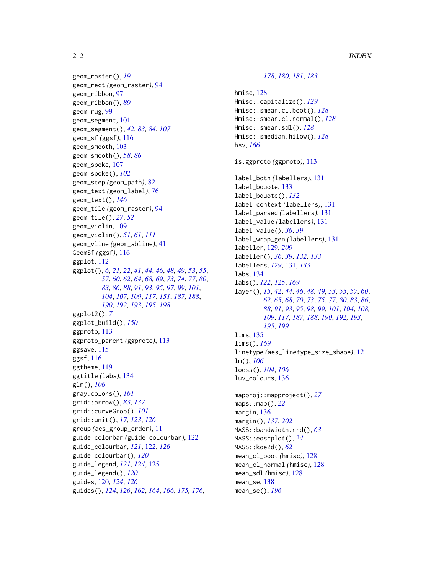geom\_raster(), *[19](#page-18-0)* geom\_rect *(*geom\_raster*)*, [94](#page-93-0) geom\_ribbon, [97](#page-96-0) geom\_ribbon(), *[89](#page-88-0)* geom\_rug, [99](#page-98-0) geom\_segment, [101](#page-100-0) geom\_segment(), *[42](#page-41-0)*, *[83,](#page-82-0) [84](#page-83-0)*, *[107](#page-106-0)* geom\_sf *(*ggsf*)*, [116](#page-115-0) geom\_smooth, [103](#page-102-0) geom\_smooth(), *[58](#page-57-0)*, *[86](#page-85-0)* geom\_spoke, [107](#page-106-0) geom\_spoke(), *[102](#page-101-0)* geom\_step *(*geom\_path*)*, [82](#page-81-0) geom\_text *(*geom\_label*)*, [76](#page-75-0) geom\_text(), *[146](#page-145-0)* geom\_tile *(*geom\_raster*)*, [94](#page-93-0) geom\_tile(), *[27](#page-26-0)*, *[52](#page-51-0)* geom\_violin, [109](#page-108-0) geom\_violin(), *[51](#page-50-0)*, *[61](#page-60-0)*, *[111](#page-110-0)* geom\_vline *(*geom\_abline*)*, [41](#page-40-0) GeomSf *(*ggsf*)*, [116](#page-115-0) ggplot, [112](#page-111-1) ggplot(), *[6](#page-5-0)*, *[21,](#page-20-1) [22](#page-21-0)*, *[41](#page-40-0)*, *[44](#page-43-0)*, *[46](#page-45-1)*, *[48,](#page-47-0) [49](#page-48-0)*, *[53](#page-52-0)*, *[55](#page-54-0)*, *[57](#page-56-2)*, *[60](#page-59-0)*, *[62](#page-61-0)*, *[64](#page-63-0)*, *[68,](#page-67-0) [69](#page-68-1)*, *[73,](#page-72-0) [74](#page-73-0)*, *[77](#page-76-0)*, *[80](#page-79-0)*, *[83](#page-82-0)*, *[86](#page-85-0)*, *[88](#page-87-0)*, *[91](#page-90-0)*, *[93](#page-92-0)*, *[95](#page-94-0)*, *[97](#page-96-0)*, *[99](#page-98-0)*, *[101](#page-100-0)*, *[104](#page-103-0)*, *[107](#page-106-0)*, *[109](#page-108-0)*, *[117](#page-116-0)*, *[151](#page-150-0)*, *[187,](#page-186-0) [188](#page-187-0)*, *[190](#page-189-0)*, *[192,](#page-191-0) [193](#page-192-2)*, *[195](#page-194-1)*, *[198](#page-197-0)* ggplot2(), *[7](#page-6-1)* ggplot\_build(), *[150](#page-149-0)* ggproto, [113](#page-112-0) ggproto\_parent *(*ggproto*)*, [113](#page-112-0) ggsave, [115](#page-114-0) ggsf, [116](#page-115-0) ggtheme, [119](#page-118-0) ggtitle *(*labs*)*, [134](#page-133-0) glm(), *[106](#page-105-0)* gray.colors(), *[161](#page-160-0)* grid::arrow(), *[83](#page-82-0)*, *[137](#page-136-0)* grid::curveGrob(), *[101](#page-100-0)* grid::unit(), *[17](#page-16-0)*, *[123](#page-122-0)*, *[126](#page-125-0)* group *(*aes\_group\_order*)*, [11](#page-10-0) guide\_colorbar *(*guide\_colourbar*)*, [122](#page-121-0) guide\_colourbar, *[121](#page-120-0)*, [122,](#page-121-0) *[126](#page-125-0)* guide\_colourbar(), *[120](#page-119-1)* guide\_legend, *[121](#page-120-0)*, *[124](#page-123-0)*, [125](#page-124-0) guide\_legend(), *[120](#page-119-1)* guides, [120,](#page-119-1) *[124](#page-123-0)*, *[126](#page-125-0)* guides(), *[124](#page-123-0)*, *[126](#page-125-0)*, *[162](#page-161-0)*, *[164](#page-163-0)*, *[166](#page-165-0)*, *[175,](#page-174-0) [176](#page-175-0)*,

```
178, 180, 181, 183
hmisc, 128
Hmisc::capitalize(), 129
Hmisc::smean.cl.boot(), 128
Hmisc::smean.cl.normal(), 128
Hmisc::smean.sdl(), 128
Hmisc::smedian.hilow(), 128
hsv, 166
is.ggproto (ggproto), 113
label_both (labellers), 131
label_bquote, 133
label_bquote(), 132
label_context (labellers), 131
label_parsed (labellers), 131
label_value (labellers), 131
label_value(), 36, 39
label_wrap_gen (labellers), 131
labeller, 129, 209
labeller(), 36, 39, 132, 133
labellers, 129, 131, 133
labs, 134
labs(), 122, 125, 169
layer(), 15, 42, 44, 46, 48, 49, 53, 55, 57, 60,
         62, 65, 68, 70, 73, 75, 77, 80, 83, 86,
         88, 91, 93, 95, 98, 99, 101, 104, 108,
         109, 117, 187, 188, 190, 192, 193,
         195, 199
lims, 135
lims(), 169
linetype (aes_linetype_size_shape), 12
lm(), 106
loess(), 104, 106
luv_colours, 136
mapproj::mapproject(), 27
maps::map(), 22
margin, 136
margin(), 137, 202
MASS::bandwidth.nrd(), 63
MASS::eqscplot(), 24
MASS::kde2d(), 62
mean_cl_boot (hmisc), 128
mean_cl_normal (hmisc), 128
mean_sdl (hmisc), 128
mean_se, 138
mean_se(), 196
```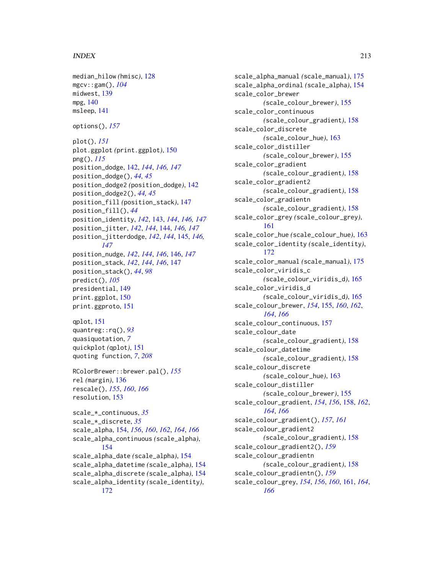# INDEX 213

```
median_hilow (hmisc), 128
mgcv::gam(), 104
midwest, 139
mpg, 140
msleep, 141
options(), 157
plot(), 151
plot.ggplot (print.ggplot), 150
png(), 115
position_dodge, 142, 144, 146, 147
position_dodge(), 44, 45
position_dodge2 (position_dodge), 142
position_dodge2(), 44, 45
position_fill (position_stack), 147
position_fill(), 44
position_identity, 142, 143, 144, 146, 147
position_jitter, 142, 144, 144, 146, 147
position_jitterdodge, 142, 144, 145, 146,
        147
position_nudge, 142, 144, 146, 146, 147
position_stack, 142, 144, 146, 147
position_stack(), 44, 98
predict(), 105
presidential, 149
print.ggplot, 150
print.ggproto, 151
qplot, 151
quantreg::rq(), 93
quasiquotation, 7
quickplot (qplot), 151
quoting function, 7, 208
RColorBrewer::brewer.pal(), 155
rel (margin), 136
rescale(), 155, 160, 166
resolution, 153
scale_*_continuous, 35
scale_*_discrete, 35
scale_alpha, 154, 156, 160, 162, 164, 166
scale_alpha_continuous (scale_alpha),
        154
scale_alpha_date (scale_alpha), 154
scale_alpha_datetime (scale_alpha), 154
scale_alpha_discrete (scale_alpha), 154
scale_alpha_identity (scale_identity),
        172
```
scale\_alpha\_manual *(*scale\_manual*)*, [175](#page-174-0) scale\_alpha\_ordinal *(*scale\_alpha*)*, [154](#page-153-0) scale\_color\_brewer *(*scale\_colour\_brewer*)*, [155](#page-154-0) scale\_color\_continuous *(*scale\_colour\_gradient*)*, [158](#page-157-0) scale\_color\_discrete *(*scale\_colour\_hue*)*, [163](#page-162-0) scale\_color\_distiller *(*scale\_colour\_brewer*)*, [155](#page-154-0) scale\_color\_gradient *(*scale\_colour\_gradient*)*, [158](#page-157-0) scale\_color\_gradient2 *(*scale\_colour\_gradient*)*, [158](#page-157-0) scale\_color\_gradientn *(*scale\_colour\_gradient*)*, [158](#page-157-0) scale\_color\_grey *(*scale\_colour\_grey*)*, [161](#page-160-0) scale\_color\_hue *(*scale\_colour\_hue*)*, [163](#page-162-0) scale\_color\_identity *(*scale\_identity*)*, [172](#page-171-0) scale\_color\_manual *(*scale\_manual*)*, [175](#page-174-0) scale\_color\_viridis\_c *(*scale\_colour\_viridis\_d*)*, [165](#page-164-0) scale\_color\_viridis\_d *(*scale\_colour\_viridis\_d*)*, [165](#page-164-0) scale\_colour\_brewer, *[154](#page-153-0)*, [155,](#page-154-0) *[160](#page-159-0)*, *[162](#page-161-0)*, *[164](#page-163-0)*, *[166](#page-165-0)* scale\_colour\_continuous, [157](#page-156-0) scale\_colour\_date *(*scale\_colour\_gradient*)*, [158](#page-157-0) scale\_colour\_datetime *(*scale\_colour\_gradient*)*, [158](#page-157-0) scale\_colour\_discrete *(*scale\_colour\_hue*)*, [163](#page-162-0) scale\_colour\_distiller *(*scale\_colour\_brewer*)*, [155](#page-154-0) scale\_colour\_gradient, *[154](#page-153-0)*, *[156](#page-155-0)*, [158,](#page-157-0) *[162](#page-161-0)*, *[164](#page-163-0)*, *[166](#page-165-0)* scale\_colour\_gradient(), *[157](#page-156-0)*, *[161](#page-160-0)* scale\_colour\_gradient2 *(*scale\_colour\_gradient*)*, [158](#page-157-0) scale\_colour\_gradient2(), *[159](#page-158-0)* scale\_colour\_gradientn *(*scale\_colour\_gradient*)*, [158](#page-157-0) scale\_colour\_gradientn(), *[159](#page-158-0)* scale\_colour\_grey, *[154](#page-153-0)*, *[156](#page-155-0)*, *[160](#page-159-0)*, [161,](#page-160-0) *[164](#page-163-0)*, *[166](#page-165-0)*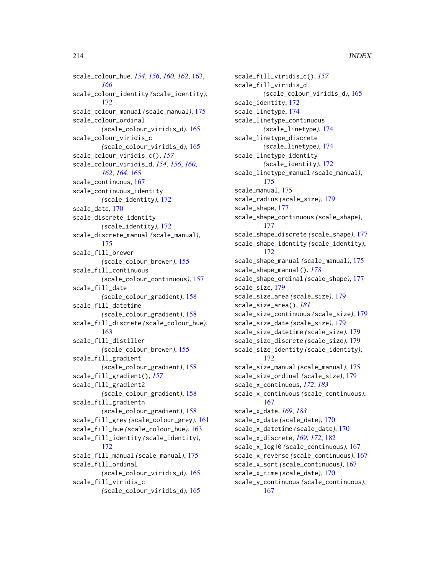scale\_colour\_hue, *[154](#page-153-0)*, *[156](#page-155-0)*, *[160](#page-159-0)*, *[162](#page-161-0)*, [163,](#page-162-0) *[166](#page-165-0)* scale\_colour\_identity *(*scale\_identity*)*, [172](#page-171-0) scale\_colour\_manual *(*scale\_manual*)*, [175](#page-174-0) scale\_colour\_ordinal *(*scale\_colour\_viridis\_d*)*, [165](#page-164-0) scale\_colour\_viridis\_c *(*scale\_colour\_viridis\_d*)*, [165](#page-164-0) scale\_colour\_viridis\_c(), *[157](#page-156-0)* scale\_colour\_viridis\_d, *[154](#page-153-0)*, *[156](#page-155-0)*, *[160](#page-159-0)*, *[162](#page-161-0)*, *[164](#page-163-0)*, [165](#page-164-0) scale\_continuous, [167](#page-166-1) scale\_continuous\_identity *(*scale\_identity*)*, [172](#page-171-0) scale\_date, [170](#page-169-1) scale\_discrete\_identity *(*scale\_identity*)*, [172](#page-171-0) scale\_discrete\_manual *(*scale\_manual*)*, [175](#page-174-0) scale\_fill\_brewer *(*scale\_colour\_brewer*)*, [155](#page-154-0) scale\_fill\_continuous *(*scale\_colour\_continuous*)*, [157](#page-156-0) scale\_fill\_date *(*scale\_colour\_gradient*)*, [158](#page-157-0) scale\_fill\_datetime *(*scale\_colour\_gradient*)*, [158](#page-157-0) scale\_fill\_discrete *(*scale\_colour\_hue*)*, [163](#page-162-0) scale\_fill\_distiller *(*scale\_colour\_brewer*)*, [155](#page-154-0) scale\_fill\_gradient *(*scale\_colour\_gradient*)*, [158](#page-157-0) scale\_fill\_gradient(), *[157](#page-156-0)* scale\_fill\_gradient2 *(*scale\_colour\_gradient*)*, [158](#page-157-0) scale\_fill\_gradientn *(*scale\_colour\_gradient*)*, [158](#page-157-0) scale\_fill\_grey *(*scale\_colour\_grey*)*, [161](#page-160-0) scale\_fill\_hue *(*scale\_colour\_hue*)*, [163](#page-162-0) scale\_fill\_identity *(*scale\_identity*)*, [172](#page-171-0) scale\_fill\_manual *(*scale\_manual*)*, [175](#page-174-0) scale\_fill\_ordinal *(*scale\_colour\_viridis\_d*)*, [165](#page-164-0) scale\_fill\_viridis\_c *(*scale\_colour\_viridis\_d*)*, [165](#page-164-0)

scale\_fill\_viridis\_c(), *[157](#page-156-0)* scale\_fill\_viridis\_d *(*scale\_colour\_viridis\_d*)*, [165](#page-164-0) scale\_identity, [172](#page-171-0) scale\_linetype, [174](#page-173-0) scale\_linetype\_continuous *(*scale\_linetype*)*, [174](#page-173-0) scale\_linetype\_discrete *(*scale\_linetype*)*, [174](#page-173-0) scale\_linetype\_identity *(*scale\_identity*)*, [172](#page-171-0) scale\_linetype\_manual *(*scale\_manual*)*, [175](#page-174-0) scale\_manual, [175](#page-174-0) scale\_radius *(*scale\_size*)*, [179](#page-178-1) scale\_shape, [177](#page-176-0) scale\_shape\_continuous *(*scale\_shape*)*, [177](#page-176-0) scale\_shape\_discrete *(*scale\_shape*)*, [177](#page-176-0) scale\_shape\_identity *(*scale\_identity*)*, [172](#page-171-0) scale\_shape\_manual *(*scale\_manual*)*, [175](#page-174-0) scale\_shape\_manual(), *[178](#page-177-0)* scale\_shape\_ordinal *(*scale\_shape*)*, [177](#page-176-0) scale\_size, [179](#page-178-1) scale\_size\_area *(*scale\_size*)*, [179](#page-178-1) scale\_size\_area(), *[181](#page-180-0)* scale\_size\_continuous *(*scale\_size*)*, [179](#page-178-1) scale\_size\_date *(*scale\_size*)*, [179](#page-178-1) scale\_size\_datetime *(*scale\_size*)*, [179](#page-178-1) scale\_size\_discrete *(*scale\_size*)*, [179](#page-178-1) scale\_size\_identity *(*scale\_identity*)*, [172](#page-171-0) scale\_size\_manual *(*scale\_manual*)*, [175](#page-174-0) scale\_size\_ordinal *(*scale\_size*)*, [179](#page-178-1) scale\_x\_continuous, *[172](#page-171-0)*, *[183](#page-182-0)* scale\_x\_continuous *(*scale\_continuous*)*, [167](#page-166-1) scale\_x\_date, *[169](#page-168-0)*, *[183](#page-182-0)* scale\_x\_date *(*scale\_date*)*, [170](#page-169-1) scale\_x\_datetime *(*scale\_date*)*, [170](#page-169-1) scale\_x\_discrete, *[169](#page-168-0)*, *[172](#page-171-0)*, [182](#page-181-0) scale\_x\_log10 *(*scale\_continuous*)*, [167](#page-166-1) scale\_x\_reverse *(*scale\_continuous*)*, [167](#page-166-1) scale\_x\_sqrt *(*scale\_continuous*)*, [167](#page-166-1) scale\_x\_time *(*scale\_date*)*, [170](#page-169-1) scale\_y\_continuous *(*scale\_continuous*)*, [167](#page-166-1)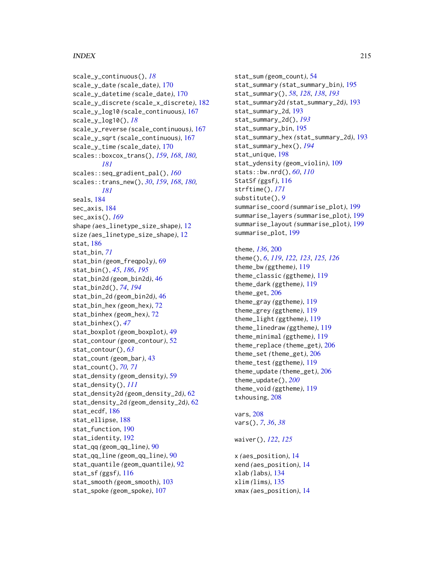# INDEX 215

```
scale_y_continuous(), 18
scale_y_date (scale_date), 170
scale_y_datetime (scale_date), 170
scale_y_discrete (scale_x_discrete), 182
scale_y_log10 (scale_continuous), 167
scale_y_log10(), 18
scale_y_reverse (scale_continuous), 167
scale_y_sqrt (scale_continuous), 167
scale_y_time (scale_date), 170
scales::boxcox_trans(), 159, 168, 180,
        181
scales::seq_gradient_pal(), 160
scales::trans_new(), 30, 159, 168, 180,
         181
seals, 184
sec_axis, 184
sec_axis(), 169
shape (aes_linetype_size_shape), 12
size (aes_linetype_size_shape), 12
stat, 186
stat_bin, 71
stat_bin (geom_freqpoly), 69
stat_bin(), 45, 186, 195
stat_bin2d (geom_bin2d), 46
stat_bin2d(), 74, 194
stat_bin_2d (geom_bin2d), 46
stat_bin_hex (geom_hex), 72
stat_binhex (geom_hex), 72
stat_binhex(), 47
stat_boxplot (geom_boxplot), 49
stat_contour (geom_contour), 52
stat_contour(), 63
stat_count (geom_bar), 43
stat_count(), 70, 71
stat_density (geom_density), 59
stat_density(), 111
stat_density2d (geom_density_2d), 62
stat_density_2d (geom_density_2d), 62
stat_ecdf, 186
stat_ellipse, 188
stat_function, 190
stat_identity, 192
stat_qq (geom_qq_line), 90
stat_qq_line (geom_qq_line), 90
stat_quantile (geom_quantile), 92
stat_sf (ggsf), 116
stat_smooth (geom_smooth), 103
stat_spoke (geom_spoke), 107
```
stat\_sum *(*geom\_count*)*, [54](#page-53-0) stat\_summary *(*stat\_summary\_bin*)*, [195](#page-194-1) stat\_summary(), *[58](#page-57-0)*, *[128](#page-127-0)*, *[138](#page-137-1)*, *[193](#page-192-2)* stat\_summary2d *(*stat\_summary\_2d*)*, [193](#page-192-2) stat\_summary\_2d, [193](#page-192-2) stat\_summary\_2d(), *[193](#page-192-2)* stat\_summary\_bin, [195](#page-194-1) stat\_summary\_hex *(*stat\_summary\_2d*)*, [193](#page-192-2) stat\_summary\_hex(), *[194](#page-193-0)* stat\_unique, [198](#page-197-0) stat\_ydensity *(*geom\_violin*)*, [109](#page-108-0) stats::bw.nrd(), *[60](#page-59-0)*, *[110](#page-109-0)* StatSf *(*ggsf*)*, [116](#page-115-0) strftime(), *[171](#page-170-0)* substitute(), *[9](#page-8-0)* summarise\_coord *(*summarise\_plot*)*, [199](#page-198-0) summarise\_layers *(*summarise\_plot*)*, [199](#page-198-0) summarise\_layout *(*summarise\_plot*)*, [199](#page-198-0) summarise\_plot, [199](#page-198-0)

theme, *[136](#page-135-2)*, [200](#page-199-0) theme(), *[6](#page-5-0)*, *[119](#page-118-0)*, *[122,](#page-121-0) [123](#page-122-0)*, *[125,](#page-124-0) [126](#page-125-0)* theme\_bw *(*ggtheme*)*, [119](#page-118-0) theme\_classic *(*ggtheme*)*, [119](#page-118-0) theme\_dark *(*ggtheme*)*, [119](#page-118-0) theme\_get, [206](#page-205-1) theme\_gray *(*ggtheme*)*, [119](#page-118-0) theme\_grey *(*ggtheme*)*, [119](#page-118-0) theme\_light *(*ggtheme*)*, [119](#page-118-0) theme\_linedraw *(*ggtheme*)*, [119](#page-118-0) theme\_minimal *(*ggtheme*)*, [119](#page-118-0) theme\_replace *(*theme\_get*)*, [206](#page-205-1) theme\_set *(*theme\_get*)*, [206](#page-205-1) theme\_test *(*ggtheme*)*, [119](#page-118-0) theme\_update *(*theme\_get*)*, [206](#page-205-1) theme\_update(), *[200](#page-199-0)* theme\_void *(*ggtheme*)*, [119](#page-118-0) txhousing, [208](#page-207-0)

vars, [208](#page-207-0) vars(), *[7](#page-6-1)*, *[36](#page-35-1)*, *[38](#page-37-1)*

waiver(), *[122](#page-121-0)*, *[125](#page-124-0)*

x *(*aes\_position*)*, [14](#page-13-0) xend *(*aes\_position*)*, [14](#page-13-0) xlab *(*labs*)*, [134](#page-133-0) xlim *(*lims*)*, [135](#page-134-0) xmax *(*aes\_position*)*, [14](#page-13-0)